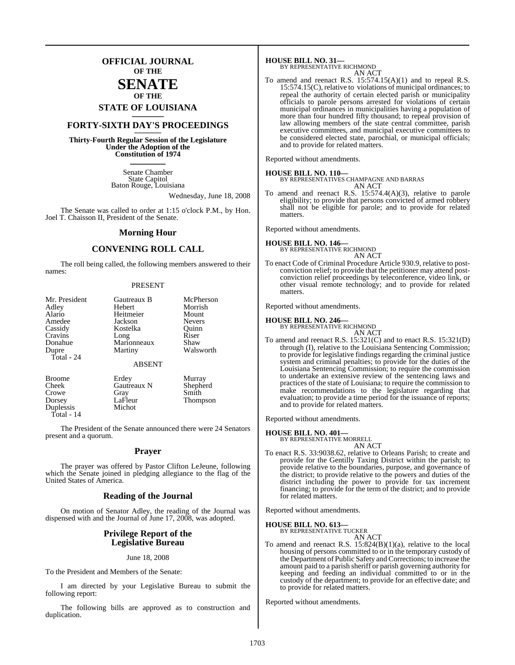## **OFFICIAL JOURNAL OF THE**

### **SENATE OF THE**

# **STATE OF LOUISIANA \_\_\_\_\_\_\_**

# **FORTY-SIXTH DAY'S PROCEEDINGS \_\_\_\_\_\_\_**

**Thirty-Fourth Regular Session of the Legislature Under the Adoption of the Constitution of 1974 \_\_\_\_\_\_\_**

> Senate Chamber State Capitol Baton Rouge, Louisiana

> > Wednesday, June 18, 2008

The Senate was called to order at 1:15 o'clock P.M., by Hon. Joel T. Chaisson II, President of the Senate.

#### **Morning Hour**

#### **CONVENING ROLL CALL**

The roll being called, the following members answered to their names:

#### PRESENT

| Mr. President<br>Adley<br>Alario<br>Amedee<br>Cassidy  | Gautreaux B<br>Hebert<br>Heitmeier<br>Jackson<br>Kostelka | McPherson<br>Morrish<br>Mount<br><b>Nevers</b><br>Quinn |
|--------------------------------------------------------|-----------------------------------------------------------|---------------------------------------------------------|
| Cravins<br>Donahue                                     | Long<br>Marionneaux                                       | Riser<br>Shaw                                           |
| Dupre<br>Total - 24                                    | Martiny                                                   | Walsworth                                               |
|                                                        | <b>ABSENT</b>                                             |                                                         |
| <b>Broome</b><br>Cheek<br>Crowe<br>Dorsey<br>Duplessis | Erdey<br>Gautreaux N<br>Gray<br>LaFleur<br>Michot         | Murray<br>Shepherd<br>Smith<br><b>Thompson</b>          |

Total - 14

The President of the Senate announced there were 24 Senators present and a quorum.

#### **Prayer**

The prayer was offered by Pastor Clifton LeJeune, following which the Senate joined in pledging allegiance to the flag of the United States of America.

#### **Reading of the Journal**

On motion of Senator Adley, the reading of the Journal was dispensed with and the Journal of June 17, 2008, was adopted.

#### **Privilege Report of the Legislative Bureau**

June 18, 2008

To the President and Members of the Senate:

I am directed by your Legislative Bureau to submit the following report:

The following bills are approved as to construction and duplication.

# **HOUSE BILL NO. 31—** BY REPRESENTATIVE RICHMOND

AN ACT To amend and reenact R.S.  $15:574.15(A)(1)$  and to repeal R.S. 15:574.15(C), relative to violations of municipal ordinances; to repeal the authority of certain elected parish or municipality officials to parole persons arrested for violations of certain municipal ordinances in municipalities having a population of more than four hundred fifty thousand; to repeal provision of law allowing members of the state central committee, parish executive committees, and municipal executive committees to be considered elected state, parochial, or municipal officials; and to provide for related matters.

Reported without amendments.

**HOUSE BILL NO. 110—** BY REPRESENTATIVES CHAMPAGNE AND BARRAS AN ACT

To amend and reenact R.S. 15:574.4(A)(3), relative to parole eligibility; to provide that persons convicted of armed robbery shall not be eligible for parole; and to provide for related matters.

Reported without amendments.

# **HOUSE BILL NO. 146—** BY REPRESENTATIVE RICHMOND

AN ACT

To enact Code of Criminal Procedure Article 930.9, relative to postconviction relief; to provide that the petitioner may attend postconviction relief proceedings by teleconference, video link, or other visual remote technology; and to provide for related matters.

Reported without amendments.

**HOUSE BILL NO. 246—** BY REPRESENTATIVE RICHMOND

- AN ACT
- To amend and reenact R.S. 15:321(C) and to enact R.S. 15:321(D) through (I), relative to the Louisiana Sentencing Commission; to provide for legislative findings regarding the criminal justice system and criminal penalties; to provide for the duties of the Louisiana Sentencing Commission; to require the commission to undertake an extensive review of the sentencing laws and practices of the state of Louisiana; to require the commission to make recommendations to the legislature regarding that evaluation; to provide a time period for the issuance of reports; and to provide for related matters.

Reported without amendments.

# **HOUSE BILL NO. 401—** BY REPRESENTATIVE MORRELL

AN ACT

To enact R.S. 33:9038.62, relative to Orleans Parish; to create and provide for the Gentilly Taxing District within the parish; to provide relative to the boundaries, purpose, and governance of the district; to provide relative to the powers and duties of the district including the power to provide for tax increment financing; to provide for the term of the district; and to provide for related matters.

Reported without amendments.

# **HOUSE BILL NO. 613—** BY REPRESENTATIVE TUCKER

AN ACT

To amend and reenact R.S. 15:824(B)(1)(a), relative to the local housing of persons committed to or in the temporary custody of the Department of Public Safety and Corrections; to increase the amount paid to a parish sheriff or parish governing authority for keeping and feeding an individual committed to or in the custody of the department; to provide for an effective date; and to provide for related matters.

Reported without amendments.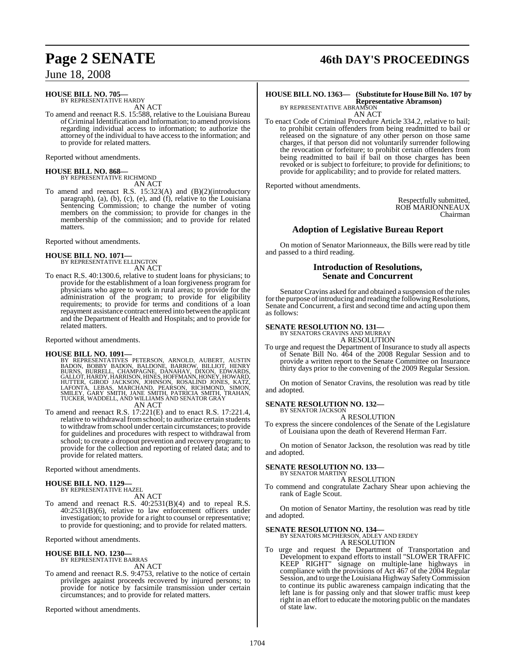### **HOUSE BILL NO. 705—**

BY REPRESENTATIVE HARDY AN ACT

To amend and reenact R.S. 15:588, relative to the Louisiana Bureau ofCriminal Identification and Information; to amend provisions regarding individual access to information; to authorize the attorney of the individual to have access to the information; and to provide for related matters.

Reported without amendments.

# **HOUSE BILL NO. 868—** BY REPRESENTATIVE RICHMOND

AN ACT

To amend and reenact R.S. 15:323(A) and (B)(2)(introductory paragraph), (a), (b), (c), (e), and (f), relative to the Louisiana Sentencing Commission; to change the number of voting members on the commission; to provide for changes in the membership of the commission; and to provide for related matters.

Reported without amendments.

# **HOUSE BILL NO. 1071—** BY REPRESENTATIVE ELLINGTON

AN ACT

To enact R.S. 40:1300.6, relative to student loans for physicians; to provide for the establishment of a loan forgiveness program for physicians who agree to work in rural areas; to provide for the administration of the program; to provide for eligibility requirements; to provide for terms and conditions of a loan repayment assistance contract entered into between the applicant and the Department of Health and Hospitals; and to provide for related matters.

Reported without amendments.

#### **HOUSE BILL NO. 1091—**

BY REPRESENTATIVES PETERSON, ARNOLD, AUBERT, AUSTIN<br>BADON, BOBBY BADON, BALDONE, BARROW, BILLIOT, HENRY<br>BURNS, BURRELL, CHAMPAGNE, DANAHAY, DIXON, EDWARDS,<br>GALLOT,HARDY,HARRISON,HINES,HOFFMANN,HONEY,HOWARD,<br>HUTTER, GIROD J

AN ACT

To amend and reenact R.S. 17:221(E) and to enact R.S. 17:221.4, relative to withdrawal fromschool; to authorize certain students to withdrawfromschool under certain circumstances; to provide for guidelines and procedures with respect to withdrawal from school; to create a dropout prevention and recovery program; to provide for the collection and reporting of related data; and to provide for related matters.

Reported without amendments.

# **HOUSE BILL NO. 1129—** BY REPRESENTATIVE HAZEL

AN ACT

To amend and reenact R.S. 40:2531(B)(4) and to repeal R.S. 40:2531(B)(6), relative to law enforcement officers under investigation; to provide for a right to counsel or representative; to provide for questioning; and to provide for related matters.

Reported without amendments.

## **HOUSE BILL NO. 1230—** BY REPRESENTATIVE BARRAS AN ACT

To amend and reenact R.S. 9:4753, relative to the notice of certain privileges against proceeds recovered by injured persons; to provide for notice by facsimile transmission under certain circumstances; and to provide for related matters.

Reported without amendments.

# **Page 2 SENATE 46th DAY'S PROCEEDINGS**

#### **HOUSE BILL NO. 1363— (Substitute for HouseBill No. 107 by Representative Abramson)** BY REPRESENTATIVE ABRAMSON

AN ACT

To enact Code of Criminal Procedure Article 334.2, relative to bail; to prohibit certain offenders from being readmitted to bail or released on the signature of any other person on those same charges, if that person did not voluntarily surrender following the revocation or forfeiture; to prohibit certain offenders from being readmitted to bail if bail on those charges has been revoked or is subject to forfeiture; to provide for definitions; to provide for applicability; and to provide for related matters.

Reported without amendments.

Respectfully submitted, ROB MARIONNEAUX Chairman

## **Adoption of Legislative Bureau Report**

On motion of Senator Marionneaux, the Bills were read by title and passed to a third reading.

#### **Introduction of Resolutions, Senate and Concurrent**

Senator Cravins asked for and obtained a suspension of the rules for the purpose of introducing and reading the following Resolutions, Senate and Concurrent, a first and second time and acting upon them as follows:

# **SENATE RESOLUTION NO. 131—** BY SENATORS CRAVINS AND MURRAY

A RESOLUTION

To urge and request the Department of Insurance to study all aspects of Senate Bill No. 464 of the 2008 Regular Session and to provide a written report to the Senate Committee on Insurance thirty days prior to the convening of the 2009 Regular Session.

On motion of Senator Cravins, the resolution was read by title and adopted.

#### **SENATE RESOLUTION NO. 132—** BY SENATOR JACKSON

A RESOLUTION

To express the sincere condolences of the Senate of the Legislature of Louisiana upon the death of Reverend Herman Farr.

On motion of Senator Jackson, the resolution was read by title and adopted.

#### **SENATE RESOLUTION NO. 133—**

BY SENATOR MARTINY A RESOLUTION

To commend and congratulate Zachary Shear upon achieving the rank of Eagle Scout.

On motion of Senator Martiny, the resolution was read by title and adopted.

#### **SENATE RESOLUTION NO. 134—**

BY SENATORS MCPHERSON, ADLEY AND ERDEY A RESOLUTION To urge and request the Department of Transportation and Development to expand efforts to install "SLOWER TRAFFIC KEEP RIGHT" signage on multiple-lane highways in compliance with the provisions of Act 467 of the 2004 Regular Session, and to urge the Louisiana Highway SafetyCommission to continue its public awareness campaign indicating that the left lane is for passing only and that slower traffic must keep right in an effort to educate the motoring public on the mandates of state law.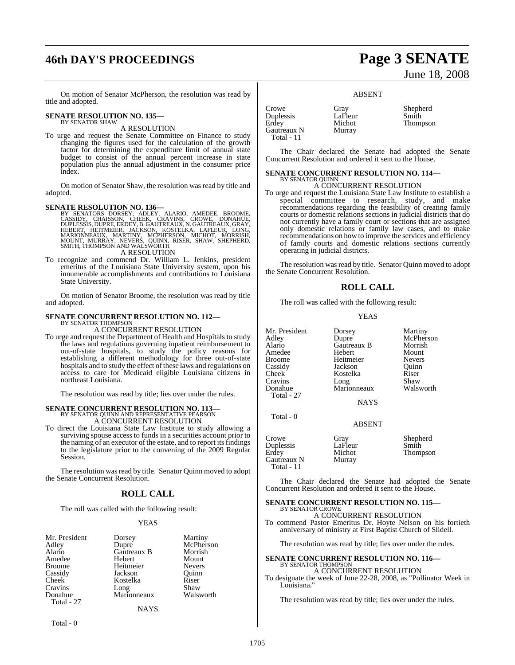# **46th DAY'S PROCEEDINGS Page 3 SENATE**

On motion of Senator McPherson, the resolution was read by title and adopted.

#### **SENATE RESOLUTION NO. 135—** BY SENATOR SHAW

A RESOLUTION

To urge and request the Senate Committee on Finance to study changing the figures used for the calculation of the growth factor for determining the expenditure limit of annual state budget to consist of the annual percent increase in state population plus the annual adjustment in the consumer price index.

On motion of Senator Shaw, the resolution was read by title and adopted.

SENATE RESOLUTION NO. 136—<br>BY SENATORS DORSEY, ADLEY, ALARIO, AMEDEE, BROOME, CASSIDY, CHAISSON, CHEEK, CRAVINS, CROWE, DONAHUE,<br>COSSIDY, CHAISSON, CHEEK, CRAVINS, CROWE, DONAHUE,<br>DUPLESSIS, DUPRE, ERDEY, B. GAUTREAUX, N. A RESOLUTION

To recognize and commend Dr. William L. Jenkins, president emeritus of the Louisiana State University system, upon his innumerable accomplishments and contributions to Louisiana State University.

On motion of Senator Broome, the resolution was read by title and adopted.

## **SENATE CONCURRENT RESOLUTION NO. 112—**

BY SENATOR THOMPSON

A CONCURRENT RESOLUTION To urge and request the Department of Health and Hospitals to study the laws and regulations governing inpatient reimbursement to out-of-state hospitals, to study the policy reasons for establishing a different methodology for three out-of-state hospitals and to study the effect of these laws and regulations on access to care for Medicaid eligible Louisiana citizens in northeast Louisiana.

The resolution was read by title; lies over under the rules.

# **SENATE CONCURRENT RESOLUTION NO. 113—** BY SENATOR QUINN AND REPRESENTATIVE PEARSON

A CONCURRENT RESOLUTION

To direct the Louisiana State Law Institute to study allowing a surviving spouse access to funds in a securities account prior to the naming of an executor of the estate, and to report itsfindings to the legislature prior to the convening of the 2009 Regular Session.

The resolution was read by title. Senator Quinn moved to adopt the Senate Concurrent Resolution.

#### **ROLL CALL**

The roll was called with the following result:

#### YEAS

| Mr. President | Dorsey      | Martiny       |
|---------------|-------------|---------------|
| Adley         | Dupre       | McPherson     |
| Alario        | Gautreaux B | Morrish       |
| Amedee        | Hebert      | Mount         |
| <b>Broome</b> | Heitmeier   | <b>Nevers</b> |
| Cassidy       | Jackson     | Ouinn         |
| <b>Cheek</b>  | Kostelka    | Riser         |
| Cravins       | Long        | Shaw          |
| Donahue       | Marionneaux | Walsworth     |
| Total - 27    |             |               |
|               | NAYS        |               |

June 18, 2008

ABSENT

| Crowe       | Gray    | Shepherd |
|-------------|---------|----------|
| Duplessis   | LaFleur | Smith    |
| Erdey       | Michot  | Thompson |
| Gautreaux N | Murray  |          |
| Total - 11  |         |          |

The Chair declared the Senate had adopted the Senate Concurrent Resolution and ordered it sent to the House.

#### **SENATE CONCURRENT RESOLUTION NO. 114—** BY SENATOR QUINN

A CONCURRENT RESOLUTION

To urge and request the Louisiana State Law Institute to establish a special committee to research, study, and make recommendations regarding the feasibility of creating family courts or domestic relations sections in judicial districts that do not currently have a family court or sections that are assigned only domestic relations or family law cases, and to make recommendations on how to improve the services and efficiency of family courts and domestic relations sections currently operating in judicial districts.

The resolution was read by title. Senator Quinn moved to adopt the Senate Concurrent Resolution.

#### **ROLL CALL**

The roll was called with the following result:

#### YEAS

| Mr. President<br>Adley<br>Alario<br>Amedee<br><b>Broome</b><br>Cassidy<br>Cheek<br>Cravins | Dorsey<br>Dupre<br>Gautreaux B<br>Hebert<br>Heitmeier<br>Jackson<br>Kostelka<br>Long | Martiny<br>McPherson<br>Morrish<br>Mount<br><b>Nevers</b><br>Ouinn<br>Riser<br>Shaw |
|--------------------------------------------------------------------------------------------|--------------------------------------------------------------------------------------|-------------------------------------------------------------------------------------|
| Donahue<br>Total - 27                                                                      | Marionneaux<br><b>NAYS</b>                                                           | Walsworth                                                                           |
| Total - 0                                                                                  | <b>ABSENT</b>                                                                        |                                                                                     |
| Crowe<br>Duplessis<br>Erdey<br>Gautreaux N<br>Total - 11                                   | Gray<br>LaFleur<br>Michot<br>Murray                                                  | Shepherd<br>Smith<br>Thompson                                                       |

The Chair declared the Senate had adopted the Senate Concurrent Resolution and ordered it sent to the House.

#### **SENATE CONCURRENT RESOLUTION NO. 115—** BY SENATOR CROWE

A CONCURRENT RESOLUTION To commend Pastor Emeritus Dr. Hoyte Nelson on his fortieth anniversary of ministry at First Baptist Church of Slidell.

The resolution was read by title; lies over under the rules.

#### **SENATE CONCURRENT RESOLUTION NO. 116—** BY SENATOR THOMPSON A CONCURRENT RESOLUTION

To designate the week of June 22-28, 2008, as "Pollinator Week in Louisiana."

The resolution was read by title; lies over under the rules.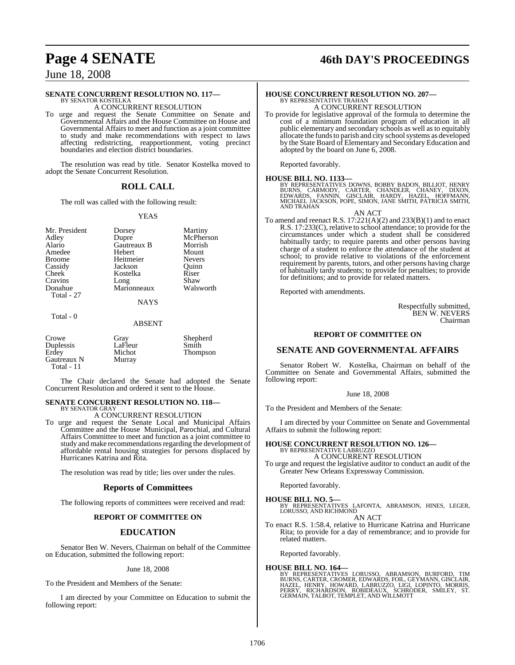# **Page 4 SENATE 46th DAY'S PROCEEDINGS**

June 18, 2008

#### **SENATE CONCURRENT RESOLUTION NO. 117—**

BY SENATOR KOSTELKA A CONCURRENT RESOLUTION

To urge and request the Senate Committee on Senate and Governmental Affairs and the House Committee on House and Governmental Affairs to meet and function as a joint committee to study and make recommendations with respect to laws affecting redistricting, reapportionment, voting precinct boundaries and election district boundaries.

The resolution was read by title. Senator Kostelka moved to adopt the Senate Concurrent Resolution.

#### **ROLL CALL**

The roll was called with the following result:

#### YEAS

| Mr. President | Dorsey              | Martiny       |
|---------------|---------------------|---------------|
| Adley         | Dupre               | McPherson     |
| Alario        | Gautreaux B         | Morrish       |
| Amedee        | Hebert              | Mount         |
| Broome        | Heitmeier           | <b>Nevers</b> |
| Cassidy       | Jackson             | Ouinn         |
| Cheek         | Kostelka            | Riser         |
| Cravins       | Long<br>Marionneaux | Shaw          |
| Donahue       |                     | Walsworth     |
| Total - 27    |                     |               |
|               |                     |               |

**NAYS** 

#### Total - 0

#### ABSENT

| Crowe<br>Duplessis<br>Erdey<br>Gautreaux N<br>Total - $11$ | Gray<br>LaFleur<br>Michot<br>Murray | Shepherd<br>Smith<br>Thompson |
|------------------------------------------------------------|-------------------------------------|-------------------------------|
|                                                            |                                     |                               |

The Chair declared the Senate had adopted the Senate Concurrent Resolution and ordered it sent to the House.

#### **SENATE CONCURRENT RESOLUTION NO. 118—** BY SENATOR GRAY

A CONCURRENT RESOLUTION

To urge and request the Senate Local and Municipal Affairs Committee and the House Municipal, Parochial, and Cultural Affairs Committee to meet and function as a joint committee to study and make recommendations regarding the development of affordable rental housing strategies for persons displaced by Hurricanes Katrina and Rita.

The resolution was read by title; lies over under the rules.

#### **Reports of Committees**

The following reports of committees were received and read:

#### **REPORT OF COMMITTEE ON**

#### **EDUCATION**

Senator Ben W. Nevers, Chairman on behalf of the Committee on Education, submitted the following report:

June 18, 2008

To the President and Members of the Senate:

I am directed by your Committee on Education to submit the following report:

#### **HOUSE CONCURRENT RESOLUTION NO. 207—** BY REPRESENTATIVE TRAHAN A CONCURRENT RESOLUTION

To provide for legislative approval of the formula to determine the cost of a minimum foundation program of education in all public elementary and secondary schools as well as to equitably allocate the funds to parish and city school systems as developed by the State Board of Elementary and Secondary Education and adopted by the board on June 6, 2008.

Reported favorably.

#### **HOUSE BILL NO. 1133—**

BY REPRESENTATIVES DOWNS, BOBBY BADON, BILLIOT, HENRY<br>BURNS, CARMODY, CARTER, CHANDLER, CHANEY, DIXON,<br>EDWARDS, FANNIN, GISCLAIR, HARDY, HAZEL, HOFFMANN,<br>MICHAEL JACKSON, POPE, SIMON, JANE SMITH, PATRICIA SMITH,<br>AND TRAHAN

AN ACT

To amend and reenact R.S.  $17:221(A)(2)$  and  $233(B)(1)$  and to enact R.S. 17:233(C), relative to school attendance; to provide for the circumstances under which a student shall be considered habitually tardy; to require parents and other persons having charge of a student to enforce the attendance of the student at school; to provide relative to violations of the enforcement requirement by parents, tutors, and other persons having charge of habitually tardy students; to provide for penalties; to provide for definitions; and to provide for related matters.

Reported with amendments.

Respectfully submitted, BEN W. NEVERS Chairman

#### **REPORT OF COMMITTEE ON**

#### **SENATE AND GOVERNMENTAL AFFAIRS**

Senator Robert W. Kostelka, Chairman on behalf of the Committee on Senate and Governmental Affairs, submitted the following report:

June 18, 2008

To the President and Members of the Senate:

I am directed by your Committee on Senate and Governmental Affairs to submit the following report:

#### **HOUSE CONCURRENT RESOLUTION NO. 126—** BY REPRESENTATIVE LABRUZZO A CONCURRENT RESOLUTION

To urge and request the legislative auditor to conduct an audit of the Greater New Orleans Expressway Commission.

Reported favorably.

**HOUSE BILL NO. 5—** BY REPRESENTATIVES LAFONTA, ABRAMSON, HINES, LEGER, LORUSSO, AND RICHMOND AN ACT

To enact R.S. 1:58.4, relative to Hurricane Katrina and Hurricane Rita; to provide for a day of remembrance; and to provide for related matters.

Reported favorably.

# **HOUSE BILL NO. 164—** BY REPRESENTATIVES LORUSSO, ABRAMSON, BURFORD, TIM<br>BURNS,CARTER,CROMER,EDWARDS,FOIL,GEYMANN,GISCLAIR,<br>HAZEL, HENRY, HOWARD, LABRUZZO, LIGI, LOPINTO, MORRIS,<br>PERRY, RICHARDSON, ROBIDEAUX, SCHRODER, SMILEY, ST.<br>GERMAIN,TALBO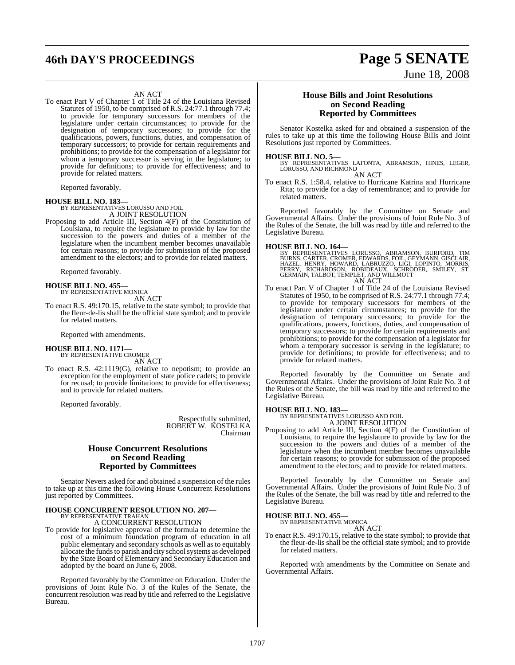# **46th DAY'S PROCEEDINGS Page 5 SENATE**

#### AN ACT

To enact Part V of Chapter 1 of Title 24 of the Louisiana Revised Statutes of 1950, to be comprised of R.S. 24:77.1 through 77.4; to provide for temporary successors for members of the legislature under certain circumstances; to provide for the designation of temporary successors; to provide for the qualifications, powers, functions, duties, and compensation of temporary successors; to provide for certain requirements and prohibitions; to provide for the compensation of a legislator for whom a temporary successor is serving in the legislature; to provide for definitions; to provide for effectiveness; and to provide for related matters.

Reported favorably.

**HOUSE BILL NO. 183—** BY REPRESENTATIVES LORUSSO AND FOIL A JOINT RESOLUTION

Proposing to add Article III, Section 4(F) of the Constitution of Louisiana, to require the legislature to provide by law for the succession to the powers and duties of a member of the legislature when the incumbent member becomes unavailable for certain reasons; to provide for submission of the proposed amendment to the electors; and to provide for related matters.

Reported favorably.

#### **HOUSE BILL NO. 455—** BY REPRESENTATIVE MONICA

AN ACT

To enact R.S. 49:170.15, relative to the state symbol; to provide that the fleur-de-lis shall be the official state symbol; and to provide for related matters.

Reported with amendments.

# **HOUSE BILL NO. 1171—** BY REPRESENTATIVE CROMER

AN ACT

To enact R.S. 42:1119(G), relative to nepotism; to provide an exception for the employment of state police cadets; to provide for recusal; to provide limitations; to provide for effectiveness; and to provide for related matters.

Reported favorably.

Respectfully submitted, ROBERT W. KOSTELKA Chairman

#### **House Concurrent Resolutions on Second Reading Reported by Committees**

Senator Nevers asked for and obtained a suspension of the rules to take up at this time the following House Concurrent Resolutions just reported by Committees.

#### **HOUSE CONCURRENT RESOLUTION NO. 207—** BY REPRESENTATIVE TRAHAN

A CONCURRENT RESOLUTION

To provide for legislative approval of the formula to determine the cost of a minimum foundation program of education in all public elementary and secondary schools as well as to equitably allocate the funds to parish and city school systems as developed by the State Board of Elementary and Secondary Education and adopted by the board on June 6, 2008.

Reported favorably by the Committee on Education. Under the provisions of Joint Rule No. 3 of the Rules of the Senate, the concurrent resolution was read by title and referred to the Legislative Bureau.

#### **House Bills and Joint Resolutions on Second Reading Reported by Committees**

June 18, 2008

Senator Kostelka asked for and obtained a suspension of the rules to take up at this time the following House Bills and Joint Resolutions just reported by Committees.

#### **HOUSE BILL NO. 5—**

BY REPRESENTATIVES LAFONTA, ABRAMSON, HINES, LEGER, LORUSSO, AND RICHMOND AN ACT

To enact R.S. 1:58.4, relative to Hurricane Katrina and Hurricane Rita; to provide for a day of remembrance; and to provide for related matters.

Reported favorably by the Committee on Senate and Governmental Affairs. Under the provisions of Joint Rule No. 3 of the Rules of the Senate, the bill was read by title and referred to the Legislative Bureau.

#### **HOUSE BILL NO. 164—**

BY REPRESENTATIVES LORUSSO, ABRAMSON, BURFORD, TIMBURNS, CARTER, CROMER, EDWARDS, FOIL, GEYMANN, GISCLAIR, HAZEL, HAZEL, HAZEL, HAZEL, HORRIS, PERRY, RICHARDSON, ROBIDEAUX, SCHRODER, SMILEY, ST.<br>DERRY, RICHARDSON, ROBIDEAU

To enact Part V of Chapter 1 of Title 24 of the Louisiana Revised Statutes of 1950, to be comprised of R.S. 24:77.1 through 77.4; to provide for temporary successors for members of the legislature under certain circumstances; to provide for the designation of temporary successors; to provide for the qualifications, powers, functions, duties, and compensation of temporary successors; to provide for certain requirements and prohibitions; to provide for the compensation of a legislator for whom a temporary successor is serving in the legislature; to provide for definitions; to provide for effectiveness; and to provide for related matters.

Reported favorably by the Committee on Senate and Governmental Affairs. Under the provisions of Joint Rule No. 3 of the Rules of the Senate, the bill was read by title and referred to the Legislative Bureau.

# **HOUSE BILL NO. 183—** BY REPRESENTATIVES LORUSSO AND FOIL

A JOINT RESOLUTION

Proposing to add Article III, Section 4(F) of the Constitution of Louisiana, to require the legislature to provide by law for the succession to the powers and duties of a member of the legislature when the incumbent member becomes unavailable for certain reasons; to provide for submission of the proposed amendment to the electors; and to provide for related matters.

Reported favorably by the Committee on Senate and Governmental Affairs. Under the provisions of Joint Rule No. 3 of the Rules of the Senate, the bill was read by title and referred to the Legislative Bureau.

#### **HOUSE BILL NO. 455—**

BY REPRESENTATIVE MONICA AN ACT

To enact R.S. 49:170.15, relative to the state symbol; to provide that the fleur-de-lis shall be the official state symbol; and to provide for related matters.

Reported with amendments by the Committee on Senate and Governmental Affairs.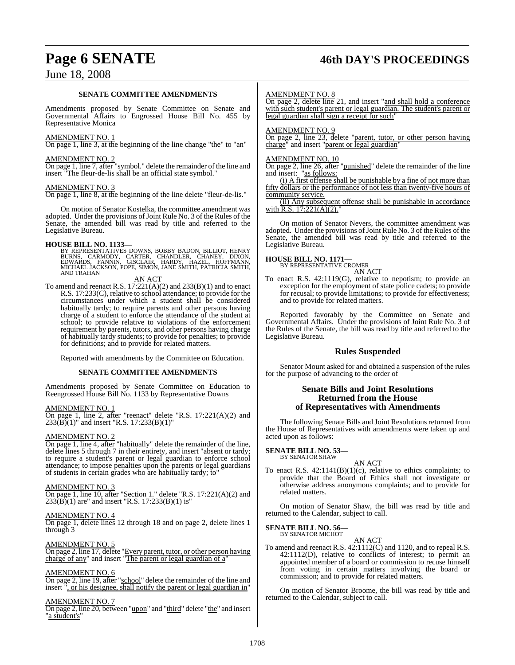# **Page 6 SENATE 46th DAY'S PROCEEDINGS**

## June 18, 2008

#### **SENATE COMMITTEE AMENDMENTS**

Amendments proposed by Senate Committee on Senate and Governmental Affairs to Engrossed House Bill No. 455 by Representative Monica

#### AMENDMENT NO. 1

On page 1, line 3, at the beginning of the line change "the" to "an"

#### AMENDMENT NO. 2

 $\overline{\text{On page 1, line 7, after}}$  "symbol." delete the remainder of the line and insert "The fleur-de-lis shall be an official state symbol."

#### AMENDMENT NO. 3

On page 1, line 8, at the beginning of the line delete "fleur-de-lis."

On motion of Senator Kostelka, the committee amendment was adopted. Under the provisions of Joint Rule No. 3 of the Rules of the Senate, the amended bill was read by title and referred to the Legislative Bureau.

### **HOUSE BILL NO. 1133—**

BY REPRESENTATIVES DOWNS, BOBBY BADON, BILLIOT, HENRY<br>BURNS, CARMODY, CARTER, CHANDLER, CHANEY, DIXON,<br>EDWARDS, FANNIN, GISCLAIR, HARDY, HAZEL, HOFFMANN,<br>MICHAEL JACKSON, POPE, SIMON, JANE SMITH, PATRICIA SMITH, AND TRAHAN

#### AN ACT

To amend and reenact R.S.  $17:221(A)(2)$  and  $233(B)(1)$  and to enact R.S. 17:233(C), relative to school attendance; to provide for the circumstances under which a student shall be considered habitually tardy; to require parents and other persons having charge of a student to enforce the attendance of the student at school; to provide relative to violations of the enforcement requirement by parents, tutors, and other persons having charge of habitually tardy students; to provide for penalties; to provide for definitions; and to provide for related matters.

Reported with amendments by the Committee on Education.

#### **SENATE COMMITTEE AMENDMENTS**

Amendments proposed by Senate Committee on Education to Reengrossed House Bill No. 1133 by Representative Downs

#### AMENDMENT NO. 1

On page 1, line 2, after "reenact" delete "R.S. 17:221(A)(2) and 233(B)(1)" and insert "R.S. 17:233(B)(1)"

#### AMENDMENT NO. 2

On page 1, line 4, after "habitually" delete the remainder of the line, delete lines 5 through 7 in their entirety, and insert "absent or tardy; to require a student's parent or legal guardian to enforce school attendance; to impose penalties upon the parents or legal guardians of students in certain grades who are habitually tardy; to"

#### AMENDMENT NO. 3

On page 1, line 10, after "Section 1." delete "R.S. 17:221(A)(2) and  $233(B)(1)$  are" and insert "R.S. 17:233(B)(1) is"

#### AMENDMENT NO. 4

On page 1, delete lines 12 through 18 and on page 2, delete lines 1 through 3

#### AMENDMENT NO. 5

On page 2, line 17, delete "Every parent, tutor, or other person having charge of any" and insert "The parent or legal guardian of a"

#### AMENDMENT NO. 6

On page 2, line 19, after "school" delete the remainder of the line and insert ", or his designee, shall notify the parent or legal guardian in"

#### AMENDMENT NO. 7

On page 2, line 20, between "upon" and "third" delete "the" and insert "a student's"

#### AMENDMENT NO. 8

On page 2, delete line 21, and insert "and shall hold a conference with such student's parent or legal guardian. The student's parent or legal guardian shall sign a receipt for such"

#### AMENDMENT NO. 9

On page 2, line 23, delete "parent, tutor, or other person having charge" and insert "parent or legal guardian"

#### AMENDMENT NO. 10

On page 2, line 26, after "punished" delete the remainder of the line and insert: "as follows:

(i) A first offense shall be punishable by a fine of not more than fifty dollars or the performance of not less than twenty-five hours of community service.

(ii) Any subsequent offense shall be punishable in accordance with R.S.  $17:221(A)(2)$ .

On motion of Senator Nevers, the committee amendment was adopted. Under the provisions of Joint Rule No. 3 of the Rules of the Senate, the amended bill was read by title and referred to the Legislative Bureau.

#### **HOUSE BILL NO. 1171—**

BY REPRESENTATIVE CROMER AN ACT

To enact R.S. 42:1119(G), relative to nepotism; to provide an exception for the employment of state police cadets; to provide for recusal; to provide limitations; to provide for effectiveness; and to provide for related matters.

Reported favorably by the Committee on Senate and Governmental Affairs. Under the provisions of Joint Rule No. 3 of the Rules of the Senate, the bill was read by title and referred to the Legislative Bureau.

#### **Rules Suspended**

Senator Mount asked for and obtained a suspension of the rules for the purpose of advancing to the order of

#### **Senate Bills and Joint Resolutions Returned from the House of Representatives with Amendments**

The following Senate Bills and Joint Resolutions returned from the House of Representatives with amendments were taken up and acted upon as follows:

# **SENATE BILL NO. 53—** BY SENATOR SHAW

AN ACT

To enact R.S. 42:1141(B)(1)(c), relative to ethics complaints; to provide that the Board of Ethics shall not investigate or otherwise address anonymous complaints; and to provide for related matters.

On motion of Senator Shaw, the bill was read by title and returned to the Calendar, subject to call.

# **SENATE BILL NO. 56—**<br>BY SENATOR MICHOT

AN ACT

To amend and reenact R.S. 42:1112(C) and 1120, and to repeal R.S. 42:1112(D), relative to conflicts of interest; to permit an appointed member of a board or commission to recuse himself from voting in certain matters involving the board or commission; and to provide for related matters.

On motion of Senator Broome, the bill was read by title and returned to the Calendar, subject to call.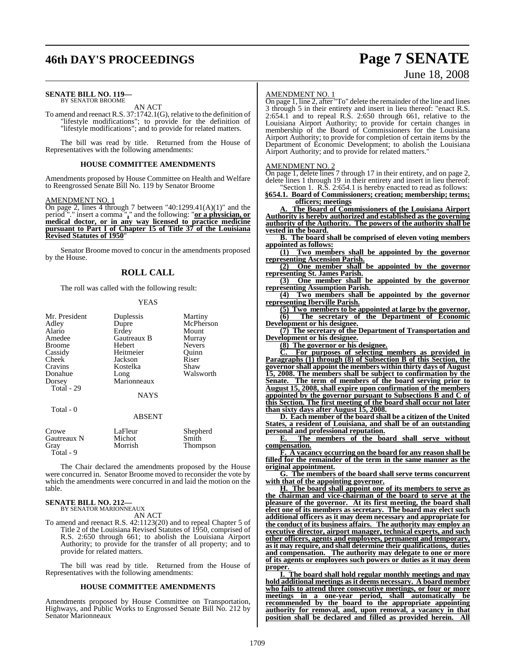# **46th DAY'S PROCEEDINGS Page 7 SENATE**

# June 18, 2008

#### **SENATE BILL NO. 119—** BY SENATOR BROOME

AN ACT

To amend and reenact R.S. 37:1742.1(G), relative to the definition of "lifestyle modifications"; to provide for the definition of "lifestyle modifications"; and to provide for related matters.

The bill was read by title. Returned from the House of Representatives with the following amendments:

#### **HOUSE COMMITTEE AMENDMENTS**

Amendments proposed by House Committee on Health and Welfare to Reengrossed Senate Bill No. 119 by Senator Broome

#### AMENDMENT NO. 1

On page 2, lines 4 through 7 between "40:1299.41(A)(1)" and the period "." insert a comma "**,**" and the following: "**or a physician, or medical doctor, or in any way licensed to practice medicine pursuant to Part I of Chapter 15 of Title 37 of the Louisiana Revised Statutes of 1950**"

Senator Broome moved to concur in the amendments proposed by the House.

#### **ROLL CALL**

The roll was called with the following result:

#### **YEAS**

| Mr. President<br>Adley           | Duplessis<br>Dupre | Martiny<br>McPherson |
|----------------------------------|--------------------|----------------------|
| Alario                           | Erdey              | Mount                |
| Amedee                           | Gautreaux B        | Murray               |
| <b>Broome</b>                    | Hebert             | <b>Nevers</b>        |
| Cassidy                          | Heitmeier          | Ouinn                |
| Cheek                            | Jackson            | Riser                |
| Cravins                          | Kostelka           | Shaw                 |
| Donahue                          | Long               | Walsworth            |
| Dorsey                           | Marionneaux        |                      |
| Total - 29                       |                    |                      |
|                                  | <b>NAYS</b>        |                      |
| Total - 0                        |                    |                      |
|                                  | <b>ABSENT</b>      |                      |
| $C_{\text{r} \alpha \mu \alpha}$ | $L_0$ $E$ $\omega$ | $Chankard$           |

| Crowe       | LaFleur | Shepherd |
|-------------|---------|----------|
| Gautreaux N | Michot  | Smith    |
| Gray        | Morrish | Thompson |
| Total - 9   |         |          |

The Chair declared the amendments proposed by the House were concurred in. Senator Broome moved to reconsider the vote by which the amendments were concurred in and laid the motion on the table.

#### **SENATE BILL NO. 212—** BY SENATOR MARIONNEAUX

AN ACT

To amend and reenact R.S. 42:1123(20) and to repeal Chapter 5 of Title 2 of the Louisiana Revised Statutes of 1950, comprised of R.S. 2:650 through 661; to abolish the Louisiana Airport Authority; to provide for the transfer of all property; and to provide for related matters.

The bill was read by title. Returned from the House of Representatives with the following amendments:

#### **HOUSE COMMITTEE AMENDMENTS**

Amendments proposed by House Committee on Transportation, Highways, and Public Works to Engrossed Senate Bill No. 212 by Senator Marionneaux

#### AMENDMENT NO. 1

On page 1, line 2, after "To" delete the remainder of the line and lines 3 through 5 in their entirety and insert in lieu thereof: "enact R.S. 2:654.1 and to repeal R.S. 2:650 through 661, relative to the Louisiana Airport Authority; to provide for certain changes in membership of the Board of Commissioners for the Louisiana Airport Authority; to provide for completion of certain items by the Department of Economic Development; to abolish the Louisiana Airport Authority; and to provide for related matters."

#### AMENDMENT NO. 2

On page 1, delete lines 7 through 17 in their entirety, and on page 2, delete lines 1 through 19 in their entirety and insert in lieu thereof: Section 1. R.S. 2:654.1 is hereby enacted to read as follows:

**§654.1. Board of Commissioners; creation; membership; terms; officers; meetings**

**A. The Board of Commissioners of the Louisiana Airport Authority is hereby authorized and established as the governing authority of the Authority. The powers of the authority shall be vested in the board.**

**B. The board shall be comprised of eleven voting members appointed as follows:**

**(1) Two members shall be appointed by the governor representing Ascension Parish.**

**(2) One member shall be appointed by the governor representing St. James Parish.**

**(3) One member shall be appointed by the governor representing Assumption Parish.**

**(4) Two members shall be appointed by the governor representing Iberville Parish.**

**(5) Two members to be appointed at large by the governor. (6) The secretary of the Department of Economic Development or his designee.**

**(7) The secretary of the Department of Transportation and Development or his designee.**

**(8) The governor or his designee.**

**C. For purposes of selecting members as provided in Paragraphs (1) through (8) of Subsection B of this Section, the governor shall appoint the members within thirty days of August 15, 2008. The members shall be subject to confirmation by the Senate. The term of members of the board serving prior to August 15, 2008, shall expire upon confirmation of the members appointed by the governor pursuant to Subsections B and C of this Section. The first meeting of the board shall occur not later than sixty days after August 15, 2008.**

**D. Each member of the board shall be a citizen of the United States, a resident of Louisiana, and shall be of an outstanding personal and professional reputation.**

**E. The members of the board shall serve without compensation.**

**F. A vacancy occurring on the board for any reason shall be filled for the remainder of the term in the same manner as the original appointment.**

**G. The members of the board shall serve terms concurrent with that of the appointing governor.**

**H. The board shall appoint one of its members to serve as the chairman and vice-chairman of the board to serve at the pleasure of the governor. At its first meeting, the board shall elect one of its members as secretary. The board may elect such additional officers as it may deem necessary and appropriate for the conduct of its business affairs. The authority may employ an executive director, airport manager, technical experts, and such other officers, agents and employees, permanent and temporary, asit may require, and shall determine their qualifications, duties and compensation. The authority may delegate to one or more of its agents or employees such powers or duties as it may deem proper.** 

**I. The board shall hold regular monthly meetings and may hold additional meetings as it deems necessary. A board member who fails to attend three consecutive meetings, or four or more meetings in a one-year period, shall automatically be recommended by the board to the appropriate appointing authority for removal, and, upon removal, a vacancy in that position shall be declared and filled as provided herein. All**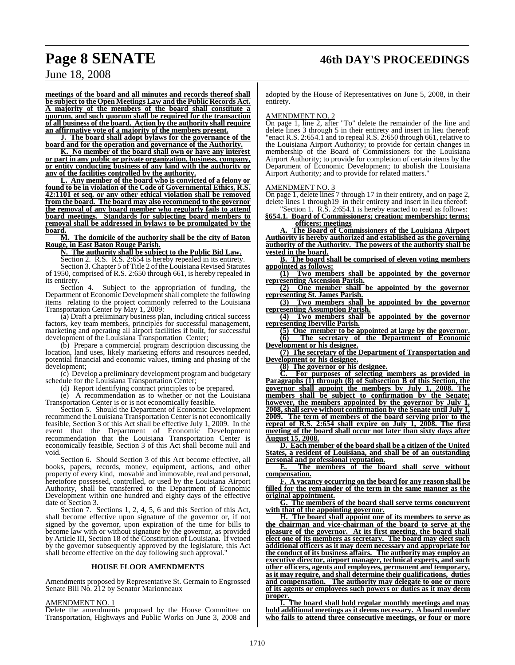**meetings of the board and all minutes and records thereof shall be subject to the Open Meetings Law and the Public Records Act. A majority of the members of the board shall constitute a quorum, and such quorum shall be required for the transaction of all business of the board. Action by the authority shall require an affirmative vote of a majority of the members present.**

**J. The board shall adopt bylaws for the governance of the board and for the operation and governance of the Authority.**

**K. No member of the board shall own or have any interest or part in any public or private organization, business, company, or entity conducting business of any kind with the authority or any of the facilities controlled by the authority.**

**L. Any member of the board who is convicted of a felony or found to be in violation of the Code of Governmental Ethics, R.S. 42:1101 et seq. or any other ethical violation shall be removed from the board. The board may also recommend to the governor the removal of any board member who regularly fails to attend board meetings. Standards for subjecting board members to removal shall be addressed in bylaws to be promulgated by the**

board.<br>M. **M. The domicile of the authority shall be the city of Baton Rouge, in East Baton Rouge Parish.**

**N. The authority shall be subject to the Public Bid Law.**

Section 2. R.S. R.S. 2:654 is hereby repealed in its entirety.

Section 3. Chapter 5 of Title 2 of the Louisiana Revised Statutes of 1950, comprised of R.S. 2:650 through 661, is hereby repealed in its entirety.

Section 4. Subject to the appropriation of funding, the Department of Economic Development shall complete the following items relating to the project commonly referred to the Louisiana Transportation Center by May 1, 2009:

(a) Draft a preliminary business plan, including critical success factors, key team members, principles for successful management, marketing and operating all airport facilities if built, for successful development of the Louisiana Transportation Center;

(b) Prepare a commercial program description discussing the location, land uses, likely marketing efforts and resources needed, potential financial and economic values, timing and phasing of the development;

(c) Develop a preliminary development program and budgetary schedule for the Louisiana Transportation Center;

(d) Report identifying contract principles to be prepared.

(e) A recommendation as to whether or not the Louisiana Transportation Center is or is not economically feasible.

Section 5. Should the Department of Economic Development recommend the Louisiana Transportation Center is not economically feasible, Section 3 of this Act shall be effective July 1, 2009. In the event that the Department of Economic Development recommendation that the Louisiana Transportation Center is economically feasible, Section 3 of this Act shall become null and void.

Section 6. Should Section 3 of this Act become effective, all books, papers, records, money, equipment, actions, and other property of every kind, movable and immovable, real and personal, heretofore possessed, controlled, or used by the Louisiana Airport Authority, shall be transferred to the Department of Economic Development within one hundred and eighty days of the effective date of Section 3.

Section 7. Sections 1, 2, 4, 5, 6 and this Section of this Act, shall become effective upon signature of the governor or, if not signed by the governor, upon expiration of the time for bills to become law with or without signature by the governor, as provided by Article III, Section 18 of the Constitution of Louisiana. If vetoed by the governor subsequently approved by the legislature, this Act shall become effective on the day following such approval."

#### **HOUSE FLOOR AMENDMENTS**

Amendments proposed by Representative St. Germain to Engrossed Senate Bill No. 212 by Senator Marionneaux

#### AMENDMENT NO. 1

Delete the amendments proposed by the House Committee on Transportation, Highways and Public Works on June 3, 2008 and

adopted by the House of Representatives on June 5, 2008, in their entirety.

#### AMENDMENT NO. 2

On page 1, line 2, after "To" delete the remainder of the line and delete lines 3 through 5 in their entirety and insert in lieu thereof: 'enact R.S. 2:654.1 and to repeal R.S. 2:650 through 661, relative to the Louisiana Airport Authority; to provide for certain changes in membership of the Board of Commissioners for the Louisiana Airport Authority; to provide for completion of certain items by the Department of Economic Development; to abolish the Louisiana Airport Authority; and to provide for related matters."

#### AMENDMENT NO. 3

On page 1, delete lines 7 through 17 in their entirety, and on page 2, delete lines 1 through19 in their entirety and insert in lieu thereof: Section 1. R.S. 2:654.1 is hereby enacted to read as follows:

**§654.1. Board of Commissioners; creation; membership; terms; officers; meetings**

**A. The Board of Commissioners of the Louisiana Airport Authority is hereby authorized and established as the governing authority of the Authority. The powers of the authority shall be vested in the board.**

**B. The board shall be comprised of eleven voting members appointed as follows:**

**(1) Two members shall be appointed by the governor representing Ascension Parish.**

**(2) One member shall be appointed by the governor representing St. James Parish.**

**(3) Two members shall be appointed by the governor representing Assumption Parish.**

**(4) Two members shall be appointed by the governor representing Iberville Parish.**

**(5) One member to be appointed at large by the governor. (6) The secretary of the Department of Economic Development or his designee.**

**(7) The secretary of the Department of Transportation and Development or his designee.**

**(8) The governor or his designee.**

**C. For purposes of selecting members as provided in Paragraphs (1) through (8) of Subsection B of this Section, the governor shall appoint the members by July 1, 2008. The members shall be subject to confirmation by the Senate; however, the members appointed by the governor by July 1, 2008, shall serve without confirmation by the Senate until July 1, 2009. The term of members of the board serving prior to the repeal of R.S. 2:654 shall expire on July 1, 2008. The first meeting of the board shall occur not later than sixty days after August 15, 2008.**

**D. Each member of the board shall be a citizen of the United States, a resident of Louisiana, and shall be of an outstanding personal and professional reputation.**

**E. The members of the board shall serve without compensation.**

**F. A vacancy occurring on the board for any reason shall be filled for the remainder of the term in the same manner as the original appointment.**

**G. The members of the board shall serve terms concurrent with that of the appointing governor.**

**H. The board shall appoint one of its members to serve as the chairman and vice-chairman of the board to serve at the pleasure of the governor. At its first meeting, the board shall elect one of its members as secretary. The board may elect such additional officers as it may deem necessary and appropriate for the conduct of its business affairs. The authority may employ an executive director, airport manager, technical experts, and such other officers, agents and employees, permanent and temporary, as it may require, and shall determine their qualifications, duties and compensation. The authority may delegate to one or more of its agents or employees such powers or duties as it may deem proper.** 

**I. The board shall hold regular monthly meetings and may hold additional meetings as it deems necessary. A board member who fails to attend three consecutive meetings, or four or more**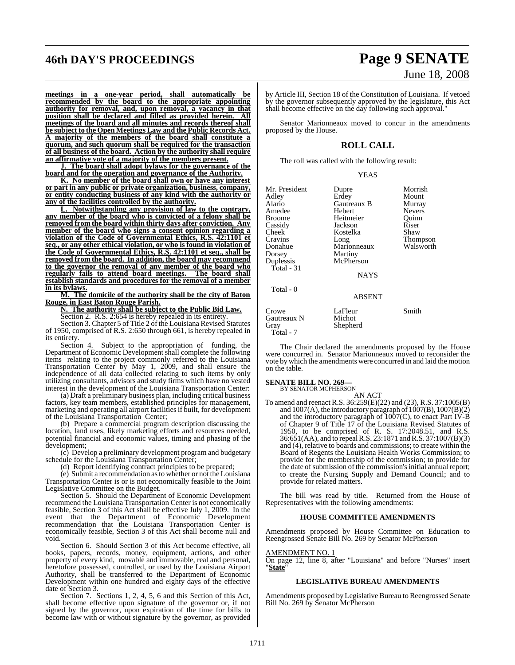# **46th DAY'S PROCEEDINGS Page 9 SENATE**

# June 18, 2008

**meetings in a one-year period, shall automatically be recommended by the board to the appropriate appointing authority for removal, and, upon removal, a vacancy in that position shall be declared and filled as provided herein. All meetings of the board and all minutes and records thereof shall be subject to the Open Meetings Law and the Public Records Act. A majority of the members of the board shall constitute a quorum, and such quorum shall be required for the transaction of all business of the board. Action by the authority shall require an affirmative vote of a majority of the members present.**

**J. The board shall adopt bylaws for the governance of the board and for the operation and governance of the Authority.**

**K. No member of the board shall own or have any interest or part in any public or private organization, business, company, or entity conducting business of any kind with the authority or any of the facilities controlled by the authority.**

**L. Notwithstanding any provision of law to the contrary, any member of the board who is convicted of a felony shall be removed from the board within thirty days after conviction. Any member of the board who signs a consent opinion regarding a violation of the Code of Governmental Ethics, R.S. 42:1101 et seq., or any other ethical violation, or who is found in violation of the Code of Governmental Ethics, R.S. 42:1101 et seq., shall be removed from the board. In addition, the board may recommend to the governor the removal of any member of the board who regularly fails to attend board meetings. The board shall establish standards and procedures for the removal of a member in its bylaws.**

**M. The domicile of the authority shall be the city of Baton Rouge, in East Baton Rouge Parish.**

**N. The authority shall be subject to the Public Bid Law.**

Section 2. R.S. 2:654 is hereby repealed in its entirety.

Section 3. Chapter 5 of Title 2 of the Louisiana Revised Statutes of 1950, comprised of R.S. 2:650 through 661, is hereby repealed in

its entirety.<br>Section 4. Subject to the appropriation of funding, the Department of Economic Development shall complete the following items relating to the project commonly referred to the Louisiana Transportation Center by May 1, 2009, and shall ensure the independence of all data collected relating to such items by only utilizing consultants, advisors and study firms which have no vested interest in the development of the Louisiana Transportation Center:

(a) Draft a preliminary business plan, including critical business factors, key team members, established principles for management, marketing and operating all airport facilities if built, for development of the Louisiana Transportation Center;

(b) Prepare a commercial program description discussing the location, land uses, likely marketing efforts and resources needed, potential financial and economic values, timing and phasing of the development;

(c) Develop a preliminary development program and budgetary schedule for the Louisiana Transportation Center;

(d) Report identifying contract principles to be prepared;

(e) Submit a recommendation as to whether or not the Louisiana Transportation Center is or is not economically feasible to the Joint Legislative Committee on the Budget.

Section 5. Should the Department of Economic Development recommend the Louisiana Transportation Center is not economically feasible, Section 3 of this Act shall be effective July 1, 2009. In the event that the Department of Economic Development recommendation that the Louisiana Transportation Center is economically feasible, Section 3 of this Act shall become null and void.

Section 6. Should Section 3 of this Act become effective, all books, papers, records, money, equipment, actions, and other property of every kind, movable and immovable, real and personal, heretofore possessed, controlled, or used by the Louisiana Airport Authority, shall be transferred to the Department of Economic Development within one hundred and eighty days of the effective date of Section 3.

Section 7. Sections 1, 2, 4, 5, 6 and this Section of this Act, shall become effective upon signature of the governor or, if not signed by the governor, upon expiration of the time for bills to become law with or without signature by the governor, as provided

by Article III, Section 18 of the Constitution of Louisiana. If vetoed by the governor subsequently approved by the legislature, this Act shall become effective on the day following such approval.

Senator Marionneaux moved to concur in the amendments proposed by the House.

### **ROLL CALL**

The roll was called with the following result:

#### YEAS

| Mr. President<br>Adley<br>Alario<br>Amedee<br>Broome<br>Cassidy<br>Cheek | Dupre<br>Erdey<br>Gautreaux B<br>Hebert<br>Heitmeier<br>Jackson<br>Kostelka | Morrish<br>Mount<br>Murray<br><b>Nevers</b><br>Quinn<br>Riser<br>Shaw |
|--------------------------------------------------------------------------|-----------------------------------------------------------------------------|-----------------------------------------------------------------------|
| Cravins<br>Donahue<br>Dorsey<br>Duplessis<br>Total - 31                  | Long<br>Marionneaux<br>Martiny<br>McPherson<br><b>NAYS</b>                  | Thompson<br>Walsworth                                                 |
| Total - 0                                                                | <b>ABSENT</b>                                                               |                                                                       |
| Crowe<br>Gautreaux N<br>Gray<br>Total - 7                                | LaFleur<br>Michot<br>Shepherd                                               | Smith                                                                 |

The Chair declared the amendments proposed by the House were concurred in. Senator Marionneaux moved to reconsider the vote by which the amendments were concurred in and laid the motion on the table.

# **SENATE BILL NO. 269—**<br>BY SENATOR MCPHERSON

AN ACT

To amend and reenact R.S. 36:259(E)(22) and (23), R.S. 37:1005(B) and  $1007(A)$ , the introductory paragraph of  $1007(B)$ ,  $1007(B)(2)$ and the introductory paragraph of 1007(C), to enact Part IV-B of Chapter 9 of Title 17 of the Louisiana Revised Statutes of 1950, to be comprised of R. S. 17:2048.51, and R.S. 36:651(AA), and to repealR.S. 23:1871 andR.S. 37:1007(B)(3) and (4), relative to boards and commissions; to create within the Board of Regents the Louisiana Health Works Commission; to provide for the membership of the commission; to provide for the date of submission of the commission's initial annual report; to create the Nursing Supply and Demand Council; and to provide for related matters.

The bill was read by title. Returned from the House of Representatives with the following amendments:

#### **HOUSE COMMITTEE AMENDMENTS**

Amendments proposed by House Committee on Education to Reengrossed Senate Bill No. 269 by Senator McPherson

#### AMENDMENT NO. 1

On page 12, line 8, after "Louisiana" and before "Nurses" insert "**State**"

#### **LEGISLATIVE BUREAU AMENDMENTS**

Amendments proposed byLegislative Bureau to Reengrossed Senate Bill No. 269 by Senator McPherson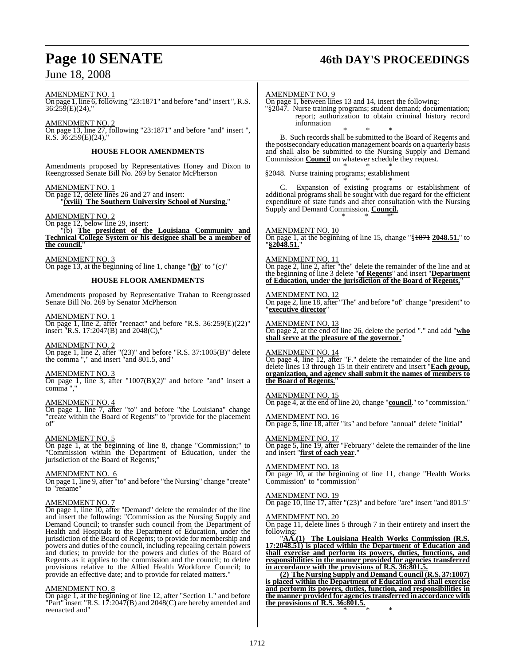# **Page 10 SENATE 46th DAY'S PROCEEDINGS**

AMENDMENT NO. 1 On page 1, line 6, following "23:1871" and before "and" insert ", R.S. 36:259(E)(24),"

AMENDMENT NO. 2 On page 13, line 27, following "23:1871" and before "and" insert ",  $R.S. 36:259(E)(24),$ 

#### **HOUSE FLOOR AMENDMENTS**

Amendments proposed by Representatives Honey and Dixon to Reengrossed Senate Bill No. 269 by Senator McPherson

#### AMENDMENT NO. 1

On page 12, delete lines 26 and 27 and insert: "**(xviii) The Southern University School of Nursing.**"

AMENDMENT NO. 2

On page 12, below line 29, insert: "(b) **The president of the Louisiana Community and Technical College System or his designee shall be a member of the council.**"

AMENDMENT NO. 3 On page 13, at the beginning of line 1, change "**(b)**" to "(c)"

#### **HOUSE FLOOR AMENDMENTS**

Amendments proposed by Representative Trahan to Reengrossed Senate Bill No. 269 by Senator McPherson

AMENDMENT NO. 1

On page 1, line 2, after "reenact" and before "R.S. 36:259(E)(22)" insert "R.S. 17:2047(B) and 2048(C),"

AMENDMENT NO. 2

On page 1, line 2, after "(23)" and before "R.S. 37:1005(B)" delete the comma "," and insert "and 801.5, and"

AMENDMENT NO. 3

On page 1, line 3, after "1007(B)(2)" and before "and" insert a comma ","

#### AMENDMENT NO. 4

On page 1, line 7, after "to" and before "the Louisiana" change "create within the Board of Regents" to "provide for the placement of"

#### AMENDMENT NO. 5

On page 1, at the beginning of line 8, change "Commission;" to "Commission within the Department of Education, under the jurisdiction of the Board of Regents;"

#### AMENDMENT NO. 6

On page 1, line 9, after "to" and before "the Nursing" change "create" to "rename"

#### AMENDMENT NO. 7

On page 1, line 10, after "Demand" delete the remainder of the line and insert the following: "Commission as the Nursing Supply and Demand Council; to transfer such council from the Department of Health and Hospitals to the Department of Education, under the jurisdiction of the Board of Regents; to provide for membership and powers and duties of the council, including repealing certain powers and duties; to provide for the powers and duties of the Board of Regents as it applies to the commission and the council; to delete provisions relative to the Allied Health Workforce Council; to provide an effective date; and to provide for related matters."

#### AMENDMENT NO. 8

On page 1, at the beginning of line 12, after "Section 1." and before "Part" insert "R.S.  $17:2047(B)$  and  $2048(C)$  are hereby amended and reenacted and"

#### AMENDMENT NO. 9

On page 1, between lines 13 and 14, insert the following:

"§2047. Nurse training programs; student demand; documentation; report; authorization to obtain criminal history record information

\* \* \* B. Such records shall be submitted to the Board of Regents and the postsecondary education management boards on a quarterly basis and shall also be submitted to the Nursing Supply and Demand Commission **Council** on whatever schedule they request. \* \* \*

§2048. Nurse training programs; establishment

\* \* \* C. Expansion of existing programs or establishment of additional programs shall be sought with due regard for the efficient expenditure of state funds and after consultation with the Nursing Supply and Demand Commission. Council. \* \* \*"

AMENDMENT NO. 10 On page 1, at the beginning of line 15, change "§1871 **2048.51.**" to "**§2048.51.**"

AMENDMENT NO. 11 On page 2, line 2, after "the" delete the remainder of the line and at the beginning of line 3 delete "**of Regents**" and insert "**Department of Education, under the jurisdiction of the Board of Regents,**"

## AMENDMENT NO. 12

On page 2, line 18, after "The" and before "of" change "president" to "**executive director**"

AMENDMENT NO. 13 On page 2, at the end of line 26, delete the period "." and add "**who shall serve at the pleasure of the governor.**"

AMENDMENT NO. 14 On page 4, line 12, after "F." delete the remainder of the line and delete lines 13 through 15 in their entirety and insert "**Each group, organization, and agency shall submit the names of members to the Board of Regents.**"

AMENDMENT NO. 15 On page 4, at the end of line 20, change "**council**." to "commission."

AMENDMENT NO. 16 On page 5, line 18, after "its" and before "annual" delete "initial"

AMENDMENT NO. 17 On page 5, line 19, after "February" delete the remainder of the line and insert "**first of each year**."

AMENDMENT NO. 18 On page 10, at the beginning of line 11, change "Health Works Commission" to "commission"

AMENDMENT NO. 19 On page 10, line 17, after "(23)" and before "are" insert "and 801.5"

AMENDMENT NO. 20

On page 11, delete lines 5 through 7 in their entirety and insert the following:

"**AA.(1) The Louisiana Health Works Commission (R.S. 17:2048.51) is placed within the Department of Education and shall exercise and perform its powers, duties, functions, and responsibilities in the manner provided for agencies transferred in accordance with the provisions of R.S. 36:801.5.**

**(2) The Nursing Supply and Demand Council (R.S. 37:1007) is placed within the Department of Education and shall exercise and perform its powers, duties, function, and responsibilities in the manner provided for agenciestransferred in accordance with the provisions of R.S. 36:801.5.** \* \* \*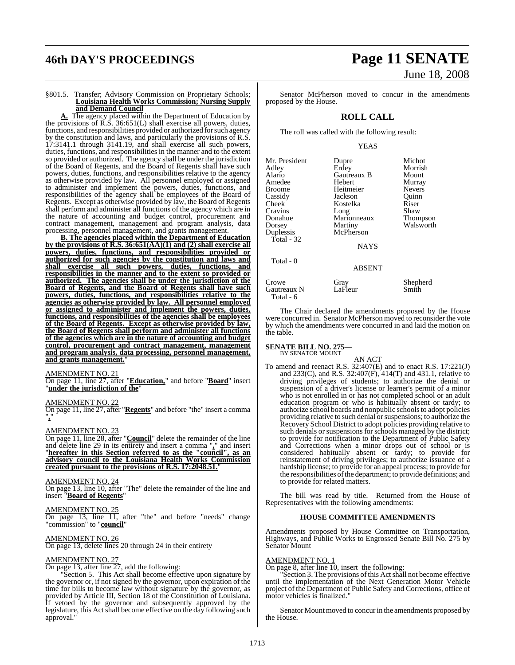# **46th DAY'S PROCEEDINGS Page 11 SENATE**

#### §801.5. Transfer; Advisory Commission on Proprietary Schools; **Louisiana Health Works Commission; Nursing Supply and Demand Council**

**A.** The agency placed within the Department of Education by the provisions of  $\overline{R}$ .  $\overline{S}$ . 36:651(L) shall exercise all powers, duties, functions, and responsibilities provided or authorized for such agency by the constitution and laws, and particularly the provisions of R.S. 17:3141.1 through 3141.19, and shall exercise all such powers, duties, functions, and responsibilities in the manner and to the extent so provided or authorized. The agency shall be under the jurisdiction of the Board of Regents, and the Board of Regents shall have such powers, duties, functions, and responsibilities relative to the agency as otherwise provided by law. All personnel employed or assigned to administer and implement the powers, duties, functions, and responsibilities of the agency shall be employees of the Board of Regents. Except as otherwise provided by law, the Board of Regents shall perform and administer all functions of the agency which are in the nature of accounting and budget control, procurement and contract management, management and program analysis, data processing, personnel management, and grants management.

**B. The agencies placed within the Department of Education by the provisions of R.S. 36:651(AA)(1) and (2) shall exercise all powers, duties, functions, and responsibilities provided or authorized for such agencies by the constitution and laws and shall exercise all such powers, duties, functions, and responsibilities in the manner and to the extent so provided or authorized. The agencies shall be under the jurisdiction of the Board of Regents, and the Board of Regents shall have such powers, duties, functions, and responsibilities relative to the agencies as otherwise provided by law. All personnel employed or assigned to administer and implement the powers, duties, functions, and responsibilities of the agencies shall be employees of the Board of Regents. Except as otherwise provided by law, the Board of Regents shall perform and administer all functions of the agencies which are in the nature of accounting and budget control, procurement and contract management, management and program analysis, data processing, personnel management, and grants management.**"

#### AMENDMENT NO. 21

On page 11, line 27, after "**Education,**" and before "**Board**" insert "**under the jurisdiction of the**"

#### AMENDMENT NO. 22

On page 11, line 27, after "**Regents**" and before "the" insert a comma "**,**"

#### AMENDMENT NO. 23

On page 11, line 28, after "**Council**" delete the remainder of the line and delete line 29 in its entirety and insert a comma "**,**" and insert "**hereafter in this Section referred to as the "council", as an advisory council to the Louisiana Health Works Commission created pursuant to the provisions of R.S. 17:2048.51.**"

#### AMENDMENT NO. 24

On page 13, line 10, after "The" delete the remainder of the line and insert "**Board of Regents**"

#### AMENDMENT NO. 25

On page 13, line 11, after "the" and before "needs" change "commission" to "**council**"

#### AMENDMENT NO. 26

On page 13, delete lines 20 through 24 in their entirety

#### AMENDMENT NO. 27

On page 13, after line 27, add the following:

"Section 5. This Act shall become effective upon signature by the governor or, if not signed by the governor, upon expiration of the time for bills to become law without signature by the governor, as provided by Article III, Section 18 of the Constitution of Louisiana. If vetoed by the governor and subsequently approved by the legislature, this Act shall become effective on the day following such approval."

# June 18, 2008

Senator McPherson moved to concur in the amendments proposed by the House.

#### **ROLL CALL**

The roll was called with the following result:

#### YEAS

| Mr. President | Dupre         | Michot        |
|---------------|---------------|---------------|
| Adley         | Erdey         | Morrish       |
| Alario        | Gautreaux B   | Mount         |
| Amedee        | Hebert        | Murray        |
| <b>Broome</b> | Heitmeier     | <b>Nevers</b> |
| Cassidy       | Jackson       | Quinn         |
| Cheek         | Kostelka      | Riser         |
| Cravins       | Long          | Shaw          |
| Donahue       | Marionneaux   | Thompson      |
| Dorsey        | Martiny       | Walsworth     |
| Duplessis     | McPherson     |               |
| Total - $32$  |               |               |
|               | <b>NAYS</b>   |               |
| Total - 0     |               |               |
|               | <b>ABSENT</b> |               |
| Crowe         | Gray          | Shepherd      |
| Gautreaux N   | LaFleur       | Smith         |

The Chair declared the amendments proposed by the House were concurred in. Senator McPherson moved to reconsider the vote by which the amendments were concurred in and laid the motion on the table.

# **SENATE BILL NO. 275—** BY SENATOR MOUNT

Total - 6

#### AN ACT

To amend and reenact R.S. 32:407(E) and to enact R.S. 17:221(J) and 233(C), and R.S. 32:407(F), 414(T) and 431.1, relative to driving privileges of students; to authorize the denial or suspension of a driver's license or learner's permit of a minor who is not enrolled in or has not completed school or an adult education program or who is habitually absent or tardy; to authorize school boards and nonpublic schoolsto adopt policies providing relative to such denial or suspensions; to authorize the Recovery School District to adopt policies providing relative to such denials or suspensions forschools managed by the district; to provide for notification to the Department of Public Safety and Corrections when a minor drops out of school or is considered habitually absent or tardy; to provide for reinstatement of driving privileges; to authorize issuance of a hardship license; to provide for an appeal process; to provide for the responsibilities of the department; to provide definitions; and to provide for related matters.

The bill was read by title. Returned from the House of Representatives with the following amendments:

#### **HOUSE COMMITTEE AMENDMENTS**

Amendments proposed by House Committee on Transportation, Highways, and Public Works to Engrossed Senate Bill No. 275 by Senator Mount

#### AMENDMENT NO. 1

On page 8, after line 10, insert the following:

"Section 3. The provisions of this Act shall not become effective until the implementation of the Next Generation Motor Vehicle project of the Department of Public Safety and Corrections, office of motor vehicles is finalized."

Senator Mount moved to concur in the amendments proposed by the House.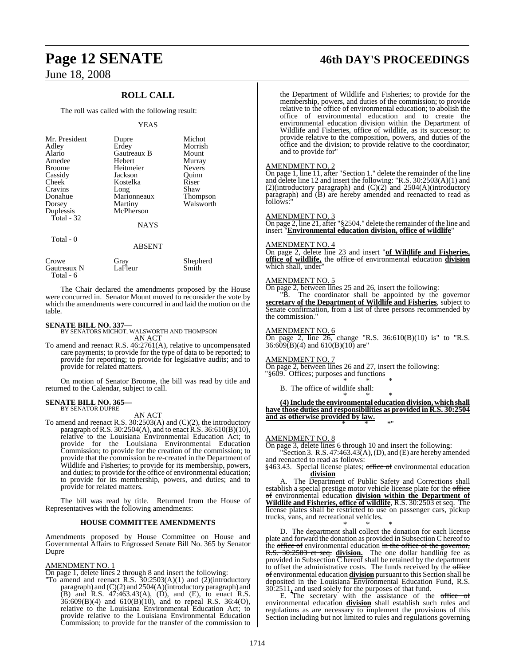## **ROLL CALL**

The roll was called with the following result:

#### YEAS

| Mr. President<br>Adley<br>Alario<br>Amedee<br><b>Broome</b><br>Cassidy<br>Cheek<br>Cravins<br>Donahue<br>Dorsey | Dupre<br>Erdey<br>Gautreaux B<br>Hebert<br>Heitmeier<br>Jackson<br>Kostelka<br>Long<br>Marionneaux<br>Martiny<br>McPherson | Michot<br>Morrish<br>Mount<br>Murray<br><b>Nevers</b><br>Ouinn<br>Riser<br>Shaw<br>Thompson<br>Walsworth |
|-----------------------------------------------------------------------------------------------------------------|----------------------------------------------------------------------------------------------------------------------------|----------------------------------------------------------------------------------------------------------|
| Duplessis<br>Total - 32<br>Total - 0                                                                            | <b>NAYS</b><br><b>ABSENT</b>                                                                                               |                                                                                                          |
| $C_{\text{r} \cap \text{t} \cap \text{t}}$                                                                      | $C_{\text{max}}$                                                                                                           | Shaphard                                                                                                 |

| Crowe       | Grav    | Shepherd |
|-------------|---------|----------|
| Gautreaux N | LaFleur | Smith    |
| Total - 6   |         |          |

The Chair declared the amendments proposed by the House were concurred in. Senator Mount moved to reconsider the vote by which the amendments were concurred in and laid the motion on the table.

**SENATE BILL NO. 337—** BY SENATORS MICHOT, WALSWORTH AND THOMPSON AN ACT

To amend and reenact R.S. 46:2761(A), relative to uncompensated care payments; to provide for the type of data to be reported; to provide for reporting; to provide for legislative audits; and to provide for related matters.

On motion of Senator Broome, the bill was read by title and returned to the Calendar, subject to call.

# **SENATE BILL NO. 365—** BY SENATOR DUPRE

AN ACT

To amend and reenact R.S. 30:2503(A) and (C)(2), the introductory paragraph of R.S. 30:2504(A), and to enact R.S. 36:610(B)(10), relative to the Louisiana Environmental Education Act; to provide for the Louisiana Environmental Education Commission; to provide for the creation of the commission; to provide that the commission be re-created in the Department of Wildlife and Fisheries; to provide for its membership, powers, and duties; to provide for the office of environmental education; to provide for its membership, powers, and duties; and to provide for related matters.

The bill was read by title. Returned from the House of Representatives with the following amendments:

#### **HOUSE COMMITTEE AMENDMENTS**

Amendments proposed by House Committee on House and Governmental Affairs to Engrossed Senate Bill No. 365 by Senator Dupre

#### AMENDMENT NO. 1

On page 1, delete lines 2 through 8 and insert the following:

"To amend and reenact R.S. 30:2503(A)(1) and (2)(introductory paragraph) and (C)(2) and 2504(A)(introductory paragraph) and (B) and R.S. 47:463.43(A), (D), and (E), to enact R.S. 36:609(B)(4) and 610(B)(10), and to repeal R.S. 36:4(O), relative to the Louisiana Environmental Education Act; to provide relative to the Louisiana Environmental Education Commission; to provide for the transfer of the commission to

# **Page 12 SENATE 46th DAY'S PROCEEDINGS**

the Department of Wildlife and Fisheries; to provide for the membership, powers, and duties of the commission; to provide relative to the office of environmental education; to abolish the office of environmental education and to create the environmental education division within the Department of Wildlife and Fisheries, office of wildlife, as its successor; to provide relative to the composition, powers, and duties of the office and the division; to provide relative to the coordinator; and to provide for"

#### AMENDMENT NO. 2

On page 1, line 11, after "Section 1." delete the remainder of the line and delete line 12 and insert the following: "R.S. 30:2503(A)(1) and (2)(introductory paragraph) and (C)(2) and 2504(A)(introductory paragraph) and (B) are hereby amended and reenacted to read as follows:

#### AMENDMENT NO. 3

 $\frac{\overline{R}_{11}}{\overline{R}_{12}}$   $\frac{\overline{R}_{11}}{\overline{R}_{12}}$   $\frac{\overline{R}_{11}}{\overline{R}_{12}}$  after "§2504." delete the remainder of the line and insert "**Environmental education division, office of wildlife**"

#### AMENDMENT NO. 4

On page 2, delete line 23 and insert "**of Wildlife and Fisheries, office of wildlife,** the office of environmental education **division** which shall, under

#### AMENDMENT NO. 5

On page 2, between lines 25 and 26, insert the following:

"B. The coordinator shall be appointed by the governor **secretary of the Department of Wildlife and Fisheries**, subject to Senate confirmation, from a list of three persons recommended by the commission."

#### AMENDMENT NO. 6

On page 2, line  $26$ , change "R.S.  $36:610(B)(10)$  is" to "R.S. 36:609(B)(4) and 610(B)(10) are"

#### AMENDMENT NO. 7

On page 2, between lines 26 and 27, insert the following: "§609. Offices; purposes and functions

\* \* \* B. The office of wildlife shall:

\* \* \* **(4)Include the environmental educationdivision, whichshall have those duties and responsibilities as provided in R.S. 30:2504 and as otherwise provided by law.** \* \* \*"

#### AMENDMENT NO. 8

On page 3, delete lines 6 through 10 and insert the following: Section 3. R.S.  $47:463.43(A), (D)$ , and  $(E)$  are hereby amended

and reenacted to read as follows:

§463.43. Special license plates; office of environmental education **division**

A. The Department of Public Safety and Corrections shall establish a special prestige motor vehicle license plate for the office of environmental education **division within the Department of Wildlife and Fisheries, office of wildlife**, R.S. 30:2503 et seq. The license plates shall be restricted to use on passenger cars, pickup trucks, vans, and recreational vehicles.

\* \* \*

D. The department shall collect the donation for each license plate and forward the donation as provided in Subsection C hereof to the <del>office of</del> environmental education in the office of the governor, R.S. 30:2503 et seq. **division.** The one dollar handling fee as provided in Subsection  $\overline{C}$  hereof shall be retained by the department to offset the administrative costs. The funds received by the office of environmental education **division** pursuant to this Section shall be deposited in the Louisiana Environmental Education Fund, R.S. 30:2511**,** and used solely for the purposes of that fund.

E. The secretary with the assistance of the office environmental education **division** shall establish such rules and regulations as are necessary to implement the provisions of this Section including but not limited to rules and regulations governing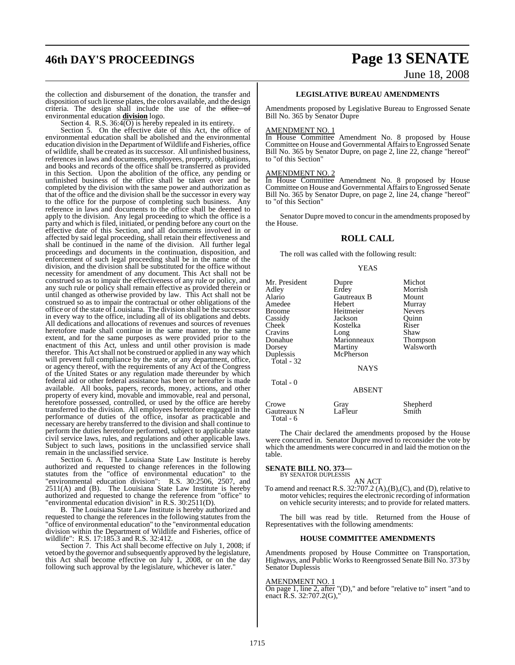# **46th DAY'S PROCEEDINGS Page 13 SENATE** June 18, 2008

the collection and disbursement of the donation, the transfer and disposition of such license plates, the colors available, and the design criteria. The design shall include the use of the  $office$  of environmental education **division** logo.

Section 4. R.S.  $36:4\overline{(O)}$  is hereby repealed in its entirety.

Section 5. On the effective date of this Act, the office of environmental education shall be abolished and the environmental education division in the Department ofWildlife and Fisheries, office of wildlife, shall be created as its successor. All unfinished business, references in laws and documents, employees, property, obligations, and books and records of the office shall be transferred as provided in this Section. Upon the abolition of the office, any pending or unfinished business of the office shall be taken over and be completed by the division with the same power and authorization as that of the office and the division shall be the successor in every way to the office for the purpose of completing such business. Any reference in laws and documents to the office shall be deemed to apply to the division. Any legal proceeding to which the office is a party and which is filed, initiated, or pending before any court on the effective date of this Section, and all documents involved in or affected by said legal proceeding, shall retain their effectiveness and shall be continued in the name of the division. All further legal proceedings and documents in the continuation, disposition, and enforcement of such legal proceeding shall be in the name of the division, and the division shall be substituted for the office without necessity for amendment of any document. This Act shall not be construed so as to impair the effectiveness of any rule or policy, and any such rule or policy shall remain effective as provided therein or until changed as otherwise provided by law. This Act shall not be construed so as to impair the contractual or other obligations of the office or of the state of Louisiana. The division shall be the successor in every way to the office, including all of its obligations and debts. All dedications and allocations of revenues and sources of revenues heretofore made shall continue in the same manner, to the same extent, and for the same purposes as were provided prior to the enactment of this Act, unless and until other provision is made therefor. This Act shall not be construed or applied in any way which will prevent full compliance by the state, or any department, office, or agency thereof, with the requirements of any Act of the Congress of the United States or any regulation made thereunder by which federal aid or other federal assistance has been or hereafter is made available. All books, papers, records, money, actions, and other property of every kind, movable and immovable, real and personal, heretofore possessed, controlled, or used by the office are hereby transferred to the division. All employees heretofore engaged in the performance of duties of the office, insofar as practicable and necessary are hereby transferred to the division and shall continue to perform the duties heretofore performed, subject to applicable state civil service laws, rules, and regulations and other applicable laws. Subject to such laws, positions in the unclassified service shall remain in the unclassified service.

Section 6. A. The Louisiana State Law Institute is hereby authorized and requested to change references in the following statutes from the "office of environmental education" to the "environmental education division": R.S. 30:2506, 2507, and 2511(A) and (B). The Louisiana State Law Institute is hereby authorized and requested to change the reference from "office" to "environmental education division" in R.S. 30:2511(D).

B. The Louisiana State Law Institute is hereby authorized and requested to change the references in the following statutes from the "office of environmental education" to the "environmental education division within the Department of Wildlife and Fisheries, office of wildlife": R.S. 17:185.3 and R.S. 32:412.

Section 7. This Act shall become effective on July 1, 2008; if vetoed by the governor and subsequently approved by the legislature, this Act shall become effective on July 1, 2008, or on the day following such approval by the legislature, whichever is later."

#### **LEGISLATIVE BUREAU AMENDMENTS**

Amendments proposed by Legislative Bureau to Engrossed Senate Bill No. 365 by Senator Dupre

#### AMENDMENT NO. 1

In House Committee Amendment No. 8 proposed by House Committee on House and Governmental Affairs to Engrossed Senate Bill No. 365 by Senator Dupre, on page 2, line 22, change "hereof" to "of this Section"

## AMENDMENT NO. 2

In House Committee Amendment No. 8 proposed by House Committee on House and Governmental Affairs to Engrossed Senate Bill No. 365 by Senator Dupre, on page 2, line 24, change "hereof" to "of this Section"

Senator Dupre moved to concur in the amendments proposed by the House.

#### **ROLL CALL**

The roll was called with the following result:

#### YEAS

| Mr. President<br>Adley<br>Alario<br>Amedee<br><b>Broome</b><br>Cassidy<br>Cheek<br>Cravins<br>Donahue<br>Dorsey<br>Duplessis<br>Total - $32$ | Dupre<br>Erdey<br>Gautreaux B<br>Hebert<br>Heitmeier<br>Jackson<br>Kostelka<br>Long<br>Marionneaux<br>Martiny<br>McPherson<br><b>NAYS</b> | Michot<br>Morrish<br>Mount<br>Murray<br><b>Nevers</b><br>Ouinn<br>Riser<br>Shaw<br>Thompson<br>Walsworth |
|----------------------------------------------------------------------------------------------------------------------------------------------|-------------------------------------------------------------------------------------------------------------------------------------------|----------------------------------------------------------------------------------------------------------|
| Total - 0                                                                                                                                    | <b>ABSENT</b>                                                                                                                             |                                                                                                          |
| Crowe<br>Gautreaux N<br>Total - 6                                                                                                            | Gray<br>LaFleur                                                                                                                           | Shepherd<br>Smith                                                                                        |

The Chair declared the amendments proposed by the House were concurred in. Senator Dupre moved to reconsider the vote by which the amendments were concurred in and laid the motion on the table.

# **SENATE BILL NO. 373—**<br>BY SENATOR DUPLESSIS

AN ACT

To amend and reenact R.S. 32:707.2 (A),(B),(C), and (D), relative to motor vehicles; requires the electronic recording of information on vehicle security interests; and to provide for related matters.

The bill was read by title. Returned from the House of Representatives with the following amendments:

#### **HOUSE COMMITTEE AMENDMENTS**

Amendments proposed by House Committee on Transportation, Highways, and Public Works to Reengrossed Senate Bill No. 373 by Senator Duplessis

#### AMENDMENT NO. 1

On page 1, line 2, after "(D)," and before "relative to" insert "and to enact R.S. 32:707.2(G),"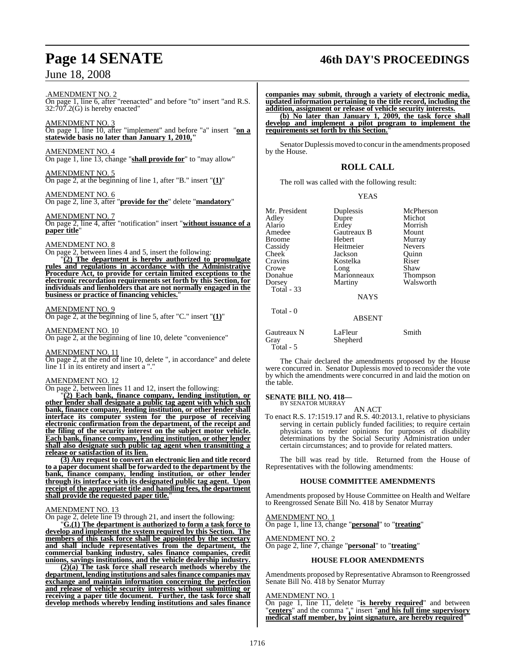#### .AMENDMENT NO. 2 On page 1, line 6, after "reenacted" and before "to" insert "and R.S. 32:707.2(G) is hereby enacted"

AMENDMENT NO. 3 On page 1, line 10, after "implement" and before "a" insert "**on a statewide basis no later than January 1, 2010,"**

AMENDMENT NO. 4 On page 1, line 13, change "**shall provide for**" to "may allow"

AMENDMENT NO. 5 On page 2, at the beginning of line 1, after "B." insert "**(1)**"

AMENDMENT NO. 6 On page 2, line 3, after "**provide for the**" delete "**mandatory**"

AMEND<u>MENT NO. 7</u> On page 2, line 4, after "notification" insert "**without issuance of a paper title**"

## AMENDMENT NO. 8

On page 2, between lines 4 and 5, insert the following:

"**(2) The department is hereby authorized to promulgate rules and regulations in accordance with the Administrative Procedure Act, to provide for certain limited exceptions to the electronic recordation requirements set forth by this Section, for individuals and lienholders that are not normally engaged in the business or practice of financing vehicles.**"

#### AMENDMENT NO. 9

On page 2, at the beginning of line 5, after "C." insert "**(1)**"

#### AMENDMENT NO. 10

On page 2, at the beginning of line 10, delete "convenience"

#### AMENDMENT NO. 11

On page 2, at the end of line 10, delete ", in accordance" and delete line  $11$  in its entirety and insert a "."

#### AMENDMENT NO. 12

On page 2, between lines 11 and 12, insert the following:

"**(2) Each bank, finance company, lending institution, or other lender shall designate a public tag agent with which such bank, finance company, lending institution, or other lender shall interface its computer system for the purpose of receiving electronic confirmation from the department, of the receipt and the filing of the security interest on the subject motor vehicle. Each bank, finance company, lending institution, or other lender shall also designate such public tag agent when transmitting a release or satisfaction of its lien.**

**(3) Any request to convert an electronic lien and title record to a paper document shall be forwarded to the department by the bank, finance company, lending institution, or other lender through its interface with its designated public tag agent. Upon receipt of the appropriate title and handling fees, the department shall provide the requested paper title.**"

#### AMENDMENT NO. 13

On page 2, delete line 19 through 21, and insert the following:

"**G.(1) The department is authorized to form a task force to develop and implement the system required by this Section. The members of this task force shall be appointed by the secretary and shall include representatives from the department, the commercial banking industry, sales finance companies, credit unions, savings institutions, and the vehicle dealership industry.**

**(2)(a) The task force shall research methods whereby the department, lending institutions and salesfinance companies may exchange and maintain information concerning the perfection and release of vehicle security interests without submitting or receiving a paper title document. Further, the task force shall develop methods whereby lending institutions and sales finance**

# **Page 14 SENATE 46th DAY'S PROCEEDINGS**

**companies may submit, through a variety of electronic media, updated information pertaining to the title record, including the addition, assignment or release of vehicle security interests.**

**(b) No later than January 1, 2009, the task force shall develop and implement a pilot program to implement the requirements set forth by this Section.**"

Senator Duplessis moved to concur in the amendments proposed by the House.

#### **ROLL CALL**

The roll was called with the following result:

#### YEAS

| Mr. President<br>Adley<br>Alario<br>Amedee<br><b>Broome</b><br>Cassidy<br><b>Cheek</b><br>Cravins<br>Crowe<br>Donahue | Duplessis<br>Dupre<br>Erdey<br>Gautreaux B<br>Hebert<br>Heitmeier<br>Jackson<br>Kostelka<br>Long<br>Marionneaux | McPherson<br>Michot<br>Morrish<br>Mount<br>Murray<br><b>Nevers</b><br>Ouinn<br>Riser<br>Shaw<br>Thompson<br>Walsworth |
|-----------------------------------------------------------------------------------------------------------------------|-----------------------------------------------------------------------------------------------------------------|-----------------------------------------------------------------------------------------------------------------------|
| Dorsey<br>Total - 33<br>Total - 0                                                                                     | Martiny<br><b>NAYS</b>                                                                                          |                                                                                                                       |
|                                                                                                                       | <b>ABSENT</b>                                                                                                   |                                                                                                                       |
| Gautreaux N                                                                                                           | LaFleur                                                                                                         | Smith                                                                                                                 |

The Chair declared the amendments proposed by the House were concurred in. Senator Duplessis moved to reconsider the vote by which the amendments were concurred in and laid the motion on the table.

#### **SENATE BILL NO. 418—**

BY SENATOR MURRAY

Gray Shepherd

Total - 5

AN ACT To enact R.S. 17:1519.17 and R.S. 40:2013.1, relative to physicians serving in certain publicly funded facilities; to require certain physicians to render opinions for purposes of disability determinations by the Social Security Administration under certain circumstances; and to provide for related matters.

The bill was read by title. Returned from the House of Representatives with the following amendments:

#### **HOUSE COMMITTEE AMENDMENTS**

Amendments proposed by House Committee on Health and Welfare to Reengrossed Senate Bill No. 418 by Senator Murray

AMENDMENT NO. 1

On page 1, line 13, change "**personal**" to "**treating**"

AMENDMENT NO. 2

On page 2, line 7, change "**personal**" to "**treating**"

#### **HOUSE FLOOR AMENDMENTS**

Amendments proposed by Representative Abramson to Reengrossed Senate Bill No. 418 by Senator Murray

#### AMENDMENT NO. 1

On page 1, line 11, delete "**is hereby required**" and between "**centers**" and the comma "**,**" insert "**and his full time supervisory medical staff member, by joint signature, are hereby required**"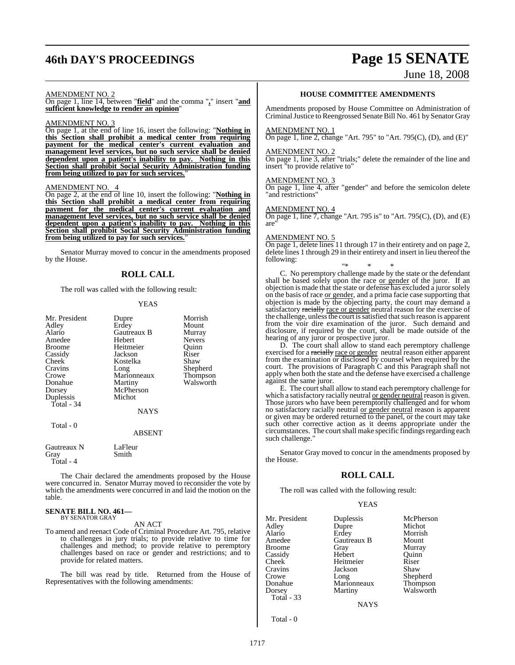# **46th DAY'S PROCEEDINGS Page 15 SENATE**

# June 18, 2008

## AMENDMENT NO. 2

On page 1, line 14, between "**field**" and the comma "**,**" insert "**and sufficient knowledge to render an opinion**"

#### AMENDMENT NO. 3

On page 1, at the end of line 16, insert the following: "**Nothing in this Section shall prohibit a medical center from requiring payment for the medical center's current evaluation and management level services, but no such service shall be denied dependent upon a patient's inability to pay. Nothing in this Section shall prohibit Social Security Administration funding from being utilized to pay for such services.**"

#### AMENDMENT NO. 4

On page 2, at the end of line 10, insert the following: "**Nothing in this Section shall prohibit a medical center from requiring payment for the medical center's current evaluation and management level services, but no such service shall be denied dependent upon a patient's inability to pay. Nothing in this Section shall prohibit Social Security Administration funding from being utilized to pay for such services.**"

Senator Murray moved to concur in the amendments proposed by the House.

#### **ROLL CALL**

The roll was called with the following result:

#### YEAS

| Dupre         | Morrish         |
|---------------|-----------------|
| Erdey         | Mount           |
| Gautreaux B   | Murray          |
| Hebert        | <b>Nevers</b>   |
| Heitmeier     | Ouinn           |
| Jackson       | Riser           |
| Kostelka      | Shaw            |
|               | Shepherd        |
| Marionneaux   | Thompson        |
|               | Walsworth       |
| McPherson     |                 |
| Michot        |                 |
|               |                 |
| <b>NAYS</b>   |                 |
|               |                 |
| <b>ABSENT</b> |                 |
|               | Long<br>Martiny |

| Gautreaux N | LaFleur |
|-------------|---------|
| Gray        | Smith   |
| Total - 4   |         |

The Chair declared the amendments proposed by the House were concurred in. Senator Murray moved to reconsider the vote by which the amendments were concurred in and laid the motion on the table.

#### **SENATE BILL NO. 461—** BY SENATOR GRAY

AN ACT

To amend and reenact Code of Criminal Procedure Art. 795, relative to challenges in jury trials; to provide relative to time for challenges and method; to provide relative to peremptory challenges based on race or gender and restrictions; and to provide for related matters.

The bill was read by title. Returned from the House of Representatives with the following amendments:

#### **HOUSE COMMITTEE AMENDMENTS**

Amendments proposed by House Committee on Administration of Criminal Justice to Reengrossed Senate Bill No. 461 by Senator Gray

#### AMENDMENT NO. 1

On page 1, line 2, change "Art. 795" to "Art. 795 $(C)$ ,  $(D)$ , and  $(E)$ "

#### AMENDMENT NO. 2

On page 1, line 3, after "trials;" delete the remainder of the line and insert "to provide relative to"

#### AMENDMENT NO. 3

On page 1, line 4, after "gender" and before the semicolon delete "and restrictions"

#### AMENDMENT NO. 4

On page 1, line 7, change "Art. 795 is" to "Art. 795(C), (D), and (E) are"

#### AMENDMENT NO. 5

On page 1, delete lines 11 through 17 in their entirety and on page 2, delete lines 1 through 29 in their entirety and insert in lieu thereof the following:

"\* \* \* C. No peremptory challenge made by the state or the defendant shall be based solely upon the race or gender of the juror. If an objection is made that the state or defense has excluded a juror solely on the basis of race or gender, and a prima facie case supporting that objection is made by the objecting party, the court may demand a satisfactory racially race or gender neutral reason for the exercise of the challenge, unless the court is satisfied that such reason is apparent from the voir dire examination of the juror. Such demand and disclosure, if required by the court, shall be made outside of the hearing of any juror or prospective juror.

D. The court shall allow to stand each peremptory challenge exercised for a racially race or gender neutral reason either apparent from the examination or disclosed by counsel when required by the court. The provisions of Paragraph C and this Paragraph shall not apply when both the state and the defense have exercised a challenge against the same juror.

E. The court shall allow to stand each peremptory challenge for which a satisfactory racially neutral or gender neutral reason is given. Those jurors who have been peremptorily challenged and for whom no satisfactory racially neutral or gender neutral reason is apparent or given may be ordered returned to the panel, or the court may take such other corrective action as it deems appropriate under the circumstances. The court shall make specific findings regarding each such challenge.

Senator Gray moved to concur in the amendments proposed by the House.

#### **ROLL CALL**

The roll was called with the following result:

#### YEAS

| Mr. President     | Duplessis   |
|-------------------|-------------|
| Adley             | Dupre       |
| Alario            | Erdey       |
| Amedee            | Gautreaux B |
| <b>Broome</b>     | Gray        |
| Cassidy           | Hebert      |
| Cheek             | Heitmeier   |
| Cravins           | Jackson     |
| Crowe             | Long        |
| Donahue           | Marionneaux |
| Dorsey            | Martiny     |
| <b>Total - 33</b> |             |
|                   | 7 A T.      |

plessis McPherson<br>
Michot Michot dey Morrish<br>utreaux B Mount ay Murray<br>bert Ouinn Quinn<br>Riser ckson Shaw<br>Sheph Sheph ng Shepherd<br>Antonneaux Thompson Thompson artiny Walsworth

**NAYS** 

Total - 0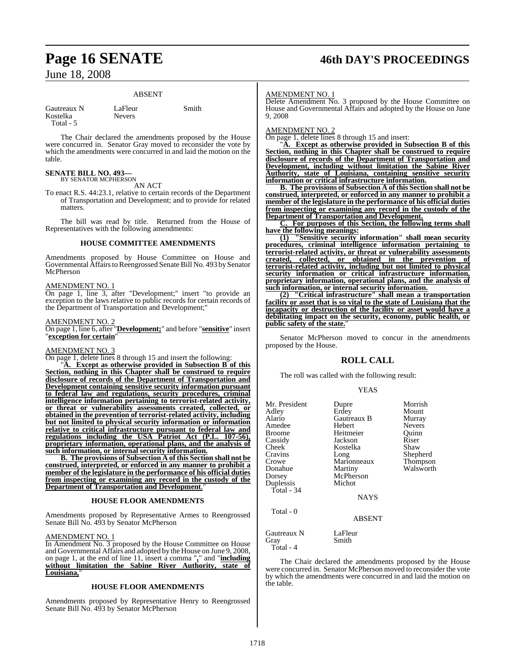# **Page 16 SENATE 46th DAY'S PROCEEDINGS**

## June 18, 2008

#### ABSENT

| Gautreaux N |  |
|-------------|--|
| Kostelka    |  |
| Total - 5   |  |

LaFleur Smith

Nevers

The Chair declared the amendments proposed by the House were concurred in. Senator Gray moved to reconsider the vote by which the amendments were concurred in and laid the motion on the table.

# **SENATE BILL NO. 493—**<br>BY SENATOR MCPHERSON

AN ACT

To enact R.S. 44:23.1, relative to certain records of the Department of Transportation and Development; and to provide for related matters.

The bill was read by title. Returned from the House of Representatives with the following amendments:

#### **HOUSE COMMITTEE AMENDMENTS**

Amendments proposed by House Committee on House and Governmental Affairs to Reengrossed Senate Bill No. 493 by Senator McPherson

#### AMENDMENT NO. 1

On page 1, line 3, after "Development;" insert "to provide an exception to the laws relative to public records for certain records of the Department of Transportation and Development;"

#### AMENDMENT NO. 2

On page 1, line 6, after "**Development;**" and before "**sensitive**" insert "**exception for certain**"

#### AMENDMENT NO. 3

On page 1, delete lines 8 through 15 and insert the following:

"**A. Except as otherwise provided in Subsection B of this Section, nothing in this Chapter shall be construed to require disclosure of records of the Department of Transportation and Development containing sensitive security information pursuant to federal law and regulations, security procedures, criminal intelligence information pertaining to terrorist-related activity, or threat or vulnerability assessments created, collected, or obtained in the prevention of terrorist-related activity, including but not limited to physical security information or information relative to critical infrastructure pursuant to federal law and regulations including the USA Patriot Act (P.L. 107-56), proprietary information, operational plans, and the analysis of such information, or internal security information.**

**B. The provisions of Subsection A of this Section shall not be construed, interpreted, or enforced in any manner to prohibit a member of the legislature in the performance of his official duties from inspecting or examining any record in the custody of the Department of Transportation and Development.** 

#### **HOUSE FLOOR AMENDMENTS**

Amendments proposed by Representative Armes to Reengrossed Senate Bill No. 493 by Senator McPherson

#### AMENDMENT NO. 1

In Amendment No. 3 proposed by the House Committee on House and Governmental Affairs and adopted by the House on June 9, 2008, on page 1, at the end of line 11, insert a comma "**,**" and "**including without limitation the Sabine River Authority, state of Louisiana,**"

#### **HOUSE FLOOR AMENDMENTS**

Amendments proposed by Representative Henry to Reengrossed Senate Bill No. 493 by Senator McPherson

#### AMENDMENT NO. 1

Delete Amendment No. 3 proposed by the House Committee on House and Governmental Affairs and adopted by the House on June 9, 2008

#### AMENDMENT NO. 2

On page 1, delete lines 8 through 15 and insert:

"**A. Except as otherwise provided in Subsection B of this Section, nothing in this Chapter shall be construed to require disclosure of records of the Department of Transportation and Development, including without limitation the Sabine River Authority, state of Louisiana, containing sensitive security information or critical infrastructure information.**

**B. The provisions of Subsection A of this Section shall not be construed, interpreted, or enforced in any manner to prohibit a member of the legislature in the performance of his official duties from inspecting or examining any record in the custody of the Department of Transportation and Development.**

**C. For purposes of this Section, the following terms shall have the following meanings:**

**(1) "Sensitive security information" shall mean security procedures, criminal intelligence information pertaining to terrorist-related activity, or threat or vulnerability assessments created, collected, or obtained in the prevention of terrorist-related activity, including but not limited to physical security information or critical infrastructure information, proprietary information, operational plans, and the analysis of such information, or internal security information.**

**(2) "Critical infrastructure" shall mean a transportation facility or asset that is so vital to the state of Louisiana that the incapacity or destruction of the facility or asset would have a debilitating impact on the security, economy, public health, or public safety of the state.**"

Senator McPherson moved to concur in the amendments proposed by the House.

#### **ROLL CALL**

The roll was called with the following result:

#### YEAS

| Mr. President<br>Adley<br>Alario<br>Amedee<br><b>Broome</b><br>Cassidy<br>Cheek<br>Cravins<br>Crowe<br>Donahue<br>Dorsey<br>Duplessis<br>Total - 34 | Dupre<br>Erdey<br>Gautreaux B<br>Hebert<br>Heitmeier<br>Jackson<br>Kostelka<br>Long<br>Marionneaux<br>Martiny<br>McPherson<br>Michot<br><b>NAYS</b> | Morrish<br>Mount<br>Murray<br><b>Nevers</b><br>Ouinn<br>Riser<br>Shaw<br>Shepherd<br>Thompson<br>Walsworth |
|-----------------------------------------------------------------------------------------------------------------------------------------------------|-----------------------------------------------------------------------------------------------------------------------------------------------------|------------------------------------------------------------------------------------------------------------|
| Total - 0                                                                                                                                           | ABSENT                                                                                                                                              |                                                                                                            |
| Gautreaux N<br>Gray<br>Total - 4                                                                                                                    | LaFleur<br>Smith                                                                                                                                    |                                                                                                            |

The Chair declared the amendments proposed by the House were concurred in. Senator McPherson moved to reconsider the vote by which the amendments were concurred in and laid the motion on the table.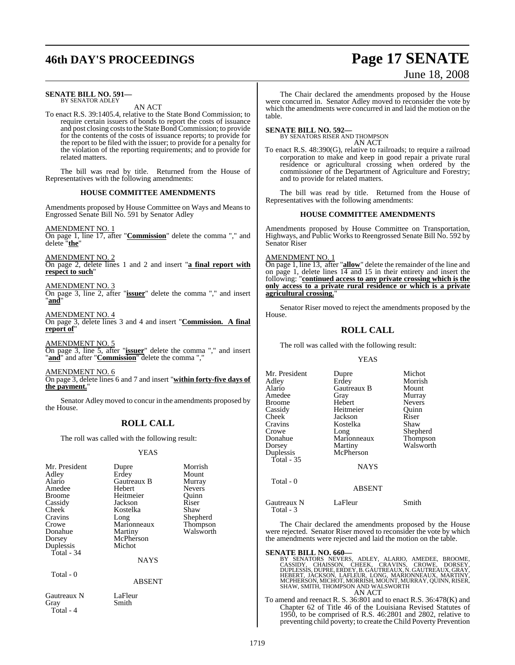# **46th DAY'S PROCEEDINGS Page 17 SENATE**

# June 18, 2008

#### **SENATE BILL NO. 591—** BY SENATOR ADLEY

AN ACT

To enact R.S. 39:1405.4, relative to the State Bond Commission; to require certain issuers of bonds to report the costs of issuance and post closing coststo the StateBond Commission; to provide for the contents of the costs of issuance reports; to provide for the report to be filed with the issuer; to provide for a penalty for the violation of the reporting requirements; and to provide for related matters.

The bill was read by title. Returned from the House of Representatives with the following amendments:

#### **HOUSE COMMITTEE AMENDMENTS**

Amendments proposed by House Committee on Ways and Means to Engrossed Senate Bill No. 591 by Senator Adley

AMENDMENT NO. 1

On page 1, line 17, after "**Commission**" delete the comma "," and delete "**the**"

AMENDMENT NO. 2

On page 2, delete lines 1 and 2 and insert "**a final report with respect to such**"

#### AMENDMENT NO. 3

On page 3, line 2, after "**issuer**" delete the comma "," and insert "**and**"

AMENDMENT NO. 4 On page 3, delete lines 3 and 4 and insert "**Commission. A final report of**"

AMENDMENT NO. 5 On page 3, line 5, after "**issuer**" delete the comma "," and insert "**and**" and after "**Commission**" delete the comma ","

AMENDMENT NO. 6 On page 3, delete lines 6 and 7 and insert "**within forty-five days of the payment.**"

Senator Adley moved to concur in the amendments proposed by the House.

## **ROLL CALL**

The roll was called with the following result:

#### YEAS

| Mr. President | Dupre       | Morrish       |
|---------------|-------------|---------------|
| Adley         | Erdey       | Mount         |
| Alario        | Gautreaux B | Murray        |
| Amedee        | Hebert      | <b>Nevers</b> |
| <b>Broome</b> | Heitmeier   | Ouinn         |
| Cassidy       | Jackson     | Riser         |
| Cheek         | Kostelka    | Shaw          |
| Cravins       | Long        | Shepherd      |
| Crowe         | Marionneaux | Thompson      |
| Donahue       | Martiny     | Walsworth     |
| Dorsey        | McPherson   |               |
| Duplessis     | Michot      |               |
| Total - 34    |             |               |
|               | <b>NAYS</b> |               |
| Total - 0     |             |               |
|               | ABSENT      |               |

The Chair declared the amendments proposed by the House were concurred in. Senator Adley moved to reconsider the vote by which the amendments were concurred in and laid the motion on the table.

#### **SENATE BILL NO. 592—** BY SENATORS RISER AND THOMPSON

AN ACT

To enact R.S. 48:390(G), relative to railroads; to require a railroad corporation to make and keep in good repair a private rural residence or agricultural crossing when ordered by the commissioner of the Department of Agriculture and Forestry; and to provide for related matters.

The bill was read by title. Returned from the House of Representatives with the following amendments:

#### **HOUSE COMMITTEE AMENDMENTS**

Amendments proposed by House Committee on Transportation, Highways, and Public Works to Reengrossed Senate Bill No. 592 by Senator Riser

#### AMENDMENT NO. 1

On page 1, line 13, after "**allow**" delete the remainder of the line and on page 1, delete lines  $14$  and 15 in their entirety and insert the following: "**continued access to any private crossing which is the only access to a private rural residence or which is a private agricultural crossing.**"

Senator Riser moved to reject the amendments proposed by the House.

## **ROLL CALL**

The roll was called with the following result:

YEAS

Mr. President Dupre Michot<br>Adley Erdey Morrish Adley Erdey Morrish Amedee Gray Murray<br>Broome Hebert Nevers Broome Hebert Nevers<br>
Cassidy Heitmeier Quinn Cassidy Heitmeier Quinn Jackson Cravins Kostelka Shaw Crowe Long Shepherd Donahue Marionneaux<br>Dorsey Martiny Duplessis Total - 35

Total - 0

**Gautreaux B** Mount<br> **Grav** Murrav Martiny Walsworth<br>
McPherson

NAYS

#### ABSENT

| Gautreaux N | LaFleur | Smith |
|-------------|---------|-------|
| Total - 3   |         |       |

The Chair declared the amendments proposed by the House were rejected. Senator Riser moved to reconsider the vote by which the amendments were rejected and laid the motion on the table.

#### **SENATE BILL NO. 660—**

BY SENATORS NEVERS, ADLEY, ALARIO, AMEDEE, BROOME, CASSIDY, CHAISSON, CHEEK, CRAVINS, CROWE, DORSEY, DUPLESSIS, DUPREY, B. GAUTREAUX, N. GAUTREAUX, GRAY, HEBERT, JACKSON, LAFLEUR, LONG, MARIONNEAUX, MARTINY, MEPHERSON, MIC

To amend and reenact R. S. 36:801 and to enact R.S. 36:478(K) and Chapter 62 of Title 46 of the Louisiana Revised Statutes of 1950, to be comprised of R.S. 46:2801 and 2802, relative to preventing child poverty; to create the Child Poverty Prevention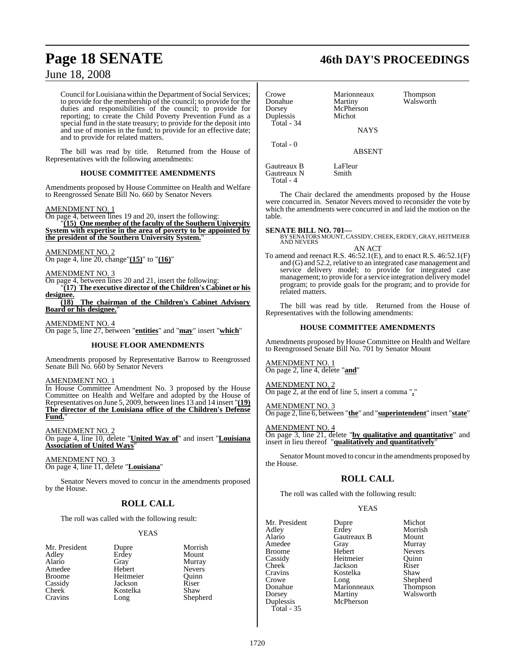Council for Louisiana within the Department of Social Services; to provide for the membership of the council; to provide for the duties and responsibilities of the council; to provide for reporting; to create the Child Poverty Prevention Fund as a special fund in the state treasury; to provide for the deposit into and use of monies in the fund; to provide for an effective date; and to provide for related matters.

The bill was read by title. Returned from the House of Representatives with the following amendments:

#### **HOUSE COMMITTEE AMENDMENTS**

Amendments proposed by House Committee on Health and Welfare to Reengrossed Senate Bill No. 660 by Senator Nevers

#### AMENDMENT NO. 1

On page 4, between lines 19 and 20, insert the following:

"**(15) One member of the faculty of the Southern University System with expertise in the area of poverty to be appointed by the president of the Southern University System.**"

#### AMENDMENT NO. 2

On page 4, line 20, change"**(15)**" to "**(16)**"

AMENDMENT NO. 3

On page 4, between lines 20 and 21, insert the following: "**(17) The executive director of the Children's Cabinet or his designee.**

**(18) The chairman of the Children's Cabinet Advisory Board or his designee.**"

AMENDMENT NO. 4

On page 5, line 27, between "**entities**" and "**may**" insert "**which**"

#### **HOUSE FLOOR AMENDMENTS**

Amendments proposed by Representative Barrow to Reengrossed Senate Bill No. 660 by Senator Nevers

#### AMENDMENT NO. 1

In House Committee Amendment No. 3 proposed by the House Committee on Health and Welfare and adopted by the House of Representatives on June 5, 2009, between lines 13 and 14 insert "**(19) The director of the Louisiana office of the Children's Defense Fund.**"

AMENDMENT NO. 2 On page 4, line 10, delete "**United Way of**" and insert "**Louisiana Association of United Ways**"

AMENDMENT NO. 3 On page 4, line 11, delete "**Louisiana**"

Senator Nevers moved to concur in the amendments proposed by the House.

## **ROLL CALL**

The roll was called with the following result:

#### YEAS

| Mr. President      | Dupre     | Morrish       |
|--------------------|-----------|---------------|
| Adley              | Erdey     | Mount         |
| Alario             | Gray      | Murray        |
| Amedee             | Hebert    | <b>Nevers</b> |
| <b>Broome</b>      | Heitmeier | Quinn         |
| Cassidy            | Jackson   | Riser         |
| Cheek <sup>-</sup> | Kostelka  | Shaw          |
| Cravins            | Long      | Shepherd      |

# **Page 18 SENATE 46th DAY'S PROCEEDINGS**

| Crowe<br>Donahue<br>Dorsey<br>Duplessis<br>Total - 34 | Marionneaux<br>Martiny<br>McPherson<br>Michot | <b>Thompson</b><br>Walsworth |
|-------------------------------------------------------|-----------------------------------------------|------------------------------|
|                                                       | <b>NAYS</b>                                   |                              |
| Total - 0                                             | <b>ABSENT</b>                                 |                              |
| Gautreaux B<br>Gautreaux N<br>Total - 4               | LaFleur<br>Smith                              |                              |

The Chair declared the amendments proposed by the House were concurred in. Senator Nevers moved to reconsider the vote by which the amendments were concurred in and laid the motion on the table.

#### **SENATE BILL NO. 701—**

BY SENATORS MOUNT, CASSIDY, CHEEK, ERDEY, GRAY, HEITMEIER<br>AND NEVERS AN ACT

To amend and reenact R.S. 46:52.1(E), and to enact R.S. 46:52.1(F) and (G) and 52.2, relative to an integrated case management and service delivery model; to provide for integrated case management; to provide for a service integration delivery model program; to provide goals for the program; and to provide for related matters.

The bill was read by title. Returned from the House of Representatives with the following amendments:

#### **HOUSE COMMITTEE AMENDMENTS**

Amendments proposed by House Committee on Health and Welfare to Reengrossed Senate Bill No. 701 by Senator Mount

AMENDMENT NO. 1 On page 2, line 4, delete "**and**"

AMENDMENT NO. 2 On page 2, at the end of line 5, insert a comma "**,**"

AMENDMENT NO. 3

On page 2, line 6, between "**the**" and "**superintendent**" insert "**state**"

AMENDMENT NO. 4 On page 3, line 21, delete "**by qualitative and quantitative**" and insert in lieu thereof "**qualitatively and quantitatively**"

Senator Mount moved to concur in the amendments proposed by the House.

#### **ROLL CALL**

The roll was called with the following result:

Jackson

#### **YEAS**

Mr. President Dupre Michot<br>Adlev Brdev Morrish Adley Erdey Morrish Alario Gautreaux B<br>Amedee Gray Amedee Gray Murray Broome Hebert Nevers<br>
Cassidy Heitmeier Quinn Cassidy Heitmeier Quinn Cravins Kostelka Shaw Crowe Long Shepherd<br>
Donahue Marionneaux Thompson Donahue Marionneaux<br>Dorsey Martiny Duplessis Total - 35

Martiny Walsworth<br>McPherson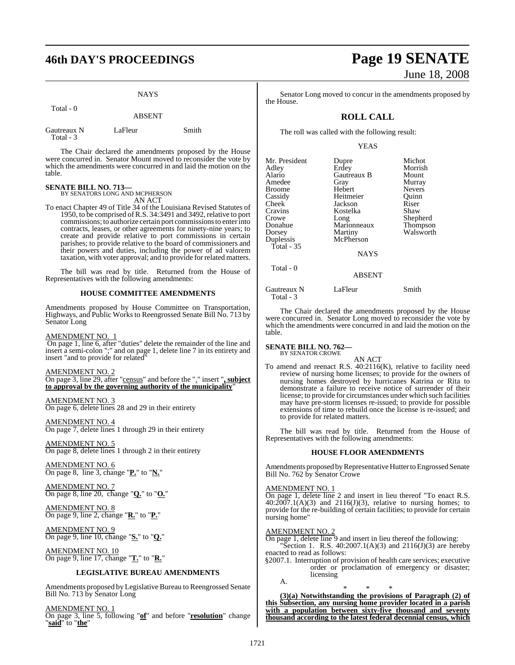|                          | <b>NAYS</b>   |       |
|--------------------------|---------------|-------|
| Total - 0                | <b>ABSENT</b> |       |
| Gautreaux N<br>Total - 3 | LaFleur       | Smith |

The Chair declared the amendments proposed by the House were concurred in. Senator Mount moved to reconsider the vote by which the amendments were concurred in and laid the motion on the table.

### **SENATE BILL NO. 713—**

BY SENATORS LONG AND MCPHERSON AN ACT

To enact Chapter 49 of Title 34 of the Louisiana Revised Statutes of 1950, to be comprised ofR.S. 34:3491 and 3492, relative to port commissions; to authorize certain port commissionsto enterinto contracts, leases, or other agreements for ninety-nine years; to create and provide relative to port commissions in certain parishes; to provide relative to the board of commissioners and their powers and duties, including the power of ad valorem taxation, with voter approval; and to provide for related matters.

The bill was read by title. Returned from the House of Representatives with the following amendments:

#### **HOUSE COMMITTEE AMENDMENTS**

Amendments proposed by House Committee on Transportation, Highways, and Public Works to Reengrossed Senate Bill No. 713 by Senator Long

#### AMENDMENT NO. 1

On page 1, line 6, after "duties" delete the remainder of the line and insert a semi-colon ";" and on page 1, delete line 7 in its entirety and insert "and to provide for related"

AMENDMENT NO. 2

On page 3, line 29, after "census" and before the "." insert "**, subject to approval by the governing authority of the municipality**"

AMENDMENT NO. 3 On page 6, delete lines 28 and 29 in their entirety

AMENDMENT NO. 4 On page 7, delete lines 1 through 29 in their entirety

AMENDMENT NO. 5 On page 8, delete lines 1 through 2 in their entirety

AMENDMENT NO. 6 On page 8, line 3, change "**P.**" to "**N.**"

AMENDMENT NO. 7 On page 8, line 20, change "**Q.**" to "**O.**"

#### AMENDMENT NO. 8 On page 9, line 2, change "**R.**" to "**P.**"

AMENDMENT NO. 9 On page 9, line 10, change "**S.**" to "**Q.**"

AMENDMENT NO. 10 On page 9, line 17, change "**T.**" to "**R.**"

#### **LEGISLATIVE BUREAU AMENDMENTS**

Amendments proposed by Legislative Bureau to Reengrossed Senate Bill No. 713 by Senator Long

AMENDMENT NO. 1 On page 3, line 5, following "**of**" and before "**resolution**" change "**said**" to "**the**"

# **46th DAY'S PROCEEDINGS Page 19 SENATE** June 18, 2008

Senator Long moved to concur in the amendments proposed by the House.

### **ROLL CALL**

The roll was called with the following result:

#### YEAS

| Mr. President<br>Adley   | Dupre<br>Erdey | Michot<br>Morrish |
|--------------------------|----------------|-------------------|
| Alario                   | Gautreaux B    | Mount             |
| Amedee                   | Gray           | Murray            |
| Broome                   | Hebert         | <b>Nevers</b>     |
| Cassidy                  | Heitmeier      | Quinn             |
| Cheek                    | Jackson        | Riser             |
| Cravins                  | Kostelka       | Shaw              |
| Crowe                    | Long           | Shepherd          |
| Donahue                  | Marionneaux    | <b>Thompson</b>   |
| Dorsey                   | Martiny        | Walsworth         |
| Duplessis                | McPherson      |                   |
| Total - 35               |                |                   |
|                          | NAYS           |                   |
| Total - 0                |                |                   |
|                          | <b>ABSENT</b>  |                   |
| Gautreaux N<br>Total - 3 | LaFleur        | Smith             |

The Chair declared the amendments proposed by the House were concurred in. Senator Long moved to reconsider the vote by which the amendments were concurred in and laid the motion on the table.

**SENATE BILL NO. 762—** BY SENATOR CROWE

#### AN ACT

To amend and reenact R.S. 40:2116(K), relative to facility need review of nursing home licenses; to provide for the owners of nursing homes destroyed by hurricanes Katrina or Rita to demonstrate a failure to receive notice of surrender of their license; to provide for circumstances under which such facilities may have pre-storm licenses re-issued; to provide for possible extensions of time to rebuild once the license is re-issued; and to provide for related matters.

The bill was read by title. Returned from the House of Representatives with the following amendments:

#### **HOUSE FLOOR AMENDMENTS**

Amendments proposed by Representative Hutter to Engrossed Senate Bill No. 762 by Senator Crowe

#### AMENDMENT NO. 1

On page 1, delete line 2 and insert in lieu thereof "To enact R.S.  $40:2007.1(A)(3)$  and  $2116(J)(3)$ , relative to nursing homes; to provide for the re-building of certain facilities; to provide for certain nursing home"

#### AMENDMENT NO. 2

On page 1, delete line 9 and insert in lieu thereof the following: Section 1. R.S.  $40:2007.1(A)(3)$  and  $2116(J)(3)$  are hereby enacted to read as follows:

§2007.1. Interruption of provision of health care services; executive order or proclamation of emergency or disaster; licensing A.

\* \* \* **(3)(a) Notwithstanding the provisions of Paragraph (2) of this Subsection, any nursing home provider located in a parish with a population between sixty-five thousand and seventy thousand according to the latest federal decennial census, which**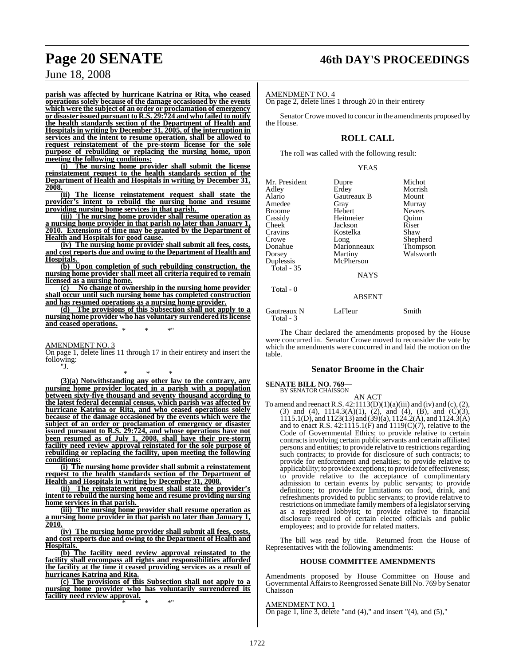# **Page 20 SENATE 46th DAY'S PROCEEDINGS**

June 18, 2008

**parish was affected by hurricane Katrina or Rita, who ceased operations solely because of the damage occasioned by the events which were the subject of an order or proclamation of emergency or disaster issued pursuant to R.S. 29:724 and who failed to notify the health standards section of the Department of Health and Hospitals in writing by December 31, 2005, of the interruption in services and the intent to resume operation, shall be allowed to request reinstatement of the pre-storm license for the sole purpose of rebuilding or replacing the nursing home, upon meeting the following conditions:**

**(i) The nursing home provider shall submit the license reinstatement request to the health standards section of the Department of Health and Hospitals in writing by December 31, 2008.**

**(ii) The license reinstatement request shall state the provider's intent to rebuild the nursing home and resume providing nursing home services in that parish.** 

**(iii) The nursing home provider shall resume operation as a nursing home provider in that parish no later than January 1, 2010. Extensions of time may be granted by the Department of Health and Hospitals for good cause.**

**(iv) The nursing home provider shall submit all fees, costs, and cost reports due and owing to the Department of Health and Hospitals.** 

**(b) Upon completion of such rebuilding construction, the nursing home provider shall meet all criteria required to remain licensed as a nursing home.**<br>(c) No change of own

**(c) No change of ownership in the nursing home provider shall occur until such nursing home has completed construction and has resumed operations as a nursing home provider.**

**(d) The provisions of this Subsection shall not apply to a nursing home provider who has voluntary surrendered itslicense and ceased operations.** \* \* \*"

AMENDMENT NO. 3

On page 1, delete lines 11 through 17 in their entirety and insert the following: "J.

\* \* \* **(3)(a) Notwithstanding any other law to the contrary, any nursing home provider located in a parish with a population between sixty-five thousand and seventy thousand according to the latest federal decennial census, which parish was affected by hurricane Katrina or Rita, and who ceased operations solely because of the damage occasioned by the events which were the subject of an order or proclamation of emergency or disaster issued pursuant to R.S. 29:724, and whose operations have not been resumed as of July 1, 2008, shall have their pre-storm facility need review approval reinstated for the sole purpose of rebuilding or replacing the facility, upon meeting the following conditions:**

**(i) The nursing home provider shall submit a reinstatement request to the health standards section of the Department of Health and Hospitals in writing by December 31, 2008.**

**(ii) The reinstatement request shall state the provider's intent to rebuild the nursing home and resume providing nursing home services in that parish.** 

**(iii) The nursing home provider shall resume operation as a nursing home provider in that parish no later than January 1, 2010.**

**(iv) The nursing home provider shall submit all fees, costs, and cost reports due and owing to the Department of Health and Hospitals.** 

**(b) The facility need review approval reinstated to the facility shall encompass all rights and responsibilities afforded the facility at the time it ceased providing services as a result of hurricanes Katrina and Rita.**

**(c) The provisions of this Subsection shall not apply to a nursing home provider who has voluntarily surrendered its facility need review approval.** \* \* \*"

AMENDMENT NO. 4

On page 2, delete lines 1 through 20 in their entirety

Senator Crowe moved to concur in the amendments proposed by the House.

## **ROLL CALL**

The roll was called with the following result:

YEAS

| Mr. President<br>Adley<br>Alario<br>Amedee<br><b>Broome</b><br>Cassidy<br>Cheek<br>Cravins<br>Crowe<br>Donahue<br>Dorsey<br>Duplessis | Dupre<br>Erdey<br>Gautreaux B<br>Gray<br>Hebert<br>Heitmeier<br>Jackson<br>Kostelka<br>Long<br>Marionneaux<br>Martiny<br>McPherson | Michot<br>Morrish<br>Mount<br>Murray<br><b>Nevers</b><br>Ouinn<br>Riser<br>Shaw<br>Shepherd<br>Thompson<br>Walsworth |
|---------------------------------------------------------------------------------------------------------------------------------------|------------------------------------------------------------------------------------------------------------------------------------|----------------------------------------------------------------------------------------------------------------------|
| Total - $35$                                                                                                                          | <b>NAYS</b>                                                                                                                        |                                                                                                                      |
| Total - 0                                                                                                                             | <b>ABSENT</b>                                                                                                                      |                                                                                                                      |
| Gautreaux N                                                                                                                           | LaFleur                                                                                                                            | Smith                                                                                                                |

The Chair declared the amendments proposed by the House were concurred in. Senator Crowe moved to reconsider the vote by which the amendments were concurred in and laid the motion on the table.

#### **Senator Broome in the Chair**

# **SENATE BILL NO. 769—** BY SENATOR CHAISSON

Total - 3

AN ACT

To amend and reenact R.S.  $42:1113(D)(1)(a)(iii)$  and (iv) and (c), (2), (3) and (4),  $1114.3(A)(1)$ , (2), and (4), (B), and (C)(3), 1115.1(D), and 1123(13) and (39)(a), 1124.2(A), and 1124.3(A) and to enact R.S.  $42:1115.1(F)$  and  $1119(C)(7)$ , relative to the Code of Governmental Ethics; to provide relative to certain contractsinvolving certain public servants and certain affiliated persons and entities; to provide relative to restrictions regarding such contracts; to provide for disclosure of such contracts; to provide for enforcement and penalties; to provide relative to applicability; to provide exceptions; to provide for effectiveness; to provide relative to the acceptance of complimentary admission to certain events by public servants; to provide definitions; to provide for limitations on food, drink, and refreshments provided to public servants; to provide relative to restrictions on immediate family members of a legislator serving as a registered lobbyist; to provide relative to financial disclosure required of certain elected officials and public employees; and to provide for related matters.

The bill was read by title. Returned from the House of Representatives with the following amendments:

#### **HOUSE COMMITTEE AMENDMENTS**

Amendments proposed by House Committee on House and Governmental Affairs to Reengrossed Senate Bill No. 769 by Senator Chaisson

#### AMENDMENT NO. 1

On page 1, line 3, delete "and  $(4)$ ," and insert " $(4)$ , and  $(5)$ ,"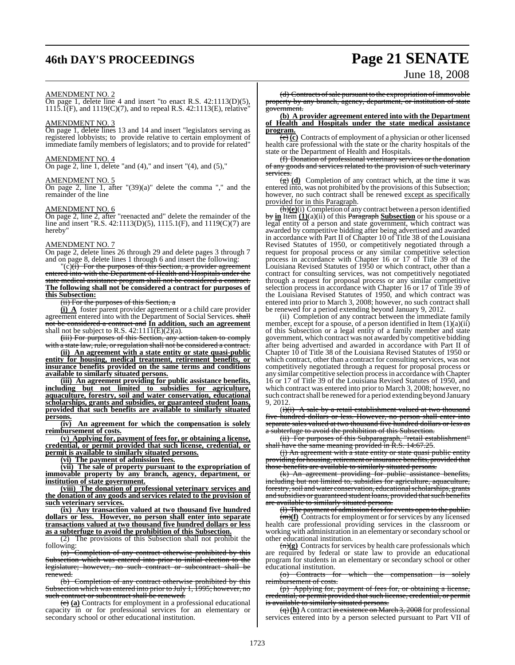# **46th DAY'S PROCEEDINGS Page 21 SENATE**

# June 18, 2008

#### AMENDMENT NO. 2

On page 1, delete line 4 and insert "to enact R.S. 42:1113(D)(5), 1115.1(F), and 1119(C)(7), and to repeal R.S. 42:1113(E), relative"

#### AMENDMENT NO. 3

On page 1, delete lines 13 and 14 and insert "legislators serving as registered lobbyists; to provide relative to certain employment of immediate family members of legislators; and to provide for related"

#### AMENDMENT NO. 4

On page 2, line 1, delete "and  $(4)$ ," and insert " $(4)$ , and  $(5)$ ,"

#### AMENDMENT NO. 5

On page 2, line 1, after  $\Gamma$ (39)(a)" delete the comma "," and the remainder of the line

#### AMENDMENT NO. 6

On page 2, line 2, after "reenacted and" delete the remainder of the line and insert "R.S. 42:1113(D)(5), 1115.1(F), and 1119(C)(7) are hereby"

#### AMENDMENT NO. 7

On page 2, delete lines 26 through 29 and delete pages 3 through 7 and on page 8, delete lines 1 through 6 and insert the following:

 $\overline{c}$  (c)(i) For the purposes of this Section, a provider agreement entered into with the Department of Health and Hospitals under the state medical assistance program shall not be considered a contract. **The following shall not be considered a contract for purposes of this Subsection:**

#### (ii) For the purposes of this Section, a

**(i) A** foster parent provider agreement or a child care provider agreement entered into with the Department of Social Services. shall not be considered a contract and **In addition, such an agreement** shall not be subject to R.S.  $42:111\overline{1(E)(2)(a)}$ .

**(**iii) For purposes of this Section, any action taken to comply with a state law, rule, or regulation shall not be considered a contract.

**(ii) An agreement with a state entity or state quasi-public entity for housing, medical treatment, retirement benefits, or insurance benefits provided on the same terms and conditions available to similarly situated persons.**

**(iii) An agreement providing for public assistance benefits, including but not limited to subsidies for agriculture, aquaculture, forestry, soil and water conservation, educational scholarships, grants and subsidies, or guaranteed student loans, provided that such benefits are available to similarly situated persons.**

**(iv) An agreement for which the compensation is solely reimbursement of costs.**

**(v) Applying for, payment of fees for, or obtaining a license, credential, or permit provided that such license, credential, or permit is available to similarly situated persons.**

**(vi) The payment of admission fees.**

**(vii) The sale of property pursuant to the expropriation of immovable property by any branch, agency, department, or institution of state government.**

**(viii) The donation of professional veterinary services and the donation of any goods and services related to the provision of such veterinary services.**

**(ix) Any transaction valued at two thousand five hundred dollars or less. However, no person shall enter into separate transactions valued at two thousand five hundred dollars or less as a subterfuge to avoid the prohibition of this Subsection.**

(2) The provisions of this Subsection shall not prohibit the following:

(a) Completion of any contract otherwise prohibited by this Subsection which was entered into prior to initial election to the legislature: however, no such contract or subcontract shall be however, no such contract or subcontract shall be renewed.

(b) Completion of any contract otherwise prohibited by this Subsection which was entered into prior to July 1, 1995; however, no such contract or subcontract shall be renewed.

(c) **(a)** Contracts for employment in a professional educational capacity in or for professional services for an elementary or secondary school or other educational institution.

(d) Contracts of sale pursuant to the expropriation of immovable property by any branch, agency, department, or institution of state government.

#### **(b) A provider agreement entered into with the Department of Health and Hospitals under the state medical assistance program.**

(e) **(c)** Contracts of employment of a physician or other licensed health care professional with the state or the charity hospitals of the state or the Department of Health and Hospitals.

(f) Donation of professional veterinary services or the donation of any goods and services related to the provision of such veterinary services.

(g) **(d)** Completion of any contract which, at the time it was entered into, was not prohibited by the provisions of this Subsection; however, no such contract shall be renewed except as specifically provided for in this Paragraph.

(h)**(e)**(i) Completion of any contract between a person identified by **in** Item **(1)**(a)(ii) of this Paragraph **Subsection** or his spouse or a legal entity of a person and state government, which contract was awarded by competitive bidding after being advertised and awarded in accordance with Part II of Chapter 10 of Title 38 of the Louisiana Revised Statutes of 1950, or competitively negotiated through a request for proposal process or any similar competitive selection process in accordance with Chapter 16 or 17 of Title 39 of the Louisiana Revised Statutes of 1950 or which contract, other than a contract for consulting services, was not competitively negotiated through a request for proposal process or any similar competitive selection process in accordance with Chapter 16 or 17 of Title 39 of the Louisiana Revised Statutes of 1950, and which contract was entered into prior to March 3, 2008; however, no such contract shall be renewed for a period extending beyond January 9, 2012.

(ii) Completion of any contract between the immediate family member, except for a spouse, of a person identified in Item  $(1)(a)(ii)$ of this Subsection or a legal entity of a family member and state government, which contract was not awarded by competitive bidding after being advertised and awarded in accordance with Part II of Chapter 10 of Title 38 of the Louisiana Revised Statutes of 1950 or which contract, other than a contract for consulting services, was not competitively negotiated through a request for proposal process or any similar competitive selection processin accordance withChapter 16 or 17 of Title 39 of the Louisiana Revised Statutes of 1950, and which contract was entered into prior to March 3, 2008; however, no such contract shall be renewed for a period extending beyond January 9, 2012.

 $(i)(i)$  A sale by a retail establishment valued at two thousand five hundred dollars or less. However, no person shall enter into separate sales valued at two thousand five hundred dollars or less as a subterfuge to avoid the prohibition of this Subsection.

(ii) For purposes of this Subparagraph, "retail establishment" shall have the same meaning provided in R.S. 14:67.25.

(i) An agreement with a state entity or state quasi public entity providing for housing, retirement or insurance benefits, provided that those benefits are available to similarly situated persons.

(k) An agreement providing for public assistance benefits, including but not limited to, subsidies for agriculture, aquaculture, forestry,soil and water conservation, educational scholarships, grants and subsidies or guaranteed student loans, provided that such benefits are available to similarly situated persons.

(a) The payment of admission fees for events open to the public. (m)**(f)** Contracts for employment or for services by any licensed health care professional providing services in the classroom or working with administration in an elementary or secondary school or other educational institution.

(n)**(g)** Contracts for services by health care professionals which are required by federal or state law to provide an educational program for students in an elementary or secondary school or other educational institution.<br>
<del>(o) Contracts f</del>

for which the compensation is solely reimbursement of costs.

(p) Applying for, payment of fees for, or obtaining a license, credential, or permit provided that such license, credential, or permit is available to similarly situated persons.

(q) (h) A contract in existence on March 3, 2008 for professional services entered into by a person selected pursuant to Part VII of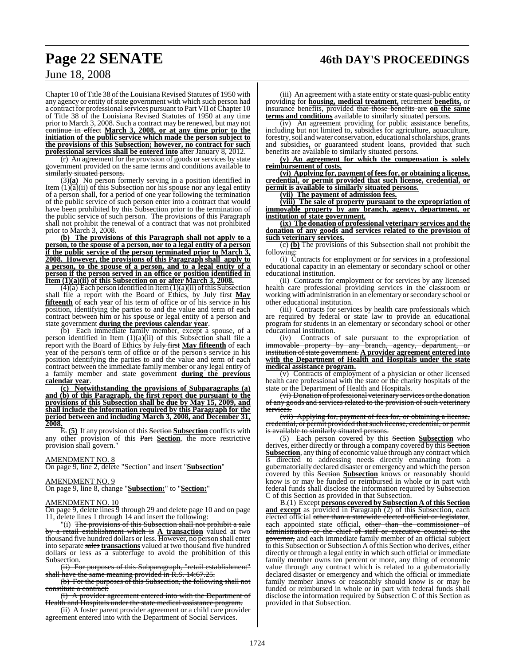# **Page 22 SENATE 46th DAY'S PROCEEDINGS**

June 18, 2008

Chapter 10 of Title 38 of the Louisiana Revised Statutes of 1950 with any agency or entity of state government with which such person had a contract for professional services pursuant to Part VII of Chapter 10 of Title 38 of the Louisiana Revised Statutes of 1950 at any time prior to <del>March 3, 2008. Such a contract may be renewed, but may not</del> continue in effect **March 3, 2008, or at any time prior to the initiation of the public service which made the person subject to the provisions of this Subsection; however, no contract for such professional services shall be entered into** after January 8, 2012.

(r) An agreement for the provision of goods or services by state government provided on the same terms and conditions available to similarly situated persons.

(3)**(a)** No person formerly serving in a position identified in Item  $(1)(\overline{a})(i)$  of this Subsection nor his spouse nor any legal entity of a person shall, for a period of one year following the termination of the public service of such person enter into a contract that would have been prohibited by this Subsection prior to the termination of the public service of such person. The provisions of this Paragraph shall not prohibit the renewal of a contract that was not prohibited prior to March 3, 2008.

**(b) The provisions of this Paragraph shall not apply to a person, to the spouse of a person, nor to a legal entity of a person if the public service of the person terminated prior to March 3, 2008. However, the provisions of this Paragraph shall apply to a person, to the spouse of a person, and to a legal entity of a person if the person served in an office or position identified in Item (1)(a)(ii) of this Subsection on or after March 3, 2008.**

 $(4)(a)$  Each person identified in Item  $(1)(a)(ii)$  of this Subsection shall file a report with the Board of Ethics, by July first **May fifteenth** of each year of his term of office or of his service in his position, identifying the parties to and the value and term of each contract between him or his spouse or legal entity of a person and state government **during the previous calendar year**.

(b) Each immediate family member, except a spouse, of a person identified in Item  $(1)(a)(ii)$  of this Subsection shall file a report with the Board of Ethics by July first **May fifteenth** of each year of the person's term of office or of the person's service in his position identifying the parties to and the value and term of each contract between the immediate family member or any legal entity of a family member and state government **during the previous calendar year**.

**(c) Notwithstanding the provisions of Subparagraphs (a) and (b) of this Paragraph, the first report due pursuant to the provisions of this Subsection shall be due by May 15, 2009, and shall include the information required by this Paragraph for the period between and including March 3, 2008, and December 31, 2008.**

E. **(5)** If any provision of this Section **Subsection** conflicts with any other provision of this Part **Section**, the more restrictive provision shall govern."

#### AMENDMENT NO. 8

On page 9, line 2, delete "Section" and insert "**Subsection**"

#### AMENDMENT NO. 9

On page 9, line 8, change "**Subsection:**" to "**Section:**"

#### AMENDMENT NO. 10

On page 9, delete lines 9 through 29 and delete page 10 and on page 11, delete lines 1 through 14 and insert the following:

"(i) The provisions of this Subsection shall not prohibit a sale by a retail establishment which is **A transaction** valued at two thousand five hundred dollars or less. However, no person shall enter into separate sales**transactions** valued at two thousand five hundred dollars or less as a subterfuge to avoid the prohibition of this Subsection.

(ii) For purposes of this Subparagraph, "retail establishment" shall have the same meaning provided in R.S. 14:67.25.

(b) For the purposes of this Subsection, the following shall not constitute a contract:

(i) A provider agreement entered into with the Department of Health and Hospitals under the state medical assistance program.

(ii) A foster parent provider agreement or a child care provider agreement entered into with the Department of Social Services.

(iii) An agreement with a state entity or state quasi**-**public entity providing for **housing, medical treatment,** retirement **benefits,** or insurance benefits, provided that those benefits are **on the same terms and conditions** available to similarly situated persons.

(iv) An agreement providing for public assistance benefits, including but not limited to, subsidies for agriculture, aquaculture, forestry, soil and water conservation, educational scholarships, grants and subsidies**,** or guaranteed student loans, provided that such benefits are available to similarly situated persons.

**(v) An agreement for which the compensation is solely reimbursement of costs.**

**(vi) Applying for, payment of fees for, or obtaining a license, credential, or permit provided that such license, credential, or permit is available to similarly situated persons.**

**(vii) The payment of admission fees.**

**(viii) The sale of property pursuant to the expropriation of immovable property by any branch, agency, department, or institution of state government.**

**(ix) The donation of professional veterinary services and the donation of any goods and services related to the provision of such veterinary services.**

(c) **(b)** The provisions of this Subsection shall not prohibit the following:

(i) Contracts for employment or for services in a professional educational capacity in an elementary or secondary school or other educational institution.

(ii) Contracts for employment or for services by any licensed health care professional providing services in the classroom or working with administration in an elementary or secondary school or other educational institution.

(iii) Contracts for services by health care professionals which are required by federal or state law to provide an educational program for students in an elementary or secondary school or other educational institution.

(iv) <del>Contracts of sale pursuant to the expropriation of</del> immovable property by any branch, agency, department, or institution ofstate government. **A provider agreement entered into with the Department of Health and Hospitals under the state medical assistance program.**

(v) Contracts of employment of a physician or other licensed health care professional with the state or the charity hospitals of the state or the Department of Health and Hospitals.

(vi) Donation of professional veterinary services or the donation of any goods and services related to the provision of such veterinary vices.

(vii) Applying for, payment of fees for, or obtaining a license, credential, or permit provided thatsuch license, credential, or permit is available to similarly situated persons.

(5) Each person covered by this Section **Subsection** who derives, either directly or through a company covered by this Section **Subsection**, any thing of economic value through any contract which is directed to addressing needs directly emanating from a gubernatorially declared disaster or emergency and which the person covered by this Section **Subsection** knows or reasonably should know is or may be funded or reimbursed in whole or in part with federal funds shall disclose the information required by Subsection C of this Section as provided in that Subsection.

B.(1) Except **persons covered by Subsection A of this Section and except** as provided in Paragraph (2) of this Subsection, each elected official other than a statewide elected official or legislator, each appointed state official, other than the commissioner of administration or the chief of staff or executive counsel to the governor, and each immediate family member of an official subject to this Subsection or Subsection A ofthis Section who derives, either directly or through a legal entity in which such official or immediate family member owns ten percent or more, any thing of economic value through any contract which is related to a gubernatorially declared disaster or emergency and which the official or immediate family member knows or reasonably should know is or may be funded or reimbursed in whole or in part with federal funds shall disclose the information required by Subsection C of this Section as provided in that Subsection.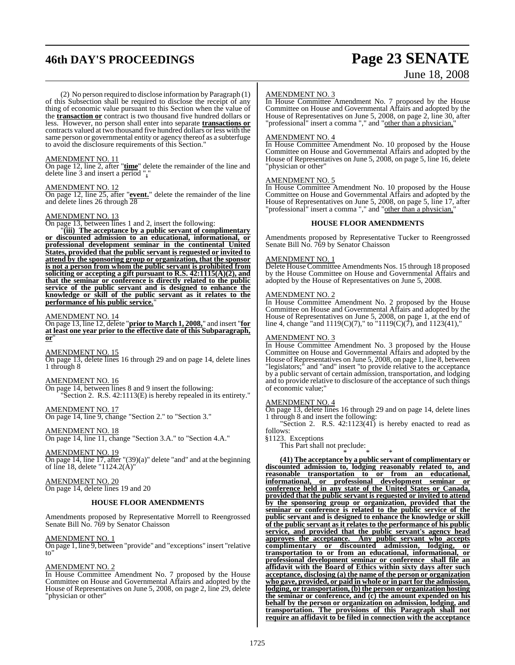# **46th DAY'S PROCEEDINGS Page 23 SENATE**

# June 18, 2008

(2) No person required to disclose information by Paragraph (1) of this Subsection shall be required to disclose the receipt of any thing of economic value pursuant to this Section when the value of the **transaction or** contract is two thousand five hundred dollars or less. However, no person shall enter into separate **transactions or** contracts valued at two thousand five hundred dollars or less with the same person or governmental entity or agency thereof as a subterfuge to avoid the disclosure requirements of this Section."

#### AMENDMENT NO. 11

On page 12, line 2, after "**time**" delete the remainder of the line and delete line 3 and insert a period "**.**"

### AMENDMENT NO. 12

On page 12, line 25, after "**event.**" delete the remainder of the line and delete lines 26 through 28

#### AMENDMENT NO. 13

On page 13, between lines 1 and 2, insert the following:

"**(iii) The acceptance by a public servant of complimentary or discounted admission to an educational, informational, or professional development seminar in the continental United States, provided that the public servant is requested or invited to attend by the sponsoring group or organization, that the sponsor is not a person from whom the public servant is prohibited from soliciting or accepting a gift pursuant to R.S. 42:1115(A)(2), and that the seminar or conference is directly related to the public service of the public servant and is designed to enhance the knowledge or skill of the public servant as it relates to the performance of his public service.**"

#### AMENDMENT NO. 14

On page 13, line 12, delete "**prior to March 1, 2008,**" and insert "**for at least one year prior to the effective date of this Subparagraph, or**"

AMENDMENT NO. 15

On page 13, delete lines 16 through 29 and on page 14, delete lines 1 through 8

#### AMENDMENT NO. 16

On page 14, between lines 8 and 9 insert the following: "Section 2. R.S. 42:1113(E) is hereby repealed in its entirety."

AMENDMENT NO. 17 On page 14, line 9, change "Section 2." to "Section 3."

AMENDMENT NO. 18

On page 14, line 11, change "Section 3.A." to "Section 4.A."

AMENDMENT NO. 19

On page 14, line 17, after "(39)(a)" delete "and" and at the beginning of line 18, delete "1124.2(A)"

AMENDMENT NO. 20 On page 14, delete lines 19 and 20

#### **HOUSE FLOOR AMENDMENTS**

Amendments proposed by Representative Morrell to Reengrossed Senate Bill No. 769 by Senator Chaisson

AMENDMENT NO. 1

On page 1, line 9, between "provide" and "exceptions" insert "relative to"

#### AMENDMENT NO. 2

In House Committee Amendment No. 7 proposed by the House Committee on House and Governmental Affairs and adopted by the House of Representatives on June 5, 2008, on page 2, line 29, delete "physician or other"

#### AMENDMENT NO. 3

In House Committee Amendment No. 7 proposed by the House Committee on House and Governmental Affairs and adopted by the House of Representatives on June 5, 2008, on page 2, line 30, after "professional" insert a comma "," and "other than a physician,"

#### AMENDMENT NO. 4

In House Committee Amendment No. 10 proposed by the House Committee on House and Governmental Affairs and adopted by the House of Representatives on June 5, 2008, on page 5, line 16, delete "physician or other"

#### AMENDMENT NO. 5

In House Committee Amendment No. 10 proposed by the House Committee on House and Governmental Affairs and adopted by the House of Representatives on June 5, 2008, on page 5, line 17, after "professional" insert a comma "," and "other than a physician,"

#### **HOUSE FLOOR AMENDMENTS**

Amendments proposed by Representative Tucker to Reengrossed Senate Bill No. 769 by Senator Chaisson

#### AMENDMENT NO. 1

Delete House Committee Amendments Nos. 15 through 18 proposed by the House Committee on House and Governmental Affairs and adopted by the House of Representatives on June 5, 2008.

#### AMENDMENT NO. 2

In House Committee Amendment No. 2 proposed by the House Committee on House and Governmental Affairs and adopted by the House of Representatives on June 5, 2008, on page 1, at the end of line 4, change "and  $1119(C)(7)$ ," to " $1119(C)(7)$ , and  $1123(41)$ ,"

#### AMENDMENT NO. 3

In House Committee Amendment No. 3 proposed by the House Committee on House and Governmental Affairs and adopted by the House of Representatives on June 5, 2008, on page 1, line 8, between "legislators;" and "and" insert "to provide relative to the acceptance by a public servant of certain admission, transportation, and lodging and to provide relative to disclosure of the acceptance of such things of economic value;"

#### AMENDMENT NO. 4

On page 13, delete lines 16 through 29 and on page 14, delete lines 1 through 8 and insert the following:

"Section 2. R.S.  $42:1123(41)$  is hereby enacted to read as follows:

§1123. Exceptions

This Part shall not preclude: \* \* \*

**(41) The acceptance by a public servant of complimentary or discounted admission to, lodging reasonably related to, and reasonable transportation to or from an educational, informational, or professional development seminar or conference held in any state of the United States or Canada, provided that the public servant is requested or invited to attend by the sponsoring group or organization, provided that the seminar or conference is related to the public service of the public servant and is designed to enhance the knowledge or skill of the public servant as it relates to the performance of his public service, and provided that the public servant's agency head approves the acceptance. Any public servant who accepts complimentary or discounted admission, lodging, or transportation to or from an educational, informational, or professional development seminar or conference shall file an affidavit with the Board of Ethics within sixty days after such acceptance, disclosing (a) the name of the person or organization who gave, provided, or paid in whole or in part for the admission, lodging, or transportation, (b) the person or organization hosting the seminar or conference, and (c) the amount expended on his behalf by the person or organization on admission, lodging, and transportation. The provisions of this Paragraph shall not require an affidavit to be filed in connection with the acceptance**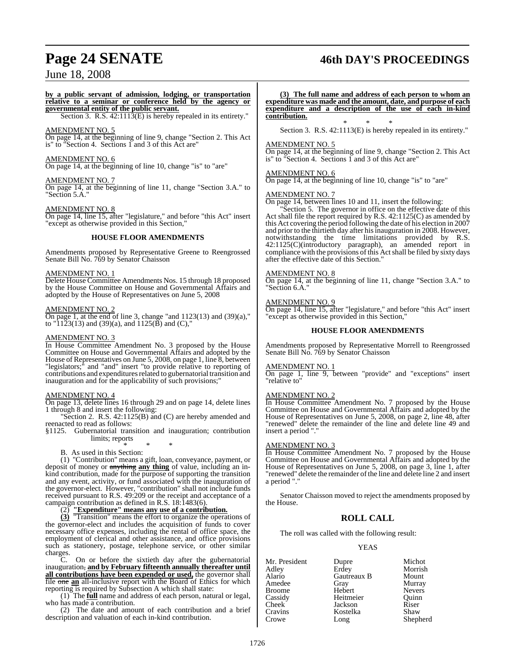# **Page 24 SENATE 46th DAY'S PROCEEDINGS**

## June 18, 2008

#### **by a public servant of admission, lodging, or transportation relative to a seminar or conference held by the agency or governmental entity of the public servant.**

Section 3. R.S. 42:1113(E) is hereby repealed in its entirety."

#### AMENDMENT NO. 5

On page 14, at the beginning of line 9, change "Section 2. This Act is" to "Section 4. Sections 1 and 3 of this Act are"

#### AMENDMENT NO. 6

On page 14, at the beginning of line 10, change "is" to "are"

#### AMENDMENT NO. 7

On page 14, at the beginning of line 11, change "Section 3.A." to "Section 5.A."

#### AMENDMENT NO. 8

On page 14, line 15, after "legislature," and before "this Act" insert "except as otherwise provided in this Section,"

#### **HOUSE FLOOR AMENDMENTS**

Amendments proposed by Representative Greene to Reengrossed Senate Bill No. 769 by Senator Chaisson

#### AMENDMENT NO. 1

Delete House Committee Amendments Nos. 15 through 18 proposed by the House Committee on House and Governmental Affairs and adopted by the House of Representatives on June 5, 2008

#### AMENDMENT NO. 2

On page 1, at the end of line 3, change "and 1123(13) and (39)(a)," to "1123(13) and (39)(a), and 1125( $\bar{B}$ ) and (C),"

#### AMENDMENT NO. 3

In House Committee Amendment No. 3 proposed by the House Committee on House and Governmental Affairs and adopted by the House of Representatives on June 5, 2008, on page 1, line 8, between "legislators;" and "and" insert "to provide relative to reporting of contributions and expenditures related to gubernatorial transition and inauguration and for the applicability of such provisions;

#### AMENDMENT NO. 4

On page 13, delete lines 16 through 29 and on page 14, delete lines 1 through 8 and insert the following:

Section 2. R.S.  $42:1125(B)$  and (C) are hereby amended and reenacted to read as follows:

§1125. Gubernatorial transition and inauguration; contribution limits; reports

#### \* \* \* B. As used in this Section:

(1) "Contribution" means a gift, loan, conveyance, payment, or deposit of money or anything **any thing** of value, including an inkind contribution, made for the purpose of supporting the transition and any event, activity, or fund associated with the inauguration of the governor-elect. However, "contribution" shall not include funds received pursuant to R.S. 49:209 or the receipt and acceptance of a campaign contribution as defined in R.S. 18:1483(6).

#### (2) **"Expenditure" means any use of a contribution.**

**(3)** "Transition" means the effort to organize the operations of the governor-elect and includes the acquisition of funds to cover necessary office expenses, including the rental of office space, the employment of clerical and other assistance, and office provisions such as stationery, postage, telephone service, or other similar

charges.<br>C. On or before the sixtieth day after the gubernatorial inauguration, **and by February fifteenth annually thereafter until all contributions have been expended or used,** the governor shall file one **an** all-inclusive report with the Board of Ethics for which reporting is required by Subsection A which shall state:

(1) The **full** name and address of each person, natural or legal, who has made a contribution.

(2) The date and amount of each contribution and a brief description and valuation of each in-kind contribution.

**(3) The full name and address of each person to whom an expenditure was made and the amount, date, and purpose of each expenditure and a description of the use of each in-kind contribution.**

\* \* \* Section 3. R.S. 42:1113(E) is hereby repealed in its entirety."

#### AMENDMENT NO. 5

On page 14, at the beginning of line 9, change "Section 2. This Act is" to "Section 4. Sections 1 and 3 of this Act are"

#### AMENDMENT NO. 6

On page 14, at the beginning of line 10, change "is" to "are"

#### AMENDMENT NO. 7

On page 14, between lines 10 and 11, insert the following:

Section 5. The governor in office on the effective date of this Act shall file the report required by R.S. 42:1125(C) as amended by this Act covering the period following the date of his election in 2007 and prior to the thirtieth day after his inauguration in 2008. However, notwithstanding the time limitations provided by R.S. 42:1125(C)(introductory paragraph), an amended report in compliance with the provisions of this Act shall be filed by sixty days after the effective date of this Section."

#### AMENDMENT NO. 8

On page 14, at the beginning of line 11, change "Section 3.A." to "Section 6.A."

#### AMENDMENT NO. 9

On page 14, line 15, after "legislature," and before "this Act" insert "except as otherwise provided in this Section,"

#### **HOUSE FLOOR AMENDMENTS**

Amendments proposed by Representative Morrell to Reengrossed Senate Bill No. 769 by Senator Chaisson

#### AMENDMENT NO. 1

On page 1, line 9, between "provide" and "exceptions" insert "relative to"

#### AMENDMENT NO. 2

In House Committee Amendment No. 7 proposed by the House Committee on House and Governmental Affairs and adopted by the House of Representatives on June 5, 2008, on page 2, line 48, after "renewed" delete the remainder of the line and delete line 49 and insert a period ".

#### AMENDMENT NO. 3

In House Committee Amendment No. 7 proposed by the House Committee on House and Governmental Affairs and adopted by the House of Representatives on June 5, 2008, on page 3, line 1, after "renewed" delete the remainder of the line and delete line 2 and insert a period "."

Senator Chaisson moved to reject the amendments proposed by the House.

#### **ROLL CALL**

The roll was called with the following result:

#### YEAS

| Mr. President | Dupre       | Michot        |
|---------------|-------------|---------------|
| Adley         | Erdey       | Morrish       |
| Alario        | Gautreaux B | Mount         |
| Amedee        | Gray        | Murray        |
| <b>Broome</b> | Hebert      | <b>Nevers</b> |
| Cassidy       | Heitmeier   | Ouinn         |
| <b>Cheek</b>  | Jackson     | Riser         |
| Cravins       | Kostelka    | Shaw          |
| Crowe         | Long        | Shepherd      |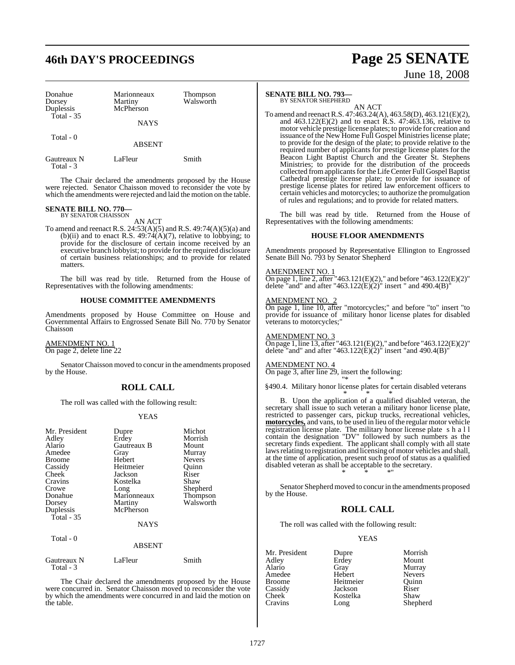# **46th DAY'S PROCEEDINGS Page 25 SENATE**

| Donahue<br>Dorsey<br>Duplessis<br>Total - $35$ | Marionneaux<br>Martiny<br>McPherson<br><b>NAYS</b> | Thompson<br>Walsworth |
|------------------------------------------------|----------------------------------------------------|-----------------------|
| Total - 0                                      | <b>ABSENT</b>                                      |                       |
| Gautreaux N                                    | LaFleur                                            | Smith                 |

Total - 3

The Chair declared the amendments proposed by the House were rejected. Senator Chaisson moved to reconsider the vote by which the amendments were rejected and laid the motion on the table.

# **SENATE BILL NO. 770—** BY SENATOR CHAISSON

AN ACT

To amend and reenact R.S. 24:53(A)(5) and R.S. 49:74(A)(5)(a) and (b)(ii) and to enact R.S.  $49:74(A)(7)$ , relative to lobbying; to provide for the disclosure of certain income received by an executive branch lobbyist; to provide for the required disclosure of certain business relationships; and to provide for related matters.

The bill was read by title. Returned from the House of Representatives with the following amendments:

#### **HOUSE COMMITTEE AMENDMENTS**

Amendments proposed by House Committee on House and Governmental Affairs to Engrossed Senate Bill No. 770 by Senator Chaisson

AMENDMENT NO. 1 On page 2, delete line 22

SenatorChaisson moved to concur in the amendments proposed by the House.

## **ROLL CALL**

The roll was called with the following result:

#### YEAS

| Mr. President<br>Adley<br>Alario<br>Amedee<br>Broome<br>Cassidy<br>Cheek<br>Cravins<br>Crowe<br>Donahue<br>Dorsey<br>Duplessis<br>Total $-35$ | Dupre<br>Erdey<br>Gautreaux B<br>Gray<br>Hebert<br>Heitmeier<br>Jackson<br>Kostelka<br>Long<br>Marionneaux<br>Martiny<br>McPherson<br><b>NAYS</b> | Michot<br>Morrish<br>Mount<br>Murray<br><b>Nevers</b><br>Ouinn<br>Riser<br>Shaw<br>Shepherd<br>Thompson<br>Walsworth |
|-----------------------------------------------------------------------------------------------------------------------------------------------|---------------------------------------------------------------------------------------------------------------------------------------------------|----------------------------------------------------------------------------------------------------------------------|
| Total - 0                                                                                                                                     | <b>ABSENT</b>                                                                                                                                     |                                                                                                                      |
| Gautreaux N<br>Total - 3                                                                                                                      | LaFleur                                                                                                                                           | Smith                                                                                                                |

The Chair declared the amendments proposed by the House were concurred in. Senator Chaisson moved to reconsider the vote by which the amendments were concurred in and laid the motion on the table.

### **SENATE BILL NO. 793—**

BY SENATOR SHEPHERD

AN ACT To amend and reenactR.S. 47:463.24(A), 463.58(D), 463.121(E)(2), and  $463.122(E)(2)$  and to enact R.S.  $47:463.136$ , relative to motor vehicle prestige license plates; to provide for creation and issuance of the New Home Full Gospel Ministries license plate; to provide for the design of the plate; to provide relative to the required number of applicants for prestige license plates for the Beacon Light Baptist Church and the Greater St. Stephens Ministries; to provide for the distribution of the proceeds collected from applicants for the Life Center Full Gospel Baptist Cathedral prestige license plate; to provide for issuance of prestige license plates for retired law enforcement officers to certain vehicles and motorcycles; to authorize the promulgation of rules and regulations; and to provide for related matters.

The bill was read by title. Returned from the House of Representatives with the following amendments:

#### **HOUSE FLOOR AMENDMENTS**

Amendments proposed by Representative Ellington to Engrossed Senate Bill No. 793 by Senator Shepherd

#### AMENDMENT NO. 1

On page 1, line 2, after "463.121(E)(2)," and before "463.122(E)(2)" delete "and" and after "463.122 $(E)(2)$ " insert " and 490.4 $(B)$ "

#### AMENDMENT NO. 2

On page 1, line 10, after "motorcycles;" and before "to" insert "to provide for issuance of military honor license plates for disabled veterans to motorcycles;"

#### AMENDMENT NO. 3

On page 1, line 13, after "463.121(E)(2)," and before "463.122(E)(2)" delete "and" and after "463.122 $(E)(2)$ " insert "and 490.4 $(B)$ "

#### AMENDMENT NO. 4

On page 3, after line 29, insert the following: "\* \* \*

§490.4. Military honor license plates for certain disabled veterans \* \* \*

B. Upon the application of a qualified disabled veteran, the secretary shall issue to such veteran a military honor license plate, restricted to passenger cars, pickup trucks, recreational vehicles, **motorcycles**, and vans, to be used in lieu of the regular motor vehicle registration license plate. The military honor license plate shall contain the designation "DV" followed by such numbers as the secretary finds expedient. The applicant shall comply with all state laws relating to registration and licensing of motor vehicles and shall, at the time of application, present such proof of status as a qualified disabled veteran as shall be acceptable to the secretary. \* \* \*"

Senator Shepherd moved to concurin the amendments proposed by the House.

#### **ROLL CALL**

The roll was called with the following result:

#### YEAS

| Mr. President | Dupre     | Morrish       |
|---------------|-----------|---------------|
| Adley         | Erdey     | Mount         |
| Alario        | Gray      | Murray        |
| Amedee        | Hebert    | <b>Nevers</b> |
| <b>Broome</b> | Heitmeier | Ouinn         |
| Cassidy       | Jackson   | Riser         |
| <b>Cheek</b>  | Kostelka  | Shaw          |
| Cravins       | Long      | Shepherd      |

# June 18, 2008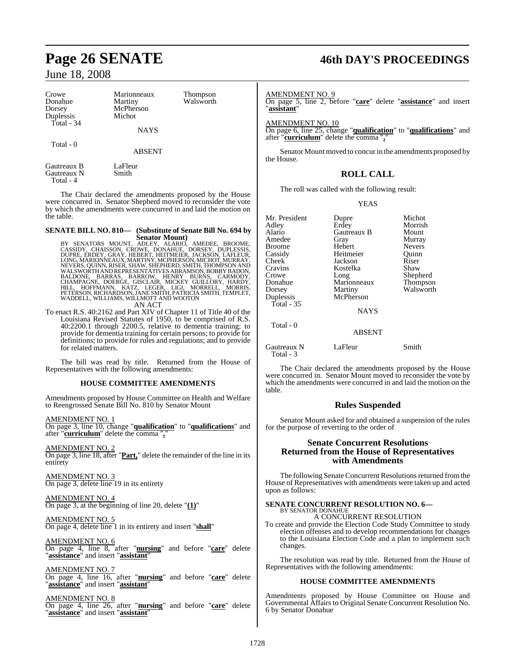| Crowe<br>Donahue<br>Dorsey              | Marionneaux<br>Martiny<br>McPherson | Thompson<br>Walsworth | AMENDME<br>On page 5,<br>"assistant" |
|-----------------------------------------|-------------------------------------|-----------------------|--------------------------------------|
| Duplessis                               | Michot                              |                       |                                      |
| Total - 34                              | <b>NAYS</b>                         |                       | <b>AMENDME</b><br>On page 6, l       |
|                                         |                                     |                       | after "curric                        |
| Total - 0                               | <b>ABSENT</b>                       |                       | Senator<br>the House.                |
| Gautreaux B<br>Gautreaux N<br>Total - 4 | LaFleur<br>Smith                    |                       |                                      |

The Chair declared the amendments proposed by the House were concurred in. Senator Shepherd moved to reconsider the vote by which the amendments were concurred in and laid the motion on the table.

# **SENATE BILL NO. 810— (Substitute of Senate Bill No. 694 by**

Senator Mount)<br>
BY SENATORS MOUNT, ADLEY, ALARIO, AMEDEE, BROOME,<br>
CASSIDY, CHAISSON, CROWE, DONAHUE, DORSEY, DUPLESSIS,<br>
DUPRE, ERDEY, GRAY, HEBERT, HEITMEIER, JACKSON, LAFLEUR,<br>
LONG, MARIONNEAUX, MARTINY, MCPHERD, SMITH

To enact R.S. 40:2162 and Part XIV of Chapter 11 of Title 40 of the Louisiana Revised Statutes of 1950, to be comprised of R.S. 40:2200.1 through 2200.5, relative to dementia training; to provide for dementia training for certain persons; to provide for definitions; to provide for rules and regulations; and to provide for related matters.

The bill was read by title. Returned from the House of Representatives with the following amendments:

#### **HOUSE COMMITTEE AMENDMENTS**

Amendments proposed by House Committee on Health and Welfare to Reengrossed Senate Bill No. 810 by Senator Mount

AMENDMENT NO. 1

On page 3, line 10, change "**qualification**" to "**qualifications**" and after "**curriculum**" delete the comma "**,**"

AMENDMENT NO. 2 On page 3, line 18, after "**Part,**" delete the remainder of the line in its entirety

AMENDMENT NO. 3 On page 3, delete line 19 in its entirety

AMENDMENT NO. 4 On page 3, at the beginning of line 20, delete "**(1)**"

#### AMENDMENT NO. 5 On page 4, delete line 1 in its entirety and insert "**shall**"

AMENDMENT NO. 6 On page 4, line 8, after "**nursing**" and before "**care**" delete "**assistance**" and insert "**assistant**"

AMENDMENT NO. 7 On page 4, line 16, after "**nursing**" and before "**care**" delete "**assistance**" and insert "**assistant**"

AMENDMENT NO. 8

On page 4, line 26, after "**nursing**" and before "**care**" delete "**assistance**" and insert "**assistant**"

# **Page 26 SENATE 46th DAY'S PROCEEDINGS**

ENT NO. 9

 $\mathbf{I}$ 

line 2, before "care" delete "assistance" and insert

ENT NO. 10

Total - 3

line 25, change "**qualification**" to "**qualifications**" and after "**curriculum**" delete the comma "**,**"

Mount moved to concur in the amendments proposed by

## **ROLL CALL**

The roll was called with the following result:

#### YEAS

| Mr. President | Dupre         | Michot        |
|---------------|---------------|---------------|
| Adlev         | Erdey         | Morrish       |
| Alario        | Gautreaux B   | Mount         |
| Amedee        | Gray          | Murray        |
| Broome        | Hebert        | <b>Nevers</b> |
| Cassidy       | Heitmeier     | Ouinn         |
| Cheek         | Jackson       | Riser         |
| Cravins       | Kostelka      | Shaw          |
| Crowe         | Long          | Shepherd      |
| Donahue       | Marionneaux   | Thompson      |
| Dorsey        | Martiny       | Walsworth     |
| Duplessis     | McPherson     |               |
| Total - 35    |               |               |
|               | <b>NAYS</b>   |               |
| Total - 0     |               |               |
|               | <b>ABSENT</b> |               |
| Gautreaux N   | LaFleur       | Smith         |

The Chair declared the amendments proposed by the House were concurred in. Senator Mount moved to reconsider the vote by which the amendments were concurred in and laid the motion on the table.

## **Rules Suspended**

Senator Mount asked for and obtained a suspension of the rules for the purpose of reverting to the order of

#### **Senate Concurrent Resolutions Returned from the House of Representatives with Amendments**

The following Senate Concurrent Resolutions returned from the House of Representatives with amendments were taken up and acted upon as follows:

## **SENATE CONCURRENT RESOLUTION NO. 6—** BY SENATOR DONAHUE A CONCURRENT RESOLUTION

To create and provide the Election Code Study Committee to study election offenses and to develop recommendations for changes to the Louisiana Election Code and a plan to implement such changes.

The resolution was read by title. Returned from the House of Representatives with the following amendments:

#### **HOUSE COMMITTEE AMENDMENTS**

Amendments proposed by House Committee on House and Governmental Affairs to Original Senate Concurrent Resolution No. 6 by Senator Donahue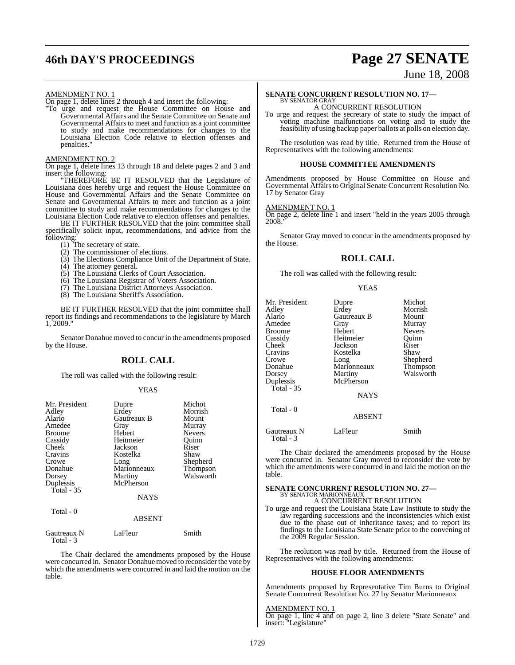# **46th DAY'S PROCEEDINGS Page 27 SENATE**

## June 18, 2008

#### AMENDMENT NO. 1

On page 1, delete lines 2 through 4 and insert the following:

"To urge and request the House Committee on House and Governmental Affairs and the Senate Committee on Senate and Governmental Affairs to meet and function as a joint committee to study and make recommendations for changes to the Louisiana Election Code relative to election offenses and penalties."

AMENDMENT NO. 2

On page 1, delete lines 13 through 18 and delete pages 2 and 3 and insert the following:

"THEREFORE BE IT RESOLVED that the Legislature of Louisiana does hereby urge and request the House Committee on House and Governmental Affairs and the Senate Committee on Senate and Governmental Affairs to meet and function as a joint committee to study and make recommendations for changes to the Louisiana Election Code relative to election offenses and penalties.

BE IT FURTHER RESOLVED that the joint committee shall specifically solicit input, recommendations, and advice from the following:

- (1) The secretary of state.
- (2) The commissioner of elections.
- (3) The Elections Compliance Unit of the Department of State.
- (4) The attorney general.
- (5) The Louisiana Clerks of Court Association.
- (6) The Louisiana Registrar of Voters Association.
- (7) The Louisiana District Attorneys Association.
- (8) The Louisiana Sheriff's Association.

BE IT FURTHER RESOLVED that the joint committee shall report its findings and recommendations to the legislature by March 1, 2009."

Senator Donahue moved to concur in the amendments proposed by the House.

#### **ROLL CALL**

The roll was called with the following result:

#### YEAS

| Mr. President<br>Adley<br>Alario<br>Amedee<br><b>Broome</b><br>Cassidy<br>Cheek<br>Cravins<br>Crowe<br>Donahue<br>Dorsey<br>Duplessis<br>Total - 35 | Dupre<br>Erdey<br>Gautreaux B<br>Gray<br>Hebert<br>Heitmeier<br>Jackson<br>Kostelka<br>Long<br>Marionneaux<br>Martiny<br>McPherson | Michot<br>Morrish<br>Mount<br>Murray<br><b>Nevers</b><br>Ouinn<br>Riser<br>Shaw<br>Shepherd<br>Thompson<br>Walsworth |
|-----------------------------------------------------------------------------------------------------------------------------------------------------|------------------------------------------------------------------------------------------------------------------------------------|----------------------------------------------------------------------------------------------------------------------|
|                                                                                                                                                     | <b>NAYS</b>                                                                                                                        |                                                                                                                      |
| Total $-0$                                                                                                                                          | <b>ABSENT</b>                                                                                                                      |                                                                                                                      |
| Gautreaux N<br>Total - 3                                                                                                                            | LaFleur                                                                                                                            | Smith                                                                                                                |

The Chair declared the amendments proposed by the House were concurred in. Senator Donahue moved to reconsider the vote by which the amendments were concurred in and laid the motion on the table.

#### **SENATE CONCURRENT RESOLUTION NO. 17—** BY SENATOR GRAY

A CONCURRENT RESOLUTION

To urge and request the secretary of state to study the impact of voting machine malfunctions on voting and to study the feasibility of using backup paper ballots at polls on election day.

The resolution was read by title. Returned from the House of Representatives with the following amendments:

#### **HOUSE COMMITTEE AMENDMENTS**

Amendments proposed by House Committee on House and Governmental Affairs to Original Senate Concurrent Resolution No. 17 by Senator Gray

#### AMENDMENT NO. 1

On page 2, delete line 1 and insert "held in the years 2005 through 2008.

Senator Gray moved to concur in the amendments proposed by the House.

#### **ROLL CALL**

The roll was called with the following result:

#### YEAS

| Mr. President<br>Adley<br>Alario<br>Amedee<br><b>Broome</b><br>Cassidy | Dupre<br>Erdey<br>Gautreaux B<br>Gray<br>Hebert<br>Heitmeier | Michot<br>Morrish<br>Mount<br>Murray<br><b>Nevers</b><br>Ouinn |
|------------------------------------------------------------------------|--------------------------------------------------------------|----------------------------------------------------------------|
| Cheek                                                                  | Jackson                                                      | Riser                                                          |
| Cravins                                                                | Kostelka                                                     | Shaw                                                           |
| Crowe                                                                  | Long                                                         | Shepherd                                                       |
| Donahue                                                                | Marionneaux                                                  | Thompson                                                       |
| Dorsey                                                                 | Martiny                                                      | Walsworth                                                      |
| Duplessis                                                              | McPherson                                                    |                                                                |
| Total - $35$                                                           | <b>NAYS</b>                                                  |                                                                |
| Total - 0                                                              | <b>ABSENT</b>                                                |                                                                |

Gautreaux N LaFleur Smith Total - 3

The Chair declared the amendments proposed by the House were concurred in. Senator Gray moved to reconsider the vote by which the amendments were concurred in and laid the motion on the table.

## **SENATE CONCURRENT RESOLUTION NO. 27—** BY SENATOR MARIONNEAUX A CONCURRENT RESOLUTION

To urge and request the Louisiana State Law Institute to study the

law regarding successions and the inconsistencies which exist due to the phase out of inheritance taxes; and to report its findings to the Louisiana State Senate prior to the convening of the 2009 Regular Session.

The reolution was read by title. Returned from the House of Representatives with the following amendments:

#### **HOUSE FLOOR AMENDMENTS**

Amendments proposed by Representative Tim Burns to Original Senate Concurrent Resolution No. 27 by Senator Marionneaux

#### AMENDMENT NO. 1

On page 1, line 4 and on page 2, line 3 delete "State Senate" and insert: "Legislature"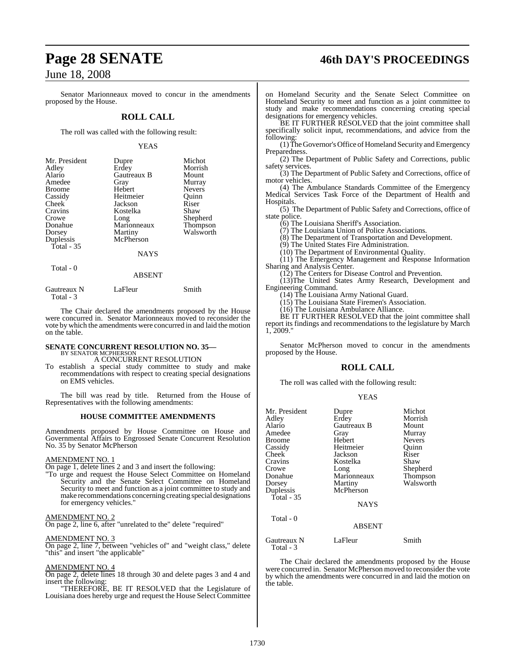# **Page 28 SENATE 46th DAY'S PROCEEDINGS**

## June 18, 2008

Senator Marionneaux moved to concur in the amendments proposed by the House.

#### **ROLL CALL**

The roll was called with the following result:

#### YEAS

| Mr. President<br>Adley<br>Alario<br>Amedee<br><b>Broome</b><br>Cassidy<br>Cheek<br>Cravins | Dupre<br>Erdey<br>Gautreaux B<br>Gray<br>Hebert<br>Heitmeier<br>Jackson<br>Kostelka | Michot<br>Morrish<br>Mount<br>Murray<br><b>Nevers</b><br>Ouinn<br>Riser<br>Shaw |
|--------------------------------------------------------------------------------------------|-------------------------------------------------------------------------------------|---------------------------------------------------------------------------------|
| Crowe<br>Donahue                                                                           | Long<br>Marionneaux                                                                 | Shepherd<br>Thompson                                                            |
| Dorsey                                                                                     | Martiny                                                                             | Walsworth                                                                       |
| Duplessis<br>Total - 35                                                                    | McPherson                                                                           |                                                                                 |
|                                                                                            | NAYS                                                                                |                                                                                 |
| Total - 0                                                                                  |                                                                                     |                                                                                 |
|                                                                                            | <b>ABSENT</b>                                                                       |                                                                                 |
| Gautreaux N                                                                                | LaFleur                                                                             | Smith                                                                           |

The Chair declared the amendments proposed by the House were concurred in. Senator Marionneaux moved to reconsider the vote by which the amendments were concurred in and laid the motion on the table.

# **SENATE CONCURRENT RESOLUTION NO. 35—** BY SENATOR MCPHERSON

A CONCURRENT RESOLUTION

To establish a special study committee to study and make recommendations with respect to creating special designations on EMS vehicles.

The bill was read by title. Returned from the House of Representatives with the following amendments:

#### **HOUSE COMMITTEE AMENDMENTS**

Amendments proposed by House Committee on House and Governmental Affairs to Engrossed Senate Concurrent Resolution No. 35 by Senator McPherson

#### AMENDMENT NO. 1

Total - 3

On page 1, delete lines 2 and 3 and insert the following:

"To urge and request the House Select Committee on Homeland Security and the Senate Select Committee on Homeland Security to meet and function as a joint committee to study and make recommendations concerning creating special designations for emergency vehicles."

#### AMENDMENT NO. 2

On page 2, line 6, after "unrelated to the" delete "required"

#### AMENDMENT NO. 3

On page 2, line 7, between "vehicles of" and "weight class," delete "this" and insert "the applicable"

#### AMENDMENT NO. 4

On page 2, delete lines 18 through 30 and delete pages 3 and 4 and insert the following:

"THEREFORE, BE IT RESOLVED that the Legislature of Louisiana does hereby urge and request the House Select Committee on Homeland Security and the Senate Select Committee on Homeland Security to meet and function as a joint committee to study and make recommendations concerning creating special designations for emergency vehicles.

BE IT FURTHER RESOLVED that the joint committee shall specifically solicit input, recommendations, and advice from the following:

(1)TheGovernor'sOffice of Homeland Security and Emergency Preparedness.

(2) The Department of Public Safety and Corrections, public safety services.

(3) The Department of Public Safety and Corrections, office of motor vehicles.

(4) The Ambulance Standards Committee of the Emergency Medical Services Task Force of the Department of Health and Hospitals.

(5) The Department of Public Safety and Corrections, office of state police.

(6) The Louisiana Sheriff's Association.

(7) The Louisiana Union of Police Associations.

(8) The Department of Transportation and Development.

(9) The United States Fire Administration.

(10) The Department of Environmental Quality.

(11) The Emergency Management and Response Information Sharing and Analysis Center.

(12) The Centers for Disease Control and Prevention.

(13)The United States Army Research, Development and Engineering Command.

(14) The Louisiana Army National Guard.

(15) The Louisiana State Firemen's Association.

(16) The Louisiana Ambulance Alliance.

BE IT FURTHER RESOLVED that the joint committee shall report its findings and recommendations to the legislature by March 1, 2009."

Senator McPherson moved to concur in the amendments proposed by the House.

#### **ROLL CALL**

The roll was called with the following result:

#### YEAS

| Mr. President            | Dupre         | Michot        |
|--------------------------|---------------|---------------|
| Adley                    | Erdey         | Morrish       |
| Alario                   | Gautreaux B   | Mount         |
| Amedee                   | Gray          | Murray        |
| Broome                   | Hebert        | <b>Nevers</b> |
| Cassidy                  | Heitmeier     | Ouinn         |
| Cheek                    | Jackson       | Riser         |
| Cravins                  | Kostelka      | Shaw          |
| Crowe                    | Long          | Shepherd      |
| Donahue                  | Marionneaux   | Thompson      |
| Dorsey                   | Martiny       | Walsworth     |
| Duplessis                | McPherson     |               |
| Total - 35               |               |               |
|                          | <b>NAYS</b>   |               |
| Total $-0$               |               |               |
|                          | <b>ABSENT</b> |               |
| Gautreaux N<br>Total - 3 | LaFleur       | Smith         |

The Chair declared the amendments proposed by the House were concurred in. Senator McPherson moved to reconsider the vote by which the amendments were concurred in and laid the motion on the table.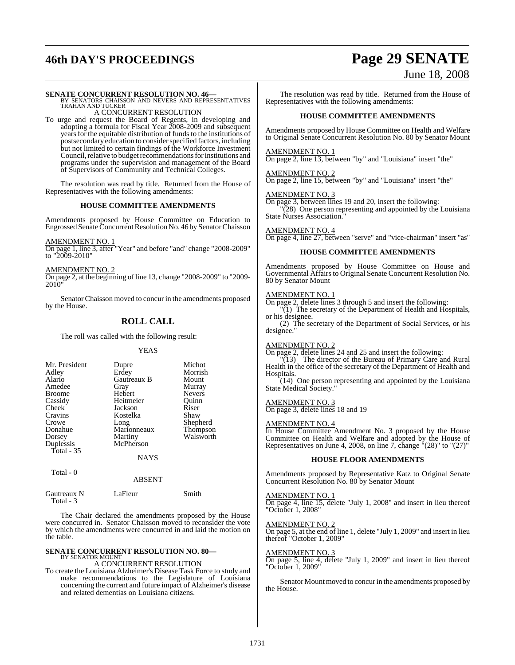# **46th DAY'S PROCEEDINGS Page 29 SENATE**

# June 18, 2008

#### **SENATE CONCURRENT RESOLUTION NO. 46—**

BY SENATORS CHAISSON AND NEVERS AND REPRESENTATIVES TRAHAN AND TUCKER A CONCURRENT RESOLUTION

To urge and request the Board of Regents, in developing and adopting a formula for Fiscal Year 2008-2009 and subsequent years for the equitable distribution of funds to the institutions of postsecondary education to consider specified factors, including but not limited to certain findings of the Workforce Investment Council, relative to budget recommendations for institutions and programs under the supervision and management of the Board of Supervisors of Community and Technical Colleges.

The resolution was read by title. Returned from the House of Representatives with the following amendments:

#### **HOUSE COMMITTEE AMENDMENTS**

Amendments proposed by House Committee on Education to Engrossed Senate Concurrent Resolution No. 46 by Senator Chaisson

#### AMENDMENT NO. 1

On page 1, line 3, after "Year" and before "and" change "2008-2009" to "2009-2010"

#### AMENDMENT NO. 2

On page 2, at the beginning of line 13, change "2008-2009" to "2009-2010"

SenatorChaisson moved to concur in the amendments proposed by the House.

#### **ROLL CALL**

The roll was called with the following result:

#### YEAS

| Mr. President<br>Adley<br>Alario<br>Amedee<br><b>Broome</b><br>Cassidy<br>Cheek<br>Cravins<br>Crowe<br>Donahue<br>Dorsey<br>Duplessis<br>Total $-35$ | Dupre<br>Erdey<br>Gautreaux B<br>Gray<br>Hebert<br>Heitmeier<br>Jackson<br>Kostelka<br>Long<br>Marionneaux<br>Martiny<br>McPherson | Michot<br>Morrish<br>Mount<br>Murray<br><b>Nevers</b><br>Ouinn<br>Riser<br>Shaw<br>Shepherd<br>Thompson<br>Walsworth |
|------------------------------------------------------------------------------------------------------------------------------------------------------|------------------------------------------------------------------------------------------------------------------------------------|----------------------------------------------------------------------------------------------------------------------|
|                                                                                                                                                      | <b>NAYS</b>                                                                                                                        |                                                                                                                      |
| Total - 0                                                                                                                                            |                                                                                                                                    |                                                                                                                      |

|                          | <b>ABSENT</b> |       |
|--------------------------|---------------|-------|
| Gautreaux N<br>Total - 3 | LaFleur       | Smith |

The Chair declared the amendments proposed by the House were concurred in. Senator Chaisson moved to reconsider the vote by which the amendments were concurred in and laid the motion on the table.

#### **SENATE CONCURRENT RESOLUTION NO. 80—** BY SENATOR MOUNT

A CONCURRENT RESOLUTION

To create the Louisiana Alzheimer's Disease Task Force to study and make recommendations to the Legislature of Louisiana concerning the current and future impact of Alzheimer's disease and related dementias on Louisiana citizens.

The resolution was read by title. Returned from the House of Representatives with the following amendments:

#### **HOUSE COMMITTEE AMENDMENTS**

Amendments proposed by House Committee on Health and Welfare to Original Senate Concurrent Resolution No. 80 by Senator Mount

#### AMENDMENT NO. 1

On page 2, line 13, between "by" and "Louisiana" insert "the"

#### AMENDMENT NO. 2

On page 2, line 15, between "by" and "Louisiana" insert "the"

#### AMENDMENT NO. 3

On page 3, between lines 19 and 20, insert the following:

"(28) One person representing and appointed by the Louisiana State Nurses Association."

#### AMENDMENT NO. 4

On page 4, line 27, between "serve" and "vice-chairman" insert "as"

#### **HOUSE COMMITTEE AMENDMENTS**

Amendments proposed by House Committee on House and Governmental Affairs to Original Senate Concurrent Resolution No. 80 by Senator Mount

#### AMENDMENT NO. 1

On page 2, delete lines 3 through 5 and insert the following:

"(1) The secretary of the Department of Health and Hospitals, or his designee.

(2) The secretary of the Department of Social Services, or his designee."

#### AMENDMENT NO. 2

On page 2, delete lines 24 and 25 and insert the following:

"(13) The director of the Bureau of Primary Care and Rural Health in the office of the secretary of the Department of Health and Hospitals.

(14) One person representing and appointed by the Louisiana State Medical Society."

#### AMENDMENT NO. 3

On page 3, delete lines 18 and 19

#### AMENDMENT NO. 4

In House Committee Amendment No. 3 proposed by the House Committee on Health and Welfare and adopted by the House of Representatives on June 4, 2008, on line 7, change "(28)" to "(27)"

#### **HOUSE FLOOR AMENDMENTS**

Amendments proposed by Representative Katz to Original Senate Concurrent Resolution No. 80 by Senator Mount

#### AMENDMENT NO. 1

On page 4, line 15, delete "July 1, 2008" and insert in lieu thereof "October 1, 2008"

#### AMENDMENT NO. 2

On page 5, at the end of line 1, delete "July 1, 2009" and insert in lieu thereof "October 1, 2009"

#### AMENDMENT NO. 3

On page 5, line 4, delete "July 1, 2009" and insert in lieu thereof "October 1, 2009"

Senator Mount moved to concur in the amendments proposed by the House.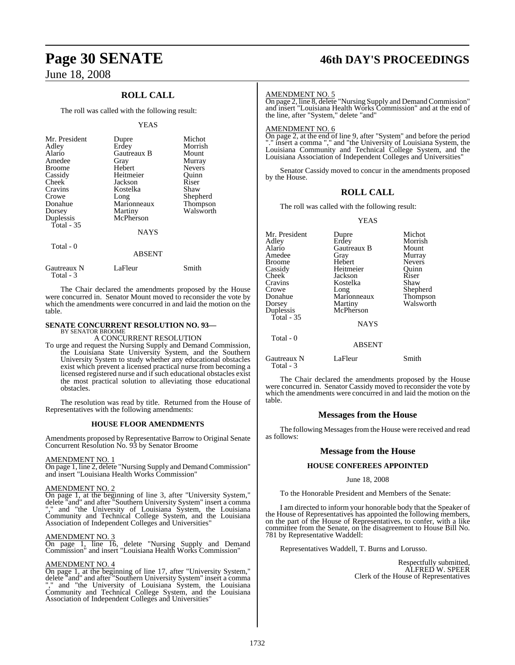## **ROLL CALL**

The roll was called with the following result:

#### YEAS

| Mr. President<br>Adley<br>Alario<br>Amedee<br><b>Broome</b><br>Cassidy<br>Cheek<br>Cravins<br>Crowe<br>Donahue<br>Dorsey<br>Duplessis | Dupre<br>Erdey<br>Gautreaux B<br>Gray<br>Hebert<br>Heitmeier<br>Jackson<br>Kostelka<br>Long<br>Marionneaux<br>Martiny<br>McPherson | Michot<br>Morrish<br>Mount<br>Murray<br><b>Nevers</b><br>Ouinn<br>Riser<br>Shaw<br>Shepherd<br>Thompson<br>Walsworth |
|---------------------------------------------------------------------------------------------------------------------------------------|------------------------------------------------------------------------------------------------------------------------------------|----------------------------------------------------------------------------------------------------------------------|
| Total - $35$                                                                                                                          | <b>NAYS</b>                                                                                                                        |                                                                                                                      |
| Total - 0                                                                                                                             | ABSENT                                                                                                                             |                                                                                                                      |

| Gautreaux N | LaFleur | Smith |
|-------------|---------|-------|
| Total - 3   |         |       |

The Chair declared the amendments proposed by the House were concurred in. Senator Mount moved to reconsider the vote by which the amendments were concurred in and laid the motion on the table.

#### **SENATE CONCURRENT RESOLUTION NO. 93—** BY SENATOR BROOME

A CONCURRENT RESOLUTION

To urge and request the Nursing Supply and Demand Commission, the Louisiana State University System, and the Southern University System to study whether any educational obstacles exist which prevent a licensed practical nurse from becoming a licensed registered nurse and if such educational obstacles exist the most practical solution to alleviating those educational obstacles.

The resolution was read by title. Returned from the House of Representatives with the following amendments:

#### **HOUSE FLOOR AMENDMENTS**

Amendments proposed by Representative Barrow to Original Senate Concurrent Resolution No. 93 by Senator Broome

#### AMENDMENT NO. 1

On page 1, line 2, delete "Nursing Supply and Demand Commission" and insert "Louisiana Health Works Commission"

#### AMENDMENT NO. 2

On page 1, at the beginning of line 3, after "University System," delete "and" and after "Southern University System" insert a comma "," and "the University of Louisiana System, the Louisiana Community and Technical College System, and the Louisiana Association of Independent Colleges and Universities"

#### AMENDMENT NO. 3

On page 1, line 16, delete "Nursing Supply and Demand Commission" and insert "Louisiana Health Works Commission"

#### AMENDMENT NO. 4

On page 1, at the beginning of line 17, after "University System," delete "and" and after "Southern University System" insert a comma "," and "the University of Louisiana System, the Louisiana Community and Technical College System, and the Louisiana Association of Independent Colleges and Universities"

# **Page 30 SENATE 46th DAY'S PROCEEDINGS**

#### AMENDMENT NO. 5

On page 2, line 8, delete "Nursing Supply and Demand Commission" and insert "Louisiana Health Works Commission" and at the end of the line, after "System," delete "and"

#### AMENDMENT NO. 6

On page 2, at the end of line 9, after "System" and before the period "." insert a comma "," and "the University of Louisiana System, the Louisiana Community and Technical College System, and the Louisiana Association of Independent Colleges and Universities"

Senator Cassidy moved to concur in the amendments proposed by the House.

#### **ROLL CALL**

The roll was called with the following result:

YEAS

| Mr. President<br>Adley<br>Alario<br>Amedee<br><b>Broome</b><br>Cassidy<br>Cheek<br>Cravins<br>Crowe<br>Donahue<br>Dorsey<br>Duplessis<br>Total $-35$ | Dupre<br>Erdey<br>Gautreaux B<br>Gray<br>Hebert<br>Heitmeier<br>Jackson<br>Kostelka<br>Long<br>Marionneaux<br>Martiny<br>McPherson<br><b>NAYS</b> | Michot<br>Morrish<br>Mount<br>Murray<br><b>Nevers</b><br>Ouinn<br>Riser<br>Shaw<br>Shepherd<br>Thompson<br>Walsworth |
|------------------------------------------------------------------------------------------------------------------------------------------------------|---------------------------------------------------------------------------------------------------------------------------------------------------|----------------------------------------------------------------------------------------------------------------------|
| Total - 0                                                                                                                                            | <b>ABSENT</b>                                                                                                                                     |                                                                                                                      |

Gautreaux N LaFleur Smith Total - 3

The Chair declared the amendments proposed by the House were concurred in. Senator Cassidy moved to reconsider the vote by which the amendments were concurred in and laid the motion on the table.

#### **Messages from the House**

The following Messages from the House were received and read as follows:

#### **Message from the House**

#### **HOUSE CONFEREES APPOINTED**

#### June 18, 2008

To the Honorable President and Members of the Senate:

I am directed to inform your honorable body that the Speaker of the House of Representatives has appointed the following members, on the part of the House of Representatives, to confer, with a like committee from the Senate, on the disagreement to House Bill No. 781 by Representative Waddell:

Representatives Waddell, T. Burns and Lorusso.

Respectfully submitted, ALFRED W. SPEER Clerk of the House of Representatives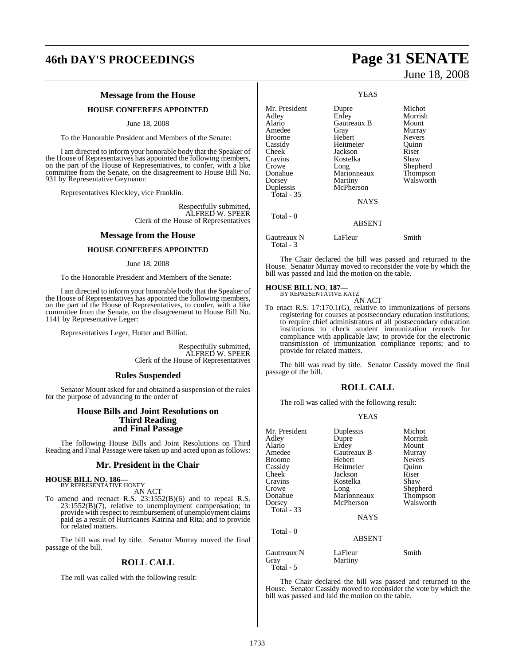# **46th DAY'S PROCEEDINGS Page 31 SENATE**

#### **Message from the House**

**HOUSE CONFEREES APPOINTED**

June 18, 2008

To the Honorable President and Members of the Senate:

I am directed to inform your honorable body that the Speaker of the House of Representatives has appointed the following members, on the part of the House of Representatives, to confer, with a like committee from the Senate, on the disagreement to House Bill No. 931 by Representative Geymann:

Representatives Kleckley, vice Franklin.

Respectfully submitted, ALFRED W. SPEER Clerk of the House of Representatives

#### **Message from the House**

#### **HOUSE CONFEREES APPOINTED**

#### June 18, 2008

To the Honorable President and Members of the Senate:

I am directed to inform your honorable body that the Speaker of the House of Representatives has appointed the following members, on the part of the House of Representatives, to confer, with a like committee from the Senate, on the disagreement to House Bill No. 1141 by Representative Leger:

Representatives Leger, Hutter and Billiot.

Respectfully submitted, ALFRED W. SPEER Clerk of the House of Representatives

#### **Rules Suspended**

Senator Mount asked for and obtained a suspension of the rules for the purpose of advancing to the order of

#### **House Bills and Joint Resolutions on Third Reading and Final Passage**

The following House Bills and Joint Resolutions on Third Reading and Final Passage were taken up and acted upon as follows:

#### **Mr. President in the Chair**

# **HOUSE BILL NO. 186—** BY REPRESENTATIVE HONEY

AN ACT

To amend and reenact R.S. 23:1552(B)(6) and to repeal R.S. 23:1552(B)(7), relative to unemployment compensation; to provide with respect to reimbursement of unemployment claims paid as a result of Hurricanes Katrina and Rita; and to provide for related matters.

The bill was read by title. Senator Murray moved the final passage of the bill.

#### **ROLL CALL**

The roll was called with the following result:

June 18, 2008

|                                                                                                                                                           | <b>YEAS</b>                                                                                                                                       |                                                                                                                      |
|-----------------------------------------------------------------------------------------------------------------------------------------------------------|---------------------------------------------------------------------------------------------------------------------------------------------------|----------------------------------------------------------------------------------------------------------------------|
| Mr. President<br>Adley<br>Alario<br>Amedee<br>Broome<br>Cassidy<br>Cheek <sup>-</sup><br>Cravins<br>Crowe<br>Donahue<br>Dorsey<br>Duplessis<br>Total - 35 | Dupre<br>Erdey<br>Gautreaux B<br>Gray<br>Hebert<br>Heitmeier<br>Jackson<br>Kostelka<br>Long<br>Marionneaux<br>Martiny<br>McPherson<br><b>NAYS</b> | Michot<br>Morrish<br>Mount<br>Murray<br><b>Nevers</b><br>Quinn<br>Riser<br>Shaw<br>Shepherd<br>Thompson<br>Walsworth |
| Total - 0                                                                                                                                                 | <b>ABSENT</b>                                                                                                                                     |                                                                                                                      |
| Gautreaux N                                                                                                                                               | LaFleur                                                                                                                                           | Smith                                                                                                                |

The Chair declared the bill was passed and returned to the House. Senator Murray moved to reconsider the vote by which the bill was passed and laid the motion on the table.

# **HOUSE BILL NO. 187—** BY REPRESENTATIVE KATZ

Total - 3

AN ACT

To enact R.S. 17:170.1(G), relative to immunizations of persons registering for courses at postsecondary education institutions; to require chief administrators of all postsecondary education institutions to check student immunization records for compliance with applicable law; to provide for the electronic transmission of immunization compliance reports; and to provide for related matters.

The bill was read by title. Senator Cassidy moved the final passage of the bill.

#### **ROLL CALL**

The roll was called with the following result:

#### YEAS

| Mr. President                    | Duplessis          | Michot        |
|----------------------------------|--------------------|---------------|
| Adley                            | Dupre              | Morrish       |
| Alario                           | Erdey              | Mount         |
| Amedee                           | Gautreaux B        | Murray        |
| Broome                           | Hebert             | <b>Nevers</b> |
| Cassidy                          | Heitmeier          | Ouinn         |
| Cheek                            | Jackson            | Riser         |
| Cravins                          | Kostelka           | Shaw          |
| Crowe                            | Long               | Shepherd      |
| Donahue                          | Marionneaux        | Thompson      |
| Dorsey                           | McPherson          | Walsworth     |
| <b>Total - 33</b>                |                    |               |
|                                  | <b>NAYS</b>        |               |
| Total - 0                        |                    |               |
|                                  | <b>ABSENT</b>      |               |
| Gautreaux N<br>Gray<br>Total - 5 | LaFleur<br>Martiny | Smith         |

The Chair declared the bill was passed and returned to the House. Senator Cassidy moved to reconsider the vote by which the bill was passed and laid the motion on the table.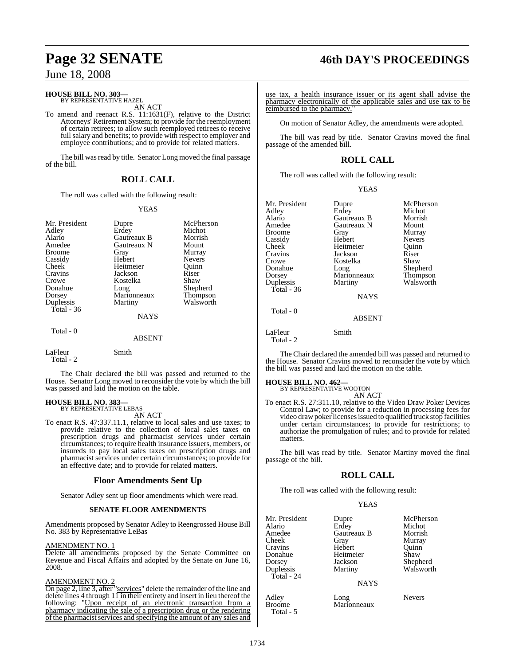# **HOUSE BILL NO. 303—** BY REPRESENTATIVE HAZEL

AN ACT

To amend and reenact R.S. 11:1631(F), relative to the District Attorneys' Retirement System; to provide for the reemployment of certain retirees; to allow such reemployed retirees to receive full salary and benefits; to provide with respect to employer and employee contributions; and to provide for related matters.

The bill was read by title. Senator Long moved the final passage of the bill.

#### **ROLL CALL**

The roll was called with the following result:

#### YEAS

| Mr. President<br>Adley<br>Alario<br>Amedee<br>Broome<br>Cassidy<br><b>Cheek</b><br>Cravins<br>Crowe<br>Donahue<br>Dorsey<br>Duplessis | Dupre<br>Erdey<br>Gautreaux B<br>Gautreaux N<br>Gray<br>Hebert<br>Heitmeier<br>Jackson<br>Kostelka<br>Long<br>Marionneaux<br>Martiny | McPherson<br>Michot<br>Morrish<br>Mount<br>Murray<br><b>Nevers</b><br>Quinn<br>Riser<br>Shaw<br>Shepherd<br>Thompson<br>Walsworth |
|---------------------------------------------------------------------------------------------------------------------------------------|--------------------------------------------------------------------------------------------------------------------------------------|-----------------------------------------------------------------------------------------------------------------------------------|
| Total - 36                                                                                                                            | <b>NAYS</b>                                                                                                                          |                                                                                                                                   |
| Total - 0                                                                                                                             | <b>ABSENT</b>                                                                                                                        |                                                                                                                                   |
| LaFleur<br>Total - 2                                                                                                                  | Smith                                                                                                                                |                                                                                                                                   |

The Chair declared the bill was passed and returned to the House. Senator Long moved to reconsider the vote by which the bill was passed and laid the motion on the table.

#### **HOUSE BILL NO. 383—** BY REPRESENTATIVE LEBAS

AN ACT

To enact R.S. 47:337.11.1, relative to local sales and use taxes; to provide relative to the collection of local sales taxes on prescription drugs and pharmacist services under certain circumstances; to require health insurance issuers, members, or insureds to pay local sales taxes on prescription drugs and pharmacist services under certain circumstances; to provide for an effective date; and to provide for related matters.

#### **Floor Amendments Sent Up**

Senator Adley sent up floor amendments which were read.

#### **SENATE FLOOR AMENDMENTS**

Amendments proposed by Senator Adley to Reengrossed House Bill No. 383 by Representative LeBas

#### AMENDMENT NO. 1

Delete all amendments proposed by the Senate Committee on Revenue and Fiscal Affairs and adopted by the Senate on June 16, 2008.

#### AMENDMENT NO. 2

On page 2, line 3, after "services" delete the remainder of the line and delete lines 4 through  $11$  in their entirety and insert in lieu thereof the following: "Upon receipt of an electronic transaction from a pharmacy indicating the sale of a prescription drug or the rendering of the pharmacist services and specifying the amount of any sales and

# **Page 32 SENATE 46th DAY'S PROCEEDINGS**

use tax, a health insurance issuer or its agent shall advise the pharmacy electronically of the applicable sales and use tax to be reimbursed to the pharmacy."

On motion of Senator Adley, the amendments were adopted.

The bill was read by title. Senator Cravins moved the final passage of the amended bill.

## **ROLL CALL**

The roll was called with the following result:

|  | ۰.<br>I |
|--|---------|
|  |         |

| Mr. President<br>Adley<br>Alario<br>Amedee<br>Broome<br>Cassidy<br>Cheek<br>Cravins<br>Crowe | Dupre<br>Erdey<br>Gautreaux B<br>Gautreaux N<br>Gray<br>Hebert<br>Heitmeier<br>Jackson<br>Kostelka | McPherson<br>Michot<br>Morrish<br>Mount<br>Murray<br><b>Nevers</b><br>Ouinn<br>Riser<br>Shaw |
|----------------------------------------------------------------------------------------------|----------------------------------------------------------------------------------------------------|----------------------------------------------------------------------------------------------|
| Dorsey<br>Duplessis                                                                          | Long<br>Marionneaux<br>Martiny                                                                     | Thompson<br>Walsworth                                                                        |
| Total - 36                                                                                   |                                                                                                    |                                                                                              |
|                                                                                              | <b>NAYS</b>                                                                                        |                                                                                              |
| Total - 0                                                                                    | <b>ABSENT</b>                                                                                      |                                                                                              |

The Chair declared the amended bill was passed and returned to the House. Senator Cravins moved to reconsider the vote by which the bill was passed and laid the motion on the table.

# **HOUSE BILL NO. 462—** BY REPRESENTATIVE WOOTON

LaFleur Smith

 $\frac{1}{\pi}$ Total - 2

AN ACT

To enact R.S. 27:311.10, relative to the Video Draw Poker Devices Control Law; to provide for a reduction in processing fees for video draw poker licenses issued to qualified truck stop facilities under certain circumstances; to provide for restrictions; to authorize the promulgation of rules; and to provide for related matters.

The bill was read by title. Senator Martiny moved the final passage of the bill.

#### **ROLL CALL**

The roll was called with the following result:

| Mr. President<br>Alario<br>Amedee<br>Cheek<br>Cravins<br>Donahue<br>Dorsey<br>Duplessis<br>Total - 24 | Dupre<br>Erdey<br>Gautreaux B<br>Gray<br>Hebert<br>Heitmeier<br>Jackson<br>Martiny | McPhe<br>Michot<br><b>Morris</b><br>Murray<br>Ouinn<br>Shaw<br>Shephe<br>Walsw |
|-------------------------------------------------------------------------------------------------------|------------------------------------------------------------------------------------|--------------------------------------------------------------------------------|
|                                                                                                       | <b>NAYS</b>                                                                        |                                                                                |
| Adley                                                                                                 | Long                                                                               | Nevers                                                                         |

Total - 5

Dupre McPherson<br>
Erdev Michot Gautreaux B Morrish<br>Gray Murray Murray<br>Quinn Hebert Quinn<br>
Heitmeier Shaw Jackson Shepherd<br>Martiny Walswort Walsworth

Broome Marionneaux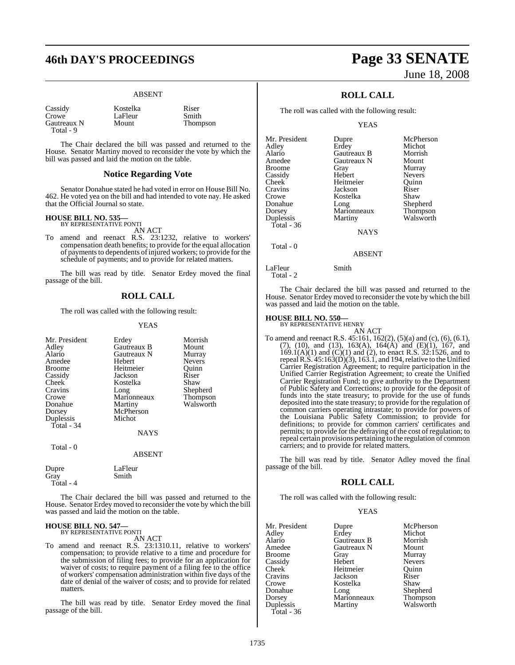# **46th DAY'S PROCEEDINGS Page 33 SENATE**

#### ABSENT

Cassidy **Kostelka** Riser<br>Crowe LaFleur Smith Gautreaux N Total - 9

LaFleur Smith<br>Mount Thompson

The Chair declared the bill was passed and returned to the House. Senator Martiny moved to reconsider the vote by which the bill was passed and laid the motion on the table.

#### **Notice Regarding Vote**

Senator Donahue stated he had voted in error on House Bill No. 462. He voted yea on the bill and had intended to vote nay. He asked that the Official Journal so state.

# **HOUSE BILL NO. 535—** BY REPRESENTATIVE PONTI

AN ACT To amend and reenact R.S. 23:1232, relative to workers' compensation death benefits; to provide for the equal allocation of payments to dependents of injured workers; to provide for the schedule of payments; and to provide for related matters.

The bill was read by title. Senator Erdey moved the final passage of the bill.

#### **ROLL CALL**

The roll was called with the following result:

#### YEAS

| Mr. President<br>Adley<br>Alario<br>Amedee<br>Broome<br>Cassidy<br>Cheek <sup>-</sup><br>Cravins<br>Crowe<br>Donahue<br>Dorsey<br>Duplessis<br>Total - 34<br>Total - 0 | Erdey<br>Gautreaux B<br>Gautreaux N<br><b>Hebert</b><br>Heitmeier<br>Jackson<br>Kostelka<br>Long<br>Marionneaux<br>Martiny<br>McPherson<br>Michot<br>NAYS<br><b>ABSENT</b> | Morrish<br>Mount<br>Murray<br><b>Nevers</b><br>Ouinn<br>Riser<br>Shaw<br>Shepherd<br>Thompson<br>Walsworth |  |
|------------------------------------------------------------------------------------------------------------------------------------------------------------------------|----------------------------------------------------------------------------------------------------------------------------------------------------------------------------|------------------------------------------------------------------------------------------------------------|--|
| Dupre<br>Gray                                                                                                                                                          | LaFleur<br>Smith                                                                                                                                                           |                                                                                                            |  |
| Total - 4                                                                                                                                                              |                                                                                                                                                                            |                                                                                                            |  |

The Chair declared the bill was passed and returned to the House. Senator Erdey moved to reconsider the vote by which the bill was passed and laid the motion on the table.

#### **HOUSE BILL NO. 547—** BY REPRESENTATIVE PONTI

AN ACT

To amend and reenact R.S. 23:1310.11, relative to workers' compensation; to provide relative to a time and procedure for the submission of filing fees; to provide for an application for waiver of costs; to require payment of a filing fee to the office of workers' compensation administration within five days of the date of denial of the waiver of costs; and to provide for related matters.

The bill was read by title. Senator Erdey moved the final passage of the bill.

# June 18, 2008

## **ROLL CALL**

The roll was called with the following result:

YEAS

| Mr. President | Dupre       | McPherson     |
|---------------|-------------|---------------|
| Adley         | Erdey       | Michot        |
| Alario        | Gautreaux B | Morrish       |
| Amedee        | Gautreaux N | Mount         |
| <b>Broome</b> | Gray        | Murray        |
| Cassidy       | Hebert      | <b>Nevers</b> |
| Cheek         | Heitmeier   | Ouinn         |
| Cravins       | Jackson     | Riser         |
| Crowe         | Kostelka    | Shaw          |
| Donahue       | Long        | Shepherd      |
| Dorsey        | Marionneaux | Thompson      |
| Duplessis     | Martiny     | Walsworth     |
| Total - $36$  |             |               |
|               | <b>NAYS</b> |               |
|               |             |               |

## LaFleur Smith

Total - 2

Total - 0

The Chair declared the bill was passed and returned to the House. Senator Erdey moved to reconsider the vote by which the bill was passed and laid the motion on the table.

ABSENT

# **HOUSE BILL NO. 550—** BY REPRESENTATIVE HENRY

AN ACT To amend and reenact R.S. 45:161, 162(2), (5)(a) and (c), (6), (6.1), (7), (10), and (13), 163(A), 164(A) and (E)(1), 167, and 169.1(A)(1) and (C)(1) and (2), to enact R.S. 32:1526, and to repeal R.S.  $45:163(D)(3)$ , 163.1, and 194, relative to the Unified Carrier Registration Agreement; to require participation in the Unified Carrier Registration Agreement; to create the Unified Carrier Registration Fund; to give authority to the Department of Public Safety and Corrections; to provide for the deposit of funds into the state treasury; to provide for the use of funds deposited into the state treasury; to provide for the regulation of common carriers operating intrastate; to provide for powers of the Louisiana Public Safety Commission; to provide for definitions; to provide for common carriers' certificates and permits; to provide for the defraying of the cost of regulation; to repeal certain provisions pertaining to the regulation of common carriers; and to provide for related matters.

The bill was read by title. Senator Adley moved the final passage of the bill.

#### **ROLL CALL**

The roll was called with the following result:

#### YEAS

| Mr. President | Dupre       | McPherson       |
|---------------|-------------|-----------------|
| Adley         | Erdey       | Michot          |
| Alario        | Gautreaux B | Morrish         |
| Amedee        | Gautreaux N | Mount           |
| Broome        | Gray        | Murray          |
| Cassidy       | Hebert      | <b>Nevers</b>   |
| Cheek         | Heitmeier   | Ouinn           |
| Cravins       | Jackson     | Riser           |
| Crowe         | Kostelka    | Shaw            |
| Donahue       | Long        | Shepherd        |
| Dorsey        | Marionneaux | <b>Thompson</b> |
| Duplessis     | Martiny     | Walsworth       |
| Total - 36    |             |                 |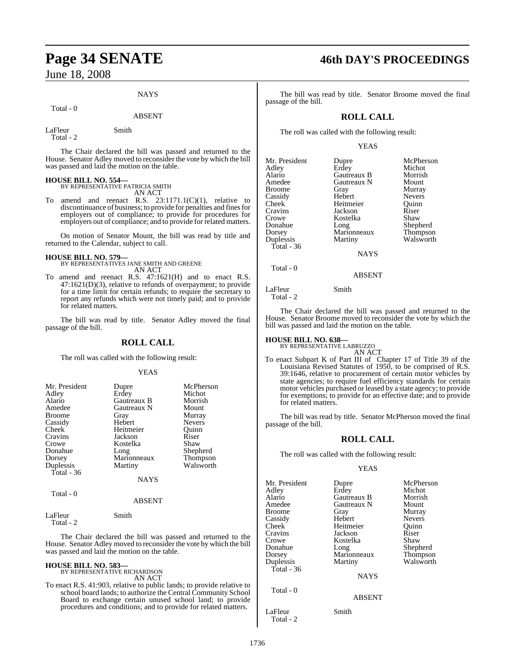#### **NAYS**

#### Total - 0

# ABSENT

LaFleur Smith Total - 2

The Chair declared the bill was passed and returned to the House. Senator Adley moved to reconsider the vote by which the bill was passed and laid the motion on the table.

**HOUSE BILL NO. 554—** BY REPRESENTATIVE PATRICIA SMITH AN ACT

To amend and reenact R.S. 23:1171.1(C)(1), relative to discontinuance of business; to provide for penalties and fines for employers out of compliance; to provide for procedures for employers out of compliance; and to provide for related matters.

On motion of Senator Mount, the bill was read by title and returned to the Calendar, subject to call.

#### **HOUSE BILL NO. 579—**

BY REPRESENTATIVES JANE SMITH AND GREENE AN ACT

To amend and reenact R.S. 47:1621(H) and to enact R.S. 47:1621(D)(3), relative to refunds of overpayment; to provide for a time limit for certain refunds; to require the secretary to report any refunds which were not timely paid; and to provide for related matters.

The bill was read by title. Senator Adley moved the final passage of the bill.

#### **ROLL CALL**

The roll was called with the following result:

#### YEAS

| Mr. President | Dupre       | McPherson     |
|---------------|-------------|---------------|
| Adley         | Erdey       | Michot        |
| Alario        | Gautreaux B | Morrish       |
| Amedee        | Gautreaux N | Mount         |
| <b>Broome</b> | Gray        | Murray        |
| Cassidy       | Hebert      | <b>Nevers</b> |
| Cheek         | Heitmeier   | Quinn         |
| Cravins       | Jackson     | Riser         |
| Crowe         | Kostelka    | Shaw          |
| Donahue       | Long        | Shepherd      |
| Dorsey        | Marionneaux | Thompson      |
| Duplessis     | Martiny     | Walsworth     |
| Total - 36    |             |               |
|               | NAYS        |               |
| Total - 0     |             |               |

#### ABSENT

LaFleur Smith Total - 2

The Chair declared the bill was passed and returned to the House. Senator Adley moved to reconsider the vote by which the bill was passed and laid the motion on the table.

#### **HOUSE BILL NO. 583—** BY REPRESENTATIVE RICHARDSON

AN ACT

To enact R.S. 41:903, relative to public lands; to provide relative to school board lands; to authorize the Central Community School Board to exchange certain unused school land; to provide procedures and conditions; and to provide for related matters.

# **Page 34 SENATE 46th DAY'S PROCEEDINGS**

The bill was read by title. Senator Broome moved the final passage of the bill.

### **ROLL CALL**

The roll was called with the following result:

#### YEAS

| Mr. President<br>Adley<br>Alario<br>Amedee<br>Broome<br>Cassidy<br>Cheek<br>Cravins<br>Crowe<br>Donahue<br>Dorsey<br>Duplessis<br>Total - 36 | Dupre<br>Erdey<br>Gautreaux B<br>Gautreaux N<br>Gray<br>Hebert<br>Heitmeier<br>Jackson<br>Kostelka<br>Long<br>Marionneaux<br>Martiny | McPherson<br>Michot<br>Morrish<br>Mount<br>Murray<br><b>Nevers</b><br>Ouinn<br>Riser<br>Shaw<br>Shepherd<br>Thompson<br>Walsworth |
|----------------------------------------------------------------------------------------------------------------------------------------------|--------------------------------------------------------------------------------------------------------------------------------------|-----------------------------------------------------------------------------------------------------------------------------------|
|                                                                                                                                              | <b>NAYS</b>                                                                                                                          |                                                                                                                                   |
| Total - 0                                                                                                                                    |                                                                                                                                      |                                                                                                                                   |

ABSENT

LaFleur Smith

Total - 2

The Chair declared the bill was passed and returned to the House. Senator Broome moved to reconsider the vote by which the bill was passed and laid the motion on the table.

# **HOUSE BILL NO. 638—** BY REPRESENTATIVE LABRUZZO

AN ACT

To enact Subpart K of Part III of Chapter 17 of Title 39 of the Louisiana Revised Statutes of 1950, to be comprised of R.S. 39:1646, relative to procurement of certain motor vehicles by state agencies; to require fuel efficiency standards for certain motor vehicles purchased or leased by a state agency; to provide for exemptions; to provide for an effective date; and to provide for related matters.

The bill was read by title. Senator McPherson moved the final passage of the bill.

#### **ROLL CALL**

The roll was called with the following result:

#### YEAS

Mr. President Dupre McPherson<br>Adley Erdey Michot Adley Erdey Michot<br>Alario Gautreaux B Morrish Alario Gautreaux B Morrish Broome Gray Murray<br>Cassidy Hebert Nevers Cassidy Hebert Nevers<br>Cheek Heitmeier Ouinn Heitmeier Cravins Jackson Riser Crowe Kostelka<br>Donahue Long Dorsey Marionneaux<br>
Dunlessis Martiny Total - 36 Total - 0

Gautreaux N Mount<br>Gray Murray Shepherd<br>Thompson

Walsworth

**NAYS** 

#### ABSENT

LaFleur Smith

Total - 2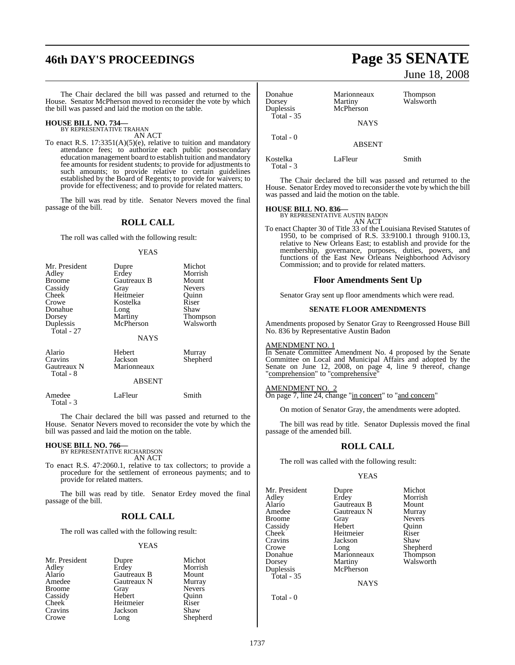# **46th DAY'S PROCEEDINGS Page 35 SENATE**

The Chair declared the bill was passed and returned to the House. Senator McPherson moved to reconsider the vote by which the bill was passed and laid the motion on the table.

#### **HOUSE BILL NO. 734—** BY REPRESENTATIVE TRAHAN

AN ACT

To enact R.S. 17:3351(A)(5)(e), relative to tuition and mandatory attendance fees; to authorize each public postsecondary education management board to establish tuition and mandatory fee amounts for resident students; to provide for adjustments to such amounts; to provide relative to certain guidelines established by the Board of Regents; to provide for waivers; to provide for effectiveness; and to provide for related matters.

The bill was read by title. Senator Nevers moved the final passage of the bill.

#### **ROLL CALL**

The roll was called with the following result:

#### YEAS

| Mr. President            | Dupre              | Michot          |
|--------------------------|--------------------|-----------------|
| Adley                    | Erdey              | Morrish         |
| <b>Broome</b>            | <b>Gautreaux B</b> | Mount           |
| Cassidy                  | Gray               | <b>Nevers</b>   |
| Cheek                    | Heitmeier          | Ouinn           |
| Crowe                    | Kostelka           | Riser           |
| Donahue                  | Long               | Shaw            |
| Dorsey                   | Martiny            | <b>Thompson</b> |
| Duplessis<br>Total - 27  | McPherson          | Walsworth       |
|                          | <b>NAYS</b>        |                 |
| Alario                   | Hebert             | Murray          |
| Cravins                  | Jackson            | Shepherd        |
| Gautreaux N<br>Total - 8 | Marionneaux        |                 |
|                          | <b>ABSENT</b>      |                 |
| Amedee                   | LaFleur            | Smith           |

Total - 3

The Chair declared the bill was passed and returned to the House. Senator Nevers moved to reconsider the vote by which the bill was passed and laid the motion on the table.

#### **HOUSE BILL NO. 766—**

BY REPRESENTATIVE RICHARDSON AN ACT

To enact R.S. 47:2060.1, relative to tax collectors; to provide a procedure for the settlement of erroneous payments; and to provide for related matters.

The bill was read by title. Senator Erdey moved the final passage of the bill.

#### **ROLL CALL**

The roll was called with the following result:

#### YEAS

| Mr. President | Dupre       | Michot        |
|---------------|-------------|---------------|
| Adley         | Erdey       | Morrish       |
| Alario        | Gautreaux B | Mount         |
| Amedee        | Gautreaux N | Murray        |
| <b>Broome</b> | Gray        | <b>Nevers</b> |
| Cassidy       | Hebert      | Ouinn         |
| <b>Cheek</b>  | Heitmeier   | Riser         |
| Cravins       | Jackson     | Shaw          |
| Crowe         | Long        | Shepherd      |

# June 18, 2008

Donahue Marionneaux Thompson Dorsey Martiny Walsworth<br>Duplessis McPherson **McPherson**  Total - 35 **NAYS**  Total - 0 ABSENT Kostelka LaFleur Smith

The Chair declared the bill was passed and returned to the House. Senator Erdey moved to reconsider the vote by which the bill was passed and laid the motion on the table.

Total - 3

**HOUSE BILL NO. 836—** BY REPRESENTATIVE AUSTIN BADON

AN ACT To enact Chapter 30 of Title 33 of the Louisiana Revised Statutes of 1950, to be comprised of R.S. 33:9100.1 through 9100.13, relative to New Orleans East; to establish and provide for the membership, governance, purposes, duties, powers, and functions of the East New Orleans Neighborhood Advisory

#### **Floor Amendments Sent Up**

Commission; and to provide for related matters.

Senator Gray sent up floor amendments which were read.

#### **SENATE FLOOR AMENDMENTS**

Amendments proposed by Senator Gray to Reengrossed House Bill No. 836 by Representative Austin Badon

#### AMENDMENT NO. 1

In Senate Committee Amendment No. 4 proposed by the Senate Committee on Local and Municipal Affairs and adopted by the Senate on June 12, 2008, on page 4, line 9 thereof, change "comprehension" to "comprehensive"

#### AMENDMENT NO. 2

On page 7, line 24, change "in concert" to "and concern"

On motion of Senator Gray, the amendments were adopted.

The bill was read by title. Senator Duplessis moved the final passage of the amended bill.

#### **ROLL CALL**

The roll was called with the following result:

#### YEAS

Mr. President Dupre Michot<br>Adley Erdey Morrish Adley Erdey Morrish Alario Gautreaux B Mount Broome Gray Nevers<br>Cassidy Hebert Ouinn Cassidy Cheek Heitmeier Riser<br>Cravins Jackson Shaw Cravins Jackson<br>Crowe Long Crowe Long Shepherd<br>
Donahue Marionneaux Thompson Donahue Marionneaux<br>Dorsey Martiny Dorsey Martiny Walsworth<br>
Duplessis McPherson Total - 35

Gautreaux N Murray<br>Gray Nevers McPherson

**NAYS**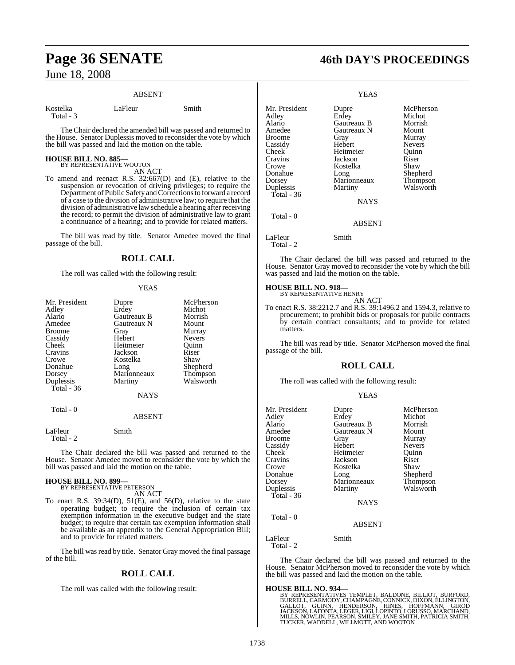#### ABSENT

Kostelka LaFleur Smith Total - 3

The Chair declared the amended bill was passed and returned to the House. Senator Duplessis moved to reconsider the vote by which the bill was passed and laid the motion on the table.

# **HOUSE BILL NO. 885—** BY REPRESENTATIVE WOOTON

AN ACT

To amend and reenact R.S. 32:667(D) and (E), relative to the suspension or revocation of driving privileges; to require the Department of Public Safety and Corrections to forward a record of a case to the division of administrative law; to require that the division of administrative law schedule a hearing after receiving the record; to permit the division of administrative law to grant a continuance of a hearing; and to provide for related matters.

The bill was read by title. Senator Amedee moved the final passage of the bill.

## **ROLL CALL**

The roll was called with the following result:

#### YEAS

| Mr. President<br>Adley<br>Alario<br>Amedee<br>Broome<br>Cassidy<br><b>Cheek</b><br>Cravins<br>Crowe<br>Donahue<br>Dorsey<br>Duplessis<br>Total - 36<br>Total - 0 | Dupre<br>Erdey<br>Gautreaux B<br>Gautreaux N<br>Gray<br>Hebert<br>Heitmeier<br>Jackson<br>Kostelka<br>Long<br>Marionneaux<br>Martiny<br><b>NAYS</b><br><b>ABSENT</b> | McPherson<br>Michot<br>Morrish<br>Mount<br>Murray<br><b>Nevers</b><br>Ouinn<br>Riser<br>Shaw<br>Shepherd<br>Thompson<br>Walsworth |
|------------------------------------------------------------------------------------------------------------------------------------------------------------------|----------------------------------------------------------------------------------------------------------------------------------------------------------------------|-----------------------------------------------------------------------------------------------------------------------------------|
|                                                                                                                                                                  |                                                                                                                                                                      |                                                                                                                                   |
| LaFleur<br>Total - 2                                                                                                                                             | Smith                                                                                                                                                                |                                                                                                                                   |

The Chair declared the bill was passed and returned to the House. Senator Amedee moved to reconsider the vote by which the bill was passed and laid the motion on the table.

#### **HOUSE BILL NO. 899—** BY REPRESENTATIVE PETERSON

AN ACT

To enact R.S.  $39:34(D)$ ,  $51(E)$ , and  $56(D)$ , relative to the state operating budget; to require the inclusion of certain tax exemption information in the executive budget and the state budget; to require that certain tax exemption information shall be available as an appendix to the General Appropriation Bill; and to provide for related matters.

The bill was read by title. Senator Gray moved the final passage of the bill.

## **ROLL CALL**

The roll was called with the following result:

# **Page 36 SENATE 46th DAY'S PROCEEDINGS**

|                                                                                                                                              | <b>YEAS</b>                                                                                                                          |                                                                                                                                   |
|----------------------------------------------------------------------------------------------------------------------------------------------|--------------------------------------------------------------------------------------------------------------------------------------|-----------------------------------------------------------------------------------------------------------------------------------|
| Mr. President<br>Adley<br>Alario<br>Amedee<br>Broome<br>Cassidy<br>Cheek<br>Cravins<br>Crowe<br>Donahue<br>Dorsey<br>Duplessis<br>Total - 36 | Dupre<br>Erdey<br>Gautreaux B<br>Gautreaux N<br>Gray<br>Hebert<br>Heitmeier<br>Jackson<br>Kostelka<br>Long<br>Marionneaux<br>Martiny | McPherson<br>Michot<br>Morrish<br>Mount<br>Murray<br><b>Nevers</b><br>Quinn<br>Riser<br>Shaw<br>Shepherd<br>Thompson<br>Walsworth |
|                                                                                                                                              | <b>NAYS</b>                                                                                                                          |                                                                                                                                   |
| Total - 0                                                                                                                                    | ABSENT                                                                                                                               |                                                                                                                                   |
| LaFleur<br>Total - 2                                                                                                                         | Smith                                                                                                                                |                                                                                                                                   |
|                                                                                                                                              |                                                                                                                                      |                                                                                                                                   |

The Chair declared the bill was passed and returned to the House. Senator Gray moved to reconsider the vote by which the bill was passed and laid the motion on the table.

# **HOUSE BILL NO. 918—** BY REPRESENTATIVE HENRY

AN ACT

To enact R.S. 38:2212.7 and R.S. 39:1496.2 and 1594.3, relative to procurement; to prohibit bids or proposals for public contracts by certain contract consultants; and to provide for related matters.

The bill was read by title. Senator McPherson moved the final passage of the bill.

## **ROLL CALL**

The roll was called with the following result:

#### YEAS

| Mr. President<br>Adley<br>Alario<br>Amedee<br><b>Broome</b><br>Cassidy<br>Cheek<br>Cravins<br>Crowe<br>Donahue<br>Dorsey<br>Duplessis<br>Total - 36<br>Total - 0 | Dupre<br>Erdey<br>Gautreaux B<br>Gautreaux N<br>Gray<br>Hebert<br>Heitmeier<br>Jackson<br>Kostelka<br>Long<br>Marionneaux<br>Martiny<br><b>NAYS</b><br><b>ABSENT</b> | McPherson<br>Michot<br>Morrish<br>Mount<br>Murray<br><b>Nevers</b><br>Ouinn<br>Riser<br>Shaw<br>Shepherd<br>Thompson<br>Walsworth |
|------------------------------------------------------------------------------------------------------------------------------------------------------------------|----------------------------------------------------------------------------------------------------------------------------------------------------------------------|-----------------------------------------------------------------------------------------------------------------------------------|
| LaFleur<br>Total - 2                                                                                                                                             | Smith                                                                                                                                                                |                                                                                                                                   |

The Chair declared the bill was passed and returned to the House. Senator McPherson moved to reconsider the vote by which the bill was passed and laid the motion on the table.

**HOUSE BILL NO. 934—**<br>BY REPRESENTATIVES TEMPLET, BALDONE, BILLIOT, BURFORD,<br>BURRELL, CARMODY, CHAMPAGNE, CONNICK, DIXON, ELLINGTON,<br>GALLOT, GUINN, HENDERSON, HINES, HOFFMANN, GIROD<br>JACKSON, LAFONTA, LEGER, LIGI, LOPINTO,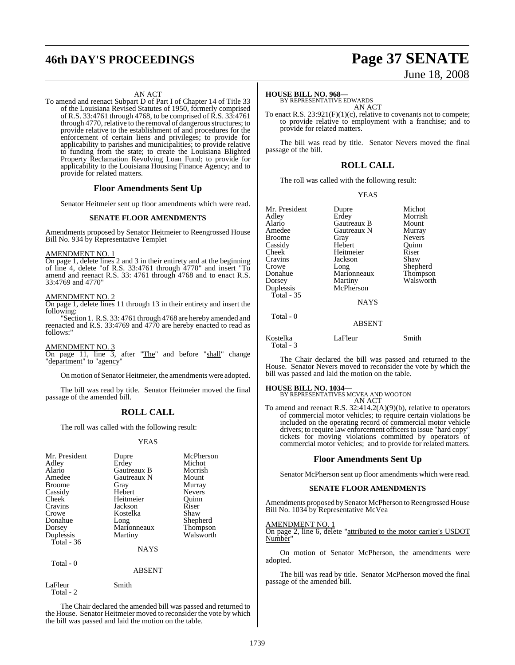# **46th DAY'S PROCEEDINGS Page 37 SENATE**

#### AN ACT

To amend and reenact Subpart D of Part I of Chapter 14 of Title 33 of the Louisiana Revised Statutes of 1950, formerly comprised of R.S. 33:4761 through 4768, to be comprised of R.S. 33:4761 through 4770, relative to the removal of dangerous structures; to provide relative to the establishment of and procedures for the enforcement of certain liens and privileges; to provide for applicability to parishes and municipalities; to provide relative to funding from the state; to create the Louisiana Blighted Property Reclamation Revolving Loan Fund; to provide for applicability to the Louisiana Housing Finance Agency; and to provide for related matters.

#### **Floor Amendments Sent Up**

Senator Heitmeier sent up floor amendments which were read.

#### **SENATE FLOOR AMENDMENTS**

Amendments proposed by Senator Heitmeier to Reengrossed House Bill No. 934 by Representative Templet

#### AMENDMENT NO. 1

On page 1, delete lines 2 and 3 in their entirety and at the beginning of line 4, delete "of R.S. 33:4761 through 4770" and insert "To amend and reenact R.S. 33: 4761 through 4768 and to enact R.S. 33:4769 and 4770"

#### AMENDMENT NO. 2

On page 1, delete lines 11 through 13 in their entirety and insert the following:

"Section 1. R.S. 33: 4761 through 4768 are hereby amended and reenacted and R.S. 33:4769 and 4770 are hereby enacted to read as follows:"

 $\frac{\text{AMENDMENT NO. 3}}{\text{On page 11, line 3}}$ after "The" and before "shall" change "department" to "agency"

On motion of Senator Heitmeier, the amendments were adopted.

The bill was read by title. Senator Heitmeier moved the final passage of the amended bill.

#### **ROLL CALL**

The roll was called with the following result:

#### YEAS

| Mr. President<br>Adley<br>Alario<br>Amedee<br><b>Broome</b><br>Cassidy<br>Cheek<br>Cravins<br>Crowe<br>Donahue<br>Dorsey | Dupre<br>Erdey<br><b>Gautreaux B</b><br>Gautreaux N<br>Gray<br>Hebert<br>Heitmeier<br>Jackson<br>Kostelka<br>Long<br>Marionneaux | McPherson<br>Michot<br>Morrish<br>Mount<br>Murray<br><b>Nevers</b><br>Ouinn<br>Riser<br>Shaw<br>Shepherd<br>Thompson |
|--------------------------------------------------------------------------------------------------------------------------|----------------------------------------------------------------------------------------------------------------------------------|----------------------------------------------------------------------------------------------------------------------|
|                                                                                                                          |                                                                                                                                  |                                                                                                                      |
| Duplessis<br>Total - 36                                                                                                  | Martiny                                                                                                                          | Walsworth                                                                                                            |
|                                                                                                                          | <b>NAYS</b>                                                                                                                      |                                                                                                                      |

Total - 0

ABSENT

LaFleur Smith Total - 2

The Chair declared the amended bill was passed and returned to the House. Senator Heitmeier moved to reconsider the vote by which the bill was passed and laid the motion on the table.

# June 18, 2008

#### **HOUSE BILL NO. 968—**

BY REPRESENTATIVE EDWARDS AN ACT

To enact R.S. 23:921(F)(1)(c), relative to covenants not to compete; to provide relative to employment with a franchise; and to provide for related matters.

The bill was read by title. Senator Nevers moved the final passage of the bill.

### **ROLL CALL**

The roll was called with the following result:

YEAS

| Mr. President | Dupre         | Michot        |
|---------------|---------------|---------------|
| Adley         | Erdey         | Morrish       |
| Alario        | Gautreaux B   | Mount         |
| Amedee        | Gautreaux N   | Murray        |
| Broome        | Gray          | <b>Nevers</b> |
| Cassidy       | Hebert        | Ouinn         |
| Cheek         | Heitmeier     | Riser         |
| Cravins       | Jackson       | Shaw          |
| Crowe         | Long          | Shepherd      |
| Donahue       | Marionneaux   | Thompson      |
| Dorsey        | Martiny       | Walsworth     |
| Duplessis     | McPherson     |               |
| Total - 35    |               |               |
|               | <b>NAYS</b>   |               |
| Total - 0     |               |               |
|               | <b>ABSENT</b> |               |
|               |               |               |

Kostelka LaFleur Smith Total - 3

The Chair declared the bill was passed and returned to the House. Senator Nevers moved to reconsider the vote by which the bill was passed and laid the motion on the table.

#### **HOUSE BILL NO. 1034—**

BY REPRESENTATIVES MCVEA AND WOOTON AN ACT

To amend and reenact R.S. 32:414.2(A)(9)(b), relative to operators of commercial motor vehicles; to require certain violations be included on the operating record of commercial motor vehicle drivers; to require law enforcement officers to issue "hard copy" tickets for moving violations committed by operators of commercial motor vehicles; and to provide for related matters.

#### **Floor Amendments Sent Up**

Senator McPherson sent up floor amendments which were read.

#### **SENATE FLOOR AMENDMENTS**

Amendments proposed by Senator McPherson to Reengrossed House Bill No. 1034 by Representative McVea

#### AMENDMENT NO. 1

On page 2, line 6, delete "attributed to the motor carrier's USDOT Number"

On motion of Senator McPherson, the amendments were adopted.

The bill was read by title. Senator McPherson moved the final passage of the amended bill.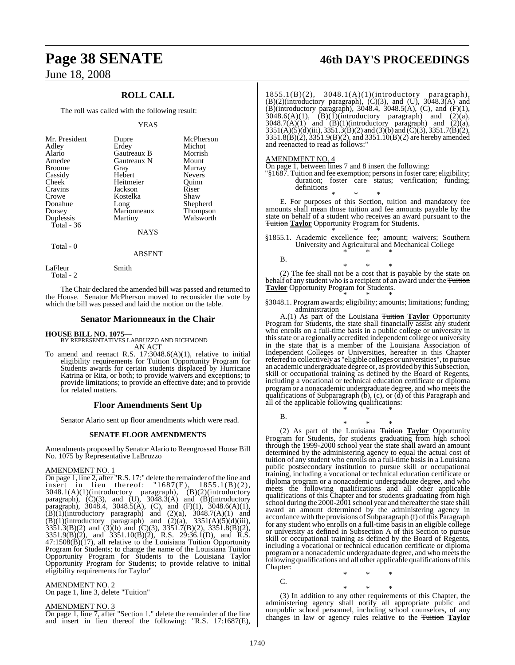## **ROLL CALL**

The roll was called with the following result:

#### YEAS

| Mr. President<br>Adley<br>Alario<br>Amedee<br><b>Broome</b><br>Cassidy<br>Cheek<br>Cravins<br>Crowe | Dupre<br>Erdey<br>Gautreaux B<br>Gautreaux N<br>Gray<br>Hebert<br>Heitmeier<br>Jackson<br>Kostelka | McPherson<br>Michot<br>Morrish<br>Mount<br>Murray<br><b>Nevers</b><br>Ouinn<br>Riser<br>Shaw |
|-----------------------------------------------------------------------------------------------------|----------------------------------------------------------------------------------------------------|----------------------------------------------------------------------------------------------|
| Donahue                                                                                             | Long                                                                                               | Shepherd                                                                                     |
| Dorsey                                                                                              | Marionneaux                                                                                        | Thompson                                                                                     |
| Duplessis<br>Total - 36                                                                             | Martiny                                                                                            | Walsworth                                                                                    |
|                                                                                                     | <b>NAYS</b>                                                                                        |                                                                                              |
| Total - 0                                                                                           |                                                                                                    |                                                                                              |

ABSENT

LaFleur Smith Total - 2

The Chair declared the amended bill was passed and returned to the House. Senator McPherson moved to reconsider the vote by which the bill was passed and laid the motion on the table.

#### **Senator Marionneaux in the Chair**

**HOUSE BILL NO. 1075** 

BY REPRESENTATIVES LABRUZZO AND RICHMOND AN ACT

To amend and reenact R.S. 17:3048.6(A)(1), relative to initial eligibility requirements for Tuition Opportunity Program for Students awards for certain students displaced by Hurricane Katrina or Rita, or both; to provide waivers and exceptions; to provide limitations; to provide an effective date; and to provide for related matters.

#### **Floor Amendments Sent Up**

Senator Alario sent up floor amendments which were read.

#### **SENATE FLOOR AMENDMENTS**

Amendments proposed by Senator Alario to Reengrossed House Bill No. 1075 by Representative LaBruzzo

#### AMENDMENT NO. 1

On page 1, line 2, after "R.S. 17:" delete the remainder of the line and insert in lieu thereof: "1687(E), 1855.1(B)(2), 3048.1(A)(1)(introductory paragraph), (B)(2)(introductory paragraph),  $(C)(3)$ , and  $(U)$ ,  $30\overline{48.3(A)}$  and  $(B)(introducing$ paragraph), 3048.4, 3048.5(A), (C), and  $(F)(1)$ , 3048.6(A)(1),  $(B)(I)(introductory$  paragraph) and  $(2)(a)$ ,  $3048.7(A)(1)$  and  $(B)(1)(introducing paragram)$  and  $(2)(a)$ ,  $3351(A)(5)(d)(iii)$ ,  $3351.3(B)(2)$  and  $(3)(b)$  and  $(C)(3)$ ,  $3351.7(B)(2)$ ,  $3351.8(B)(2)$ , 3351.9(B)(2), and 3351.10(B)(2), R.S. 29:36.1(D), and R.S. 47:1508(B)(17), all relative to the Louisiana Tuition Opportunity Program for Students; to change the name of the Louisiana Tuition Opportunity Program for Students to the Louisiana Taylor Opportunity Program for Students; to provide relative to initial eligibility requirements for Taylor"

#### AMENDMENT NO. 2

On page 1, line 3, delete "Tuition"

#### AMENDMENT NO. 3

On page 1, line 7, after "Section 1." delete the remainder of the line and insert in lieu thereof the following: "R.S. 17:1687(E),

# **Page 38 SENATE 46th DAY'S PROCEEDINGS**

1855.1(B)(2), 3048.1(A)(1)(introductory paragraph),  $(B)(2)$ (introductory paragraph),  $(C)(3)$ , and  $(U)$ ,  $3048.3(A)$  and (B)(introductory paragraph), 3048.4, 3048.5(A), (C), and (F)(1),  $3048.6(A)(1)$ ,  $(B)(1)(introductory$  paragraph) and  $(2)(a)$ ,  $3048.7(A)(1)$  and  $(B)(1)(introducing) paragraph)$  and  $(2)(a)$ ,  $3351(A)(5)(d)(iii), 3351.3(B)(2)$  and  $(3)(b)$  and  $(C)(3), 3351.7(B)(2),$ 3351.8(B)(2), 3351.9(B)(2), and 3351.10(B)(2) are hereby amended and reenacted to read as follows:"

#### AMENDMENT NO. 4

On page 1, between lines 7 and 8 insert the following:

"§1687. Tuition and fee exemption; personsin foster care; eligibility; duration; foster care status; verification; funding; definitions

\* \* \* E. For purposes of this Section, tuition and mandatory fee amounts shall mean those tuition and fee amounts payable by the state on behalf of a student who receives an award pursuant to the Tuition **Taylor** Opportunity Program for Students. \* \* \*

§1855.1. Academic excellence fee; amount; waivers; Southern University and Agricultural and Mechanical College \* \* \*

B.

\* \* \* (2) The fee shall not be a cost that is payable by the state on behalf of any student who is a recipient of an award under the Tuition **Taylor** Opportunity Program for Students.

\* \* \* §3048.1. Program awards; eligibility; amounts; limitations; funding; administration

A.(1) As part of the Louisiana Tuition **Taylor** Opportunity Program for Students, the state shall financially assist any student who enrolls on a full-time basis in a public college or university in this state or a regionally accredited independent college or university in the state that is a member of the Louisiana Association of Independent Colleges or Universities, hereafter in this Chapter referred to collectively as "eligible colleges or universities", to pursue an academic undergraduate degree or, as provided by this Subsection, skill or occupational training as defined by the Board of Regents, including a vocational or technical education certificate or diploma program or a nonacademic undergraduate degree, and who meets the qualifications of Subparagraph  $(b)$ , (c), or  $(d)$  of this Paragraph and all of the applicable following qualifications:

\* \* \*

\* \* \*

B.

 $\mathcal{C}$ 

(2) As part of the Louisiana Tuition **Taylor** Opportunity Program for Students, for students graduating from high school through the 1999-2000 school year the state shall award an amount determined by the administering agency to equal the actual cost of tuition of any student who enrolls on a full-time basis in a Louisiana public postsecondary institution to pursue skill or occupational training, including a vocational or technical education certificate or diploma program or a nonacademic undergraduate degree, and who meets the following qualifications and all other applicable qualifications of this Chapter and for students graduating from high school during the 2000-2001 school year and thereafter the state shall award an amount determined by the administering agency in accordance with the provisions of Subparagraph (f) of this Paragraph for any student who enrolls on a full-time basis in an eligible college or university as defined in Subsection A of this Section to pursue skill or occupational training as defined by the Board of Regents, including a vocational or technical education certificate or diploma program or a nonacademic undergraduate degree, and who meets the following qualifications and all other applicable qualifications ofthis Chapter: \* \* \*

\* \* \*

(3) In addition to any other requirements of this Chapter, the administering agency shall notify all appropriate public and nonpublic school personnel, including school counselors, of any changes in law or agency rules relative to the Tuition **Taylor**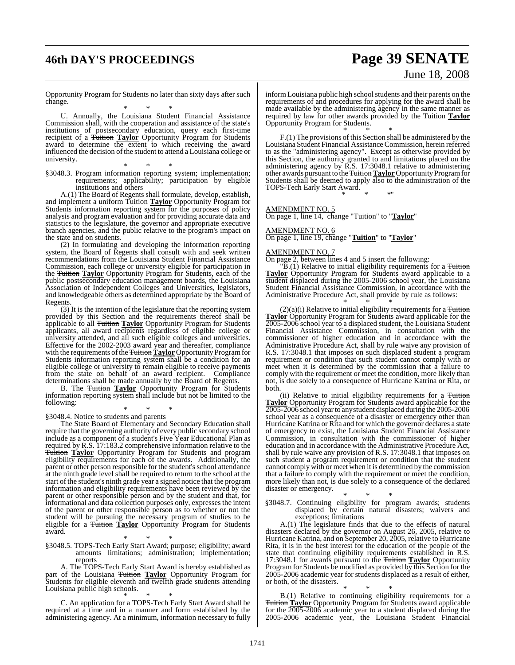# **46th DAY'S PROCEEDINGS Page 39 SENATE**

# June 18, 2008

Opportunity Program for Students no later than sixty days after such change.

\* \* \* U. Annually, the Louisiana Student Financial Assistance Commission shall, with the cooperation and assistance of the state's institutions of postsecondary education, query each first-time recipient of a Tuition **Taylor** Opportunity Program for Students award to determine the extent to which receiving the award influenced the decision of the student to attend a Louisiana college or university.

\* \* \* §3048.3. Program information reporting system; implementation; requirements; applicability; participation by eligible institutions and others

A.(1) The Board of Regents shall formulate, develop, establish, and implement a uniform <del>Tuition</del> Taylor Opportunity Program for Students information reporting system for the purposes of policy analysis and program evaluation and for providing accurate data and statistics to the legislature, the governor and appropriate executive branch agencies, and the public relative to the program's impact on the state and on students.

(2) In formulating and developing the information reporting system, the Board of Regents shall consult with and seek written recommendations from the Louisiana Student Financial Assistance Commission, each college or university eligible for participation in the Tuition **Taylor** Opportunity Program for Students, each of the public postsecondary education management boards, the Louisiana Association of Independent Colleges and Universities, legislators, and knowledgeable others as determined appropriate by the Board of Regents.

(3) It is the intention of the legislature that the reporting system provided by this Section and the requirements thereof shall be applicable to all Tuition **Taylor** Opportunity Program for Students applicants, all award recipients regardless of eligible college or university attended, and all such eligible colleges and universities. Effective for the 2002-2003 award year and thereafter, compliance with the requirements of the Tuition **Taylor** Opportunity Program for Students information reporting system shall be a condition for an eligible college or university to remain eligible to receive payments from the state on behalf of an award recipient. Compliance determinations shall be made annually by the Board of Regents.

B. The Tuition **Taylor** Opportunity Program for Students information reporting system shall include but not be limited to the following:

\* \* \* §3048.4. Notice to students and parents

The State Board of Elementary and Secondary Education shall require that the governing authority of every public secondary school include as a component of a student's Five Year Educational Plan as required by R.S. 17:183.2 comprehensive information relative to the Tuition **Taylor** Opportunity Program for Students and program eligibility requirements for each of the awards. Additionally, the parent or other person responsible for the student's school attendance at the ninth grade level shall be required to return to the school at the start of the student's ninth grade year a signed notice that the program information and eligibility requirements have been reviewed by the parent or other responsible person and by the student and that, for informational and data collection purposes only, expresses the intent of the parent or other responsible person as to whether or not the student will be pursuing the necessary program of studies to be eligible for a Tuition **Taylor** Opportunity Program for Students award.

\* \* \*

§3048.5. TOPS-Tech Early Start Award; purpose; eligibility; award amounts limitations; administration; implementation; reports

A. The TOPS-Tech Early Start Award is hereby established as part of the Louisiana Tuition **Taylor** Opportunity Program for Students for eligible eleventh and twelfth grade students attending Louisiana public high schools.

\* \* \* C. An application for a TOPS-Tech Early Start Award shall be required at a time and in a manner and form established by the administering agency. At a minimum, information necessary to fully

inform Louisiana public high school students and their parents on the requirements of and procedures for applying for the award shall be made available by the administering agency in the same manner as required by law for other awards provided by the Tuition **Taylor** Opportunity Program for Students.

\* \* \* F.(1) The provisions of this Section shall be administered by the Louisiana Student Financial Assistance Commission, herein referred to as the "administering agency". Except as otherwise provided by this Section, the authority granted to and limitations placed on the administering agency by R.S. 17:3048.1 relative to administering other awards pursuant to the **Tuition Taylor** Opportunity Program for Students shall be deemed to apply also to the administration of the TOPS-Tech Early Start Award. \* \* \*"

AMENDMENT NO. 5

On page 1, line 14, change "Tuition" to "**Taylor**"

#### AMENDMENT NO. 6

On page 1, line 19, change "**Tuition**" to "**Taylor**"

#### AMENDMENT NO. 7

On page 2, between lines 4 and 5 insert the following:

"B.(1) Relative to initial eligibility requirements for a Tuition **Taylor** Opportunity Program for Students award applicable to a student displaced during the 2005-2006 school year, the Louisiana Student Financial Assistance Commission, in accordance with the Administrative Procedure Act, shall provide by rule as follows:

\* \* \*  $(2)(a)(i)$  Relative to initial eligibility requirements for a Tuition **Taylor** Opportunity Program for Students award applicable for the 2005-2006 school year to a displaced student, the Louisiana Student Financial Assistance Commission, in consultation with the commissioner of higher education and in accordance with the Administrative Procedure Act, shall by rule waive any provision of R.S. 17:3048.1 that imposes on such displaced student a program requirement or condition that such student cannot comply with or meet when it is determined by the commission that a failure to comply with the requirement or meet the condition, more likely than not, is due solely to a consequence of Hurricane Katrina or Rita, or both.

(ii) Relative to initial eligibility requirements for a Tuition **Taylor** Opportunity Program for Students award applicable for the 2005-2006 school year to any student displaced during the 2005-2006 school year as a consequence of a disaster or emergency other than Hurricane Katrina or Rita and for which the governor declares a state of emergency to exist, the Louisiana Student Financial Assistance Commission, in consultation with the commissioner of higher education and in accordance with the Administrative Procedure Act, shall by rule waive any provision of R.S. 17:3048.1 that imposes on such student a program requirement or condition that the student cannot comply with or meet when it is determined by the commission that a failure to comply with the requirement or meet the condition, more likely than not, is due solely to a consequence of the declared disaster or emergency.

\* \* \* §3048.7. Continuing eligibility for program awards; students displaced by certain natural disasters; waivers and exceptions; limitations

A.(1) The legislature finds that due to the effects of natural disasters declared by the governor on August 26, 2005, relative to Hurricane Katrina, and on September 20, 2005, relative to Hurricane Rita, it is in the best interest for the education of the people of the state that continuing eligibility requirements established in R.S. 17:3048.1 for awards pursuant to the Tuition **Taylor** Opportunity Program for Students be modified as provided by this Section for the 2005-2006 academic year for students displaced as a result of either, or both, of the disasters.

\* \* \* B.(1) Relative to continuing eligibility requirements for a Tuition **Taylor** Opportunity Program for Students award applicable for the 2005-2006 academic year to a student displaced during the 2005-2006 academic year, the Louisiana Student Financial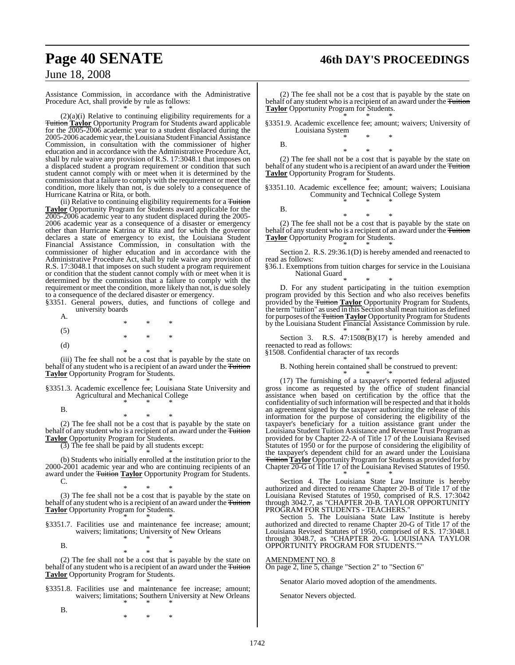# **Page 40 SENATE 46th DAY'S PROCEEDINGS**

## June 18, 2008

Assistance Commission, in accordance with the Administrative Procedure Act, shall provide by rule as follows: \* \* \*

 $(2)(a)(i)$  Relative to continuing eligibility requirements for a Tuition **Taylor** Opportunity Program for Students award applicable for the 2005-2006 academic year to a student displaced during the 2005-2006 academic year, theLouisiana Student Financial Assistance Commission, in consultation with the commissioner of higher education and in accordance with the Administrative Procedure Act, shall by rule waive any provision of R.S. 17:3048.1 that imposes on a displaced student a program requirement or condition that such student cannot comply with or meet when it is determined by the commission that a failure to comply with the requirement or meet the condition, more likely than not, is due solely to a consequence of Hurricane Katrina or Rita, or both.

(ii) Relative to continuing eligibility requirements for a Tuition **Taylor** Opportunity Program for Students award applicable for the 2005-2006 academic year to any student displaced during the 2005- 2006 academic year as a consequence of a disaster or emergency other than Hurricane Katrina or Rita and for which the governor declares a state of emergency to exist, the Louisiana Student Financial Assistance Commission, in consultation with the commissioner of higher education and in accordance with the Administrative Procedure Act, shall by rule waive any provision of R.S. 17:3048.1 that imposes on such student a program requirement or condition that the student cannot comply with or meet when it is determined by the commission that a failure to comply with the requirement or meet the condition, more likely than not, is due solely to a consequence of the declared disaster or emergency.

§3351. General powers, duties, and functions of college and university boards

| A.  | ∗ | ∗ | ∗      |
|-----|---|---|--------|
| (5) | ∗ | ∗ | ∗      |
| (d) | ∗ | ∗ | $\ast$ |

(iii) The fee shall not be a cost that is payable by the state on behalf of any student who is a recipient of an award under the Tuition **Taylor** Opportunity Program for Students. \* \* \*

§3351.3. Academic excellence fee; Louisiana State University and Agricultural and Mechanical College \* \* \*

\* \* \* (2) The fee shall not be a cost that is payable by the state on behalf of any student who is a recipient of an award under the Tuition **Taylor** Opportunity Program for Students.

 $\overline{(3)}$  The fee shall be paid by all students except:

\* \* \* (b) Students who initially enrolled at the institution prior to the 2000-2001 academic year and who are continuing recipients of an award under the Tuition **Taylor** Opportunity Program for Students.  $\mathcal{C}$ 

\* \* \* (3) The fee shall not be a cost that is payable by the state on behalf of any student who is a recipient of an award under the Tuition **Taylor** Opportunity Program for Students. \* \* \*

§3351.7. Facilities use and maintenance fee increase; amount; waivers; limitations; University of New Orleans \* \* \*

B.

B.

B.

\* \* \* (2) The fee shall not be a cost that is payable by the state on behalf of any student who is a recipient of an award under the Tuition **Taylor** Opportunity Program for Students. \* \* \*

- §3351.8. Facilities use and maintenance fee increase; amount; waivers; limitations; Southern University at New Orleans
	- \* \* \* \* \* \*

(2) The fee shall not be a cost that is payable by the state on behalf of any student who is a recipient of an award under the Tuition **Taylor** Opportunity Program for Students. \* \* \*

§3351.9. Academic excellence fee; amount; waivers; University of Louisiana System \* \* \*

B.

\* \* \* (2) The fee shall not be a cost that is payable by the state on behalf of any student who is a recipient of an award under the Tuition **Taylor** Opportunity Program for Students.

\* \* \* §3351.10. Academic excellence fee; amount; waivers; Louisiana Community and Technical College System \* \* \*

B.

\* \* \* (2) The fee shall not be a cost that is payable by the state on behalf of any student who is a recipient of an award under the Tuition **Taylor** Opportunity Program for Students.

\* \* \* Section 2. R.S. 29:36.1(D) is hereby amended and reenacted to read as follows:

§36.1. Exemptions from tuition charges for service in the Louisiana National Guard

\* \* \* D. For any student participating in the tuition exemption program provided by this Section and who also receives benefits provided by the Tuition **Taylor** Opportunity Program for Students, the term "tuition" as used in this Section shall mean tuition as defined for purposes of the Tuition Taylor Opportunity Program for Students by the Louisiana Student Financial Assistance Commission by rule.

\* \* \* Section 3. R.S. 47:1508(B)(17) is hereby amended and reenacted to read as follows:

§1508. Confidential character of tax records \* \* \*

B. Nothing herein contained shall be construed to prevent:

\* \* \* (17) The furnishing of a taxpayer's reported federal adjusted gross income as requested by the office of student financial assistance when based on certification by the office that the confidentiality of such information will be respected and that it holds an agreement signed by the taxpayer authorizing the release of this information for the purpose of considering the eligibility of the taxpayer's beneficiary for a tuition assistance grant under the Louisiana Student Tuition Assistance and Revenue Trust Program as provided for by Chapter 22-A of Title 17 of the Louisiana Revised Statutes of 1950 or for the purpose of considering the eligibility of the taxpayer's dependent child for an award under the Louisiana Tuition **Taylor** Opportunity Program for Students as provided for by Chapter 20-G of Title 17 of the Louisiana Revised Statutes of 1950. \* \* \*

Section 4. The Louisiana State Law Institute is hereby authorized and directed to rename Chapter 20-B of Title 17 of the Louisiana Revised Statutes of 1950, comprised of R.S. 17:3042 through 3042.7, as "CHAPTER 20-B. TAYLOR OPPORTUNITY PROGRAM FOR STUDENTS - TEACHERS."

Section 5. The Louisiana State Law Institute is hereby authorized and directed to rename Chapter 20-G of Title 17 of the Louisiana Revised Statutes of 1950, comprised of R.S. 17:3048.1 through 3048.7, as "CHAPTER 20-G. LOUISIANA TAYLOR OPPORTUNITY PROGRAM FOR STUDENTS.""

#### AMENDMENT NO. 8

On page 2, line 5, change "Section 2" to "Section 6"

Senator Alario moved adoption of the amendments.

Senator Nevers objected.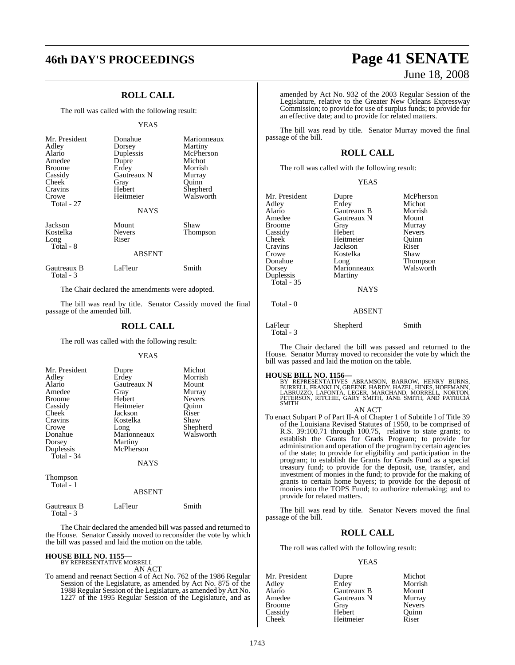## **ROLL CALL**

The roll was called with the following result:

#### YEAS

| Mr. President<br>Adley<br>Alario<br>Amedee<br><b>Broome</b><br>Cassidy<br>Cheek<br>Cravins<br>Crowe<br>Total - 27 | Donahue<br>Dorsey<br>Duplessis<br>Dupre<br>Erdey<br>Gautreaux N<br>Gray<br>Hebert<br>Heitmeier<br><b>NAYS</b> | Marionneaux<br>Martiny<br>McPherson<br>Michot<br>Morrish<br>Murray<br>Ouinn<br>Shepherd<br>Walsworth |
|-------------------------------------------------------------------------------------------------------------------|---------------------------------------------------------------------------------------------------------------|------------------------------------------------------------------------------------------------------|
| Jackson<br>Kostelka<br>Long<br>Total - 8                                                                          | Mount<br><b>Nevers</b><br>Riser<br><b>ABSENT</b>                                                              | Shaw<br>Thompson                                                                                     |
| Gautreaux B<br>Total - 3                                                                                          | LaFleur                                                                                                       | Smith                                                                                                |

The Chair declared the amendments were adopted.

The bill was read by title. Senator Cassidy moved the final passage of the amended bill.

#### **ROLL CALL**

The roll was called with the following result:

#### **YEAS**

| Mr. President | Dupre       | Michot        |
|---------------|-------------|---------------|
| Adley         | Erdey       | Morrish       |
| Alario        | Gautreaux N | Mount         |
| Amedee        | Gray        | Murray        |
| <b>Broome</b> | Hebert      | <b>Nevers</b> |
| Cassidy       | Heitmeier   | Ouinn         |
| Cheek         | Jackson     | Riser         |
| Cravins       | Kostelka    | Shaw          |
| Crowe         | Long        | Shepherd      |
| Donahue       | Marionneaux | Walsworth     |
| Dorsey        | Martiny     |               |
| Duplessis     | McPherson   |               |
| Total - 34    |             |               |
|               | <b>NAYS</b> |               |
|               |             |               |

Thompson Total - 1

#### ABSENT

| Gautreaux B | LaFleur | Smith |
|-------------|---------|-------|
| Total - 3   |         |       |

The Chair declared the amended bill was passed and returned to the House. Senator Cassidy moved to reconsider the vote by which the bill was passed and laid the motion on the table.

# **HOUSE BILL NO. 1155—** BY REPRESENTATIVE MORRELL

AN ACT

To amend and reenact Section 4 of Act No. 762 of the 1986 Regular Session of the Legislature, as amended by Act No. 875 of the 1988 Regular Session ofthe Legislature, as amended by Act No. 1227 of the 1995 Regular Session of the Legislature, and as

# **46th DAY'S PROCEEDINGS Page 41 SENATE** June 18, 2008

amended by Act No. 932 of the 2003 Regular Session of the Legislature, relative to the Greater New Orleans Expressway Commission; to provide for use of surplus funds; to provide for an effective date; and to provide for related matters.

The bill was read by title. Senator Murray moved the final passage of the bill.

#### **ROLL CALL**

The roll was called with the following result:

| v |
|---|
|---|

| Mr. President | Dupre         | McPherson     |
|---------------|---------------|---------------|
| Adley         | Erdey         | Michot        |
| Alario        | Gautreaux B   | Morrish       |
| Amedee        | Gautreaux N   | Mount         |
| Broome        | Gray          | Murray        |
| Cassidy       | Hebert        | <b>Nevers</b> |
| Cheek         | Heitmeier     | Ouinn         |
| Cravins       | Jackson       | Riser         |
| Crowe         | Kostelka      | Shaw          |
| Donahue       | Long          | Thompson      |
| Dorsey        | Marionneaux   | Walsworth     |
| Duplessis     | Martiny       |               |
| Total - 35    |               |               |
|               | <b>NAYS</b>   |               |
| Total - 0     |               |               |
|               | <b>ABSENT</b> |               |

LaFleur Shepherd Smith

The Chair declared the bill was passed and returned to the House. Senator Murray moved to reconsider the vote by which the bill was passed and laid the motion on the table.

Total - 3

**HOUSE BILL NO. 1156—** BY REPRESENTATIVES ABRAMSON, BARROW, HENRY BURNS, BURRELL, FRANKLIN, GREENE, HARDY, HAZEL, HINES, HOFFMANN, LABRUZZO, LAFONTA, LEGER, MARCHAND, MORRELL, NORTON, PETERSON, RITCHIE, GARY SMITH, JANE SMITH, AND PATRICIA SMITH AN ACT

To enact Subpart P of Part II-A of Chapter 1 of Subtitle I of Title 39 of the Louisiana Revised Statutes of 1950, to be comprised of R.S. 39:100.71 through 100.75, relative to state grants; to establish the Grants for Grads Program; to provide for administration and operation of the program by certain agencies of the state; to provide for eligibility and participation in the program; to establish the Grants for Grads Fund as a special treasury fund; to provide for the deposit, use, transfer, and investment of monies in the fund; to provide for the making of grants to certain home buyers; to provide for the deposit of monies into the TOPS Fund; to authorize rulemaking; and to provide for related matters.

The bill was read by title. Senator Nevers moved the final passage of the bill.

#### **ROLL CALL**

The roll was called with the following result:

#### YEAS

| Mr. President      | Dupre       | Michot        |
|--------------------|-------------|---------------|
| Adley              | Erdey       | Morrish       |
| Alario             | Gautreaux B | Mount         |
| Amedee             | Gautreaux N | Murray        |
| Broome             | Gray        | <b>Nevers</b> |
| Cassidy            | Hebert      | Ouinn         |
| Cheek <sup>-</sup> | Heitmeier   | Riser         |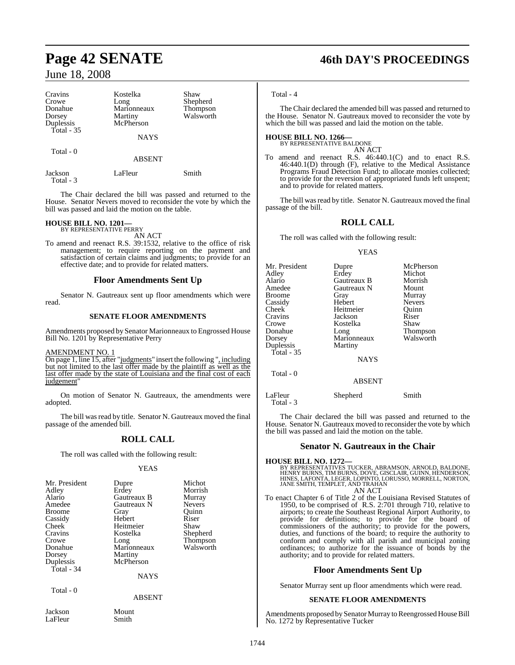# **Page 42 SENATE 46th DAY'S PROCEEDINGS**

## June 18, 2008

| Cravins<br>Crowe<br>Donahue<br>Dorsey<br>Duplessis | Kostelka<br>Long<br>Marionneaux<br>Martiny<br>McPherson | Shaw<br>Shepherd<br>Thompson<br>Walsworth |
|----------------------------------------------------|---------------------------------------------------------|-------------------------------------------|
| Total $-35$                                        | <b>NAYS</b>                                             |                                           |
| Total - 0                                          | <b>ABSENT</b>                                           |                                           |
| Jackson<br>Total - 3                               | LaFleur                                                 | Smith                                     |

The Chair declared the bill was passed and returned to the House. Senator Nevers moved to reconsider the vote by which the bill was passed and laid the motion on the table.

# **HOUSE BILL NO. 1201—** BY REPRESENTATIVE PERRY

AN ACT

To amend and reenact R.S. 39:1532, relative to the office of risk management; to require reporting on the payment and satisfaction of certain claims and judgments; to provide for an effective date; and to provide for related matters.

#### **Floor Amendments Sent Up**

Senator N. Gautreaux sent up floor amendments which were read.

#### **SENATE FLOOR AMENDMENTS**

Amendments proposed by Senator Marionneaux to Engrossed House Bill No. 1201 by Representative Perry

#### AMENDMENT NO. 1

On page 1, line 15, after "judgments" insert the following ", including but not limited to the last offer made by the plaintiff as well as the last offer made by the state of Louisiana and the final cost of each judgement"

On motion of Senator N. Gautreaux, the amendments were adopted.

The bill was read by title. Senator N. Gautreaux moved the final passage of the amended bill.

## **ROLL CALL**

The roll was called with the following result:

#### YEAS

| Mr. President | Dupre       | Michot        |
|---------------|-------------|---------------|
|               |             |               |
| Adley         | Erdey       | Morrish       |
| Alario        | Gautreaux B | Murray        |
| Amedee        | Gautreaux N | <b>Nevers</b> |
| <b>Broome</b> | Gray        | Quinn         |
| Cassidy       | Hebert      | Riser         |
| Cheek         | Heitmeier   | Shaw          |
| Cravins       | Kostelka    | Shepherd      |
| Crowe         | Long        | Thompson      |
| Donahue       | Marionneaux | Walsworth     |
| Dorsey        | Martiny     |               |
| Duplessis     | McPherson   |               |
| Total - $34$  |             |               |
|               | <b>NAYS</b> |               |
| Total - 0     |             |               |
|               | ABSENT      |               |

Jackson Mount<br>LaFleur Smith LaFleur

#### Total - 4

Total - 3

The Chair declared the amended bill was passed and returned to the House. Senator N. Gautreaux moved to reconsider the vote by which the bill was passed and laid the motion on the table.

# **HOUSE BILL NO. 1266—** BY REPRESENTATIVE BALDONE

AN ACT

To amend and reenact R.S. 46:440.1(C) and to enact R.S. 46:440.1(D) through (F), relative to the Medical Assistance Programs Fraud Detection Fund; to allocate monies collected; to provide for the reversion of appropriated funds left unspent; and to provide for related matters.

The bill was read by title. Senator N. Gautreaux moved the final passage of the bill.

#### **ROLL CALL**

The roll was called with the following result:

#### YEAS

| Mr. President<br>Adley<br>Alario<br>Amedee<br><b>Broome</b><br>Cassidy<br>Cheek<br>Cravins<br>Crowe<br>Donahue<br>Dorsey<br>Duplessis<br>Total - $35$ | Dupre<br>Erdey<br>Gautreaux B<br>Gautreaux N<br>Gray<br>Hebert<br>Heitmeier<br>Jackson<br>Kostelka<br>Long<br>Marionneaux<br>Martiny<br><b>NAYS</b> | McPherson<br>Michot<br>Morrish<br>Mount<br>Murray<br><b>Nevers</b><br>Quinn<br>Riser<br>Shaw<br><b>Thompson</b><br>Walsworth |
|-------------------------------------------------------------------------------------------------------------------------------------------------------|-----------------------------------------------------------------------------------------------------------------------------------------------------|------------------------------------------------------------------------------------------------------------------------------|
| Total - 0                                                                                                                                             | ABSENT                                                                                                                                              |                                                                                                                              |
| LaFleur                                                                                                                                               | Shepherd                                                                                                                                            | Smith                                                                                                                        |

The Chair declared the bill was passed and returned to the House. Senator N. Gautreaux moved to reconsider the vote by which the bill was passed and laid the motion on the table.

#### **Senator N. Gautreaux in the Chair**

## **HOUSE BILL NO. 1272—** BY REPRESENTATIVES TUCKER, ABRAMSON, ARNOLD, BALDONE,<br>HENRY BURNS, TIM BURNS, DOVE, GISCLAIR, GUINN, HENDERSON,<br>HINES, LAFONTA, LEGER, LOPINTO, LORUSSO, MORRELL, NORTON,<br>JANE SMITH, TEMPLET, AND TRAHAN AN ACT

To enact Chapter 6 of Title 2 of the Louisiana Revised Statutes of 1950, to be comprised of R.S. 2:701 through 710, relative to airports; to create the Southeast Regional Airport Authority, to provide for definitions; to provide for the board of commissioners of the authority; to provide for the powers, duties, and functions of the board; to require the authority to conform and comply with all parish and municipal zoning ordinances; to authorize for the issuance of bonds by the authority; and to provide for related matters.

#### **Floor Amendments Sent Up**

Senator Murray sent up floor amendments which were read.

#### **SENATE FLOOR AMENDMENTS**

Amendments proposed by Senator Murray to Reengrossed House Bill No. 1272 by Representative Tucker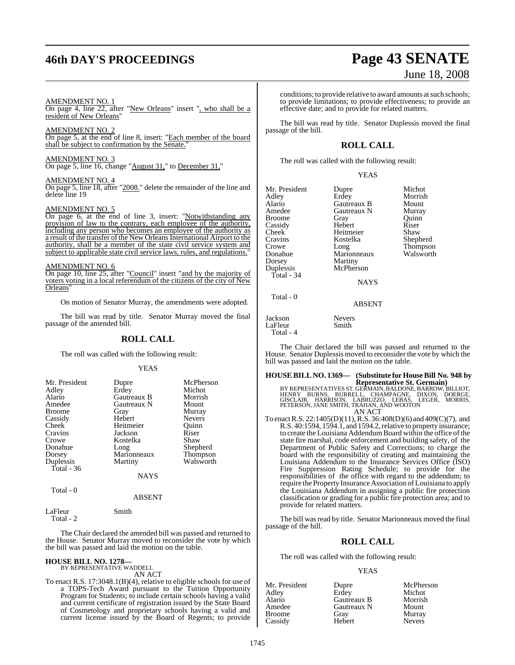# **46th DAY'S PROCEEDINGS Page 43 SENATE**

#### AMENDMENT NO. 1

On page 4, line 22, after "New Orleans" insert ", who shall be a resident of New Orleans"

#### AMENDMENT NO. 2

On page 5, at the end of line 8, insert: "Each member of the board shall be subject to confirmation by the Senate."

#### AMENDMENT NO. 3

On page 5, line 16, change "August 31," to December 31,"

## AMENDMENT NO. 4

On page 5, line 18, after "2008." delete the remainder of the line and delete line 19

#### AMENDMENT NO. 5

On page 6, at the end of line 3, insert: "Notwithstanding any provision of law to the contrary, each employee of the authority, including any person who becomes an employee of the authority as a result of the transfer of the New Orleans International Airport to the authority, shall be a member of the state civil service system and subject to applicable state civil service laws, rules, and regulations."

#### AMENDMENT NO. 6

On page 10, line 25, after "Council" insert "and by the majority of voters voting in a local referendum of the citizens of the city of New Orleans"

On motion of Senator Murray, the amendments were adopted.

The bill was read by title. Senator Murray moved the final passage of the amended bill.

#### **ROLL CALL**

The roll was called with the following result:

#### **YEAS**

| Mr. President | Dupre       | McPherson     |
|---------------|-------------|---------------|
| Adley         | Erdey       | Michot        |
| Alario        | Gautreaux B | Morrish       |
| Amedee        | Gautreaux N | Mount         |
| <b>Broome</b> | Gray        | Murray        |
| Cassidy       | Hebert      | <b>Nevers</b> |
| Cheek         | Heitmeier   | Ouinn         |
| Cravins       | Jackson     | Riser         |
| Crowe         | Kostelka    | Shaw          |
| Donahue       | Long        | Shepherd      |
| Dorsey        | Marionneaux | Thompson      |
| Duplessis     | Martiny     | Walsworth     |
| Total $-36$   |             |               |
|               | NAYS        |               |
| Total - 0     |             |               |
|               | ARSENT      |               |

#### LaFleur Smith

Total - 2

The Chair declared the amended bill was passed and returned to the House. Senator Murray moved to reconsider the vote by which the bill was passed and laid the motion on the table.

#### **HOUSE BILL NO. 1278—** BY REPRESENTATIVE WADDELL

AN ACT

To enact R.S. 17:3048.1(B)(4), relative to eligible schools for use of a TOPS-Tech Award pursuant to the Tuition Opportunity Program for Students; to include certain schools having a valid and current certificate of registration issued by the State Board of Cosmetology and proprietary schools having a valid and current license issued by the Board of Regents; to provide

# June 18, 2008

conditions; to provide relative to award amounts at such schools; to provide limitations; to provide effectiveness; to provide an effective date; and to provide for related matters.

The bill was read by title. Senator Duplessis moved the final passage of the bill.

## **ROLL CALL**

The roll was called with the following result:

#### YEAS

| Mr. President<br>Adley<br>Alario<br>Amedee<br>Broome<br>Cassidy<br>Cheek <sup>-</sup><br>Cravins<br>Crowe | Dupre<br>Erdey<br>Gautreaux B<br>Gautreaux N<br>Gray<br>Hebert<br>Heitmeier<br>Kostelka<br>Long | Michot<br>Morrish<br>Mount<br>Murray<br>Ouinn<br>Riser<br>Shaw<br>Shepherd<br>Thompson |
|-----------------------------------------------------------------------------------------------------------|-------------------------------------------------------------------------------------------------|----------------------------------------------------------------------------------------|
| Donahue<br>Dorsey                                                                                         | Marionneaux<br>Martiny                                                                          | Walsworth                                                                              |
| Duplessis<br>Total - 34                                                                                   | McPherson                                                                                       |                                                                                        |
| Total $-0$                                                                                                | <b>NAYS</b>                                                                                     |                                                                                        |
|                                                                                                           | <b>ABSENT</b>                                                                                   |                                                                                        |
|                                                                                                           |                                                                                                 |                                                                                        |

Jackson Nevers LaFleur Total - 4

The Chair declared the bill was passed and returned to the House. Senator Duplessis moved to reconsider the vote by which the bill was passed and laid the motion on the table.

# **HOUSE BILL NO. 1369— (Substitute for HouseBill No. 948 by**

**Representative St. Germain)**<br>BY REPRESENTATIVES ST. GERMAIN, BALDONE, BARROW, BILLIOT,<br>HENRY BURNS, BURRELL, CHAMPAGNE, DIXON, DOERGE,<br>GISCLAIR, HARRISON, LABRUZZO, LEBAS, LEGER, MORRIS,<br>PETERSON, JANE SMITH, TRAHAN, AND AN ACT

To enactR.S. 22:1405(D)(11),R.S. 36:408(D)(6) and 409(C)(7), and R.S.  $40:1594, 1594.1$ , and  $1594.2$ , relative to property insurance; to create the Louisiana Addendum Board within the office of the state fire marshal, code enforcement and building safety, of the Department of Public Safety and Corrections; to charge the board with the responsibility of creating and maintaining the Louisiana Addendum to the Insurance Services Office (ISO) Fire Suppression Rating Schedule; to provide for the responsibilities of the office with regard to the addendum; to require the Property Insurance Association of Louisiana to apply the Louisiana Addendum in assigning a public fire protection classification or grading for a public fire protection area; and to provide for related matters.

The bill was read by title. Senator Marionneaux moved the final passage of the bill.

#### **ROLL CALL**

The roll was called with the following result:

#### YEAS

| Mr. President | Dupre       | McPherson     |
|---------------|-------------|---------------|
| Adley         | Erdev       | Michot        |
| Alario        | Gautreaux B | Morrish       |
| Amedee        | Gautreaux N | Mount         |
| <b>Broome</b> | Gray        | Murray        |
| Cassidy       | Hebert      | <b>Nevers</b> |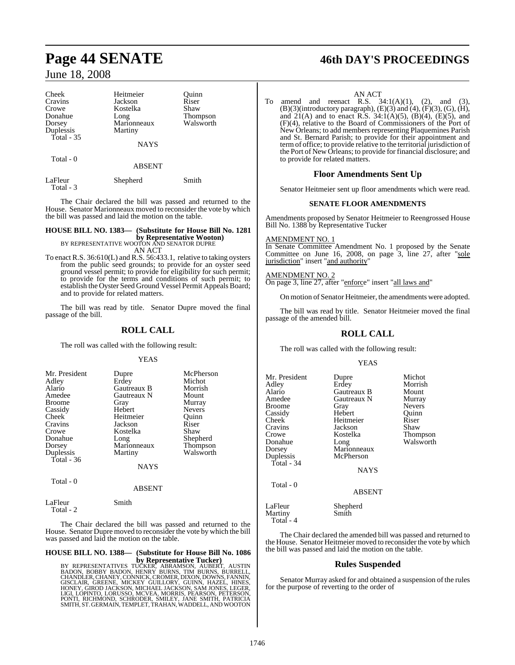| Cheek                | Heitmeier     | Ouinn     |
|----------------------|---------------|-----------|
| Cravins              | Jackson       | Riser     |
| Crowe                | Kostelka      | Shaw      |
| Donahue              | Long          | Thompson  |
| Dorsey               | Marionneaux   | Walsworth |
| Duplessis            | Martiny       |           |
| Total - 35           |               |           |
|                      | <b>NAYS</b>   |           |
| Total - 0            |               |           |
|                      | <b>ABSENT</b> |           |
| LaFleur<br>Total - 3 | Shepherd      | Smith     |

The Chair declared the bill was passed and returned to the House. Senator Marionneaux moved to reconsider the vote by which the bill was passed and laid the motion on the table.

# **HOUSE BILL NO. 1383— (Substitute for House Bill No. 1281 by Representative Wooton)**<br>BY REPRESENTATIVE WOOTON AND SENATOR DUPRE<br>AN ACT

To enact R.S. 36:610(L) and R.S. 56:433.1, relative to taking oysters from the public seed grounds; to provide for an oyster seed ground vessel permit; to provide for eligibility for such permit; to provide for the terms and conditions of such permit; to establish the Oyster Seed Ground Vessel Permit Appeals Board; and to provide for related matters.

The bill was read by title. Senator Dupre moved the final passage of the bill.

## **ROLL CALL**

The roll was called with the following result:

YEAS

| Mr. President | Dupre               | McPherson     |
|---------------|---------------------|---------------|
| Adley         | Erdey               | Michot        |
| Alario        | Gautreaux B         | Morrish       |
| Amedee        | Gautreaux N         | Mount         |
| <b>Broome</b> | Gray                | Murray        |
| Cassidy       | Hebert              | <b>Nevers</b> |
| Cheek         | Heitmeier           | Ouinn         |
| Cravins       | Jackson             | Riser         |
| Crowe         | Kostelka            | Shaw          |
| Donahue       |                     | Shepherd      |
| Dorsey        | Long<br>Marionneaux | Thompson      |
| Duplessis     | Martiny             | Walsworth     |
| Total - 36    |                     |               |
|               | <b>NAYS</b>         |               |

Total - 0

#### ABSENT

| LaFleur   | Smith |
|-----------|-------|
| Total - 2 |       |

The Chair declared the bill was passed and returned to the House. Senator Dupre moved to reconsider the vote by which the bill was passed and laid the motion on the table.

## **HOUSE BILL NO. 1388— (Substitute for House Bill No. 1086**

**by Representative Tucker)**<br>BY REPRESENTATIVES TUCKER, ABRAMSON, AUSERT, AUSTIN<br>BADON, BOBBY BADON, HENRY BURNS, TIM BURNS, BURRELL,<br>CHANDLER, CHANEY, CONNICK, CROMER, DIXON, DOWNS, FANNIN,<br>GISCLAIR, GREENE, MICKEY GUILLOR

# **Page 44 SENATE 46th DAY'S PROCEEDINGS**

## AN ACT

To amend and reenact R.S.  $34:1(A)(1)$ ,  $(2)$ , and  $(3)$ , (B)(3)(introductory paragraph), (E)(3) and (4), (F)(3), (G), (H), and  $21(A)$  and to enact R.S.  $34:1(A)(5)$ ,  $(B)(4)$ ,  $(E)(5)$ , and (F)(4), relative to the Board of Commissioners of the Port of New Orleans; to add members representing Plaquemines Parish and St. Bernard Parish; to provide for their appointment and termof office; to provide relative to the territorial jurisdiction of the Port of New Orleans; to provide for financial disclosure; and to provide for related matters.

#### **Floor Amendments Sent Up**

Senator Heitmeier sent up floor amendments which were read.

#### **SENATE FLOOR AMENDMENTS**

Amendments proposed by Senator Heitmeier to Reengrossed House Bill No. 1388 by Representative Tucker

#### AMENDMENT NO. 1

In Senate Committee Amendment No. 1 proposed by the Senate Committee on June 16, 2008, on page 3, line 27, after "sole jurisdiction" insert "and authority"

AMENDMENT NO. 2 On page 3, line 27, after "enforce" insert "all laws and"

On motion of Senator Heitmeier, the amendments were adopted.

The bill was read by title. Senator Heitmeier moved the final passage of the amended bill.

#### **ROLL CALL**

The roll was called with the following result:

#### YEAS

| Mr. President<br>Adley<br>Alario<br>Amedee<br>Broome<br>Cassidy<br>Cheek<br>Cravins<br>Crowe<br>Donahue<br>Dorsey<br>Duplessis<br>Total - 34 | Dupre<br>Erdey<br>Gautreaux B<br>Gautreaux N<br>Gray<br>Hebert<br>Heitmeier<br>Jackson<br>Kostelka<br>Long<br>Marionneaux<br>McPherson<br><b>NAYS</b> | Michot<br>Morrish<br>Mount<br>Murray<br><b>Nevers</b><br>Quinn<br>Riser<br>Shaw<br>Thompson<br>Walsworth |
|----------------------------------------------------------------------------------------------------------------------------------------------|-------------------------------------------------------------------------------------------------------------------------------------------------------|----------------------------------------------------------------------------------------------------------|
| Total - 0                                                                                                                                    | <b>ABSENT</b>                                                                                                                                         |                                                                                                          |
| LaFleur<br>Martiny<br>Total - 4                                                                                                              | Shepherd<br>Smith                                                                                                                                     |                                                                                                          |

The Chair declared the amended bill was passed and returned to the House. Senator Heitmeier moved to reconsider the vote by which the bill was passed and laid the motion on the table.

## **Rules Suspended**

Senator Murray asked for and obtained a suspension of the rules for the purpose of reverting to the order of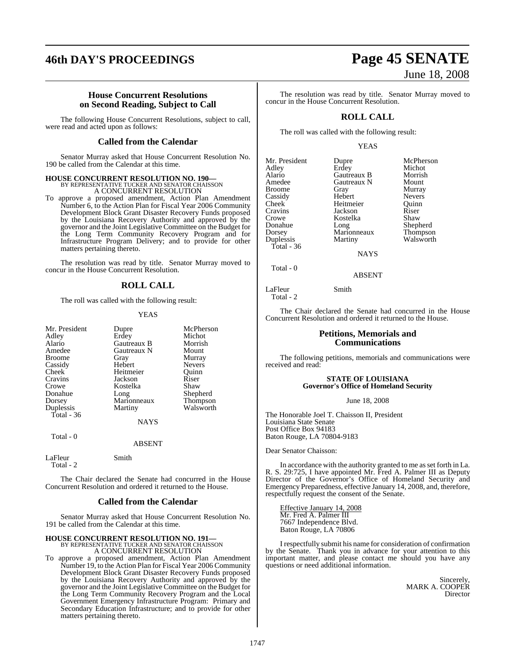#### **House Concurrent Resolutions on Second Reading, Subject to Call**

The following House Concurrent Resolutions, subject to call, were read and acted upon as follows:

#### **Called from the Calendar**

Senator Murray asked that House Concurrent Resolution No. 190 be called from the Calendar at this time.

## **HOUSE CONCURRENT RESOLUTION NO. 190—** BY REPRESENTATIVE TUCKER AND SENATOR CHAISSON A CONCURRENT RESOLUTION

To approve a proposed amendment, Action Plan Amendment Number 6, to the Action Plan for Fiscal Year 2006 Community Development Block Grant Disaster Recovery Funds proposed by the Louisiana Recovery Authority and approved by the governor and the Joint Legislative Committee on the Budget for the Long Term Community Recovery Program and for Infrastructure Program Delivery; and to provide for other matters pertaining thereto.

The resolution was read by title. Senator Murray moved to concur in the House Concurrent Resolution.

#### **ROLL CALL**

The roll was called with the following result:

#### YEAS

| Mr. President<br>Adley<br>Alario<br>Amedee<br><b>Broome</b><br>Cassidy<br>Cheek<br>Cravins<br>Crowe<br>Donahue<br>Dorsey<br>Duplessis<br>Total - $36$ | Dupre<br>Erdey<br>Gautreaux B<br>Gautreaux N<br>Gray<br>Hebert<br>Heitmeier<br>Jackson<br>Kostelka<br>Long<br>Marionneaux<br>Martiny<br><b>NAYS</b> | McPherson<br>Michot<br>Morrish<br>Mount<br>Murray<br>Nevers<br>Ouinn<br>Riser<br>Shaw<br>Shepherd<br>Thompson<br>Walsworth |
|-------------------------------------------------------------------------------------------------------------------------------------------------------|-----------------------------------------------------------------------------------------------------------------------------------------------------|----------------------------------------------------------------------------------------------------------------------------|
|                                                                                                                                                       |                                                                                                                                                     |                                                                                                                            |
| Total - 0                                                                                                                                             | <b>ABSENT</b>                                                                                                                                       |                                                                                                                            |
| LaFleur                                                                                                                                               | Smith                                                                                                                                               |                                                                                                                            |

The Chair declared the Senate had concurred in the House Concurrent Resolution and ordered it returned to the House.

Total - 2

#### **Called from the Calendar**

Senator Murray asked that House Concurrent Resolution No. 191 be called from the Calendar at this time.

#### **HOUSE CONCURRENT RESOLUTION NO. 191-**BY REPRESENTATIVE TUCKER AND SENATOR CHAISSON A CONCURRENT RESOLUTION

To approve a proposed amendment, Action Plan Amendment Number 19, to the Action Plan for Fiscal Year 2006 Community Development Block Grant Disaster Recovery Funds proposed by the Louisiana Recovery Authority and approved by the governor and the Joint Legislative Committee on the Budget for the Long Term Community Recovery Program and the Local Government Emergency Infrastructure Program: Primary and Secondary Education Infrastructure; and to provide for other matters pertaining thereto.

# **46th DAY'S PROCEEDINGS Page 45 SENATE** June 18, 2008

The resolution was read by title. Senator Murray moved to concur in the House Concurrent Resolution.

### **ROLL CALL**

The roll was called with the following result:

#### YEAS

| Mr. President | Dupre       | McPherson     |
|---------------|-------------|---------------|
| Adley         | Erdey       | Michot        |
| Alario        | Gautreaux B | Morrish       |
| Amedee        | Gautreaux N | Mount         |
| <b>Broome</b> | Gray        | Murray        |
| Cassidy       | Hebert      | <b>Nevers</b> |
| Cheek         | Heitmeier   | Ouinn         |
| Cravins       | Jackson     | Riser         |
| Crowe         | Kostelka    | Shaw          |
| Donahue       | Long        | Shepherd      |
| Dorsey        | Marionneaux | Thompson      |
| Duplessis     | Martiny     | Walsworth     |
| Total - 36    |             |               |
|               | NAYS        |               |

Total - 0

Total - 2

ABSENT

LaFleur Smith

The Chair declared the Senate had concurred in the House Concurrent Resolution and ordered it returned to the House.

#### **Petitions, Memorials and Communications**

The following petitions, memorials and communications were received and read:

#### **STATE OF LOUISIANA Governor's Office of Homeland Security**

June 18, 2008

The Honorable Joel T. Chaisson II, President Louisiana State Senate Post Office Box 94183 Baton Rouge, LA 70804-9183

Dear Senator Chaisson:

In accordance with the authority granted to me as set forth in La. R. S. 29:725, I have appointed Mr. Fred A. Palmer III as Deputy Director of the Governor's Office of Homeland Security and Emergency Preparedness, effective January 14, 2008, and, therefore, respectfully request the consent of the Senate.

Effective January 14, 2008 Mr. Fred A. Palmer III 7667 Independence Blvd. Baton Rouge, LA 70806

I respectfully submit his name for consideration of confirmation by the Senate. Thank you in advance for your attention to this important matter, and please contact me should you have any questions or need additional information.

> Sincerely, MARK A. COOPER **Director**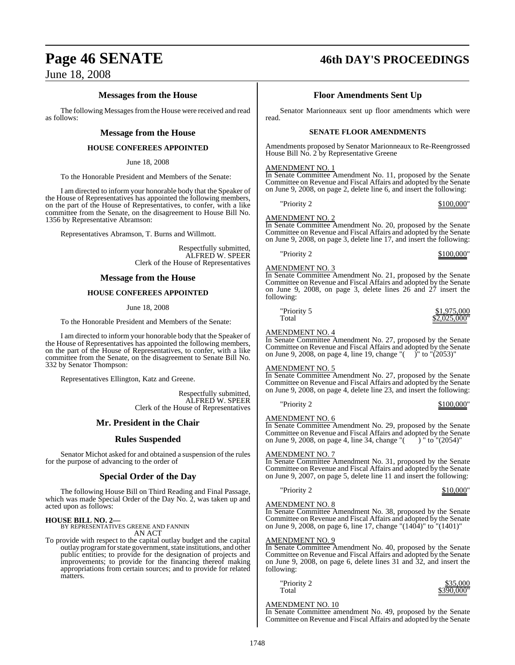### **Messages from the House**

The following Messages from the House were received and read as follows:

#### **Message from the House**

#### **HOUSE CONFEREES APPOINTED**

June 18, 2008

To the Honorable President and Members of the Senate:

I am directed to inform your honorable body that the Speaker of the House of Representatives has appointed the following members, on the part of the House of Representatives, to confer, with a like committee from the Senate, on the disagreement to House Bill No. 1356 by Representative Abramson:

Representatives Abramson, T. Burns and Willmott.

Respectfully submitted, ALFRED W. SPEER Clerk of the House of Representatives

#### **Message from the House**

#### **HOUSE CONFEREES APPOINTED**

June 18, 2008

To the Honorable President and Members of the Senate:

I am directed to inform your honorable body that the Speaker of the House of Representatives has appointed the following members, on the part of the House of Representatives, to confer, with a like committee from the Senate, on the disagreement to Senate Bill No. 332 by Senator Thompson:

Representatives Ellington, Katz and Greene.

Respectfully submitted, ALFRED W. SPEER Clerk of the House of Representatives

#### **Mr. President in the Chair**

#### **Rules Suspended**

Senator Michot asked for and obtained a suspension of the rules for the purpose of advancing to the order of

#### **Special Order of the Day**

The following House Bill on Third Reading and Final Passage, which was made Special Order of the Day No. 2, was taken up and acted upon as follows:

# **HOUSE BILL NO. 2—** BY REPRESENTATIVES GREENE AND FANNIN

AN ACT

To provide with respect to the capital outlay budget and the capital outlay program for state government, state institutions, and other public entities; to provide for the designation of projects and improvements; to provide for the financing thereof making appropriations from certain sources; and to provide for related matters.

# **Page 46 SENATE 46th DAY'S PROCEEDINGS**

## **Floor Amendments Sent Up**

Senator Marionneaux sent up floor amendments which were read.

#### **SENATE FLOOR AMENDMENTS**

Amendments proposed by Senator Marionneaux to Re-Reengrossed House Bill No. 2 by Representative Greene

#### AMENDMENT NO. 1

In Senate Committee Amendment No. 11, proposed by the Senate Committee on Revenue and Fiscal Affairs and adopted by the Senate on June 9, 2008, on page 2, delete line 6, and insert the following:

"Priority 2 \$100,000"

## AMENDMENT NO. 2

In Senate Committee Amendment No. 20, proposed by the Senate Committee on Revenue and Fiscal Affairs and adopted by the Senate on June 9, 2008, on page 3, delete line 17, and insert the following:

"Priority 2 \$100,000"

#### AMENDMENT NO. 3

In Senate Committee Amendment No. 21, proposed by the Senate Committee on Revenue and Fiscal Affairs and adopted by the Senate on June 9, 2008, on page 3, delete lines 26 and 27 insert the following:

"Priority 5  $$1,975,000$ "<br>Total  $$2,025,000$ "  $.025,000$ 

#### AMENDMENT NO. 4

In Senate Committee Amendment No. 27, proposed by the Senate Committee on Revenue and Fiscal Affairs and adopted by the Senate on June 9, 2008, on page 4, line 19, change " $($   $)$ " to " $(2053)$ "

#### AMENDMENT NO. 5

In Senate Committee Amendment No. 27, proposed by the Senate Committee on Revenue and Fiscal Affairs and adopted by the Senate on June 9, 2008, on page 4, delete line 23, and insert the following:

 $\frac{$100,000}{$100,000"}$ 

#### AMENDMENT NO. 6

In Senate Committee Amendment No. 29, proposed by the Senate Committee on Revenue and Fiscal Affairs and adopted by the Senate<br>on June 9, 2008, on page 4, line 34, change "() " to "(2054)" on June 9, 2008, on page 4, line 34, change " $($ 

#### AMENDMENT NO. 7

In Senate Committee Amendment No. 31, proposed by the Senate Committee on Revenue and Fiscal Affairs and adopted by the Senate on June 9, 2007, on page 5, delete line 11 and insert the following:

 $\gamma$  "Priority 2  $\frac{$10,000"}{2}$ 

#### AMENDMENT NO. 8

In Senate Committee Amendment No. 38, proposed by the Senate Committee on Revenue and Fiscal Affairs and adopted by the Senate on June 9, 2008, on page 6, line 17, change "(1404)" to "(1401)"

#### AMENDMENT NO. 9

In Senate Committee Amendment No. 40, proposed by the Senate Committee on Revenue and Fiscal Affairs and adopted by the Senate on June 9, 2008, on page 6, delete lines 31 and 32, and insert the following:

| \$35,000   |
|------------|
| \$390,000" |
|            |

#### AMENDMENT NO. 10

In Senate Committee amendment No. 49, proposed by the Senate Committee on Revenue and Fiscal Affairs and adopted by the Senate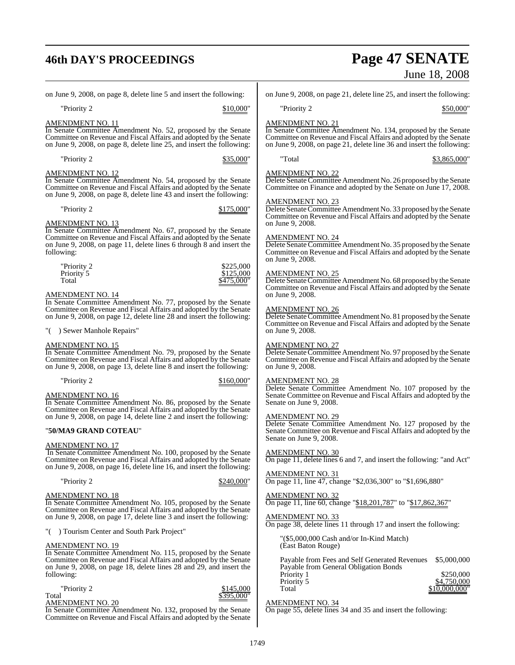# **46th DAY'S PROCEEDINGS Page 47 SENATE**

l,

|                                                                                                                                                                                                                                                    | June 18, 2008                                                                                                                                                                                                                          |
|----------------------------------------------------------------------------------------------------------------------------------------------------------------------------------------------------------------------------------------------------|----------------------------------------------------------------------------------------------------------------------------------------------------------------------------------------------------------------------------------------|
| on June 9, 2008, on page 8, delete line 5 and insert the following:                                                                                                                                                                                | on June 9, 2008, on page 21, delete line 25, and insert the following:                                                                                                                                                                 |
| "Priority 2<br>\$10,000"                                                                                                                                                                                                                           | "Priority 2<br>\$50,000"                                                                                                                                                                                                               |
| <u>AMENDMENT NO. 11</u><br>In Senate Committee Amendment No. 52, proposed by the Senate<br>Committee on Revenue and Fiscal Affairs and adopted by the Senate<br>on June 9, 2008, on page 8, delete line 25, and insert the following:              | <b>AMENDMENT NO. 21</b><br>In Senate Committee Amendment No. 134, proposed by the Senate<br>Committee on Revenue and Fiscal Affairs and adopted by the Senate<br>on June 9, 2008, on page 21, delete line 36 and insert the following: |
| "Priority 2<br>\$35,000"                                                                                                                                                                                                                           | "Total<br>\$3,865,000"                                                                                                                                                                                                                 |
| <u>AMENDMENT NO. 12</u><br>In Senate Committee Amendment No. 54, proposed by the Senate<br>Committee on Revenue and Fiscal Affairs and adopted by the Senate<br>on June 9, 2008, on page 8, delete line 43 and insert the following:               | <b>AMENDMENT NO. 22</b><br>Delete Senate Committee Amendment No. 26 proposed by the Senate<br>Committee on Finance and adopted by the Senate on June 17, 2008.                                                                         |
| "Priority 2<br>\$175,000"<br><u>AMENDMENT NO. 13</u>                                                                                                                                                                                               | <b>AMENDMENT NO. 23</b><br>Delete Senate Committee Amendment No. 33 proposed by the Senate<br>Committee on Revenue and Fiscal Affairs and adopted by the Senate<br>on June 9, 2008.                                                    |
| In Senate Committee Amendment No. 67, proposed by the Senate<br>Committee on Revenue and Fiscal Affairs and adopted by the Senate<br>on June 9, 2008, on page 11, delete lines 6 through 8 and insert the<br>following:                            | <b>AMENDMENT NO. 24</b><br>Delete Senate Committee Amendment No. 35 proposed by the Senate<br>Committee on Revenue and Fiscal Affairs and adopted by the Senate<br>on June 9, 2008.                                                    |
| "Priority 2<br>\$225,000<br>\$125,000<br>Priority 5<br>Total<br>\$475,000"<br><u>AMENDMENT NO. 14</u>                                                                                                                                              | AMENDMENT NO. 25<br>Delete Senate Committee Amendment No. 68 proposed by the Senate<br>Committee on Revenue and Fiscal Affairs and adopted by the Senate<br>on June 9, 2008.                                                           |
| In Senate Committee Amendment No. 77, proposed by the Senate<br>Committee on Revenue and Fiscal Affairs and adopted by the Senate<br>on June 9, 2008, on page 12, delete line 28 and insert the following:<br>"() Sewer Manhole Repairs"           | <b>AMENDMENT NO. 26</b><br>Delete Senate Committee Amendment No. 81 proposed by the Senate<br>Committee on Revenue and Fiscal Affairs and adopted by the Senate<br>on June 9, 2008.                                                    |
| AMENDMENT NO. 15<br>In Senate Committee Amendment No. 79, proposed by the Senate<br>Committee on Revenue and Fiscal Affairs and adopted by the Senate<br>on June 9, 2008, on page 13, delete line 8 and insert the following:                      | <b>AMENDMENT NO. 27</b><br>Delete Senate Committee Amendment No. 97 proposed by the Senate<br>Committee on Revenue and Fiscal Affairs and adopted by the Senate<br>on June 9, 2008.                                                    |
| "Priority 2<br>\$160,000"<br>AMENDMENT NO. 16<br>In Senate Committee Amendment No. 86, proposed by the Senate                                                                                                                                      | <b>AMENDMENT NO. 28</b><br>Delete Senate Committee Amendment No. 107 proposed by the<br>Senate Committee on Revenue and Fiscal Affairs and adopted by the<br>Senate on June 9, 2008.                                                   |
| Committee on Revenue and Fiscal Affairs and adopted by the Senate<br>on June 9, 2008, on page 14, delete line 2 and insert the following:<br>"50/MA9 GRAND COTEAU"                                                                                 | <b>AMENDMENT NO. 29</b><br>Delete Senate Committee Amendment No. 127 proposed by the<br>Senate Committee on Revenue and Fiscal Affairs and adopted by the<br>Senate on June 9, 2008.                                                   |
| <b>AMENDMENT NO. 17</b><br>In Senate Committee Amendment No. 100, proposed by the Senate<br>Committee on Revenue and Fiscal Affairs and adopted by the Senate<br>on June 9, 2008, on page 16, delete line 16, and insert the following:            | <b>AMENDMENT NO. 30</b><br>On page 11, delete lines 6 and 7, and insert the following: "and Act"                                                                                                                                       |
| "Priority 2<br>\$240,000"                                                                                                                                                                                                                          | <b>AMENDMENT NO. 31</b><br>On page 11, line 47, change "\$2,036,300" to "\$1,696,880"                                                                                                                                                  |
| AMENDMENT NO. 18<br>In Senate Committee Amendment No. 105, proposed by the Senate<br>Committee on Revenue and Fiscal Affairs and adopted by the Senate<br>on June 9, 2008, on page 17, delete line 3 and insert the following:                     | <b>AMENDMENT NO. 32</b><br>On page 11, line 60, change "\$18,201,787" to "\$17,862,367"<br><b>AMENDMENT NO. 33</b>                                                                                                                     |
| "() Tourism Center and South Park Project"                                                                                                                                                                                                         | On page 38, delete lines 11 through 17 and insert the following:<br>"(\$5,000,000 Cash and/or In-Kind Match)                                                                                                                           |
| <u>AMENDMENT NO. 19</u><br>In Senate Committee Amendment No. 115, proposed by the Senate<br>Committee on Revenue and Fiscal Affairs and adopted by the Senate<br>on June 9, 2008, on page 18, delete lines 28 and 29, and insert the<br>following: | (East Baton Rouge)<br>Payable from Fees and Self Generated Revenues<br>\$5,000,000<br>Payable from General Obligation Bonds<br>\$250,000<br>Priority 1<br>Priority 5<br>\$4,750,000                                                    |
| "Priority 2<br>\$145,000<br>\$395.000"<br>Total<br><b>AMENDMENT NO. 20</b><br>In Senate Committee Amendment No. 132, proposed by the Senate                                                                                                        | \$10,000,000"<br>Total<br><b>AMENDMENT NO. 34</b><br>On page 55, delete lines 34 and 35 and insert the following:                                                                                                                      |

Committee on Revenue and Fiscal Affairs and adopted by the Senate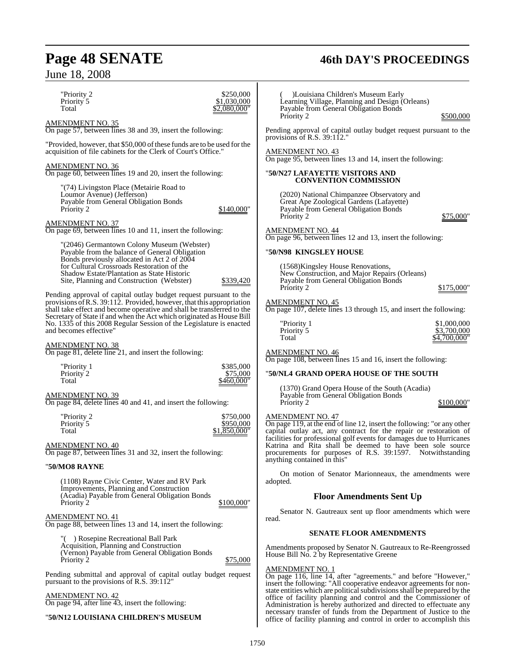"Priority 2 \$250,000<br>Priority 5 \$1,030,000 Priority 5  $\frac{$1,030,000}{}\sqrt{$2,080,000}$  $$2,080,000$ "

AMENDMENT NO. 35 On page 57, between lines 38 and 39, insert the following:

"Provided, however, that \$50,000 of these funds are to be used for the acquisition of file cabinets for the Clerk of Court's Office."

AMENDMENT NO. 36 On page 60, between lines 19 and 20, insert the following:

"(74) Livingston Place (Metairie Road to Loumor Avenue) (Jefferson) Payable from General Obligation Bonds Priority 2 \$140,000"

AMENDMENT NO. 37

On page 69, between lines 10 and 11, insert the following:

"(2046) Germantown Colony Museum (Webster) Payable from the balance of General Obligation Bonds previously allocated in Act 2 of 2004 for Cultural Crossroads Restoration of the Shadow Estate/Plantation as State Historic Site, Planning and Construction (Webster) \$339,420

Pending approval of capital outlay budget request pursuant to the provisions ofR.S. 39:112. Provided, however, that this appropriation shall take effect and become operative and shall be transferred to the Secretary of State if and when the Act which originated as House Bill No. 1335 of this 2008 Regular Session of the Legislature is enacted and becomes effective"

AMENDMENT NO. 38

On page 81, delete line 21, and insert the following:

| "Priority 1 | \$385,000  |
|-------------|------------|
| Priority 2  | \$75,000   |
| Total       | \$460,000" |

AMENDMENT NO. 39 On page 84, delete lines 40 and 41, and insert the following:

| "Priority 2 | \$750,000    |
|-------------|--------------|
| Priority 5  | \$950,000    |
| Total       | \$1,850,000" |

#### AMENDMENT NO. 40

On page 87, between lines 31 and 32, insert the following:

#### "**50/MO8 RAYNE**

(1108) Rayne Civic Center, Water and RV Park Improvements, Planning and Construction (Acadia) Payable from General Obligation Bonds \$100,000"

#### AMENDMENT NO. 41

On page 88, between lines 13 and 14, insert the following:

"( ) Rosepine Recreational Ball Park Acquisition, Planning and Construction (Vernon) Payable from General Obligation Bonds Priority 2  $$75,000$ 

Pending submittal and approval of capital outlay budget request pursuant to the provisions of R.S.  $39:112$ "

AMENDMENT NO. 42 On page 94, after line 43, insert the following:

#### "**50/N12 LOUISIANA CHILDREN'S MUSEUM**

)Louisiana Children's Museum Early Learning Village, Planning and Design (Orleans) Payable from General Obligation Bonds

\$500,000

Pending approval of capital outlay budget request pursuant to the provisions of R.S. 39:112.

#### AMENDMENT NO. 43

On page 95, between lines 13 and 14, insert the following:

#### "**50/N27 LAFAYETTE VISITORS AND CONVENTION COMMISSION**

(2020) National Chimpanzee Observatory and Great Ape Zoological Gardens (Lafayette) Payable from General Obligation Bonds

\$75,000"

#### AMENDMENT NO. 44

On page 96, between lines 12 and 13, insert the following:

#### "**50/N98 KINGSLEY HOUSE**

(1568)Kingsley House Renovations, New Construction, and Major Repairs (Orleans) Payable from General Obligation Bonds  $$175,000'$ 

#### AMENDMENT NO. 45

On page 107, delete lines 13 through 15, and insert the following:

| "Priority 1 | \$1,000,000  |
|-------------|--------------|
| Priority 5  | \$3,700,000  |
| Total       | \$4,700,000" |

## AMENDMENT NO. 46

On page 108, between lines 15 and 16, insert the following:

#### "**50/NL4 GRAND OPERA HOUSE OF THE SOUTH**

(1370) Grand Opera House of the South (Acadia) Payable from General Obligation Bonds  $$100,000"$ 

#### AMENDMENT NO. 47

On page 119, at the end of line 12, insert the following: "or any other capital outlay act, any contract for the repair or restoration of facilities for professional golf events for damages due to Hurricanes Katrina and Rita shall be deemed to have been sole source procurements for purposes of R.S. 39:1597. Notwithstanding anything contained in this"

On motion of Senator Marionneaux, the amendments were adopted.

#### **Floor Amendments Sent Up**

Senator N. Gautreaux sent up floor amendments which were read.

#### **SENATE FLOOR AMENDMENTS**

Amendments proposed by Senator N. Gautreaux to Re-Reengrossed House Bill No. 2 by Representative Greene

#### AMENDMENT NO. 1

On page 116, line 14, after "agreements." and before "However," insert the following: "All cooperative endeavor agreements for nonstate entities which are political subdivisions shall be prepared by the office of facility planning and control and the Commissioner of Administration is hereby authorized and directed to effectuate any necessary transfer of funds from the Department of Justice to the office of facility planning and control in order to accomplish this

# **Page 48 SENATE 46th DAY'S PROCEEDINGS**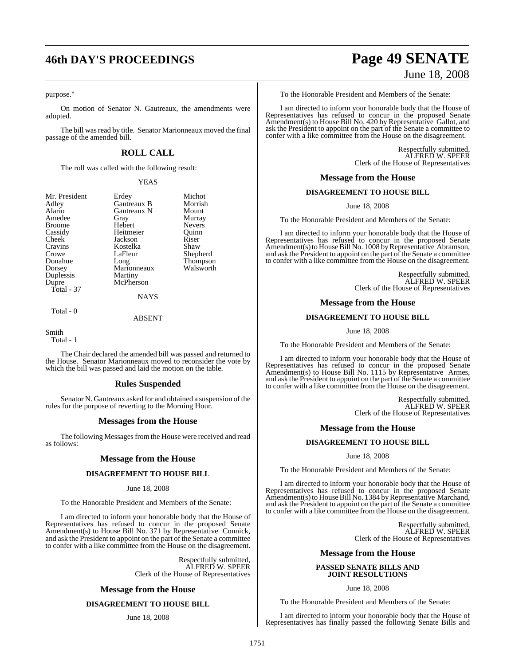# **46th DAY'S PROCEEDINGS Page 49 SENATE**

#### purpose."

On motion of Senator N. Gautreaux, the amendments were adopted.

The bill was read by title. Senator Marionneaux moved the final passage of the amended bill.

### **ROLL CALL**

The roll was called with the following result:

YEAS

| Mr. President | Erdey       | Michot        |
|---------------|-------------|---------------|
| Adley         | Gautreaux B | Morrish       |
| Alario        | Gautreaux N | Mount         |
| Amedee        | Gray        | Murray        |
| <b>Broome</b> | Hebert      | <b>Nevers</b> |
| Cassidy       | Heitmeier   | Ouinn         |
| Cheek         | Jackson     | Riser         |
| Cravins       | Kostelka    | Shaw          |
| Crowe         | LaFleur     | Shepherd      |
| Donahue       | Long        | Thompson      |
| Dorsey        | Marionneaux | Walsworth     |
| Duplessis     | Martiny     |               |
| Dupre         | McPherson   |               |
| Total - 37    |             |               |
|               | <b>NAYS</b> |               |
| Total - 0     |             |               |

ABSENT

Smith

Total - 1

The Chair declared the amended bill was passed and returned to the House. Senator Marionneaux moved to reconsider the vote by which the bill was passed and laid the motion on the table.

#### **Rules Suspended**

Senator N. Gautreaux asked for and obtained a suspension of the rules for the purpose of reverting to the Morning Hour.

#### **Messages from the House**

The following Messages from the House were received and read as follows:

#### **Message from the House**

#### **DISAGREEMENT TO HOUSE BILL**

#### June 18, 2008

To the Honorable President and Members of the Senate:

I am directed to inform your honorable body that the House of Representatives has refused to concur in the proposed Senate Amendment(s) to House Bill No. 371 by Representative Connick, and ask the President to appoint on the part of the Senate a committee to confer with a like committee from the House on the disagreement.

> Respectfully submitted, ALFRED W. SPEER Clerk of the House of Representatives

#### **Message from the House**

#### **DISAGREEMENT TO HOUSE BILL**

#### June 18, 2008

# June 18, 2008

To the Honorable President and Members of the Senate:

I am directed to inform your honorable body that the House of Representatives has refused to concur in the proposed Senate Amendment(s) to House Bill No. 420 by Representative Gallot, and ask the President to appoint on the part of the Senate a committee to confer with a like committee from the House on the disagreement.

> Respectfully submitted, ALFRED W. SPEER Clerk of the House of Representatives

#### **Message from the House**

#### **DISAGREEMENT TO HOUSE BILL**

#### June 18, 2008

To the Honorable President and Members of the Senate:

I am directed to inform your honorable body that the House of Representatives has refused to concur in the proposed Senate Amendment(s) to House Bill No. 1008 by Representative Abramson, and ask the President to appoint on the part of the Senate a committee to confer with a like committee from the House on the disagreement.

> Respectfully submitted, ALFRED W. SPEER Clerk of the House of Representatives

#### **Message from the House**

#### **DISAGREEMENT TO HOUSE BILL**

June 18, 2008

To the Honorable President and Members of the Senate:

I am directed to inform your honorable body that the House of Representatives has refused to concur in the proposed Senate Amendment(s) to House Bill No. 1115 by Representative Armes, and ask the President to appoint on the part of the Senate a committee to confer with a like committee from the House on the disagreement.

> Respectfully submitted, ALFRED W. SPEER Clerk of the House of Representatives

#### **Message from the House**

#### **DISAGREEMENT TO HOUSE BILL**

#### June 18, 2008

To the Honorable President and Members of the Senate:

I am directed to inform your honorable body that the House of Representatives has refused to concur in the proposed Senate Amendment(s) to House Bill No. 1384 by Representative Marchand, and ask the President to appoint on the part of the Senate a committee to confer with a like committee from the House on the disagreement.

> Respectfully submitted, ALFRED W. SPEER Clerk of the House of Representatives

#### **Message from the House**

#### **PASSED SENATE BILLS AND JOINT RESOLUTIONS**

June 18, 2008

To the Honorable President and Members of the Senate:

I am directed to inform your honorable body that the House of Representatives has finally passed the following Senate Bills and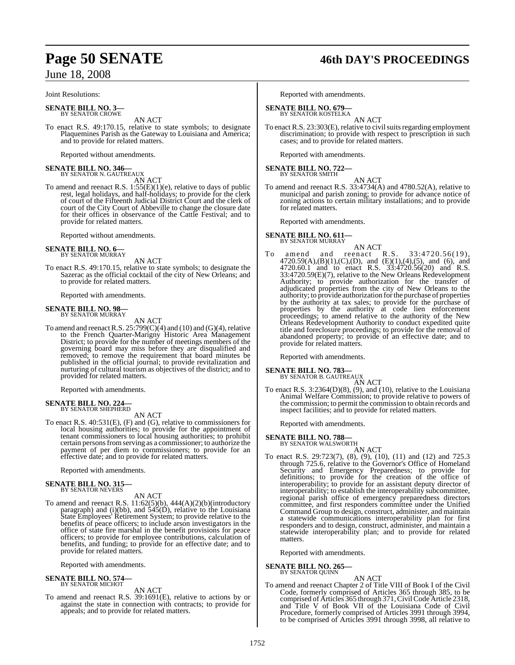Joint Resolutions:

**SENATE BILL NO. 3—** BY SENATOR CROWE

AN ACT To enact R.S. 49:170.15, relative to state symbols; to designate Plaquemines Parish as the Gateway to Louisiana and America; and to provide for related matters.

Reported without amendments.

# **SENATE BILL NO. 346—**<br>BY SENATOR N. GAUTREAUX<br>AN ACT

To amend and reenact R.S. 1:55(E)(1)(e), relative to days of public rest, legal holidays, and half-holidays; to provide for the clerk of court of the Fifteenth Judicial District Court and the clerk of court of the City Court of Abbeville to change the closure date for their offices in observance of the Cattle Festival; and to provide for related matters.

Reported without amendments.

# **SENATE BILL NO. 6—** BY SENATOR MURRAY

AN ACT To enact R.S. 49:170.15, relative to state symbols; to designate the Sazerac as the official cocktail of the city of New Orleans; and to provide for related matters.

Reported with amendments.

# **SENATE BILL NO. 98—** BY SENATOR MURRAY

AN ACT

To amend and reenact R.S.  $25:799(C)(4)$  and  $(10)$  and  $(G)(4)$ , relative to the French Quarter-Marigny Historic Area Management District; to provide for the number of meetings members of the governing board may miss before they are disqualified and removed; to remove the requirement that board minutes be published in the official journal; to provide revitalization and nurturing of cultural tourism as objectives of the district; and to provided for related matters.

Reported with amendments.

# **SENATE BILL NO. 224—** BY SENATOR SHEPHERD

AN ACT

To enact R.S. 40:531(E), (F) and (G), relative to commissioners for local housing authorities; to provide for the appointment of tenant commissioners to local housing authorities; to prohibit certain personsfromserving as a commissioner; to authorize the payment of per diem to commissioners; to provide for an effective date; and to provide for related matters.

Reported with amendments.

# **SENATE BILL NO. 315—** BY SENATOR NEVERS

AN ACT

To amend and reenact R.S. 11:62(5)(b), 444(A)(2)(b)(introductory paragraph) and (i)(bb), and 545(D), relative to the Louisiana State Employees' Retirement System; to provide relative to the benefits of peace officers; to include arson investigators in the office of state fire marshal in the benefit provisions for peace officers; to provide for employee contributions, calculation of benefits, and funding; to provide for an effective date; and to provide for related matters.

Reported with amendments.

# **SENATE BILL NO. 574—** BY SENATOR MICHOT

AN ACT

To amend and reenact R.S. 39:1691(E), relative to actions by or against the state in connection with contracts; to provide for appeals; and to provide for related matters.

# **Page 50 SENATE 46th DAY'S PROCEEDINGS**

Reported with amendments.

# **SENATE BILL NO. 679—** BY SENATOR KOSTELKA

AN ACT To enact R.S. 23:303(E), relative to civil suits regarding employment discrimination; to provide with respect to prescription in such cases; and to provide for related matters.

Reported with amendments.

**SENATE BILL NO. 722—** BY SENATOR SMITH

AN ACT

To amend and reenact R.S. 33:4734(A) and 4780.52(A), relative to municipal and parish zoning; to provide for advance notice of zoning actions to certain military installations; and to provide for related matters.

Reported with amendments.

**SENATE BILL NO. 611—** BY SENATOR MURRAY

AN ACT<br>reenact R.S. To amend and reenact R.S. 33:4720.56(19), 4720.59(A),(B)(1),(C),(D), and (E)(1),(4),(5), and (6), and 4720.60.1 and to enact R.S. 33:4720.56(20) and R.S. 33:4720.59(E)(7), relative to the New Orleans Redevelopment Authority; to provide authorization for the transfer of adjudicated properties from the city of New Orleans to the authority; to provide authorization forthe purchase of properties by the authority at tax sales; to provide for the purchase of properties by the authority at code lien enforcement proceedings; to amend relative to the authority of the New Orleans Redevelopment Authority to conduct expedited quite title and foreclosure proceedings; to provide for the removal of abandoned property; to provide of an effective date; and to provide for related matters.

Reported with amendments.

## **SENATE BILL NO. 783—**

BY SENATOR B. GAUTREAUX AN ACT

To enact R.S.  $3:2364(D)(8)$ ,  $(9)$ , and  $(10)$ , relative to the Louisiana Animal Welfare Commission; to provide relative to powers of the commission; to permit the commission to obtain records and inspect facilities; and to provide for related matters.

Reported with amendments.

# **SENATE BILL NO. 788—** BY SENATOR WALSWORTH

- AN ACT
- To enact R.S. 29:723(7), (8), (9), (10), (11) and (12) and 725.3 through 725.6, relative to the Governor's Office of Homeland Security and Emergency Preparedness; to provide for definitions; to provide for the creation of the office of interoperability; to provide for an assistant deputy director of interoperability; to establish the interoperability subcommittee, regional parish office of emergency preparedness directors committee, and first responders committee under the Unified Command Group to design, construct, administer, and maintain a statewide communications interoperability plan for first responders and to design, construct, administer, and maintain a statewide interoperability plan; and to provide for related matters.

Reported with amendments.

**SENATE BILL NO. 265—** BY SENATOR QUINN

AN ACT To amend and reenact Chapter 2 of Title VIII of Book I of the Civil Code, formerly comprised of Articles 365 through 385, to be comprised of Articles 365 through 371,CivilCodeArticle 2318, and Title V of Book VII of the Louisiana Code of Civil Procedure, formerly comprised of Articles 3991 through 3994, to be comprised of Articles 3991 through 3998, all relative to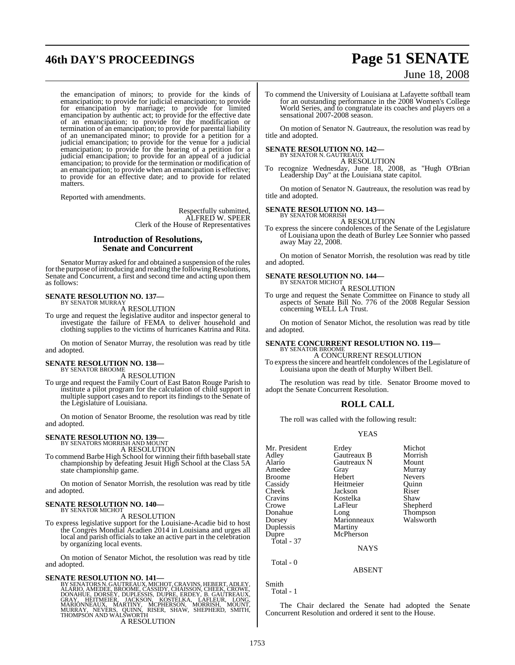# **46th DAY'S PROCEEDINGS Page 51 SENATE**

# June 18, 2008

the emancipation of minors; to provide for the kinds of emancipation; to provide for judicial emancipation; to provide for emancipation by marriage; to provide for limited emancipation by authentic act; to provide for the effective date of an emancipation; to provide for the modification or termination of an emancipation; to provide for parental liability of an unemancipated minor; to provide for a petition for a judicial emancipation; to provide for the venue for a judicial emancipation; to provide for the hearing of a petition for a judicial emancipation; to provide for an appeal of a judicial emancipation; to provide for the termination or modification of an emancipation; to provide when an emancipation is effective; to provide for an effective date; and to provide for related matters.

Reported with amendments.

Respectfully submitted, ALFRED W. SPEER Clerk of the House of Representatives

#### **Introduction of Resolutions, Senate and Concurrent**

Senator Murray asked for and obtained a suspension of the rules for the purpose of introducing and reading the following Resolutions, Senate and Concurrent, a first and second time and acting upon them as follows:

# **SENATE RESOLUTION NO. 137—** BY SENATOR MURRAY

A RESOLUTION

To urge and request the legislative auditor and inspector general to investigate the failure of FEMA to deliver household and clothing supplies to the victims of hurricanes Katrina and Rita.

On motion of Senator Murray, the resolution was read by title and adopted.

#### **SENATE RESOLUTION NO. 138—** BY SENATOR BROOME

A RESOLUTION

To urge and request the Family Court of East Baton Rouge Parish to institute a pilot program for the calculation of child support in multiple support cases and to report its findings to the Senate of the Legislature of Louisiana.

On motion of Senator Broome, the resolution was read by title and adopted.

# **SENATE RESOLUTION NO. 139—**<br>BY SENATORS MORRISH AND MOUNT<br>A RESOLUTION

To commend Barbe High School for winning their fifth baseball state championship by defeating Jesuit High School at the Class 5A state championship game.

On motion of Senator Morrish, the resolution was read by title and adopted.

# **SENATE RESOLUTION NO. 140—** BY SENATOR MICHOT

A RESOLUTION

To express legislative support for the Louisiane-Acadie bid to host the Congrès Mondial Acadien 2014 in Louisiana and urges all local and parish officials to take an active part in the celebration by organizing local events.

On motion of Senator Michot, the resolution was read by title and adopted.

**SENATE RESOLUTION NO. 141—**<br>BY SENATORS N. GAUTREAUX, MICHOT, CRAVINS, HEBERT, ADLEY, ALARIO, AMEDEE, BROOME, CASSIDY, CHAISSON, CHEEK, CROWE,<br>DONAHUE, DORSEY, DUPLESSIS, DUPRE, ERDEY, B. GAUTREAUX, GRAY, HEITMEIER, JACKS A RESOLUTION

To commend the University of Louisiana at Lafayette softball team for an outstanding performance in the 2008 Women's College World Series, and to congratulate its coaches and players on a sensational 2007-2008 season.

On motion of Senator N. Gautreaux, the resolution was read by title and adopted.

# **SENATE RESOLUTION NO. 142—** BY SENATOR N. GAUTREAUX

A RESOLUTION

To recognize Wednesday, June 18, 2008, as "Hugh O'Brian Leadership Day" at the Louisiana state capitol.

On motion of Senator N. Gautreaux, the resolution was read by title and adopted.

# **SENATE RESOLUTION NO. 143—** BY SENATOR MORRISH

A RESOLUTION

To express the sincere condolences of the Senate of the Legislature of Louisiana upon the death of Burley Lee Sonnier who passed away May 22, 2008.

On motion of Senator Morrish, the resolution was read by title and adopted.

# **SENATE RESOLUTION NO. 144—** BY SENATOR MICHOT

A RESOLUTION

To urge and request the Senate Committee on Finance to study all aspects of Senate Bill No. 776 of the 2008 Regular Session concerning WELL LA Trust.

On motion of Senator Michot, the resolution was read by title and adopted.

# **SENATE CONCURRENT RESOLUTION NO. 119—** BY SENATOR BROOME

A CONCURRENT RESOLUTION To expressthe sincere and heartfelt condolences of the Legislature of Louisiana upon the death of Murphy Wilbert Bell.

The resolution was read by title. Senator Broome moved to adopt the Senate Concurrent Resolution.

#### **ROLL CALL**

The roll was called with the following result:

#### YEAS

| Mr. President | Erdey       | Michot        |
|---------------|-------------|---------------|
|               |             |               |
| Adley         | Gautreaux B | Morrish       |
| Alario        | Gautreaux N | Mount         |
| Amedee        | Gray        | Murray        |
| Broome        | Hebert      | <b>Nevers</b> |
| Cassidy       | Heitmeier   | Ouinn         |
| Cheek         | Jackson     | Riser         |
| Cravins       | Kostelka    | Shaw          |
| Crowe         | LaFleur     | Shepherd      |
| Donahue       | Long        | Thompson      |
| Dorsey        | Marionneaux | Walsworth     |
| Duplessis     | Martiny     |               |
| Dupre         | McPherson   |               |
| Total - 37    |             |               |
|               | <b>NAYS</b> |               |
|               |             |               |

Total - 0

Smith Total - 1

The Chair declared the Senate had adopted the Senate Concurrent Resolution and ordered it sent to the House.

ABSENT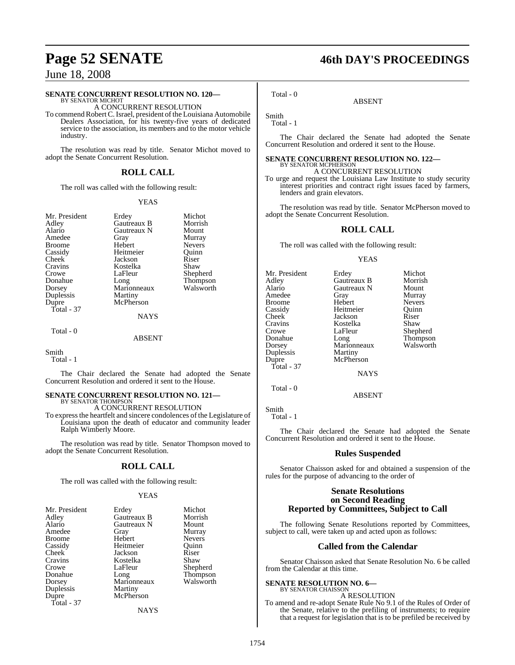#### **SENATE CONCURRENT RESOLUTION NO. 120—**

BY SENATOR MICHOT A CONCURRENT RESOLUTION

To commend Robert C. Israel, president of the Louisiana Automobile Dealers Association, for his twenty-five years of dedicated service to the association, its members and to the motor vehicle industry.

The resolution was read by title. Senator Michot moved to adopt the Senate Concurrent Resolution.

#### **ROLL CALL**

The roll was called with the following result:

#### YEAS

| Mr. President |               | Michot    |
|---------------|---------------|-----------|
|               | Erdey         |           |
| Adley         | Gautreaux B   | Morrish   |
| Alario        | Gautreaux N   | Mount     |
| Amedee        | Gray          | Murray    |
| <b>Broome</b> | Hebert        | Nevers    |
| Cassidy       | Heitmeier     | Ouinn     |
| Cheek         | Jackson       | Riser     |
| Cravins       | Kostelka      | Shaw      |
| Crowe         | LaFleur       | Shepherd  |
| Donahue       | Long          | Thompson  |
| Dorsey        | Marionneaux   | Walsworth |
| Duplessis     | Martiny       |           |
| Dupre         | McPherson     |           |
| Total - 37    |               |           |
|               | <b>NAYS</b>   |           |
| Total - 0     |               |           |
|               | <b>ABSENT</b> |           |
|               |               |           |

Smith

Total - 1

The Chair declared the Senate had adopted the Senate Concurrent Resolution and ordered it sent to the House.

# **SENATE CONCURRENT RESOLUTION NO. 121—** BY SENATOR THOMPSON

A CONCURRENT RESOLUTION

To expressthe heartfelt and sincere condolences of the Legislature of Louisiana upon the death of educator and community leader Ralph Wimberly Moore.

The resolution was read by title. Senator Thompson moved to adopt the Senate Concurrent Resolution.

#### **ROLL CALL**

The roll was called with the following result:

#### **YEAS**

| Mr. President | Erdey       | Michot        |
|---------------|-------------|---------------|
| Adley         | Gautreaux B | Morrish       |
| Alario        | Gautreaux N | Mount         |
| Amedee        | Gray        | Murray        |
| <b>Broome</b> | Hebert      | <b>Nevers</b> |
| Cassidy       | Heitmeier   | Ouinn         |
| Cheek         | Jackson     | Riser         |
| Cravins       | Kostelka    | Shaw          |
| Crowe         | LaFleur     | Shepherd      |
| Donahue       | Long        | Thompson      |
| Dorsey        | Marionneaux | Walsworth     |
| Duplessis     | Martiny     |               |
| Dupre         | McPherson   |               |
| Total - 37    |             |               |
|               | NAYS        |               |

**Page 52 SENATE 46th DAY'S PROCEEDINGS**

Smith

Total - 1

Total - 0

The Chair declared the Senate had adopted the Senate Concurrent Resolution and ordered it sent to the House.

ABSENT

#### **SENATE CONCURRENT RESOLUTION NO. 122—** BY SENATOR MCPHERSON

A CONCURRENT RESOLUTION

To urge and request the Louisiana Law Institute to study security interest priorities and contract right issues faced by farmers, lenders and grain elevators.

The resolution was read by title. Senator McPherson moved to adopt the Senate Concurrent Resolution.

#### **ROLL CALL**

The roll was called with the following result:

#### **YEAS**

| Mr. President | Erdey       | Michot        |
|---------------|-------------|---------------|
| Adley         | Gautreaux B | Morrish       |
| Alario        | Gautreaux N | Mount         |
| Amedee        | Gray        | Murray        |
| <b>Broome</b> | Hebert      | <b>Nevers</b> |
| Cassidy       | Heitmeier   | Ouinn         |
| Cheek         | Jackson     | Riser         |
| Cravins       | Kostelka    | Shaw          |
| Crowe         | LaFleur     | Shepherd      |
| Donahue       | Long        | Thompson      |
| Dorsey        | Marionneaux | Walsworth     |
| Duplessis     | Martiny     |               |
| Dupre         | McPherson   |               |
| Total - 37    |             |               |
|               | <b>NAYS</b> |               |

ABSENT

Smith Total - 1

Total - 0

The Chair declared the Senate had adopted the Senate Concurrent Resolution and ordered it sent to the House.

#### **Rules Suspended**

Senator Chaisson asked for and obtained a suspension of the rules for the purpose of advancing to the order of

#### **Senate Resolutions on Second Reading Reported by Committees, Subject to Call**

The following Senate Resolutions reported by Committees, subject to call, were taken up and acted upon as follows:

#### **Called from the Calendar**

Senator Chaisson asked that Senate Resolution No. 6 be called from the Calendar at this time.

#### **SENATE RESOLUTION NO. 6—**

BY SENATOR CHAISSON A RESOLUTION

To amend and re-adopt Senate Rule No 9.1 of the Rules of Order of the Senate, relative to the prefiling of instruments; to require that a request for legislation that is to be prefiled be received by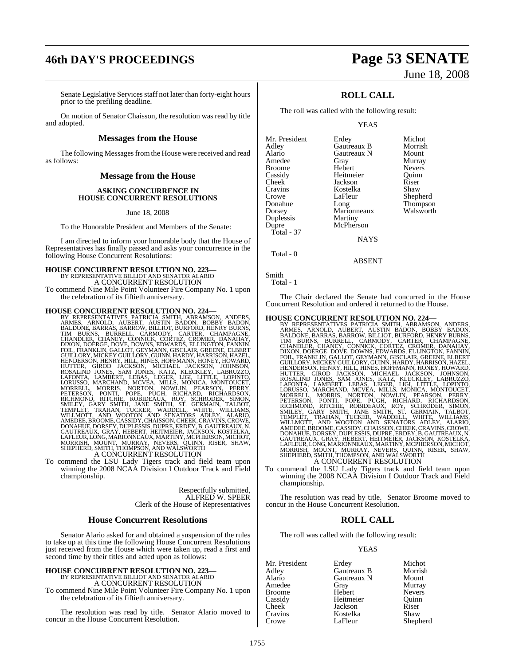# **46th DAY'S PROCEEDINGS Page 53 SENATE**

# June 18, 2008

Senate Legislative Services staff not later than forty-eight hours prior to the prefiling deadline.

On motion of Senator Chaisson, the resolution was read by title and adopted.

#### **Messages from the House**

The following Messages from the House were received and read as follows:

#### **Message from the House**

#### **ASKING CONCURRENCE IN HOUSE CONCURRENT RESOLUTIONS**

#### June 18, 2008

To the Honorable President and Members of the Senate:

I am directed to inform your honorable body that the House of Representatives has finally passed and asks your concurrence in the following House Concurrent Resolutions:

## **HOUSE CONCURRENT RESOLUTION NO. 223—** BY REPRESENTATIVE BILLIOT AND SENATOR ALARIO A CONCURRENT RESOLUTION

To commend Nine Mile Point Volunteer Fire Company No. 1 upon the celebration of its fiftieth anniversary.

HOUSE CONCURRENT RESOLUTION NO. 224-<br>BY REPRESENTATIVES PATRICIA SMITH, ABRAMSON, ANDERS, ARMES, ARNOLD, AUBERT, AUSTIN BADAN, BOBBY BADON, BALLON, BARAS, BARROW, BILLIOT, BURFORD, HEINEN CHANDLER, CHANEY, CONNEX, CORTEZ,

To commend the LSU Lady Tigers track and field team upon winning the 2008 NCAA Division I Outdoor Track and Field championship.

> Respectfully submitted, ALFRED W. SPEER Clerk of the House of Representatives

#### **House Concurrent Resolutions**

Senator Alario asked for and obtained a suspension of the rules to take up at this time the following House Concurrent Resolutions just received from the House which were taken up, read a first and second time by their titles and acted upon as follows:

## **HOUSE CONCURRENT RESOLUTION NO. 223—** BY REPRESENTATIVE BILLIOT AND SENATOR ALARIO A CONCURRENT RESOLUTION

To commend Nine Mile Point Volunteer Fire Company No. 1 upon the celebration of its fiftieth anniversary.

The resolution was read by title. Senator Alario moved to concur in the House Concurrent Resolution.

## **ROLL CALL**

The roll was called with the following result:

#### YEAS

|             | Michot           |
|-------------|------------------|
| Gautreaux B | Morrish          |
| Gautreaux N | Mount            |
| Gray        | Murray           |
| Hebert      | <b>Nevers</b>    |
| Heitmeier   | Ouinn            |
| Jackson     | Riser            |
| Kostelka    | Shaw             |
| LaFleur     | Shepherd         |
| Long        | Thompson         |
| Marionneaux | Walsworth        |
|             |                  |
| McPherson   |                  |
|             |                  |
| <b>NAYS</b> |                  |
|             | Erdey<br>Martiny |

Total - 0

Smith

Total - 1

The Chair declared the Senate had concurred in the House Concurrent Resolution and ordered it returned to the House.

ABSENT

#### **HOUSE CONCURRENT RESOLUTION NO. 224—**

- BY REPRESENTATIVES PATRICIA SMITH, ABRAMSON, ANDERS,<br>ARMES, ARNOLD, AUBERT, AUSTIN BADON, BOBBY BADON,<br>BALDONE, BARRAS,BARROW,BILLIOT,BURFORD,HENRY BURNS, TIM BURNS, BURRELL, CÁRMODY, CARTER, CHAMPAGNE,<br>CHANDLER, CHANEY, CONNICK, CORTEZ, CROMER, DANAHAY,<br>DIXON, DOERGE, DOVE, DOWNS, EDWARDS, ELLINGTON, FANNIN,<br>FOIL, FRANKLIN, GALLOT, GEYMANN, GISCLAIR, GREENE, ELBERT<br>GUILLORY
- To commend the LSU Lady Tigers track and field team upon winning the 2008 NCAA Division I Outdoor Track and Field championship.

The resolution was read by title. Senator Broome moved to concur in the House Concurrent Resolution.

#### **ROLL CALL**

The roll was called with the following result:

#### YEAS

| Mr. President | Erdey       | Michot        |
|---------------|-------------|---------------|
| Adley         | Gautreaux B | Morrish       |
| Alario        | Gautreaux N | Mount         |
| Amedee        | Gray        | Murray        |
| <b>Broome</b> | Hebert      | <b>Nevers</b> |
| Cassidy       | Heitmeier   | Ouinn         |
| Cheek         | Jackson     | Riser         |
| Cravins       | Kostelka    | Shaw          |
| Crowe         | LaFleur     | Shepherd      |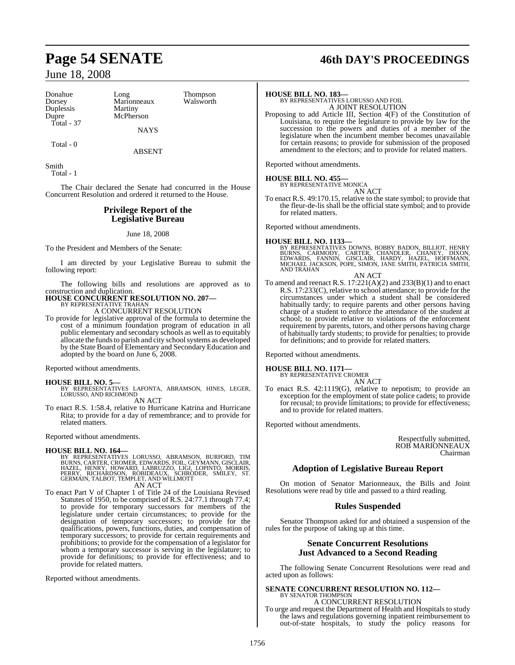Long Thompson<br>Marionneaux Walsworth Marionneaux **Martiny** McPherson

Total - 0

ABSENT

NAYS

Smith Total - 1

The Chair declared the Senate had concurred in the House Concurrent Resolution and ordered it returned to the House.

#### **Privilege Report of the Legislative Bureau**

June 18, 2008

To the President and Members of the Senate:

I am directed by your Legislative Bureau to submit the following report:

The following bills and resolutions are approved as to construction and duplication.

#### **HOUSE CONCURRENT RESOLUTION NO. 207—** BY REPRESENTATIVE TRAHAN

A CONCURRENT RESOLUTION

To provide for legislative approval of the formula to determine the cost of a minimum foundation program of education in all public elementary and secondary schools as well as to equitably allocate the funds to parish and city school systems as developed by the State Board of Elementary and Secondary Education and adopted by the board on June 6, 2008.

Reported without amendments.

**HOUSE BILL NO. 5—** BY REPRESENTATIVES LAFONTA, ABRAMSON, HINES, LEGER, LORUSSO, AND RICHMOND

AN ACT

To enact R.S. 1:58.4, relative to Hurricane Katrina and Hurricane Rita; to provide for a day of remembrance; and to provide for related matters.

Reported without amendments.

#### **HOUSE BILL NO. 164—**

BY REPRESENTATIVES LORUSSO, ABRAMSON, BURFORD, TIM<br>BURNS,CARTER,CROMER,EDWARDS,FOIL,GEYMANN,GISCLAIR,<br>HAZEL, HENRY, HOWARD, LABRUZZO, LIGI, LOPINTO, MORRIS,<br>PERRY, RICHARDSON, ROBIDEAUX, SCHRODER, SMILEY, ST.<br>GERMAIN,TALBO

AN ACT

To enact Part V of Chapter 1 of Title 24 of the Louisiana Revised Statutes of 1950, to be comprised of R.S. 24:77.1 through 77.4; to provide for temporary successors for members of the legislature under certain circumstances; to provide for the designation of temporary successors; to provide for the qualifications, powers, functions, duties, and compensation of temporary successors; to provide for certain requirements and prohibitions; to provide for the compensation of a legislator for whom a temporary successor is serving in the legislature; to provide for definitions; to provide for effectiveness; and to provide for related matters.

Reported without amendments.

# **Page 54 SENATE 46th DAY'S PROCEEDINGS**

#### **HOUSE BILL NO. 183—**

BY REPRESENTATIVES LORUSSO AND FOIL A JOINT RESOLUTION

Proposing to add Article III, Section 4(F) of the Constitution of Louisiana, to require the legislature to provide by law for the succession to the powers and duties of a member of the legislature when the incumbent member becomes unavailable for certain reasons; to provide for submission of the proposed amendment to the electors; and to provide for related matters.

Reported without amendments.

#### **HOUSE BILL NO. 455—**

BY REPRESENTATIVE MONICA AN ACT

To enact R.S. 49:170.15, relative to the state symbol; to provide that the fleur-de-lis shall be the official state symbol; and to provide for related matters.

Reported without amendments.

**HOUSE BILL NO. 1133—**<br>BY REPRESENTATIVES DOWNS, BOBBY BADON, BILLIOT, HENRY<br>BURNS, CARMODY, CARTER, CHANDLER, CHANEY, DIXON,<br>EDWARDS, FANNIN, GISCLAIR, HARDY, HAZEL, HOFFMANN,<br>MICHAEL JACKSON, POPE, SIMON, JANE SMITH, PAT

AN ACT

To amend and reenact R.S.  $17:221(A)(2)$  and  $233(B)(1)$  and to enact R.S. 17:233(C), relative to school attendance; to provide for the circumstances under which a student shall be considered habitually tardy; to require parents and other persons having charge of a student to enforce the attendance of the student at school; to provide relative to violations of the enforcement requirement by parents, tutors, and other persons having charge of habitually tardy students; to provide for penalties; to provide for definitions; and to provide for related matters.

Reported without amendments.

**HOUSE BILL NO. 1171—** BY REPRESENTATIVE CROMER

AN ACT To enact R.S. 42:1119(G), relative to nepotism; to provide an exception for the employment of state police cadets; to provide for recusal; to provide limitations; to provide for effectiveness; and to provide for related matters.

Reported without amendments.

Respectfully submitted, ROB MARIONNEAUX Chairman

## **Adoption of Legislative Bureau Report**

On motion of Senator Marionneaux, the Bills and Joint Resolutions were read by title and passed to a third reading.

#### **Rules Suspended**

Senator Thompson asked for and obtained a suspension of the rules for the purpose of taking up at this time.

#### **Senate Concurrent Resolutions Just Advanced to a Second Reading**

The following Senate Concurrent Resolutions were read and acted upon as follows:

#### **SENATE CONCURRENT RESOLUTION NO. 112—** BY SENATOR THOMPSON

A CONCURRENT RESOLUTION To urge and request the Department of Health and Hospitals to study the laws and regulations governing inpatient reimbursement to out-of-state hospitals, to study the policy reasons for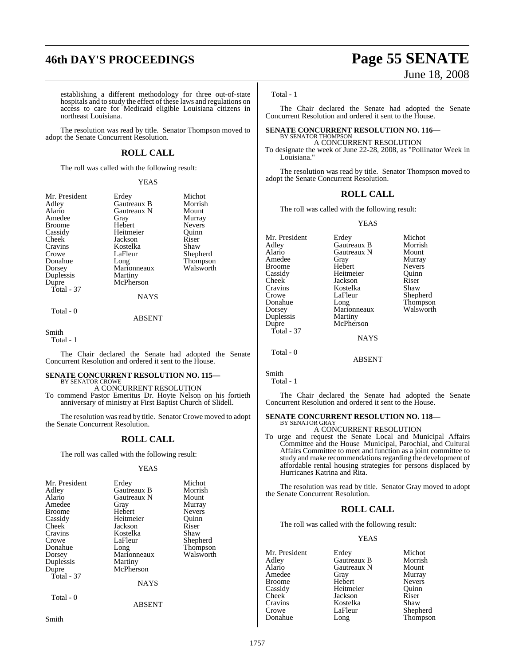# **46th DAY'S PROCEEDINGS Page 55 SENATE**

# June 18, 2008

establishing a different methodology for three out-of-state hospitals and to study the effect of these laws and regulations on access to care for Medicaid eligible Louisiana citizens in northeast Louisiana.

The resolution was read by title. Senator Thompson moved to adopt the Senate Concurrent Resolution.

## **ROLL CALL**

The roll was called with the following result:

#### YEAS

| Mr. President | Erdey         | Michot        |
|---------------|---------------|---------------|
| Adley         | Gautreaux B   | Morrish       |
| Alario        | Gautreaux N   | Mount         |
| Amedee        | Gray          | Murray        |
| <b>Broome</b> | Hebert        | <b>Nevers</b> |
| Cassidy       | Heitmeier     | Quinn         |
| Cheek         | Jackson       | Riser         |
| Cravins       | Kostelka      | Shaw          |
| Crowe         | LaFleur       | Shepherd      |
| Donahue       | Long          | Thompson      |
| Dorsey        | Marionneaux   | Walsworth     |
| Duplessis     | Martiny       |               |
| Dupre         | McPherson     |               |
| Total - 37    |               |               |
|               | <b>NAYS</b>   |               |
| Total - 0     |               |               |
|               | <b>ABSENT</b> |               |

Smith

Total - 1

The Chair declared the Senate had adopted the Senate Concurrent Resolution and ordered it sent to the House.

# **SENATE CONCURRENT RESOLUTION NO. 115—** BY SENATOR CROWE

A CONCURRENT RESOLUTION

To commend Pastor Emeritus Dr. Hoyte Nelson on his fortieth anniversary of ministry at First Baptist Church of Slidell.

The resolution was read by title. Senator Crowe moved to adopt the Senate Concurrent Resolution.

## **ROLL CALL**

The roll was called with the following result:

#### YEAS

| Mr. President<br>Adley<br>Alario<br>Amedee<br><b>Broome</b><br>Cassidy<br>Cheek<br>Cravins<br>Crowe<br>Donahue<br>Dorsey<br>Duplessis | Erdey<br>Gautreaux B<br>Gautreaux N<br>Gray<br>Hebert<br>Heitmeier<br>Jackson<br>Kostelka<br>LaFleur<br>Long<br>Marionneaux<br>Martiny<br>McPherson | Michot<br>Morrish<br>Mount<br>Murray<br><b>Nevers</b><br>Ouinn<br>Riser<br>Shaw<br>Shepherd<br>Thompson<br>Walsworth |
|---------------------------------------------------------------------------------------------------------------------------------------|-----------------------------------------------------------------------------------------------------------------------------------------------------|----------------------------------------------------------------------------------------------------------------------|
| Dupre                                                                                                                                 |                                                                                                                                                     |                                                                                                                      |
| Total - 37                                                                                                                            | <b>NAYS</b>                                                                                                                                         |                                                                                                                      |
| Total - 0                                                                                                                             | <b>ABSENT</b>                                                                                                                                       |                                                                                                                      |

Smith

#### Total - 1

The Chair declared the Senate had adopted the Senate Concurrent Resolution and ordered it sent to the House.

#### **SENATE CONCURRENT RESOLUTION NO. 116—** BY SENATOR THOMPSON

A CONCURRENT RESOLUTION

To designate the week of June 22-28, 2008, as "Pollinator Week in Louisiana.'

The resolution was read by title. Senator Thompson moved to adopt the Senate Concurrent Resolution.

#### **ROLL CALL**

The roll was called with the following result:

YEAS

Mr. President Erdey Michot Adley Gautreaux B Morrish Gautreaux N Mount<br>
Gray Murray Amedee Gray<br>Broome Hebert Broome Hebert Nevers<br>
Cassidy Heitmeier Quinn Cassidy Heitmeier Quinn Cheek Jackson Riser<br>Cravins Kostelka Shaw Cravins Kostelka<br>Crowe LaFleur Crowe LaFleur Shepherd<br>Donahue Long Thompson Donahue Long Thompson Dorsey Marionneaux Walsworth<br>
Duplessis Martiny Duplessis<br>Dupre McPherson Total - 37 **NAVS** Total - 0

Smith Total - 1

The Chair declared the Senate had adopted the Senate Concurrent Resolution and ordered it sent to the House.

ABSENT

#### **SENATE CONCURRENT RESOLUTION NO. 118—** BY SENATOR GRAY

A CONCURRENT RESOLUTION

To urge and request the Senate Local and Municipal Affairs Committee and the House Municipal, Parochial, and Cultural Affairs Committee to meet and function as a joint committee to study and make recommendations regarding the development of affordable rental housing strategies for persons displaced by Hurricanes Katrina and Rita.

The resolution was read by title. Senator Gray moved to adopt the Senate Concurrent Resolution.

## **ROLL CALL**

The roll was called with the following result:

#### YEAS

Mr. President Erdey Michot<br>Adley Gautreaux B Morrish Adley Gautreaux B Morrish **Alaricaux N** Mount<br> **Gray** Murray Amedee Gray Murray<br>Broome Hebert Nevers Broome Hebert Nevers<br>
Cassidy Heitmeier Quinn Cassidy Heitmeier Quinn<br>
Cheek Jackson Riser Cheek Jackson Riser<br>Cravins Kostelka Shaw Cravins Kostelka<br>Crowe LaFleur Crowe LaFleur Shepherd<br>Donahue Long Thompson Thompson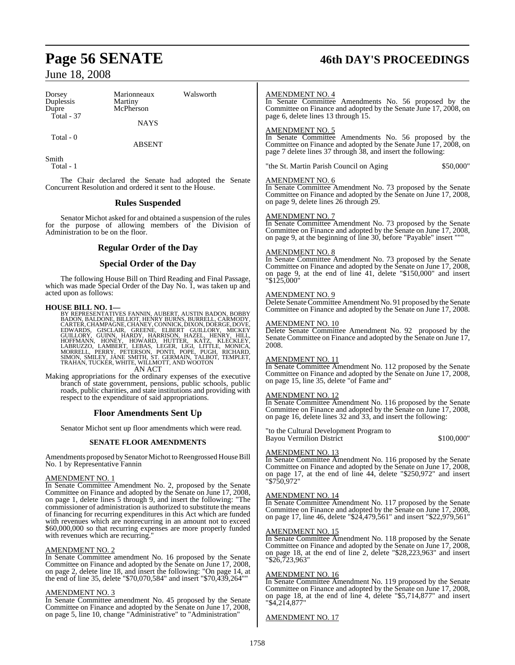# **Page 56 SENATE 46th DAY'S PROCEEDINGS**

# June 18, 2008

| Dorsey<br>Duplessis<br>Dupre<br>Total $-37$                                                                                                                                                                                                                                                                                                                                                                                                                                                                                                                                                                                                                                                                                                                                                                                                                                                                                                | Marionneaux<br>Martiny<br>McPherson<br><b>NAYS</b>                                                                                        | Walsworth | <b>AMENDMENT NO. 4</b><br>In Senate Committee Amendments No. 56 proposed by the<br>Committee on Finance and adopted by the Senate June 17, 2008, on<br>page 6, delete lines 13 through 15.                                                          |  |
|--------------------------------------------------------------------------------------------------------------------------------------------------------------------------------------------------------------------------------------------------------------------------------------------------------------------------------------------------------------------------------------------------------------------------------------------------------------------------------------------------------------------------------------------------------------------------------------------------------------------------------------------------------------------------------------------------------------------------------------------------------------------------------------------------------------------------------------------------------------------------------------------------------------------------------------------|-------------------------------------------------------------------------------------------------------------------------------------------|-----------|-----------------------------------------------------------------------------------------------------------------------------------------------------------------------------------------------------------------------------------------------------|--|
| Total - 0                                                                                                                                                                                                                                                                                                                                                                                                                                                                                                                                                                                                                                                                                                                                                                                                                                                                                                                                  | <b>ABSENT</b>                                                                                                                             |           | <b>AMENDMENT NO. 5</b><br>In Senate Committee Amendments No. 56 proposed by the<br>Committee on Finance and adopted by the Senate June 17, 2008, on<br>page 7 delete lines 37 through 38, and insert the following:                                 |  |
| Smith<br>Total - 1                                                                                                                                                                                                                                                                                                                                                                                                                                                                                                                                                                                                                                                                                                                                                                                                                                                                                                                         |                                                                                                                                           |           | "the St. Martin Parish Council on Aging<br>\$50,000"                                                                                                                                                                                                |  |
|                                                                                                                                                                                                                                                                                                                                                                                                                                                                                                                                                                                                                                                                                                                                                                                                                                                                                                                                            | The Chair declared the Senate had adopted the Senate<br>Concurrent Resolution and ordered it sent to the House.<br><b>Rules Suspended</b> |           | <b>AMENDMENT NO. 6</b><br>In Senate Committee Amendment No. 73 proposed by the Senate<br>Committee on Finance and adopted by the Senate on June 17, 2008,<br>on page 9, delete lines 26 through 29.                                                 |  |
| Administration to be on the floor.                                                                                                                                                                                                                                                                                                                                                                                                                                                                                                                                                                                                                                                                                                                                                                                                                                                                                                         | Senator Michot asked for and obtained a suspension of the rules<br>for the purpose of allowing members of the Division of                 |           | <b>AMENDMENT NO. 7</b><br>In Senate Committee Amendment No. 73 proposed by the Senate<br>Committee on Finance and adopted by the Senate on June 17, 2008,<br>on page 9, at the beginning of line 30, before "Payable" insert """                    |  |
|                                                                                                                                                                                                                                                                                                                                                                                                                                                                                                                                                                                                                                                                                                                                                                                                                                                                                                                                            | <b>Regular Order of the Day</b>                                                                                                           |           | <u>AMENDMENT NO. 8</u>                                                                                                                                                                                                                              |  |
|                                                                                                                                                                                                                                                                                                                                                                                                                                                                                                                                                                                                                                                                                                                                                                                                                                                                                                                                            | <b>Special Order of the Day</b>                                                                                                           |           | In Senate Committee Amendment No. 73 proposed by the Senate<br>Committee on Finance and adopted by the Senate on June 17, 2008,                                                                                                                     |  |
| The following House Bill on Third Reading and Final Passage,<br>which was made Special Order of the Day No. 1, was taken up and                                                                                                                                                                                                                                                                                                                                                                                                                                                                                                                                                                                                                                                                                                                                                                                                            |                                                                                                                                           |           | on page 9, at the end of line 41, delete "\$150,000" and insert<br>$"\$125,000"$                                                                                                                                                                    |  |
| acted upon as follows:                                                                                                                                                                                                                                                                                                                                                                                                                                                                                                                                                                                                                                                                                                                                                                                                                                                                                                                     |                                                                                                                                           |           | <b>AMENDMENT NO. 9</b>                                                                                                                                                                                                                              |  |
| <b>HOUSE BILL NO. 1—</b>                                                                                                                                                                                                                                                                                                                                                                                                                                                                                                                                                                                                                                                                                                                                                                                                                                                                                                                   |                                                                                                                                           |           | Delete Senate Committee Amendment No. 91 proposed by the Senate<br>Committee on Finance and adopted by the Senate on June 17, 2008.                                                                                                                 |  |
| BY REPRESENTATIVES FANNIN, AUBERT, AUSTIN BADON, BOBBY BADON, BALDONE, BILLIOT, HENRY BURNS, BURRELL, CARMODY,<br>CARTER, CHAMPAGNE, CHANEY, CONNICK, DIXON, DOERGE, DOVE,<br>CANDING GISCLAIR, GREENE, ELBERT GUILLORY, MICKEY<br>GUILLORY, GUINN, HARDY, HARRISON, HAZEL, HENRY, HILL,<br>HOFFMANN, HONEY, HOWARD, HUTTER, KATZ, KLECKLEY, AMBERTZZO, LAMBERT, LEBAS, LEGER, LIGI, LITTLE, MONICA,<br>LABRUZZO, LAM<br>TRAHAN, TUCKER, WHITE, WILLMOTT, AND WOOTON<br>AN ACT<br>Making appropriations for the ordinary expenses of the executive<br>branch of state government, pensions, public schools, public<br>roads, public charities, and state institutions and providing with<br>respect to the expenditure of said appropriations.<br><b>Floor Amendments Sent Up</b>                                                                                                                                                          |                                                                                                                                           |           | <b>AMENDMENT NO. 10</b><br>Delete Senate Committee Amendment No. 92 proposed by the<br>Senate Committee on Finance and adopted by the Senate on June 17,<br>2008.                                                                                   |  |
|                                                                                                                                                                                                                                                                                                                                                                                                                                                                                                                                                                                                                                                                                                                                                                                                                                                                                                                                            |                                                                                                                                           |           | <b>AMENDMENT NO. 11</b><br>In Senate Committee Amendment No. 112 proposed by the Senate<br>Committee on Finance and adopted by the Senate on June 17, 2008,                                                                                         |  |
|                                                                                                                                                                                                                                                                                                                                                                                                                                                                                                                                                                                                                                                                                                                                                                                                                                                                                                                                            |                                                                                                                                           |           | on page 15, line 35, delete "of Fame and"<br><b>AMENDMENT NO. 12</b><br>In Senate Committee Amendment No. 116 proposed by the Senate                                                                                                                |  |
|                                                                                                                                                                                                                                                                                                                                                                                                                                                                                                                                                                                                                                                                                                                                                                                                                                                                                                                                            |                                                                                                                                           |           | Committee on Finance and adopted by the Senate on June 17, 2008,<br>on page 16, delete lines 32 and 33, and insert the following:                                                                                                                   |  |
|                                                                                                                                                                                                                                                                                                                                                                                                                                                                                                                                                                                                                                                                                                                                                                                                                                                                                                                                            | Senator Michot sent up floor amendments which were read.                                                                                  |           | "to the Cultural Development Program to                                                                                                                                                                                                             |  |
|                                                                                                                                                                                                                                                                                                                                                                                                                                                                                                                                                                                                                                                                                                                                                                                                                                                                                                                                            | <b>SENATE FLOOR AMENDMENTS</b>                                                                                                            |           | <b>Bayou Vermilion District</b><br>\$100,000"                                                                                                                                                                                                       |  |
|                                                                                                                                                                                                                                                                                                                                                                                                                                                                                                                                                                                                                                                                                                                                                                                                                                                                                                                                            | Amendments proposed by Senator Michot to Reengrossed House Bill<br>No. 1 by Representative Fannin                                         |           | <b>AMENDMENT NO. 13</b><br>In Senate Committee Amendment No. 116 proposed by the Senate<br>Committee on Finance and adopted by the Senate on June 17, 2008,<br>on page 17, at the end of line 44, delete "\$250,972" and insert                     |  |
| AMENDMENT NO. 1                                                                                                                                                                                                                                                                                                                                                                                                                                                                                                                                                                                                                                                                                                                                                                                                                                                                                                                            |                                                                                                                                           |           | "\$750,972"                                                                                                                                                                                                                                         |  |
| In Senate Committee Amendment No. 2, proposed by the Senate<br>Committee on Finance and adopted by the Senate on June 17, 2008,<br>on page 1, delete lines 5 through 9, and insert the following: "The<br>commissioner of administration is authorized to substitute the means<br>of financing for recurring expenditures in this Act which are funded<br>with revenues which are nonrecurring in an amount not to exceed<br>\$60,000,000 so that recurring expenses are more properly funded<br>with revenues which are recurring."<br><b>AMENDMENT NO. 2</b><br>In Senate Committee amendment No. 16 proposed by the Senate<br>Committee on Finance and adopted by the Senate on June 17, 2008,<br>on page 2, delete line 18, and insert the following: "On page 14, at<br>the end of line 35, delete "\$70,070,584" and insert "\$70,439,264""<br><b>AMENDMENT NO. 3</b><br>In Senate Committee amendment No. 45 proposed by the Senate |                                                                                                                                           |           | <b>AMENDMENT NO. 14</b><br>In Senate Committee Amendment No. 117 proposed by the Senate<br>Committee on Finance and adopted by the Senate on June 17, 2008,<br>on page 17, line 46, delete "\$24,479,561" and insert "\$22,979,561"                 |  |
|                                                                                                                                                                                                                                                                                                                                                                                                                                                                                                                                                                                                                                                                                                                                                                                                                                                                                                                                            |                                                                                                                                           |           | <b>AMENDMENT NO. 15</b><br>In Senate Committee Amendment No. 118 proposed by the Senate<br>Committee on Finance and adopted by the Senate on June 17, 2008,<br>on page 18, at the end of line 2, delete "\$28,223,963" and insert<br>"\$26,723,963" |  |
|                                                                                                                                                                                                                                                                                                                                                                                                                                                                                                                                                                                                                                                                                                                                                                                                                                                                                                                                            |                                                                                                                                           |           |                                                                                                                                                                                                                                                     |  |
|                                                                                                                                                                                                                                                                                                                                                                                                                                                                                                                                                                                                                                                                                                                                                                                                                                                                                                                                            |                                                                                                                                           |           | <b>AMENDMENT NO. 16</b><br>In Senate Committee Amendment No. 119 proposed by the Senate<br>Committee on Finance and adopted by the Senate on June 17, 2008,                                                                                         |  |
|                                                                                                                                                                                                                                                                                                                                                                                                                                                                                                                                                                                                                                                                                                                                                                                                                                                                                                                                            |                                                                                                                                           |           | on page 18, at the end of line 4, delete "\$5,714,877" and insert<br>"\$4,214,877"                                                                                                                                                                  |  |
|                                                                                                                                                                                                                                                                                                                                                                                                                                                                                                                                                                                                                                                                                                                                                                                                                                                                                                                                            | Committee on Finance and adopted by the Senate on June 17, 2008,                                                                          |           |                                                                                                                                                                                                                                                     |  |

## AMENDMENT NO. 17

on page 5, line 10, change "Administrative" to "Administration"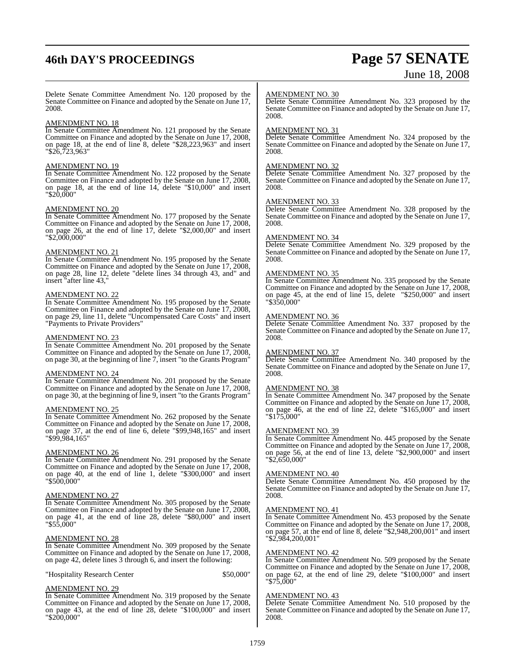# **46th DAY'S PROCEEDINGS Page 57 SENATE**

# June 18, 2008

Delete Senate Committee Amendment No. 120 proposed by the Senate Committee on Finance and adopted by the Senate on June 17, 2008.

#### AMENDMENT NO. 18

In Senate Committee Amendment No. 121 proposed by the Senate Committee on Finance and adopted by the Senate on June 17, 2008, on page 18, at the end of line 8, delete "\$28,223,963" and insert "\$26,723,963"

#### AMENDMENT NO. 19

In Senate Committee Amendment No. 122 proposed by the Senate Committee on Finance and adopted by the Senate on June 17, 2008, on page 18, at the end of line 14, delete "\$10,000" and insert "\$20,000"

#### AMENDMENT NO. 20

In Senate Committee Amendment No. 177 proposed by the Senate Committee on Finance and adopted by the Senate on June 17, 2008, on page 26, at the end of line 17, delete "\$2,000,00" and insert "\$2,000,000"

#### AMENDMENT NO. 21

In Senate Committee Amendment No. 195 proposed by the Senate Committee on Finance and adopted by the Senate on June 17, 2008, on page 28, line 12, delete "delete lines 34 through 43, and" and insert "after line 43,"

#### AMENDMENT NO. 22

In Senate Committee Amendment No. 195 proposed by the Senate Committee on Finance and adopted by the Senate on June 17, 2008, on page 29, line 11, delete "Uncompensated Care Costs" and insert "Payments to Private Providers"

#### AMENDMENT NO. 23

In Senate Committee Amendment No. 201 proposed by the Senate Committee on Finance and adopted by the Senate on June 17, 2008, on page 30, at the beginning of line 7, insert "to the Grants Program"

#### AMENDMENT NO. 24

In Senate Committee Amendment No. 201 proposed by the Senate Committee on Finance and adopted by the Senate on June 17, 2008, on page 30, at the beginning of line 9, insert "to the Grants Program"

#### AMENDMENT NO. 25

In Senate Committee Amendment No. 262 proposed by the Senate Committee on Finance and adopted by the Senate on June 17, 2008, on page 37, at the end of line 6, delete "\$99,948,165" and insert "\$99,984,165"

#### AMENDMENT NO. 26

In Senate Committee Amendment No. 291 proposed by the Senate Committee on Finance and adopted by the Senate on June 17, 2008, on page 40, at the end of line 1, delete "\$300,000" and insert "\$500,000"

#### AMENDMENT NO. 27

In Senate Committee Amendment No. 305 proposed by the Senate Committee on Finance and adopted by the Senate on June 17, 2008, on page 41, at the end of line 28, delete "\$80,000" and insert "\$55,000"

#### AMENDMENT NO. 28

In Senate Committee Amendment No. 309 proposed by the Senate Committee on Finance and adopted by the Senate on June 17, 2008, on page 42, delete lines 3 through 6, and insert the following:

"Hospitality Research Center \$50,000"

#### AMENDMENT NO. 29

In Senate Committee Amendment No. 319 proposed by the Senate Committee on Finance and adopted by the Senate on June 17, 2008, on page 43, at the end of line 28, delete "\$100,000" and insert "\$200,000"

#### AMENDMENT NO. 30

Delete Senate Committee Amendment No. 323 proposed by the Senate Committee on Finance and adopted by the Senate on June 17, 2008.

#### AMENDMENT NO. 31

Delete Senate Committee Amendment No. 324 proposed by the Senate Committee on Finance and adopted by the Senate on June 17, 2008.

#### AMENDMENT NO. 32

Delete Senate Committee Amendment No. 327 proposed by the Senate Committee on Finance and adopted by the Senate on June 17, 2008.

#### AMENDMENT NO. 33

Delete Senate Committee Amendment No. 328 proposed by the Senate Committee on Finance and adopted by the Senate on June 17, 2008.

#### AMENDMENT NO. 34

Delete Senate Committee Amendment No. 329 proposed by the Senate Committee on Finance and adopted by the Senate on June 17, 2008.

#### AMENDMENT NO. 35

In Senate Committee Amendment No. 335 proposed by the Senate Committee on Finance and adopted by the Senate on June 17, 2008, on page 45, at the end of line 15, delete "\$250,000" and insert "\$350,000"

#### AMENDMENT NO. 36

Delete Senate Committee Amendment No. 337 proposed by the Senate Committee on Finance and adopted by the Senate on June 17, 2008.

#### AMENDMENT NO. 37

Delete Senate Committee Amendment No. 340 proposed by the Senate Committee on Finance and adopted by the Senate on June 17, 2008.

#### AMENDMENT NO. 38

In Senate Committee Amendment No. 347 proposed by the Senate Committee on Finance and adopted by the Senate on June 17, 2008, on page 46, at the end of line 22, delete "\$165,000" and insert "\$175,000"

#### AMENDMENT NO. 39

In Senate Committee Amendment No. 445 proposed by the Senate Committee on Finance and adopted by the Senate on June 17, 2008, on page 56, at the end of line 13, delete "\$2,900,000" and insert "\$2,650,000"

#### AMENDMENT NO. 40

Delete Senate Committee Amendment No. 450 proposed by the Senate Committee on Finance and adopted by the Senate on June 17, 2008.

#### AMENDMENT NO. 41

In Senate Committee Amendment No. 453 proposed by the Senate Committee on Finance and adopted by the Senate on June 17, 2008, on page 57, at the end of line 8, delete "\$2,948,200,001" and insert "\$2,984,200,001"

#### AMENDMENT NO. 42

In Senate Committee Amendment No. 509 proposed by the Senate Committee on Finance and adopted by the Senate on June 17, 2008, on page 62, at the end of line 29, delete "\$100,000" and insert "\$75,000"

#### AMENDMENT NO. 43

Delete Senate Committee Amendment No. 510 proposed by the Senate Committee on Finance and adopted by the Senate on June 17, 2008.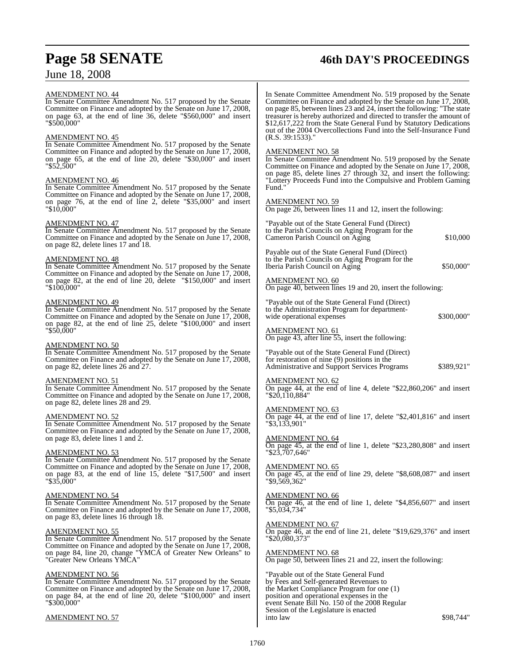## AMENDMENT NO. 44

In Senate Committee Amendment No. 517 proposed by the Senate Committee on Finance and adopted by the Senate on June 17, 2008, on page 63, at the end of line 36, delete "\$560,000" and insert "\$500,000"

#### AMENDMENT NO. 45

In Senate Committee Amendment No. 517 proposed by the Senate Committee on Finance and adopted by the Senate on June 17, 2008, on page 65, at the end of line 20, delete "\$30,000" and insert "\$52,500"

#### AMENDMENT NO. 46

In Senate Committee Amendment No. 517 proposed by the Senate Committee on Finance and adopted by the Senate on June 17, 2008, on page 76, at the end of line 2, delete "\$35,000" and insert "\$10,000"

#### AMENDMENT NO. 47

In Senate Committee Amendment No. 517 proposed by the Senate Committee on Finance and adopted by the Senate on June 17, 2008, on page 82, delete lines 17 and 18.

#### AMENDMENT NO. 48

In Senate Committee Amendment No. 517 proposed by the Senate Committee on Finance and adopted by the Senate on June 17, 2008, on page 82, at the end of line 20, delete "\$150,000" and insert "\$100,000"

#### AMENDMENT NO. 49

In Senate Committee Amendment No. 517 proposed by the Senate Committee on Finance and adopted by the Senate on June 17, 2008, on page 82, at the end of line 25, delete "\$100,000" and insert "\$50,000"

#### AMENDMENT NO. 50

In Senate Committee Amendment No. 517 proposed by the Senate Committee on Finance and adopted by the Senate on June 17, 2008, on page 82, delete lines 26 and 27.

#### AMENDMENT NO. 51

In Senate Committee Amendment No. 517 proposed by the Senate Committee on Finance and adopted by the Senate on June 17, 2008, on page 82, delete lines 28 and 29.

#### AMENDMENT NO. 52

In Senate Committee Amendment No. 517 proposed by the Senate Committee on Finance and adopted by the Senate on June 17, 2008, on page 83, delete lines 1 and 2.

#### AMENDMENT NO. 53

In Senate Committee Amendment No. 517 proposed by the Senate Committee on Finance and adopted by the Senate on June 17, 2008, on page 83, at the end of line 15, delete "\$17,500" and insert "\$35,000"

## AMENDMENT NO. 54

In Senate Committee Amendment No. 517 proposed by the Senate Committee on Finance and adopted by the Senate on June 17, 2008, on page 83, delete lines 16 through 18.

#### AMENDMENT NO. 55

In Senate Committee Amendment No. 517 proposed by the Senate Committee on Finance and adopted by the Senate on June 17, 2008, on page 84, line 20, change "YMCA of Greater New Orleans" to "Greater New Orleans YMCA"

#### AMENDMENT NO. 56

In Senate Committee Amendment No. 517 proposed by the Senate Committee on Finance and adopted by the Senate on June 17, 2008, on page 84, at the end of line 20, delete "\$100,000" and insert "\$300,000"

#### AMENDMENT NO. 57

# **Page 58 SENATE 46th DAY'S PROCEEDINGS**

In Senate Committee Amendment No. 519 proposed by the Senate Committee on Finance and adopted by the Senate on June 17, 2008, on page 85, between lines 23 and 24, insert the following: "The state treasurer is hereby authorized and directed to transfer the amount of \$12,617,222 from the State General Fund by Statutory Dedications out of the 2004 Overcollections Fund into the Self-Insurance Fund  $(R.S. 39:1533)$ .

#### AMENDMENT NO. 58

In Senate Committee Amendment No. 519 proposed by the Senate Committee on Finance and adopted by the Senate on June 17, 2008, on page 85, delete lines 27 through 32, and insert the following: "Lottery Proceeds Fund into the Compulsive and Problem Gaming Fund."

#### AMENDMENT NO. 59

On page 26, between lines 11 and 12, insert the following:

"Payable out of the State General Fund (Direct) to the Parish Councils on Aging Program for the Cameron Parish Council on Aging \$10,000

Payable out of the State General Fund (Direct) to the Parish Councils on Aging Program for the Iberia Parish Council on Aging  $$50,000"$ 

#### AMENDMENT NO. 60

On page 40, between lines 19 and 20, insert the following:

"Payable out of the State General Fund (Direct) to the Administration Program for departmentwide operational expenses  $$300,000"$ 

AMENDMENT NO. 61 On page 43, after line 55, insert the following:

"Payable out of the State General Fund (Direct) for restoration of nine (9) positions in the Administrative and Support Services Programs \$389,921"

#### AMENDMENT NO. 62

On page 44, at the end of line 4, delete "\$22,860,206" and insert "\$20,110,884"

AMENDMENT NO. 63

On page 44, at the end of line 17, delete "\$2,401,816" and insert "\$3,133,901"

AMENDMENT NO. 64 On page 45, at the end of line 1, delete "\$23,280,808" and insert "\$23,707,646"

AMENDMENT NO. 65 On page 45, at the end of line 29, delete "\$8,608,087" and insert "\$9,569,362"

AMENDMENT NO. 66 On page 46, at the end of line 1, delete "\$4,856,607" and insert "\$5,034,734"

AMENDMENT NO. 67 On page 46, at the end of line 21, delete "\$19,629,376" and insert "\$20,080,373"

AMENDMENT NO. 68 On page 50, between lines 21 and 22, insert the following:

"Payable out of the State General Fund by Fees and Self-generated Revenues to the Market Compliance Program for one (1) position and operational expenses in the event Senate Bill No. 150 of the 2008 Regular Session of the Legislature is enacted  $\frac{1}{100}$  into law  $\frac{898.744}{100}$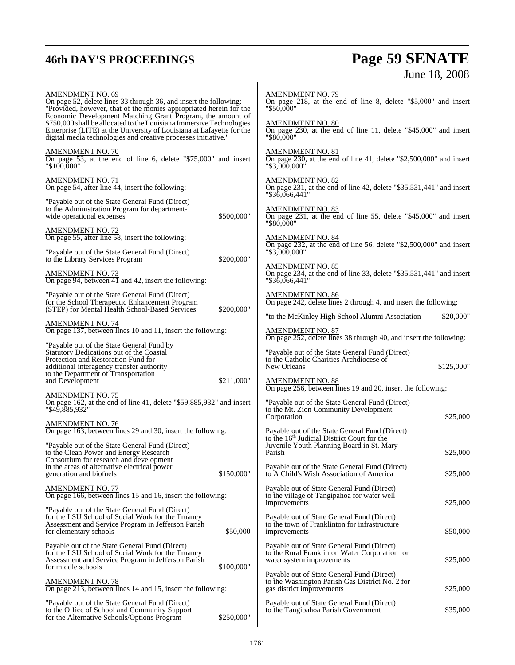# **46th DAY'S PROCEEDINGS Page 59 SENATE** June 18, 2008

| <b>AMENDMENT NO. 69</b><br>On page 52, delete lines 33 through 36, and insert the following:<br>"Provided, however, that of the monies appropriated herein for the<br>Economic Development Matching Grant Program, the amount of<br>\$750,000 shall be allocated to the Louisiana Immersive Technologies<br>Enterprise (LITE) at the University of Louisiana at Lafayette for the<br>digital media technologies and creative processes initiative." |            | <b>AMENDMENT NO. 79</b><br>On page 218, at the end of line 8, delete "\$5,000" and insert<br>"\$50,000"                    |            |  |
|-----------------------------------------------------------------------------------------------------------------------------------------------------------------------------------------------------------------------------------------------------------------------------------------------------------------------------------------------------------------------------------------------------------------------------------------------------|------------|----------------------------------------------------------------------------------------------------------------------------|------------|--|
|                                                                                                                                                                                                                                                                                                                                                                                                                                                     |            | <b>AMENDMENT NO. 80</b><br>On page 230, at the end of line 11, delete "\$45,000" and insert<br>"\$80,000"                  |            |  |
| <b>AMENDMENT NO. 70</b><br>On page 53, at the end of line 6, delete "\$75,000" and insert<br>"\$100,000"                                                                                                                                                                                                                                                                                                                                            |            | <b>AMENDMENT NO. 81</b><br>On page 230, at the end of line 41, delete "\$2,500,000" and insert<br>"\$3,000,000"            |            |  |
| <b>AMENDMENT NO. 71</b><br>On page 54, after line 44, insert the following:                                                                                                                                                                                                                                                                                                                                                                         |            | <b>AMENDMENT NO. 82</b><br>On page 231, at the end of line 42, delete "\$35,531,441" and insert<br>$"\$36,066,441"$        |            |  |
| "Payable out of the State General Fund (Direct)<br>to the Administration Program for department-<br>wide operational expenses                                                                                                                                                                                                                                                                                                                       | \$500,000" | <b>AMENDMENT NO. 83</b><br>On page 231, at the end of line 55, delete "\$45,000" and insert<br>"\$80,000"                  |            |  |
| <b>AMENDMENT NO. 72</b><br>On page 55, after line 58, insert the following:                                                                                                                                                                                                                                                                                                                                                                         |            | <b>AMENDMENT NO. 84</b>                                                                                                    |            |  |
| "Payable out of the State General Fund (Direct)<br>to the Library Services Program                                                                                                                                                                                                                                                                                                                                                                  | \$200,000" | On page $232$ , at the end of line 56, delete "\$2,500,000" and insert<br>"\$3,000,000"                                    |            |  |
| <b>AMENDMENT NO. 73</b><br>On page 94, between 41 and 42, insert the following:                                                                                                                                                                                                                                                                                                                                                                     |            | <b>AMENDMENT NO. 85</b><br>On page 234, at the end of line 33, delete "\$35,531,441" and insert<br>$"\$36,066,441"$        |            |  |
| "Payable out of the State General Fund (Direct)<br>for the School Therapeutic Enhancement Program<br>(STEP) for Mental Health School-Based Services                                                                                                                                                                                                                                                                                                 | \$200,000" | <b>AMENDMENT NO. 86</b><br>On page 242, delete lines 2 through 4, and insert the following:                                |            |  |
| <b>AMENDMENT NO. 74</b>                                                                                                                                                                                                                                                                                                                                                                                                                             |            | "to the McKinley High School Alumni Association<br><b>AMENDMENT NO. 87</b>                                                 | \$20,000"  |  |
| On page 137, between lines 10 and 11, insert the following:<br>"Payable out of the State General Fund by                                                                                                                                                                                                                                                                                                                                            |            | On page 252, delete lines 38 through 40, and insert the following:                                                         |            |  |
| Statutory Dedications out of the Coastal<br>Protection and Restoration Fund for<br>additional interagency transfer authority<br>to the Department of Transportation                                                                                                                                                                                                                                                                                 |            | "Payable out of the State General Fund (Direct)<br>to the Catholic Charities Archdiocese of<br>New Orleans                 | \$125,000" |  |
| and Development                                                                                                                                                                                                                                                                                                                                                                                                                                     | \$211,000" | <b>AMENDMENT NO. 88</b><br>On page 256, between lines 19 and 20, insert the following:                                     |            |  |
| <b>AMENDMENT NO. 75</b><br>On page 162, at the end of line 41, delete "\$59,885,932" and insert<br>"\$49,885,932"                                                                                                                                                                                                                                                                                                                                   |            | "Payable out of the State General Fund (Direct)<br>to the Mt. Zion Community Development<br>Corporation                    | \$25,000   |  |
| <b>AMENDMENT NO. 76</b><br>On page 163, between lines 29 and 30, insert the following:                                                                                                                                                                                                                                                                                                                                                              |            | Payable out of the State General Fund (Direct)<br>to the $16th$ Judicial District Court for the                            |            |  |
| "Payable out of the State General Fund (Direct)<br>to the Clean Power and Energy Research                                                                                                                                                                                                                                                                                                                                                           |            | Juvenile Youth Planning Board in St. Mary<br>Parish                                                                        | \$25,000   |  |
| Consortium for research and development<br>in the areas of alternative electrical power<br>generation and biofuels                                                                                                                                                                                                                                                                                                                                  | \$150,000" | Payable out of the State General Fund (Direct)<br>to A Child's Wish Association of America                                 | \$25,000   |  |
| <b>AMENDMENT NO. 77</b><br>On page 166, between lines 15 and 16, insert the following:                                                                                                                                                                                                                                                                                                                                                              |            | Payable out of State General Fund (Direct)<br>to the village of Tangipahoa for water well<br>improvements                  | \$25,000   |  |
| "Payable out of the State General Fund (Direct)<br>for the LSU School of Social Work for the Truancy<br>Assessment and Service Program in Jefferson Parish<br>for elementary schools                                                                                                                                                                                                                                                                | \$50,000   | Payable out of State General Fund (Direct)<br>to the town of Franklinton for infrastructure<br>improvements                | \$50,000   |  |
| Payable out of the State General Fund (Direct)<br>for the LSU School of Social Work for the Truancy<br>Assessment and Service Program in Jefferson Parish                                                                                                                                                                                                                                                                                           |            | Payable out of State General Fund (Direct)<br>to the Rural Franklinton Water Corporation for<br>water system improvements  | \$25,000   |  |
| for middle schools<br>\$100,000"<br><b>AMENDMENT NO. 78</b><br>On page 213, between lines 14 and 15, insert the following:                                                                                                                                                                                                                                                                                                                          |            | Payable out of State General Fund (Direct)<br>to the Washington Parish Gas District No. 2 for<br>gas district improvements | \$25,000   |  |
| "Payable out of the State General Fund (Direct)<br>to the Office of School and Community Support<br>for the Alternative Schools/Options Program                                                                                                                                                                                                                                                                                                     | \$250,000" | Payable out of State General Fund (Direct)<br>to the Tangipahoa Parish Government                                          | \$35,000   |  |
|                                                                                                                                                                                                                                                                                                                                                                                                                                                     |            |                                                                                                                            |            |  |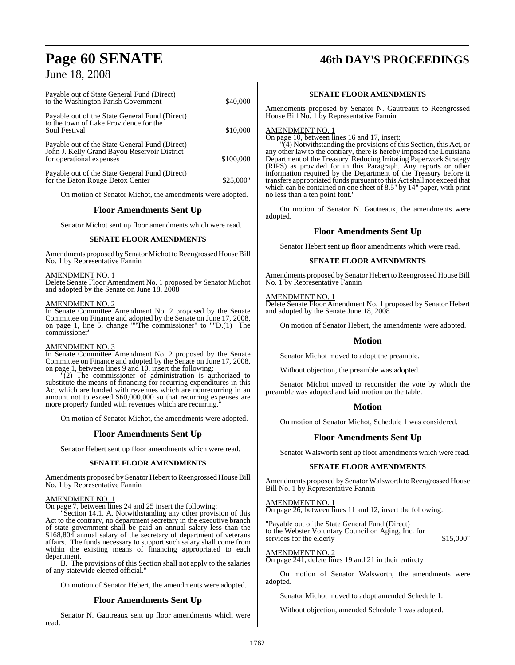| Payable out of State General Fund (Direct)<br>to the Washington Parish Government                                          | \$40,000  |
|----------------------------------------------------------------------------------------------------------------------------|-----------|
| Payable out of the State General Fund (Direct)<br>to the town of Lake Providence for the<br>Soul Festival                  | \$10,000  |
| Payable out of the State General Fund (Direct)<br>John J. Kelly Grand Bayou Reservoir District<br>for operational expenses | \$100,000 |
| Payable out of the State General Fund (Direct)<br>for the Baton Rouge Detox Center                                         | \$25,000" |
| On motion of Senator Michot, the amendments were adopted.                                                                  |           |

#### **Floor Amendments Sent Up**

Senator Michot sent up floor amendments which were read.

#### **SENATE FLOOR AMENDMENTS**

Amendments proposed by Senator Michot to Reengrossed House Bill No. 1 by Representative Fannin

AMENDMENT NO. 1

Delete Senate Floor Amendment No. 1 proposed by Senator Michot and adopted by the Senate on June 18, 2008

#### AMENDMENT NO. 2

In Senate Committee Amendment No. 2 proposed by the Senate Committee on Finance and adopted by the Senate on June 17, 2008, on page 1, line 5, change ""The commissioner" to ""D.(1) The commissioner"

#### AMENDMENT NO. 3

In Senate Committee Amendment No. 2 proposed by the Senate Committee on Finance and adopted by the Senate on June 17, 2008, on page 1, between lines 9 and 10, insert the following:

"(2) The commissioner of administration is authorized to substitute the means of financing for recurring expenditures in this Act which are funded with revenues which are nonrecurring in an amount not to exceed \$60,000,000 so that recurring expenses are more properly funded with revenues which are recurring.

On motion of Senator Michot, the amendments were adopted.

#### **Floor Amendments Sent Up**

Senator Hebert sent up floor amendments which were read.

#### **SENATE FLOOR AMENDMENTS**

Amendments proposed by Senator Hebert to Reengrossed House Bill No. 1 by Representative Fannin

#### AMENDMENT NO. 1

On page 7, between lines 24 and 25 insert the following:

"Section 14.1. A. Notwithstanding any other provision of this Act to the contrary, no department secretary in the executive branch of state government shall be paid an annual salary less than the \$168,804 annual salary of the secretary of department of veterans affairs. The funds necessary to support such salary shall come from within the existing means of financing appropriated to each department.

B. The provisions of this Section shall not apply to the salaries of any statewide elected official."

On motion of Senator Hebert, the amendments were adopted.

### **Floor Amendments Sent Up**

Senator N. Gautreaux sent up floor amendments which were read.

# **Page 60 SENATE 46th DAY'S PROCEEDINGS**

#### **SENATE FLOOR AMENDMENTS**

Amendments proposed by Senator N. Gautreaux to Reengrossed House Bill No. 1 by Representative Fannin

#### AMENDMENT NO. 1

On page 10, between lines 16 and 17, insert:

"(4) Notwithstanding the provisions of this Section, this Act, or any other law to the contrary, there is hereby imposed the Louisiana Department of the Treasury Reducing Irritating Paperwork Strategy (RIPS) as provided for in this Paragraph. Any reports or other information required by the Department of the Treasury before it transfers appropriated funds pursuant to this Actshall not exceed that which can be contained on one sheet of 8.5" by 14" paper, with print no less than a ten point font."

On motion of Senator N. Gautreaux, the amendments were adopted.

#### **Floor Amendments Sent Up**

Senator Hebert sent up floor amendments which were read.

#### **SENATE FLOOR AMENDMENTS**

Amendments proposed by Senator Hebert to Reengrossed House Bill No. 1 by Representative Fannin

#### AMENDMENT NO. 1

Delete Senate Floor Amendment No. 1 proposed by Senator Hebert and adopted by the Senate June 18, 2008

On motion of Senator Hebert, the amendments were adopted.

#### **Motion**

Senator Michot moved to adopt the preamble.

Without objection, the preamble was adopted.

Senator Michot moved to reconsider the vote by which the preamble was adopted and laid motion on the table.

#### **Motion**

On motion of Senator Michot, Schedule 1 was considered.

#### **Floor Amendments Sent Up**

Senator Walsworth sent up floor amendments which were read.

#### **SENATE FLOOR AMENDMENTS**

Amendments proposed by Senator Walsworth to Reengrossed House Bill No. 1 by Representative Fannin

AMENDMENT NO. 1 On page 26, between lines 11 and 12, insert the following:

"Payable out of the State General Fund (Direct) to the Webster Voluntary Council on Aging, Inc. for services for the elderly  $$15,000"$ 

AMENDMENT NO. 2

On page 241, delete lines 19 and 21 in their entirety

On motion of Senator Walsworth, the amendments were adopted.

Senator Michot moved to adopt amended Schedule 1.

Without objection, amended Schedule 1 was adopted.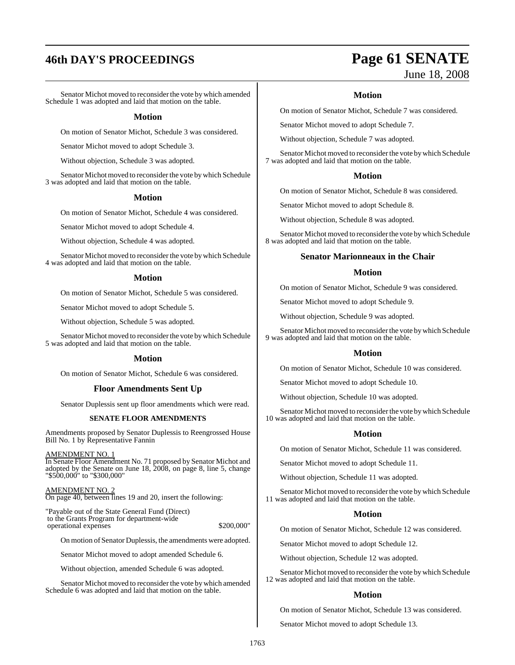# **46th DAY'S PROCEEDINGS Page 61 SENATE**

Senator Michot moved to reconsider the vote by which amended Schedule 1 was adopted and laid that motion on the table.

#### **Motion**

On motion of Senator Michot, Schedule 3 was considered.

Senator Michot moved to adopt Schedule 3.

Without objection, Schedule 3 was adopted.

Senator Michot moved to reconsider the vote by which Schedule 3 was adopted and laid that motion on the table.

#### **Motion**

On motion of Senator Michot, Schedule 4 was considered.

Senator Michot moved to adopt Schedule 4.

Without objection, Schedule 4 was adopted.

Senator Michot moved to reconsider the vote by which Schedule 4 was adopted and laid that motion on the table.

#### **Motion**

On motion of Senator Michot, Schedule 5 was considered.

Senator Michot moved to adopt Schedule 5.

Without objection, Schedule 5 was adopted.

Senator Michot moved to reconsider the vote by which Schedule 5 was adopted and laid that motion on the table.

#### **Motion**

On motion of Senator Michot, Schedule 6 was considered.

#### **Floor Amendments Sent Up**

Senator Duplessis sent up floor amendments which were read.

#### **SENATE FLOOR AMENDMENTS**

Amendments proposed by Senator Duplessis to Reengrossed House Bill No. 1 by Representative Fannin

AMENDMENT NO. 1

In Senate Floor Amendment No. 71 proposed by Senator Michot and adopted by the Senate on June 18, 2008, on page 8, line 5, change "\$500,000" to "\$300,000"

#### AMENDMENT NO. 2

On page 40, between lines 19 and 20, insert the following:

"Payable out of the State General Fund (Direct) to the Grants Program for department-wide operational expenses  $$200,000"$ 

On motion of Senator Duplessis, the amendments were adopted.

Senator Michot moved to adopt amended Schedule 6.

Without objection, amended Schedule 6 was adopted.

Senator Michot moved to reconsider the vote bywhich amended Schedule 6 was adopted and laid that motion on the table.

# June 18, 2008

#### **Motion**

On motion of Senator Michot, Schedule 7 was considered.

Senator Michot moved to adopt Schedule 7.

Without objection, Schedule 7 was adopted.

Senator Michot moved to reconsider the vote by which Schedule 7 was adopted and laid that motion on the table.

#### **Motion**

On motion of Senator Michot, Schedule 8 was considered.

Senator Michot moved to adopt Schedule 8.

Without objection, Schedule 8 was adopted.

Senator Michot moved to reconsider the vote by which Schedule 8 was adopted and laid that motion on the table.

#### **Senator Marionneaux in the Chair**

#### **Motion**

On motion of Senator Michot, Schedule 9 was considered.

Senator Michot moved to adopt Schedule 9.

Without objection, Schedule 9 was adopted.

Senator Michot moved to reconsider the vote by which Schedule 9 was adopted and laid that motion on the table.

#### **Motion**

On motion of Senator Michot, Schedule 10 was considered.

Senator Michot moved to adopt Schedule 10.

Without objection, Schedule 10 was adopted.

Senator Michot moved to reconsider the vote by which Schedule 10 was adopted and laid that motion on the table.

#### **Motion**

On motion of Senator Michot, Schedule 11 was considered.

Senator Michot moved to adopt Schedule 11.

Without objection, Schedule 11 was adopted.

Senator Michot moved to reconsider the vote by which Schedule 11 was adopted and laid that motion on the table.

#### **Motion**

On motion of Senator Michot, Schedule 12 was considered.

Senator Michot moved to adopt Schedule 12.

Without objection, Schedule 12 was adopted.

Senator Michot moved to reconsider the vote by which Schedule 12 was adopted and laid that motion on the table.

#### **Motion**

On motion of Senator Michot, Schedule 13 was considered.

Senator Michot moved to adopt Schedule 13.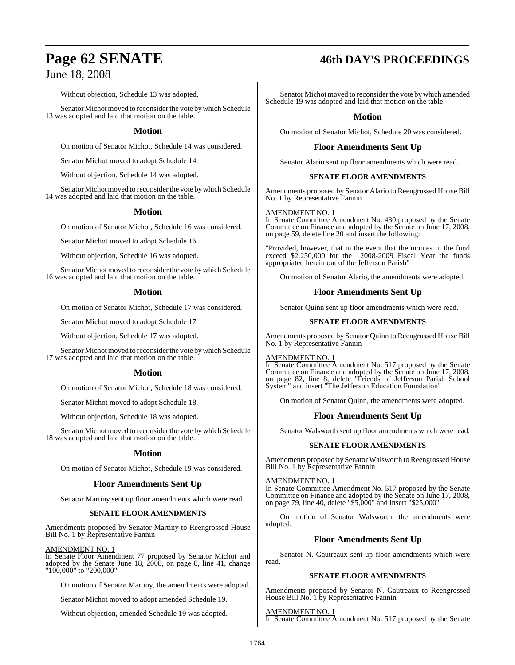Without objection, Schedule 13 was adopted.

Senator Michot moved to reconsider the vote by which Schedule 13 was adopted and laid that motion on the table.

### **Motion**

On motion of Senator Michot, Schedule 14 was considered.

Senator Michot moved to adopt Schedule 14.

Without objection, Schedule 14 was adopted.

Senator Michot moved to reconsider the vote by which Schedule 14 was adopted and laid that motion on the table.

## **Motion**

On motion of Senator Michot, Schedule 16 was considered.

Senator Michot moved to adopt Schedule 16.

Without objection, Schedule 16 was adopted.

Senator Michot moved to reconsider the vote by which Schedule 16 was adopted and laid that motion on the table.

## **Motion**

On motion of Senator Michot, Schedule 17 was considered.

Senator Michot moved to adopt Schedule 17.

Without objection, Schedule 17 was adopted.

Senator Michot moved to reconsider the vote by which Schedule 17 was adopted and laid that motion on the table.

#### **Motion**

On motion of Senator Michot, Schedule 18 was considered.

Senator Michot moved to adopt Schedule 18.

Without objection, Schedule 18 was adopted.

Senator Michot moved to reconsider the vote by which Schedule 18 was adopted and laid that motion on the table.

#### **Motion**

On motion of Senator Michot, Schedule 19 was considered.

#### **Floor Amendments Sent Up**

Senator Martiny sent up floor amendments which were read.

#### **SENATE FLOOR AMENDMENTS**

Amendments proposed by Senator Martiny to Reengrossed House Bill No. 1 by Representative Fannin

#### AMENDMENT NO. 1

In Senate Floor Amendment 77 proposed by Senator Michot and adopted by the Senate June 18, 2008, on page 8, line 41, change "100,000" to "200,000"

On motion of Senator Martiny, the amendments were adopted.

Senator Michot moved to adopt amended Schedule 19.

Without objection, amended Schedule 19 was adopted.

# **Page 62 SENATE 46th DAY'S PROCEEDINGS**

Senator Michot moved to reconsider the vote by which amended Schedule 19 was adopted and laid that motion on the table.

### **Motion**

On motion of Senator Michot, Schedule 20 was considered.

## **Floor Amendments Sent Up**

Senator Alario sent up floor amendments which were read.

#### **SENATE FLOOR AMENDMENTS**

Amendments proposed by Senator Alario to Reengrossed House Bill No. 1 by Representative Fannin

#### AMENDMENT NO. 1

In Senate Committee Amendment No. 480 proposed by the Senate Committee on Finance and adopted by the Senate on June 17, 2008, on page 59, delete line 20 and insert the following:

"Provided, however, that in the event that the monies in the fund exceed \$2,250,000 for the 2008-2009 Fiscal Year the funds appropriated herein out of the Jefferson Parish"

On motion of Senator Alario, the amendments were adopted.

#### **Floor Amendments Sent Up**

Senator Quinn sent up floor amendments which were read.

#### **SENATE FLOOR AMENDMENTS**

Amendments proposed by Senator Quinn to Reengrossed House Bill No. 1 by Representative Fannin

#### AMENDMENT NO. 1

In Senate Committee Amendment No. 517 proposed by the Senate Committee on Finance and adopted by the Senate on June 17, 2008, on page 82, line 8, delete "Friends of Jefferson Parish School System" and insert "The Jefferson Education Foundation"

On motion of Senator Quinn, the amendments were adopted.

#### **Floor Amendments Sent Up**

Senator Walsworth sent up floor amendments which were read.

#### **SENATE FLOOR AMENDMENTS**

Amendments proposed by Senator Walsworth to Reengrossed House Bill No. 1 by Representative Fannin

#### AMENDMENT NO. 1

In Senate Committee Amendment No. 517 proposed by the Senate Committee on Finance and adopted by the Senate on June 17, 2008, on page 79, line 40, delete "\$5,000" and insert "\$25,000"

On motion of Senator Walsworth, the amendments were adopted.

## **Floor Amendments Sent Up**

Senator N. Gautreaux sent up floor amendments which were read.

#### **SENATE FLOOR AMENDMENTS**

Amendments proposed by Senator N. Gautreaux to Reengrossed House Bill No. 1 by Representative Fannin

AMENDMENT NO. 1 In Senate Committee Amendment No. 517 proposed by the Senate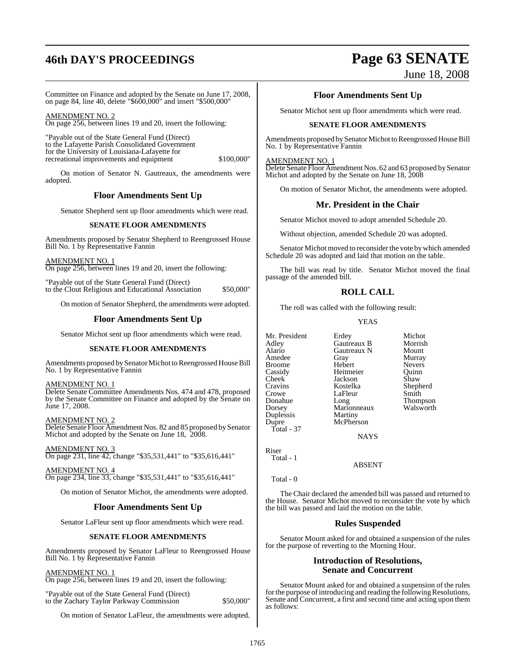# **46th DAY'S PROCEEDINGS Page 63 SENATE**

# June 18, 2008

Committee on Finance and adopted by the Senate on June 17, 2008, on page 84, line 40, delete "\$600,000" and insert "\$500,000"

AMENDMENT NO. 2 On page 256, between lines 19 and 20, insert the following:

"Payable out of the State General Fund (Direct) to the Lafayette Parish Consolidated Government for the University of Louisiana-Lafayette for recreational improvements and equipment \$100,000"

On motion of Senator N. Gautreaux, the amendments were adopted.

## **Floor Amendments Sent Up**

Senator Shepherd sent up floor amendments which were read.

#### **SENATE FLOOR AMENDMENTS**

Amendments proposed by Senator Shepherd to Reengrossed House Bill No. 1 by Representative Fannin

AMENDMENT NO. 1 On page 256, between lines 19 and 20, insert the following:

"Payable out of the State General Fund (Direct) to the Clout Religious and Educational Association \$50,000"

On motion of Senator Shepherd, the amendments were adopted.

#### **Floor Amendments Sent Up**

Senator Michot sent up floor amendments which were read.

#### **SENATE FLOOR AMENDMENTS**

Amendments proposed by Senator Michot to Reengrossed House Bill No. 1 by Representative Fannin

AMENDMENT NO. 1

Delete Senate Committee Amendments Nos. 474 and 478, proposed by the Senate Committee on Finance and adopted by the Senate on June 17, 2008.

AMENDMENT NO. 2 Delete Senate Floor Amendment Nos. 82 and 85 proposed by Senator Michot and adopted by the Senate on June 18, 2008.

AMENDMENT NO. 3 On page 231, line 42, change "\$35,531,441" to "\$35,616,441"

AMENDMENT NO. 4 On page 234, line 33, change "\$35,531,441" to "\$35,616,441"

On motion of Senator Michot, the amendments were adopted.

#### **Floor Amendments Sent Up**

Senator LaFleur sent up floor amendments which were read.

#### **SENATE FLOOR AMENDMENTS**

Amendments proposed by Senator LaFleur to Reengrossed House Bill No. 1 by Representative Fannin

#### AMENDMENT NO. 1

On page 256, between lines 19 and 20, insert the following:

"Payable out of the State General Fund (Direct) to the Zachary Taylor Parkway Commission \$50,000"

On motion of Senator LaFleur, the amendments were adopted.

#### **Floor Amendments Sent Up**

Senator Michot sent up floor amendments which were read.

#### **SENATE FLOOR AMENDMENTS**

Amendments proposed by Senator Michot to Reengrossed House Bill No. 1 by Representative Fannin

#### AMENDMENT NO. 1

Delete Senate Floor Amendment Nos. 62 and 63 proposed by Senator Michot and adopted by the Senate on June 18, 2008

On motion of Senator Michot, the amendments were adopted.

#### **Mr. President in the Chair**

Senator Michot moved to adopt amended Schedule 20.

Without objection, amended Schedule 20 was adopted.

Senator Michot moved to reconsider the vote by which amended Schedule 20 was adopted and laid that motion on the table.

The bill was read by title. Senator Michot moved the final passage of the amended bill.

## **ROLL CALL**

The roll was called with the following result:

#### YEAS

Mr. President Erdey Michot<br>Adley Gautreaux B Morrish Adley Gautreaux B Morrish Alario Gautreaux N<br>Amedee Gray Gray Murray<br>Hebert Nevers Broome Hebert Nevers<br>
Cassidy Heitmeier Quinn Cassidy Heitmeier Quinn Cheek Jackson<br>Cravins Kostelka Cravins Kostelka Shepherd Crowe LaFleur<br>Donahue Long Donahue Long Thompson Marionneaux<br>Martiny Duplessis Dupre McPherson Total - 37 **NAYS** 

Riser Total - 1

ABSENT

Total - 0

The Chair declared the amended bill was passed and returned to the House. Senator Michot moved to reconsider the vote by which the bill was passed and laid the motion on the table.

#### **Rules Suspended**

Senator Mount asked for and obtained a suspension of the rules for the purpose of reverting to the Morning Hour.

#### **Introduction of Resolutions, Senate and Concurrent**

Senator Mount asked for and obtained a suspension of the rules for the purpose of introducing and reading the following Resolutions, Senate and Concurrent, a first and second time and acting upon them as follows: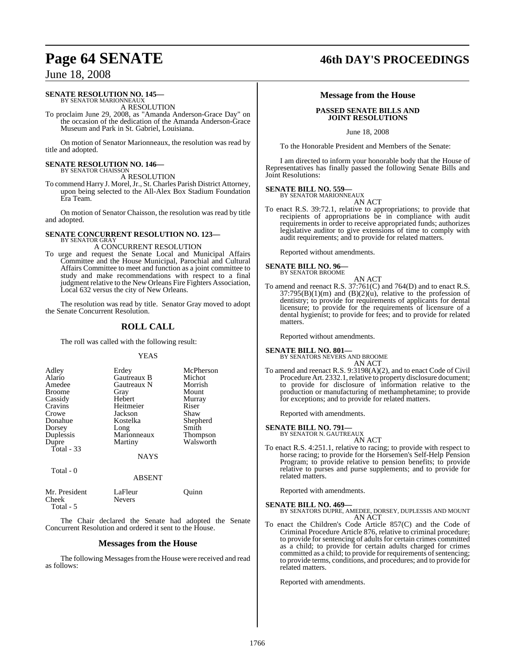#### **SENATE RESOLUTION NO. 145—** BY SENATOR MARIONNEAUX

A RESOLUTION

To proclaim June 29, 2008, as "Amanda Anderson-Grace Day" on the occasion of the dedication of the Amanda Anderson-Grace Museum and Park in St. Gabriel, Louisiana.

On motion of Senator Marionneaux, the resolution was read by title and adopted.

#### **SENATE RESOLUTION NO. 146—** BY SENATOR CHAISSON

A RESOLUTION

To commend Harry J. Morel,Jr., St. Charles Parish District Attorney, upon being selected to the All-Alex Box Stadium Foundation Era Team.

On motion of Senator Chaisson, the resolution was read by title and adopted.

#### **SENATE CONCURRENT RESOLUTION NO. 123—** BY SENATOR GRAY

A CONCURRENT RESOLUTION

To urge and request the Senate Local and Municipal Affairs Committee and the House Municipal, Parochial and Cultural Affairs Committee to meet and function as a joint committee to study and make recommendations with respect to a final judgment relative to the New Orleans Fire Fighters Association, Local 632 versus the city of New Orleans.

The resolution was read by title. Senator Gray moved to adopt the Senate Concurrent Resolution.

## **ROLL CALL**

The roll was called with the following result:

#### YEAS

| Adley<br>Alario<br>Amedee<br><b>Broome</b><br>Cassidy<br>Cravins<br>Crowe<br>Donahue<br>Dorsey<br>Duplessis<br>Dupre<br>Total $-33$ | Erdey<br>Gautreaux B<br>Gautreaux N<br>Gray<br>Hebert<br>Heitmeier<br>Jackson<br>Kostelka<br>Long<br>Marionneaux<br>Martiny | McPherson<br>Michot<br>Morrish<br>Mount<br>Murray<br>Riser<br>Shaw<br>Shepherd<br>Smith<br><b>Thompson</b><br>Walsworth |
|-------------------------------------------------------------------------------------------------------------------------------------|-----------------------------------------------------------------------------------------------------------------------------|-------------------------------------------------------------------------------------------------------------------------|
|                                                                                                                                     | <b>NAYS</b>                                                                                                                 |                                                                                                                         |
| Total - 0                                                                                                                           | <b>ABSENT</b>                                                                                                               |                                                                                                                         |

Mr. President LaFleur Quinn<br>Cheek Nevers **Nevers** 

Total - 5

The Chair declared the Senate had adopted the Senate Concurrent Resolution and ordered it sent to the House.

#### **Messages from the House**

The following Messages from the House were received and read as follows:

# **Page 64 SENATE 46th DAY'S PROCEEDINGS**

#### **Message from the House**

#### **PASSED SENATE BILLS AND JOINT RESOLUTIONS**

June 18, 2008

To the Honorable President and Members of the Senate:

I am directed to inform your honorable body that the House of Representatives has finally passed the following Senate Bills and Joint Resolutions:

# **SENATE BILL NO. 559—** BY SENATOR MARIONNEAUX

AN ACT

To enact R.S. 39:72.1, relative to appropriations; to provide that recipients of appropriations be in compliance with audit requirements in order to receive appropriated funds; authorizes legislative auditor to give extensions of time to comply with audit requirements; and to provide for related matters.

Reported without amendments.

**SENATE BILL NO. 96—** BY SENATOR BROOME

AN ACT

To amend and reenact R.S. 37:761(C) and 764(D) and to enact R.S.  $37:795(B)(1)(m)$  and  $(B)(2)(u)$ , relative to the profession of dentistry; to provide for requirements of applicants for dental licensure; to provide for the requirements of licensure of a dental hygienist; to provide for fees; and to provide for related matters.

Reported without amendments.

#### **SENATE BILL NO. 801—**

BY SENATORS NEVERS AND BROOME AN ACT

To amend and reenact R.S. 9:3198(A)(2), and to enact Code of Civil Procedure Art. 2332.1, relative to property disclosure document; to provide for disclosure of information relative to the production or manufacturing of methamphetamine; to provide for exceptions; and to provide for related matters.

Reported with amendments.

#### **SENATE BILL NO. 791—**

BY SENATOR N. GAUTREAUX AN ACT

To enact R.S. 4:251.1, relative to racing; to provide with respect to horse racing; to provide for the Horsemen's Self-Help Pension Program; to provide relative to pension benefits; to provide relative to purses and purse supplements; and to provide for related matters.

Reported with amendments.

**SENATE BILL NO. 469—** BY SENATORS DUPRE, AMEDEE, DORSEY, DUPLESSIS AND MOUNT AN ACT

To enact the Children's Code Article 857(C) and the Code of Criminal Procedure Article 876, relative to criminal procedure; to provide for sentencing of adults for certain crimes committed as a child; to provide for certain adults charged for crimes committed as a child; to provide for requirements of sentencing; to provide terms, conditions, and procedures; and to provide for related matters.

Reported with amendments.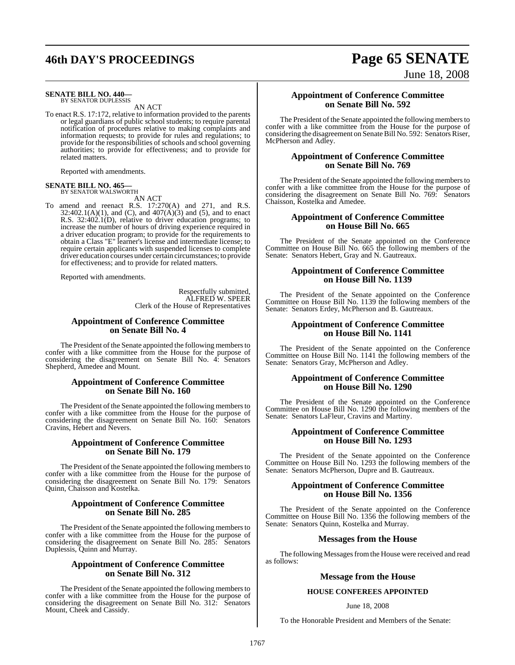#### **SENATE BILL NO. 440—** BY SENATOR DUPLESSIS

AN ACT

To enact R.S. 17:172, relative to information provided to the parents or legal guardians of public school students; to require parental notification of procedures relative to making complaints and information requests; to provide for rules and regulations; to provide for the responsibilities of schools and school governing authorities; to provide for effectiveness; and to provide for related matters.

Reported with amendments.

# **SENATE BILL NO. 465—** BY SENATOR WALSWORTH

AN ACT

To amend and reenact R.S. 17:270(A) and 271, and R.S.  $32:402.1(A)(1)$ , and (C), and  $407(A)(3)$  and (5), and to enact R.S. 32:402.1(D), relative to driver education programs; to increase the number of hours of driving experience required in a driver education program; to provide for the requirements to obtain a Class "E" learner's license and intermediate license; to require certain applicants with suspended licenses to complete driver education courses under certain circumstances; to provide for effectiveness; and to provide for related matters.

Reported with amendments.

Respectfully submitted, ALFRED W. SPEER Clerk of the House of Representatives

#### **Appointment of Conference Committee on Senate Bill No. 4**

The President of the Senate appointed the following members to confer with a like committee from the House for the purpose of considering the disagreement on Senate Bill No. 4: Senators Shepherd, Amedee and Mount.

#### **Appointment of Conference Committee on Senate Bill No. 160**

The President of the Senate appointed the following members to confer with a like committee from the House for the purpose of considering the disagreement on Senate Bill No. 160: Senators Cravins, Hebert and Nevers.

#### **Appointment of Conference Committee on Senate Bill No. 179**

The President of the Senate appointed the following members to confer with a like committee from the House for the purpose of considering the disagreement on Senate Bill No. 179: Senators Quinn, Chaisson and Kostelka.

#### **Appointment of Conference Committee on Senate Bill No. 285**

The President of the Senate appointed the following members to confer with a like committee from the House for the purpose of considering the disagreement on Senate Bill No. 285: Senators Duplessis, Quinn and Murray.

#### **Appointment of Conference Committee on Senate Bill No. 312**

The President of the Senate appointed the following members to confer with a like committee from the House for the purpose of considering the disagreement on Senate Bill No. 312: Senators Mount, Cheek and Cassidy.

#### **Appointment of Conference Committee on Senate Bill No. 592**

The President of the Senate appointed the following members to confer with a like committee from the House for the purpose of considering the disagreement on Senate Bill No. 592: Senators Riser, McPherson and Adley.

#### **Appointment of Conference Committee on Senate Bill No. 769**

The President of the Senate appointed the following members to confer with a like committee from the House for the purpose of considering the disagreement on Senate Bill No. 769: Senators Chaisson, Kostelka and Amedee.

#### **Appointment of Conference Committee on House Bill No. 665**

The President of the Senate appointed on the Conference Committee on House Bill No. 665 the following members of the Senate: Senators Hebert, Gray and N. Gautreaux.

#### **Appointment of Conference Committee on House Bill No. 1139**

The President of the Senate appointed on the Conference Committee on House Bill No. 1139 the following members of the Senate: Senators Erdey, McPherson and B. Gautreaux.

#### **Appointment of Conference Committee on House Bill No. 1141**

The President of the Senate appointed on the Conference Committee on House Bill No. 1141 the following members of the Senate: Senators Gray, McPherson and Adley.

#### **Appointment of Conference Committee on House Bill No. 1290**

The President of the Senate appointed on the Conference Committee on House Bill No. 1290 the following members of the Senate: Senators LaFleur, Cravins and Martiny.

#### **Appointment of Conference Committee on House Bill No. 1293**

The President of the Senate appointed on the Conference Committee on House Bill No. 1293 the following members of the Senate: Senators McPherson, Dupre and B. Gautreaux.

#### **Appointment of Conference Committee on House Bill No. 1356**

The President of the Senate appointed on the Conference Committee on House Bill No. 1356 the following members of the Senate: Senators Quinn, Kostelka and Murray.

#### **Messages from the House**

The following Messages from the House were received and read as follows:

#### **Message from the House**

#### **HOUSE CONFEREES APPOINTED**

#### June 18, 2008

To the Honorable President and Members of the Senate:

# **46th DAY'S PROCEEDINGS Page 65 SENATE** June 18, 2008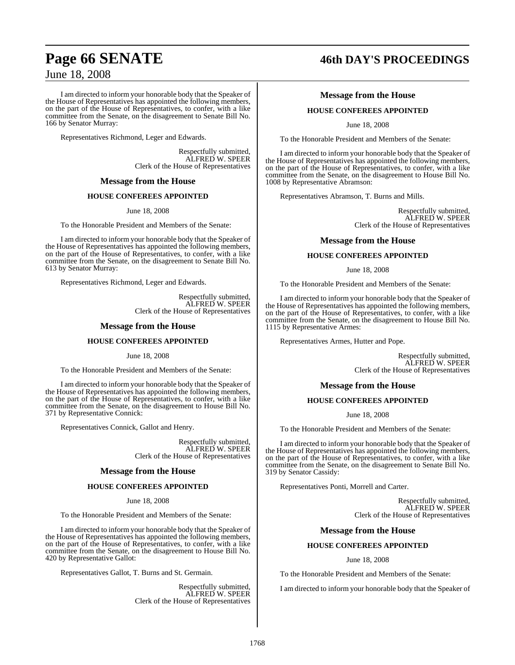I am directed to inform your honorable body that the Speaker of the House of Representatives has appointed the following members, on the part of the House of Representatives, to confer, with a like committee from the Senate, on the disagreement to Senate Bill No. 166 by Senator Murray:

Representatives Richmond, Leger and Edwards.

Respectfully submitted, ALFRED W. SPEER Clerk of the House of Representatives

#### **Message from the House**

#### **HOUSE CONFEREES APPOINTED**

June 18, 2008

To the Honorable President and Members of the Senate:

I am directed to inform your honorable body that the Speaker of the House of Representatives has appointed the following members, on the part of the House of Representatives, to confer, with a like committee from the Senate, on the disagreement to Senate Bill No. 613 by Senator Murray:

Representatives Richmond, Leger and Edwards.

Respectfully submitted, ALFRED W. SPEER Clerk of the House of Representatives

#### **Message from the House**

#### **HOUSE CONFEREES APPOINTED**

June 18, 2008

To the Honorable President and Members of the Senate:

I am directed to inform your honorable body that the Speaker of the House of Representatives has appointed the following members, on the part of the House of Representatives, to confer, with a like committee from the Senate, on the disagreement to House Bill No. 371 by Representative Connick:

Representatives Connick, Gallot and Henry.

Respectfully submitted, ALFRED W. SPEER Clerk of the House of Representatives

#### **Message from the House**

#### **HOUSE CONFEREES APPOINTED**

June 18, 2008

To the Honorable President and Members of the Senate:

I am directed to inform your honorable body that the Speaker of the House of Representatives has appointed the following members, on the part of the House of Representatives, to confer, with a like committee from the Senate, on the disagreement to House Bill No. 420 by Representative Gallot:

Representatives Gallot, T. Burns and St. Germain.

Respectfully submitted, ALFRED W. SPEER Clerk of the House of Representatives

# **Page 66 SENATE 46th DAY'S PROCEEDINGS**

#### **Message from the House**

#### **HOUSE CONFEREES APPOINTED**

June 18, 2008

To the Honorable President and Members of the Senate:

I am directed to inform your honorable body that the Speaker of the House of Representatives has appointed the following members, on the part of the House of Representatives, to confer, with a like committee from the Senate, on the disagreement to House Bill No. 1008 by Representative Abramson:

Representatives Abramson, T. Burns and Mills.

Respectfully submitted, ALFRED W. SPEER Clerk of the House of Representatives

#### **Message from the House**

#### **HOUSE CONFEREES APPOINTED**

June 18, 2008

To the Honorable President and Members of the Senate:

I am directed to inform your honorable body that the Speaker of the House of Representatives has appointed the following members, on the part of the House of Representatives, to confer, with a like committee from the Senate, on the disagreement to House Bill No. 1115 by Representative Armes:

Representatives Armes, Hutter and Pope.

Respectfully submitted, ALFRED W. SPEER Clerk of the House of Representatives

#### **Message from the House**

#### **HOUSE CONFEREES APPOINTED**

June 18, 2008

To the Honorable President and Members of the Senate:

I am directed to inform your honorable body that the Speaker of the House of Representatives has appointed the following members, on the part of the House of Representatives, to confer, with a like committee from the Senate, on the disagreement to Senate Bill No. 319 by Senator Cassidy:

Representatives Ponti, Morrell and Carter.

Respectfully submitted, ALFRED W. SPEER Clerk of the House of Representatives

#### **Message from the House**

#### **HOUSE CONFEREES APPOINTED**

June 18, 2008

To the Honorable President and Members of the Senate:

I am directed to inform your honorable body that the Speaker of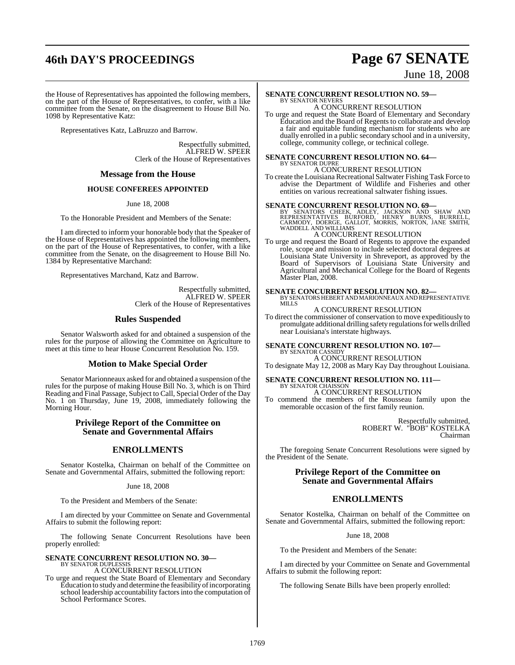# **46th DAY'S PROCEEDINGS Page 67 SENATE**

# June 18, 2008

the House of Representatives has appointed the following members, on the part of the House of Representatives, to confer, with a like committee from the Senate, on the disagreement to House Bill No. 1098 by Representative Katz:

Representatives Katz, LaBruzzo and Barrow.

Respectfully submitted, ALFRED W. SPEER Clerk of the House of Representatives

#### **Message from the House**

#### **HOUSE CONFEREES APPOINTED**

June 18, 2008

To the Honorable President and Members of the Senate:

I am directed to inform your honorable body that the Speaker of the House of Representatives has appointed the following members, on the part of the House of Representatives, to confer, with a like committee from the Senate, on the disagreement to House Bill No. 1384 by Representative Marchand:

Representatives Marchand, Katz and Barrow.

Respectfully submitted, ALFRED W. SPEER Clerk of the House of Representatives

#### **Rules Suspended**

Senator Walsworth asked for and obtained a suspension of the rules for the purpose of allowing the Committee on Agriculture to meet at this time to hear House Concurrent Resolution No. 159.

#### **Motion to Make Special Order**

Senator Marionneaux asked for and obtained a suspension of the rules for the purpose of making House Bill No. 3, which is on Third Reading and Final Passage, Subject to Call, Special Order of the Day No. 1 on Thursday, June 19, 2008, immediately following the Morning Hour.

#### **Privilege Report of the Committee on Senate and Governmental Affairs**

### **ENROLLMENTS**

Senator Kostelka, Chairman on behalf of the Committee on Senate and Governmental Affairs, submitted the following report:

#### June 18, 2008

To the President and Members of the Senate:

I am directed by your Committee on Senate and Governmental Affairs to submit the following report:

The following Senate Concurrent Resolutions have been properly enrolled:

#### **SENATE CONCURRENT RESOLUTION NO. 30—** BY SENATOR DUPLESSIS A CONCURRENT RESOLUTION

To urge and request the State Board of Elementary and Secondary Education to study and determine the feasibility of incorporating school leadership accountability factorsinto the computation of School Performance Scores.

#### **SENATE CONCURRENT RESOLUTION NO. 59—** BY SENATOR NEVERS

A CONCURRENT RESOLUTION To urge and request the State Board of Elementary and Secondary Education and the Board of Regents to collaborate and develop a fair and equitable funding mechanism for students who are dually enrolled in a public secondary school and in a university, college, community college, or technical college.

#### **SENATE CONCURRENT RESOLUTION NO. 64—** BY SENATOR DUPRE A CONCURRENT RESOLUTION

To create the Louisiana Recreational Saltwater Fishing Task Force to advise the Department of Wildlife and Fisheries and other entities on various recreational saltwater fishing issues.

**SENATE CONCURRENT RESOLUTION NO. 69—**<br>BY SENATORS CHEEK, ADLEY, JACKSON AND SHAW AND<br>REPRESENTATIVES BURFORD, HENRY BURNS, BURRELL,<br>CARMODY, DOERGE, GALLOT, MORRIS, NORTON, JANE SMITH,<br>WADDELL AND WILLIAMS

## A CONCURRENT RESOLUTION

To urge and request the Board of Regents to approve the expanded role, scope and mission to include selected doctoral degrees at Louisiana State University in Shreveport, as approved by the Board of Supervisors of Louisiana State University and Agricultural and Mechanical College for the Board of Regents Master Plan, 2008.

**SENATE CONCURRENT RESOLUTION NO. 82—** BY SENATORS HEBERT AND MARIONNEAUX AND REPRESENTATIVE MILLS

### A CONCURRENT RESOLUTION

To direct the commissioner of conservation to move expeditiously to promulgate additional drilling safety regulations for wells drilled near Louisiana's interstate highways.

# **SENATE CONCURRENT RESOLUTION NO. 107—**

BY SENATOR CASSIDY A CONCURRENT RESOLUTION

To designate May 12, 2008 as Mary Kay Day throughout Louisiana.

#### **SENATE CONCURRENT RESOLUTION NO. 111—** BY SENATOR CHAISSON

A CONCURRENT RESOLUTION

To commend the members of the Rousseau family upon the memorable occasion of the first family reunion.

> Respectfully submitted, ROBERT W. "BOB" KOSTELKA Chairman

The foregoing Senate Concurrent Resolutions were signed by the President of the Senate.

#### **Privilege Report of the Committee on Senate and Governmental Affairs**

## **ENROLLMENTS**

Senator Kostelka, Chairman on behalf of the Committee on Senate and Governmental Affairs, submitted the following report:

June 18, 2008

To the President and Members of the Senate:

I am directed by your Committee on Senate and Governmental Affairs to submit the following report:

The following Senate Bills have been properly enrolled: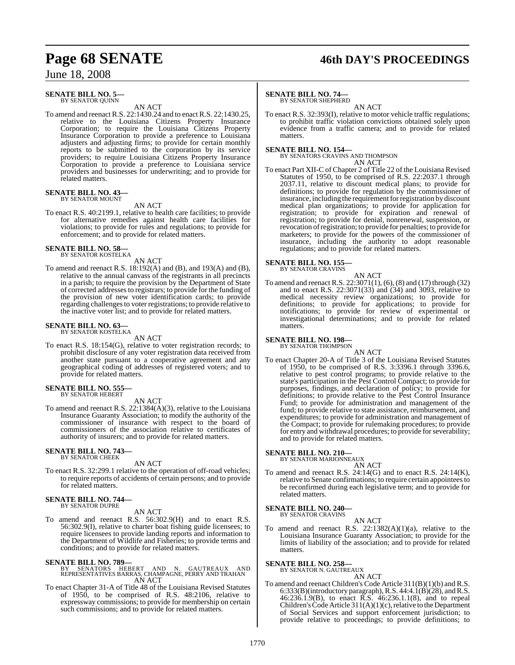# **Page 68 SENATE 46th DAY'S PROCEEDINGS**

June 18, 2008

#### **SENATE BILL NO. 5—** BY SENATOR QUINN

AN ACT

To amend and reenact R.S. 22:1430.24 and to enact R.S. 22:1430.25, relative to the Louisiana Citizens Property Insurance Corporation; to require the Louisiana Citizens Property Insurance Corporation to provide a preference to Louisiana adjusters and adjusting firms; to provide for certain monthly reports to be submitted to the corporation by its service providers; to require Louisiana Citizens Property Insurance Corporation to provide a preference to Louisiana service providers and businesses for underwriting; and to provide for related matters.

#### **SENATE BILL NO. 43—** BY SENATOR MOUNT

AN ACT

To enact R.S. 40:2199.1, relative to health care facilities; to provide for alternative remedies against health care facilities for violations; to provide for rules and regulations; to provide for enforcement; and to provide for related matters.

#### **SENATE BILL NO. 58** BY SENATOR KOSTELKA

AN ACT

To amend and reenact R.S. 18:192(A) and (B), and 193(A) and (B), relative to the annual canvass of the registrants in all precincts in a parish; to require the provision by the Department of State of corrected addressesto registrars; to provide for the funding of the provision of new voter identification cards; to provide regarding challenges to voter registrations; to provide relative to the inactive voter list; and to provide for related matters.

#### **SENATE BILL NO. 63—** BY SENATOR KOSTELKA

AN ACT

To enact R.S. 18:154(G), relative to voter registration records; to prohibit disclosure of any voter registration data received from another state pursuant to a cooperative agreement and any geographical coding of addresses of registered voters; and to provide for related matters.

**SENATE BILL NO. 555—** BY SENATOR HEBERT

AN ACT

To amend and reenact R.S. 22:1384(A)(3), relative to the Louisiana Insurance Guaranty Association; to modify the authority of the commissioner of insurance with respect to the board of commissioners of the association relative to certificates of authority of insurers; and to provide for related matters.

#### **SENATE BILL NO. 743—** BY SENATOR CHEEK

AN ACT

To enact R.S. 32:299.1 relative to the operation of off-road vehicles; to require reports of accidents of certain persons; and to provide for related matters.

# **SENATE BILL NO. 744—** BY SENATOR DUPRE

AN ACT

To amend and reenact R.S. 56:302.9(H) and to enact R.S. 56:302.9(I), relative to charter boat fishing guide licensees; to require licensees to provide landing reports and information to the Department of Wildlife and Fisheries; to provide terms and conditions; and to provide for related matters.

# **SENATE BILL NO. 789-**<br>BY SENATORS HE

- BY SENATORS HEBERT AND N. GAUTREAUX AND REPRESENTATIVES BARRAS, CHAMPAGNE, PERRY AND TRAHAN AN ACT
- To enact Chapter 31-A of Title 48 of the Louisiana Revised Statutes of 1950, to be comprised of R.S. 48:2106, relative to expressway commissions; to provide for membership on certain such commissions; and to provide for related matters.

## **SENATE BILL NO. 74—**

BY SENATOR SHEPHERD

AN ACT To enact R.S. 32:393(I), relative to motor vehicle traffic regulations; to prohibit traffic violation convictions obtained solely upon evidence from a traffic camera; and to provide for related matters.

#### **SENATE BILL NO. 154—**

BY SENATORS CRAVINS AND THOMPSON AN ACT

To enact Part XII-C of Chapter 2 of Title 22 of the Louisiana Revised Statutes of 1950, to be comprised of R.S. 22:2037.1 through 2037.11, relative to discount medical plans; to provide for definitions; to provide for regulation by the commissioner of insurance, including the requirement for registration by discount medical plan organizations; to provide for application for registration; to provide for expiration and renewal of registration; to provide for denial, nonrenewal, suspension, or revocation ofregistration; to provide for penalties; to provide for marketers; to provide for the powers of the commissioner of insurance, including the authority to adopt reasonable regulations; and to provide for related matters.

## **SENATE BILL NO. 155—**

BY SENATOR CRAVINS

AN ACT To amend and reenact R.S. 22:3071(1), (6), (8) and (17) through (32) and to enact R.S. 22:3071(33) and (34) and 3093, relative to medical necessity review organizations; to provide for definitions; to provide for applications; to provide for notifications; to provide for review of experimental or investigational determinations; and to provide for related matters.

# **SENATE BILL NO. 198—**<br>BY SENATOR THOMPSON

AN ACT

To enact Chapter 20-A of Title 3 of the Louisiana Revised Statutes of 1950, to be comprised of R.S. 3:3396.1 through 3396.6, relative to pest control programs; to provide relative to the state's participation in the Pest Control Compact; to provide for purposes, findings, and declaration of policy; to provide for definitions; to provide relative to the Pest Control Insurance Fund; to provide for administration and management of the fund; to provide relative to state assistance, reimbursement, and expenditures; to provide for administration and management of the Compact; to provide for rulemaking procedures; to provide for entry and withdrawal procedures; to provide for severability; and to provide for related matters.

### **SENATE BILL NO. 210—**

BY SENATOR MARIONNEAUX AN ACT

To amend and reenact R.S. 24:14(G) and to enact R.S. 24:14(K), relative to Senate confirmations; to require certain appointees to be reconfirmed during each legislative term; and to provide for related matters.

# **SENATE BILL NO. 240—** BY SENATOR CRAVINS

AN ACT To amend and reenact R.S.  $22:1382(A)(1)(a)$ , relative to the Louisiana Insurance Guaranty Association; to provide for the limits of liability of the association; and to provide for related matters.

# **SENATE BILL NO. 258—** BY SENATOR N. GAUTREAUX

AN ACT

To amend and reenact Children's Code Article 311(B)(1)(b) and R.S.  $6:333(B)$ (introductory paragraph), R.S.  $44:4.1(B)(28)$ , and R.S. 46:236.1.9(B), to enact R.S. 46:236.1.1(8), and to repeal Children's Code Article 311(A)(1)(c), relative to the Department of Social Services and support enforcement jurisdiction; to provide relative to proceedings; to provide definitions; to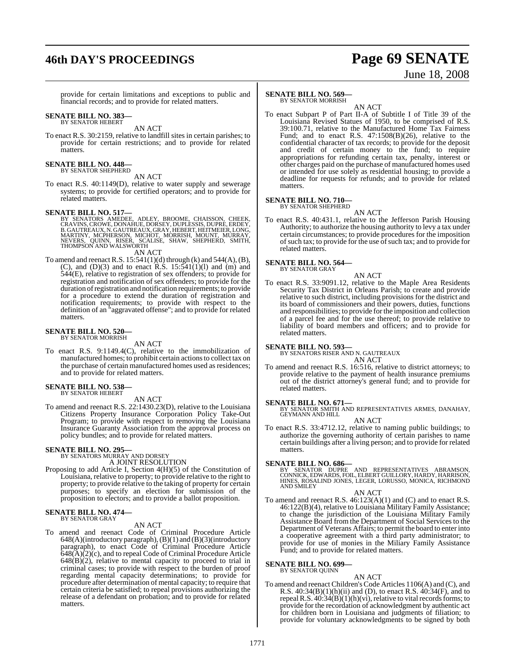# **46th DAY'S PROCEEDINGS Page 69 SENATE**

# June 18, 2008

provide for certain limitations and exceptions to public and financial records; and to provide for related matters.

# **SENATE BILL NO. 383—** BY SENATOR HEBERT

AN ACT

To enact R.S. 30:2159, relative to landfill sites in certain parishes; to provide for certain restrictions; and to provide for related matters.

# **SENATE BILL NO. 448—** BY SENATOR SHEPHERD

AN ACT To enact R.S. 40:1149(D), relative to water supply and sewerage systems; to provide for certified operators; and to provide for related matters.

#### **SENATE BILL NO. 517—**

BY SENATORS AMEDEE, ADLEY, BROOME, CHAISSON, CHEEK,<br>CRAVINS,CROWE,DONAHUE,DORSEY,DUPLESSIS,DUPRÉ,ERDEY,<br>B.GAUTREAUX,N.GAUTREAUX,GRAY,HEBERT,HEITMEIER,LONG,<br>MARTINY, MCPHERSON, MICHOT, MORRISH, MOUNT, MURRAY,<br>NEVERS, QUINN,

AN ACT

To amend and reenact R.S.  $15:541(1)(d)$  through (k) and  $544(A)$ , (B), (C), and  $(D)(3)$  and to enact R.S. 15:541(1)(1) and (m) and 544(E), relative to registration of sex offenders; to provide for registration and notification of sex offenders; to provide for the duration ofregistration and notification requirements; to provide for a procedure to extend the duration of registration and notification requirements; to provide with respect to the definition of an "aggravated offense"; and to provide for related matters.

# **SENATE BILL NO. 520—** BY SENATOR MORRISH

AN ACT

To enact R.S. 9:1149.4(C), relative to the immobilization of manufactured homes; to prohibit certain actionsto collect tax on the purchase of certain manufactured homes used as residences; and to provide for related matters.

#### **SENATE BILL NO. 538—** BY SENATOR HEBERT

AN ACT

To amend and reenact R.S. 22:1430.23(D), relative to the Louisiana Citizens Property Insurance Corporation Policy Take-Out Program; to provide with respect to removing the Louisiana Insurance Guaranty Association from the approval process on policy bundles; and to provide for related matters.

#### **SENATE BILL NO. 295—**

BY SENATORS MURRAY AND DORSEY A JOINT RESOLUTION

Proposing to add Article I, Section 4(H)(5) of the Constitution of Louisiana, relative to property; to provide relative to the right to property; to provide relative to the taking of property for certain purposes; to specify an election for submission of the proposition to electors; and to provide a ballot proposition.

#### **SENATE BILL NO. 474—** BY SENATOR GRAY

AN ACT

To amend and reenact Code of Criminal Procedure Article 648(A)(introductory paragraph), (B)(1) and (B)(3)(introductory paragraph), to enact Code of Criminal Procedure Article  $648(A)(2)(c)$ , and to repeal Code of Criminal Procedure Article  $648(B)(2)$ , relative to mental capacity to proceed to trial in criminal cases; to provide with respect to the burden of proof regarding mental capacity determinations; to provide for procedure after determination of mental capacity; to require that certain criteria be satisfied; to repeal provisions authorizing the release of a defendant on probation; and to provide for related matters.

#### **SENATE BILL NO. 569—** BY SENATOR MORRISH

AN ACT

To enact Subpart P of Part II-A of Subtitle I of Title 39 of the Louisiana Revised Statues of 1950, to be comprised of R.S. 39:100.71, relative to the Manufactured Home Tax Fairness Fund; and to enact R.S.  $47:1508(B)(26)$ , relative to the confidential character of tax records; to provide for the deposit and credit of certain money to the fund; to require appropriations for refunding certain tax, penalty, interest or other charges paid on the purchase of manufactured homes used or intended for use solely as residential housing; to provide a deadline for requests for refunds; and to provide for related matters.

#### **SENATE BILL NO. 710—**

BY SENATOR SHEPHERD

AN ACT To enact R.S. 40:431.1, relative to the Jefferson Parish Housing Authority; to authorize the housing authority to levy a tax under certain circumstances; to provide procedures for the imposition ofsuch tax; to provide for the use ofsuch tax; and to provide for related matters.

**SENATE BILL NO. 564—** BY SENATOR GRAY

AN ACT

To enact R.S. 33:9091.12, relative to the Maple Area Residents Security Tax District in Orleans Parish; to create and provide relative to such district, including provisions for the district and its board of commissioners and their powers, duties, functions and responsibilities; to provide forthe imposition and collection of a parcel fee and for the use thereof; to provide relative to liability of board members and officers; and to provide for related matters.

#### **SENATE BILL NO. 593—**

BY SENATORS RISER AND N. GAUTREAUX

AN ACT To amend and reenact R.S. 16:516, relative to district attorneys; to provide relative to the payment of health insurance premiums out of the district attorney's general fund; and to provide for

# related matters.

**SENATE BILL NO. 671—**<br>BY SENATOR SMITH AND REPRESENTATIVES ARMES, DANAHAY, GEYMANN AND HILL AN ACT

To enact R.S. 33:4712.12, relative to naming public buildings; to authorize the governing authority of certain parishes to name certain buildings after a living person; and to provide for related matters.

**SENATE BILL NO. 686—**<br>BY SENATOR DUPRE AND REPRESENTATIVES ABRAMSON,<br>CONNICK, EDWARDS, FOIL, ELBERT GUILLORY, HARDY, HARRISON,<br>HINES, ROSALIND JONES, LEGER, LORUSSO, MONICA, RICHMOND AND SMILEY

#### AN ACT

To amend and reenact R.S. 46:123(A)(1) and (C) and to enact R.S. 46:122(B)(4), relative to Louisiana Military Family Assistance; to change the jurisdiction of the Louisiana Military Family Assistance Board from the Department of Social Services to the Department of Veterans Affairs; to permit the board to enter into a cooperative agreement with a third party administrator; to provide for use of monies in the Miliary Family Assistance Fund; and to provide for related matters.

#### **SENATE BILL NO. 699—** BY SENATOR QUINN

AN ACT

To amend and reenact Children's Code Articles 1106(A) and (C), and R.S.  $40:34(B)(1)(h)(ii)$  and (D), to enact R.S.  $40:34(F)$ , and to repeal R.S.  $40:34(B)(1)(h)(vi)$ , relative to vital records forms; to provide for the recordation of acknowledgment by authentic act for children born in Louisiana and judgments of filiation; to provide for voluntary acknowledgments to be signed by both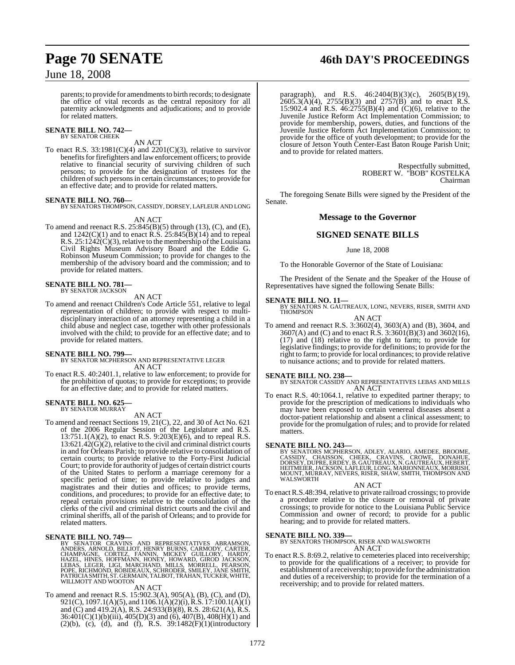parents; to provide for amendments to birth records; to designate the office of vital records as the central repository for all paternity acknowledgments and adjudications; and to provide for related matters.

#### **SENATE BILL NO. 742—** BY SENATOR CHEEK

## AN ACT

To enact R.S.  $33:1981(C)(4)$  and  $2201(C)(3)$ , relative to survivor benefits for firefighters and law enforcement officers; to provide relative to financial security of surviving children of such persons; to provide for the designation of trustees for the children of such persons in certain circumstances; to provide for an effective date; and to provide for related matters.

#### **SENATE BILL NO. 760—**

BY SENATORS THOMPSON, CASSIDY, DORSEY, LAFLEUR AND LONG

#### AN ACT

To amend and reenact R.S. 25:845(B)(5) through (13), (C), and (E), and  $1242(C)(1)$  and to enact R.S.  $25:845(B)(14)$  and to repeal R.S.  $25:1242(\dot{C})(3)$ , relative to the membership of the Louisiana Civil Rights Museum Advisory Board and the Eddie G. Robinson Museum Commission; to provide for changes to the membership of the advisory board and the commission; and to provide for related matters.

# **SENATE BILL NO. 781—** BY SENATOR JACKSON

#### AN ACT

To amend and reenact Children's Code Article 551, relative to legal representation of children; to provide with respect to multidisciplinary interaction of an attorney representing a child in a child abuse and neglect case, together with other professionals involved with the child; to provide for an effective date; and to provide for related matters.

#### **SENATE BILL NO. 799—**

BY SENATOR MCPHERSON AND REPRESENTATIVE LEGER AN ACT

To enact R.S. 40:2401.1, relative to law enforcement; to provide for the prohibition of quotas; to provide for exceptions; to provide for an effective date; and to provide for related matters.

# **SENATE BILL NO. 625—** BY SENATOR MURRAY

AN ACT

To amend and reenact Sections 19, 21(C), 22, and 30 of Act No. 621 of the 2006 Regular Session of the Legislature and R.S. 13:751.1(A)(2), to enact R.S. 9:203(E)(6), and to repeal R.S. 13:621.42(G)(2), relative to the civil and criminal district courts in and for Orleans Parish; to provide relative to consolidation of certain courts; to provide relative to the Forty-First Judicial Court; to provide for authority of judges of certain district courts of the United States to perform a marriage ceremony for a specific period of time; to provide relative to judges and magistrates and their duties and offices; to provide terms, conditions, and procedures; to provide for an effective date; to repeal certain provisions relative to the consolidation of the clerks of the civil and criminal district courts and the civil and criminal sheriffs, all of the parish of Orleans; and to provide for related matters.

**SENATE BILL NO. 749—**<br>BY SENATOR CRAVINS AND REPRESENTATIVES ABRAMSON, NNDERS, ARNOLD, BILLIOT, HENRY BURNS, CARMODY, CARTER,<br>CHAMPAGNE, CORTEZ, FANNIN, MICKEY GUILLORY, HARDY,<br>HAZEL, HINES, HOFFMANN, HONEY, HOWARD, GIROD

## AN ACT

To amend and reenact R.S. 15:902.3(A), 905(A), (B), (C), and (D), 921(C), 1097.1(A)(5), and 1106.1(A)(2)(i), R.S. 17:100.1(A)(1) and (C) and 419.2(A), R.S. 24:933(B)(8), R.S. 28:621(A), R.S. 36:401(C)(1)(b)(iii), 405(D)(3) and (6), 407(B), 408(H)(1) and  $(2)(b)$ ,  $(c)$ ,  $(d)$ , and  $(f)$ , R.S. 39:1482 $(F)(1)(introducing$ 

paragraph), and R.S. 46:2404(B)(3)(c), 2605(B)(19),  $2605.3(A)(4)$ ,  $2755(B)(3)$  and  $2757(B)$  and to enact R.S. 15:902.4 and R.S. 46:2755(B)(4) and (C)(6), relative to the Juvenile Justice Reform Act Implementation Commission; to provide for membership, powers, duties, and functions of the Juvenile Justice Reform Act Implementation Commission; to provide for the office of youth development; to provide for the closure of Jetson Youth Center-East Baton Rouge Parish Unit; and to provide for related matters.

> Respectfully submitted, ROBERT W. "BOB" KOSTELKA Chairman

The foregoing Senate Bills were signed by the President of the Senate.

#### **Message to the Governor**

#### **SIGNED SENATE BILLS**

#### June 18, 2008

To the Honorable Governor of the State of Louisiana:

The President of the Senate and the Speaker of the House of Representatives have signed the following Senate Bills:

#### **SENATE BILL NO. 11—**

BY SENATORS N. GAUTREAUX, LONG, NEVERS, RISER, SMITH AND THOMPSON AN ACT

To amend and reenact R.S. 3:3602(4), 3603(A) and (B), 3604, and 3607(A) and (C) and to enact R.S. 3:3601(B)(3) and 3602(16), (17) and (18) relative to the right to farm; to provide for legislative findings; to provide for definitions; to provide for the right to farm; to provide for local ordinances; to provide relative to nuisance actions; and to provide for related matters.

**SENATE BILL NO. 238—** BY SENATOR CASSIDY AND REPRESENTATIVES LEBAS AND MILLS AN ACT

To enact R.S. 40:1064.1, relative to expedited partner therapy; to provide for the prescription of medications to individuals who may have been exposed to certain venereal diseases absent a doctor-patient relationship and absent a clinical assessment; to provide for the promulgation of rules; and to provide for related matters.

#### **SENATE BILL NO. 243—**

BY SENATORS MCPHERSON, ADLEY, ALARIO, AMEDEE, BROOME,<br>CASSIDY, CHAISSON, CHEEK, CRAVINS, CROWE, DONAHUE,<br>DORSEY, DUPRE, ERDEY, B. GAUTREAUX, N. GAUTREAUX, HEBERT,<br>HEITMEIER, JACKSON, LAFLEUR, LONG, MARIONNEAUX, MORRISH, MOUNT, MURRAY, NEVERS, RISER, SHAW, SMITH, THOMPSON AND WALSWORTH

#### AN ACT

To enactR.S.48:394, relative to private railroad crossings; to provide a procedure relative to the closure or removal of private crossings; to provide for notice to the Louisiana Public Service Commission and owner of record; to provide for a public hearing; and to provide for related matters.

**SENATE BILL NO. 339—** BY SENATORS THOMPSON, RISER AND WALSWORTH AN ACT

To enact R.S. 8:69.2, relative to cemeteries placed into receivership; to provide for the qualifications of a receiver; to provide for establishment of a receivership; to provide for the administration and duties of a receivership; to provide for the termination of a receivership; and to provide for related matters.

# **Page 70 SENATE 46th DAY'S PROCEEDINGS**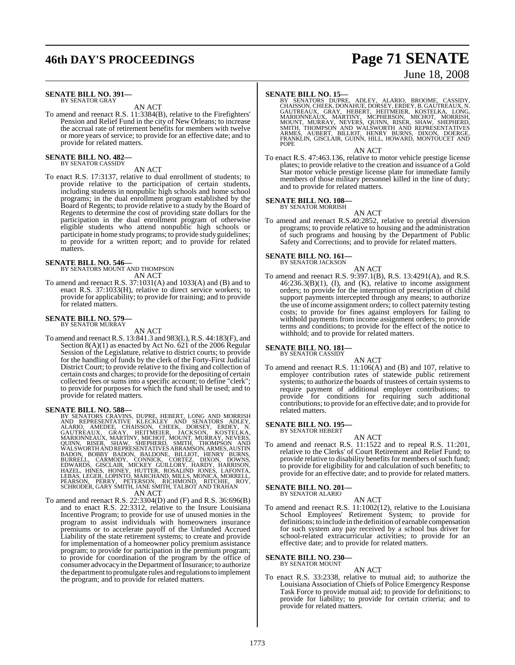# **46th DAY'S PROCEEDINGS Page 71 SENATE**

#### **SENATE BILL NO. 391—** BY SENATOR GRAY

AN ACT

To amend and reenact R.S. 11:3384(B), relative to the Firefighters' Pension and Relief Fund in the city of New Orleans; to increase the accrual rate of retirement benefits for members with twelve or more years of service; to provide for an effective date; and to provide for related matters.

#### **SENATE BILL NO. 482—** BY SENATOR CASSIDY

#### AN ACT

To enact R.S. 17:3137, relative to dual enrollment of students; to provide relative to the participation of certain students, including students in nonpublic high schools and home school programs; in the dual enrollment program established by the Board of Regents; to provide relative to a study by the Board of Regents to determine the cost of providing state dollars for the participation in the dual enrollment program of otherwise eligible students who attend nonpublic high schools or participate in home study programs; to provide study guidelines; to provide for a written report; and to provide for related matters.

# **SENATE BILL NO. 546—** BY SENATORS MOUNT AND THOMPSON

AN ACT

To amend and reenact R.S. 37:1031(A) and 1033(A) and (B) and to enact R.S. 37:1033(H), relative to direct service workers; to provide for applicability; to provide for training; and to provide for related matters.

#### **SENATE BILL NO. 579—** BY SENATOR MURRAY

#### AN ACT

To amend and reenactR.S. 13:841.3 and 983(L), R.S. 44:183(F), and Section 8(A)(1) as enacted by Act No. 621 of the 2006 Regular Session of the Legislature, relative to district courts; to provide for the handling of funds by the clerk of the Forty-First Judicial District Court; to provide relative to the fixing and collection of certain costs and charges; to provide for the depositing of certain collected fees or sums into a specific account; to define "clerk"; to provide for purposes for which the fund shall be used; and to provide for related matters.

**SENATE BILL NO. 588—**<br>BY SENATORS CRAVINS, DUPRE, HEBERT, LONG AND MORRISH<br>AND REPRESENTATIVE KLECKLEY AND SENATORS ADLEY,<br>ALARIO, AMEDEE, CHAISSON, CHEEK, DORSEY, ERDEY, N.<br>GAUTREAUX, GRAY, HEITMEIER, JACKSON, KOSTELKA,<br> AN ACT

To amend and reenact R.S. 22:3304(D) and (F) and R.S. 36:696(B) and to enact R.S. 22:3312, relative to the Insure Louisiana Incentive Program; to provide for use of unused monies in the program to assist individuals with homeowners insurance premiums or to accelerate payoff of the Unfunded Accrued Liability of the state retirement systems; to create and provide for implementation of a homeowner policy premium assistance program; to provide for participation in the premium program; to provide for coordination of the program by the office of consumer advocacy in the Department of Insurance; to authorize the department to promulgate rules and regulations to implement the program; and to provide for related matters.

SENATE BILL NO. 15—<br>BY SENATORS DUPRE, ADLEY, ALARIO, BROOME, CASSIDY, GHAISSON, CHEEK, DONAHUE, DORSEY, ERDEY, B. GAUTREAUX, N.<br>GAUTREAUX, GRAY, HEBERT, HEITMEIER, KOSTELKA, LONG,<br>MARIONNEAUX, MARTINY, MCPHERSON, MICHOT,

AN ACT

To enact R.S. 47:463.136, relative to motor vehicle prestige license plates; to provide relative to the creation and issuance of a Gold Star motor vehicle prestige license plate for immediate family members of those military personnel killed in the line of duty; and to provide for related matters.

#### **SENATE BILL NO. 108—**

BY SENATOR MORRISH

AN ACT To amend and reenact R.S.40:2852, relative to pretrial diversion programs; to provide relative to housing and the administration of such programs and housing by the Department of Public Safety and Corrections; and to provide for related matters.

#### **SENATE BILL NO. 161—**

BY SENATOR JACKSON

AN ACT To amend and reenact R.S. 9:397.1(B), R.S. 13:4291(A), and R.S.  $46:236.3(B)(1)$ , (I), and (K), relative to income assignment orders; to provide for the interruption of prescription of child support payments intercepted through any means; to authorize the use of income assignment orders; to collect paternity testing costs; to provide for fines against employers for failing to withhold payments from income assignment orders; to provide terms and conditions; to provide for the effect of the notice to withhold; and to provide for related matters.

# **SENATE BILL NO. 181—** BY SENATOR CASSIDY

## AN ACT

To amend and reenact R.S. 11:106(A) and (B) and 107, relative to employer contribution rates of statewide public retirement systems; to authorize the boards of trustees of certain systems to require payment of additional employer contributions; to provide for conditions for requiring such additional contributions; to provide for an effective date; and to provide for related matters.

#### **SENATE BILL NO. 195—** BY SENATOR HEBERT

AN ACT To amend and reenact R.S. 11:1522 and to repeal R.S. 11:201, relative to the Clerks' of Court Retirement and Relief Fund; to provide relative to disability benefits for members of such fund;

to provide for eligibility for and calculation of such benefits; to provide for an effective date; and to provide for related matters.

#### **SENATE BILL NO. 201—** BY SENATOR ALARIO

AN ACT

To amend and reenact R.S. 11:1002(12), relative to the Louisiana School Employees' Retirement System; to provide for definitions; to include in the definition of earnable compensation for such system any pay received by a school bus driver for school-related extracurricular activities; to provide for an effective date; and to provide for related matters.

#### **SENATE BILL NO. 230—** BY SENATOR MOUNT

AN ACT

To enact R.S. 33:2338, relative to mutual aid; to authorize the Louisiana Association of Chiefs of Police Emergency Response Task Force to provide mutual aid; to provide for definitions; to provide for liability; to provide for certain criteria; and to provide for related matters.

# June 18, 2008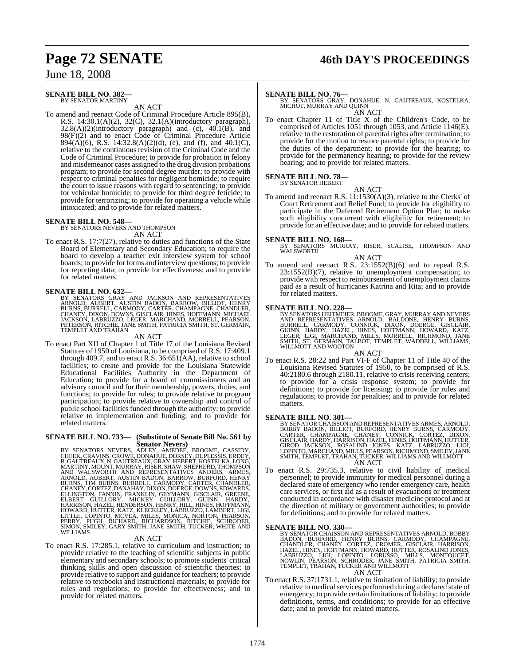# **Page 72 SENATE 46th DAY'S PROCEEDINGS**

## June 18, 2008

#### **SENATE BILL NO. 382—** BY SENATOR MARTINY

AN ACT

To amend and reenact Code of Criminal Procedure Article 895(B), R.S. 14:30.1(A)(2), 32(C), 32.1(A)(introductory paragraph),  $32.8(A)(2)$ (introductory paragraph) and (c),  $40.1(B)$ , and 98(F)(2) and to enact Code of Criminal Procedure Article  $894(\hat{A})(6)$ , R.S. 14:32.8(A)(2)(d), (e), and (f), and 40.1(C), relative to the continuous revision of the Criminal Code and the Code of Criminal Procedure; to provide for probation in felony and misdemeanor cases assigned to the drug division probations program; to provide for second degree murder; to provide with respect to criminal penalties for negligent homicide; to require the court to issue reasons with regard to sentencing; to provide for vehicular homicide; to provide for third degree feticide; to provide for terrorizing; to provide for operating a vehicle while intoxicated; and to provide for related matters.

#### **SENATE BILL NO. 548—**

BY SENATORS NEVERS AND THOMPSON AN ACT

To enact R.S. 17:7(27), relative to duties and functions of the State Board of Elementary and Secondary Education; to require the board to develop a teacher exit interview system for school boards; to provide for forms and interview questions; to provide for reporting data; to provide for effectiveness; and to provide for related matters.

**SENATE BILL NO. 632—**<br>BY SENATORS GRAY AND JACKSON AND REPRESENTATIVES<br>ARNOLD, AUBERT, AUSTIN BADON, BARROW, BILLIOT, HENRY<br>BURNS, BURRELL, CARMODY, CARTER, CHAMPAGNE, CHANDLER,<br>CHANEY, DIXON, DOWNS, GISCLAIR, HINES, HOFF

#### AN ACT

To enact Part XII of Chapter 1 of Title 17 of the Louisiana Revised Statutes of 1950 of Louisiana, to be comprised of R.S. 17:409.1 through 409.7, and to enact R.S. 36:651(AA), relative to school facilities; to create and provide for the Louisiana Statewide Educational Facilities Authority in the Department of Education; to provide for a board of commissioners and an advisory council and for their membership, powers, duties, and functions; to provide for rules; to provide relative to program participation; to provide relative to ownership and control of public school facilities funded through the authority; to provide relative to implementation and funding; and to provide for related matters.

# **SENATE BILL NO. 733— (Substitute of Senate Bill No. 561 by**

SENATORS NEVERS, ADLEY, AMEDEE, BROOME, CASSIDY, CHEEK, CRAVINS, CROWE, DONAHUE, DORSEY, DUPLESSIS, ERDEY, B. GAUTREAUX, N. GAUTREAUX, GRAY, HEBERT, KOSTELKA, LONG, MARTINY, MOUNT, MURRAY, RISER, SHAW, SHEPHERD, THOMPSON,

To enact R.S. 17:285.1, relative to curriculum and instruction; to provide relative to the teaching of scientific subjects in public elementary and secondary schools; to promote students' critical thinking skills and open discussion of scientific theories; to provide relative to support and guidance for teachers; to provide relative to textbooks and instructional materials; to provide for rules and regulations; to provide for effectiveness; and to provide for related matters.

**SENATE BILL NO. 76—**<br>BY SENATORS GRAY, DONAHUE, N. GAUTREAUX, KOSTELKA,<br>MICHOT, MURRAY AND QUINN AN ACT

To enact Chapter 11 of Title X of the Children's Code, to be comprised of Articles 1051 through 1053, and Article 1146(E), relative to the restoration of parental rights after termination; to provide for the motion to restore parental rights; to provide for the duties of the department; to provide for the hearing; to provide for the permanency hearing; to provide for the review hearing; and to provide for related matters.

#### **SENATE BILL NO. 78—** BY SENATOR HEBERT

AN ACT

To amend and reenact R.S. 11:1530(A)(3), relative to the Clerks' of Court Retirement and Relief Fund; to provide for eligibility to participate in the Deferred Retirement Option Plan; to make such eligibility concurrent with eligibility for retirement; to provide for an effective date; and to provide for related matters.

**SENATE BILL NO. 168—** BY SENATORS MURRAY, RISER, SCALISE, THOMPSON AND WALSWORTH

AN ACT To amend and reenact R.S. 23:1552(B)(6) and to repeal R.S. 23:1552(B)(7), relative to unemployment compensation; to provide with respect to reimbursement of unemployment claims paid as a result of hurricanes Katrina and Rita; and to provide for related matters.

#### **SENATE BILL NO. 228—**

BY SENATORS HEITMEIER, BROOME, GRAY, MURRAY AND NEVERS<br>AND REPRESENTATIVES ARNOLD, BALDONE, HENRY BURNS,<br>BURRELL, CARMODY, CONNICK, DIXON, DOERGE, GISCLAIR,<br>GUINN, HARDY, HAZEL, HINES, HOFFMANN, HOWARD, KATZ,<br>LEGER, LIGI,

### AN ACT

To enact R.S. 28:22 and Part VI-F of Chapter 11 of Title 40 of the Louisiana Revised Statutes of 1950, to be comprised of R.S. 40:2180.6 through 2180.11, relative to crisis receiving centers; to provide for a crisis response system; to provide for definitions; to provide for licensing; to provide for rules and regulations; to provide for penalties; and to provide for related matters.

- **SENATE BILL NO. 301—**<br>BY SENATOR CHAISSON AND REPRESENTATIVES ARMES, ARNOLD, BOBBY BADON, BILLIOT, BURFORD, HENRY BURNS, CARMODY,<br>CARTER, CHAMPAGNE, CHANEY, CONNICK, CORTEZ, DIXON,<br>GISCLAIR, HARDY, HARRISON, HAZEL, HINES, AN ACT
- To enact R.S. 29:735.3, relative to civil liability of medical personnel; to provide immunity for medical personnel during a declared state of emergency who render emergency care, health care services, or first aid as a result of evacuations or treatment conducted in accordance with disaster medicine protocol and at the direction of military or government authorities; to provide for definitions; and to provide for related matters.

#### **SENATE BILL NO. 330—**

- BY SENATOR CHAISSON AND REPRESENTATIVES ARNOLD, BOBBY<br>BADON, BURFORD, HENRY BURNS, CARMODY, CHAMPAGNE,<br>CHANDLER, CHANEY, CORTEZ, CROMER, GISCLAIR, HARRISON,<br>HAZEL, HINES, HOFFMANN, HOWARD, HUTTER, ROSALIND JONES,<br>LABRUZZO, AN ACT
- To enact R.S. 37:1731.1, relative to limitation of liability; to provide relative to medical services performed during a declared state of emergency; to provide certain limitations of liability; to provide definitions, terms, and conditions; to provide for an effective date; and to provide for related matters.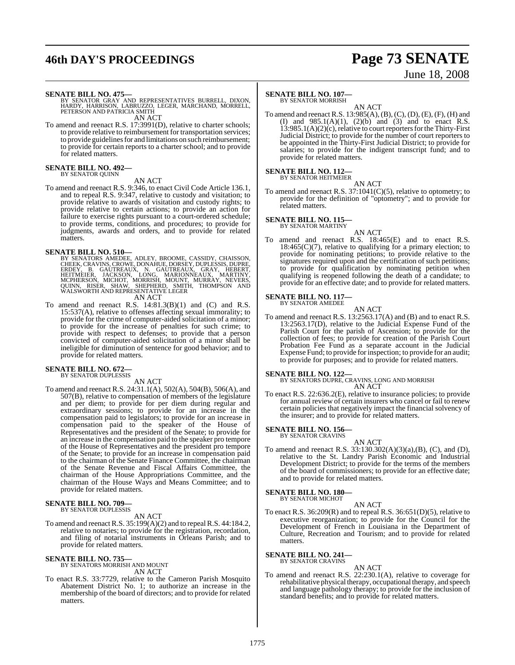## **46th DAY'S PROCEEDINGS Page 73 SENATE**

# June 18, 2008

**SENATE BILL NO. 475—**<br>BY SENATOR GRAY AND REPRESENTATIVES BURRELL, DIXON,<br>HARDY, HARRISON, LABRUZZO, LEGER, MARCHAND, MORRELL,<br>PETERSON AND PATRICIA SMITH AN ACT

To amend and reenact R.S. 17:3991(D), relative to charter schools; to provide relative to reimbursement for transportation services; to provide guidelines for and limitations on such reimbursement; to provide for certain reports to a charter school; and to provide for related matters.

#### **SENATE BILL NO. 492—** BY SENATOR QUINN

### AN ACT

To amend and reenact R.S. 9:346, to enact Civil Code Article 136.1, and to repeal R.S. 9:347, relative to custody and visitation; to provide relative to awards of visitation and custody rights; to provide relative to certain actions; to provide an action for failure to exercise rights pursuant to a court-ordered schedule; to provide terms, conditions, and procedures; to provide for judgments, awards and orders, and to provide for related matters.

- SENATE BILL NO. 510—<br>BY SENATORS AMEDEE, ADLEY, BROOME, CASSIDY, CHAISSON, CHEEK, CRAVINS, CROWE, DONAHUE, DORSEY, DUPLESSIS, DUPRE,<br>ERDEY, B. GAUTREAUX, N. GAUTREAUX, GRAY, HEBERT,<br>HEITMEIER, JACKSON, LONG, MARIONNEAUX, M AN ACT
- To amend and reenact R.S.  $14:81.3(B)(1)$  and (C) and R.S. 15:537(A), relative to offenses affecting sexual immorality; to provide for the crime of computer-aided solicitation of a minor; to provide for the increase of penalties for such crime; to provide with respect to defenses; to provide that a person convicted of computer-aided solicitation of a minor shall be ineligible for diminution of sentence for good behavior; and to provide for related matters.

### **SENATE BILL NO. 672—** BY SENATOR DUPLESSIS

AN ACT

To amend and reenact R.S. 24:31.1(A), 502(A), 504(B), 506(A), and 507(B), relative to compensation of members of the legislature and per diem; to provide for per diem during regular and extraordinary sessions; to provide for an increase in the compensation paid to legislators; to provide for an increase in compensation paid to the speaker of the House of Representatives and the president of the Senate; to provide for an increase in the compensation paid to the speaker pro tempore of the House of Representatives and the president pro tempore of the Senate; to provide for an increase in compensation paid to the chairman of the Senate Finance Committee, the chairman of the Senate Revenue and Fiscal Affairs Committee, the chairman of the House Appropriations Committee, and the chairman of the House Ways and Means Committee; and to provide for related matters.

### **SENATE BILL NO. 709—** BY SENATOR DUPLESSIS

AN ACT

To amend and reenact R.S.  $35:199(A)(2)$  and to repeal R.S. 44:184.2, relative to notaries; to provide for the registration, recordation, and filing of notarial instruments in Orleans Parish; and to provide for related matters.

### **SENATE BILL NO. 735—** BY SENATORS MORRISH AND MOUNT AN ACT

To enact R.S. 33:7729, relative to the Cameron Parish Mosquito Abatement District No. 1; to authorize an increase in the membership of the board of directors; and to provide for related matters.

### **SENATE BILL NO. 107—**

BY SENATOR MORRISH AN ACT

To amend and reenact R.S.  $13:985(A), (B), (C), (D), (E), (F), (H)$  and (I) and  $985.1(A)(1)$ ,  $(2)(b)$  and  $(3)$  and to enact R.S.  $13:985.1(A)(2)(c)$ , relative to court reporters for the Thirty-First Judicial District; to provide for the number of court reporters to be appointed in the Thirty-First Judicial District; to provide for salaries; to provide for the indigent transcript fund; and to provide for related matters.

### **SENATE BILL NO. 112—** BY SENATOR HEITMEIER

AN ACT To amend and reenact R.S.  $37:1041(C)(5)$ , relative to optometry; to provide for the definition of "optometry"; and to provide for related matters.

## **SENATE BILL NO. 115—** BY SENATOR MARTINY

AN ACT To amend and reenact R.S. 18:465(E) and to enact R.S. 18:465(C)(7), relative to qualifying for a primary election; to provide for nominating petitions; to provide relative to the signatures required upon and the certification of such petitions; to provide for qualification by nominating petition when qualifying is reopened following the death of a candidate; to provide for an effective date; and to provide for related matters.

#### **SENATE BILL NO. 117—** BY SENATOR AMEDEE

AN ACT

To amend and reenact R.S. 13:2563.17(A) and (B) and to enact R.S. 13:2563.17(D), relative to the Judicial Expense Fund of the Parish Court for the parish of Ascension; to provide for the collection of fees; to provide for creation of the Parish Court Probation Fee Fund as a separate account in the Judicial Expense Fund; to provide for inspection; to provide for an audit; to provide for purposes; and to provide for related matters.

### **SENATE BILL NO. 122—**

BY SENATORS DUPRE, CRAVINS, LONG AND MORRISH AN ACT

To enact R.S. 22:636.2(E), relative to insurance policies; to provide for annual review of certain insurers who cancel or fail to renew certain policies that negatively impact the financial solvency of the insurer; and to provide for related matters.

**SENATE BILL NO. 156—** BY SENATOR CRAVINS

### AN ACT

To amend and reenact R.S. 33:130.302(A)(3)(a),(B), (C), and (D), relative to the St. Landry Parish Economic and Industrial Development District; to provide for the terms of the members of the board of commissioners; to provide for an effective date; and to provide for related matters.

#### **SENATE BILL NO. 180—** BY SENATOR MICHOT

AN ACT

To enact R.S. 36:209(R) and to repeal R.S. 36:651(D)(5), relative to executive reorganization; to provide for the Council for the Development of French in Louisiana in the Department of Culture, Recreation and Tourism; and to provide for related matters.

**SENATE BILL NO. 241—** BY SENATOR CRAVINS

### AN ACT

To amend and reenact R.S. 22:230.1(A), relative to coverage for rehabilitative physical therapy, occupational therapy, and speech and language pathology therapy; to provide for the inclusion of standard benefits; and to provide for related matters.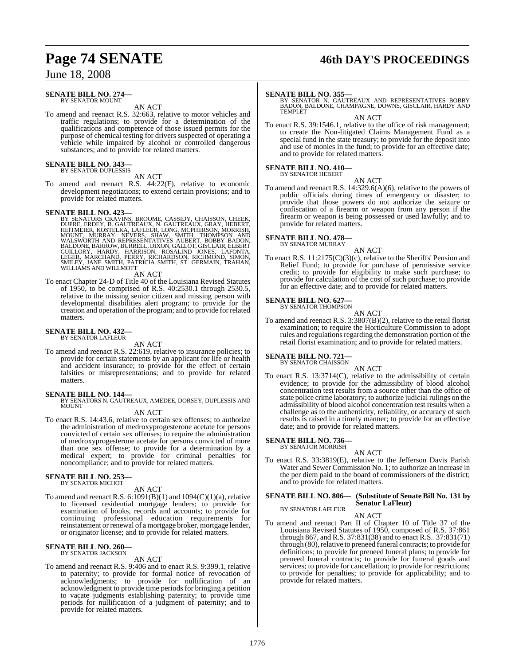### June 18, 2008

#### **SENATE BILL NO. 274—** BY SENATOR MOUNT

AN ACT

To amend and reenact R.S. 32:663, relative to motor vehicles and traffic regulations; to provide for a determination of the qualifications and competence of those issued permits for the purpose of chemical testing for drivers suspected of operating a vehicle while impaired by alcohol or controlled dangerous substances; and to provide for related matters.

## **SENATE BILL NO. 343—** BY SENATOR DUPLESSIS

AN ACT

To amend and reenact R.S. 44:22(F), relative to economic development negotiations; to extend certain provisions; and to provide for related matters.

### **SENATE BILL NO. 423—**

BY SENATORS CRAVINS, BROOME, CASSIDY, CHAISSON, CHEEK, DUPRE, ERDEY, B. GAUTREAUX, N. GAUTREAUX, GRAY, HEBERT,<br>DUPRE, ERDEY, B. GAUTREAUX, N. GAUTREAUX, GRAY, HEBERT,<br>MOUNT, MURRAY, NEVERS, SHAW, SMITH, THOMPSON AND<br>WALSWO

AN ACT

To enact Chapter 24-D of Title 40 of the Louisiana Revised Statutes of 1950, to be comprised of R.S. 40:2530.1 through 2530.5, relative to the missing senior citizen and missing person with developmental disabilities alert program; to provide for the creation and operation of the program; and to provide for related matters.

## **SENATE BILL NO. 432—** BY SENATOR LAFLEUR

AN ACT

To amend and reenact R.S. 22:619, relative to insurance policies; to provide for certain statements by an applicant for life or health and accident insurance; to provide for the effect of certain falsities or misrepresentations; and to provide for related matters.

### **SENATE BILL NO. 144—**

BY SENATORS N. GAUTREAUX, AMEDEE, DORSEY, DUPLESSIS AND MOUNT

### AN ACT

To enact R.S. 14:43.6, relative to certain sex offenses; to authorize the administration of medroxyprogesterone acetate for persons convicted of certain sex offenses; to require the administration of medroxyprogesterone acetate for persons convicted of more than one sex offense; to provide for a determination by a medical expert; to provide for criminal penalties for noncompliance; and to provide for related matters.

### **SENATE BILL NO. 253—** BY SENATOR MICHOT

AN ACT

To amend and reenact R.S.  $6:1091(B)(1)$  and  $1094(C)(1)(a)$ , relative to licensed residential mortgage lenders; to provide for examination of books, records and accounts; to provide for continuing professional education requirements for reinstatement or renewal of a mortgage broker, mortgage lender, or originator license; and to provide for related matters.

#### **SENATE BILL NO. 260—** BY SENATOR JACKSON

### AN ACT

To amend and reenact R.S. 9:406 and to enact R.S. 9:399.1, relative to paternity; to provide for formal notice of revocation of acknowledgments; to provide for nullification of an acknowledgment to provide time periods for bringing a petition to vacate judgments establishing paternity; to provide time periods for nullification of a judgment of paternity; and to provide for related matters.

## **Page 74 SENATE 46th DAY'S PROCEEDINGS**

**SENATE BILL NO. 355—**<br>BY SENATOR N. GAUTREAUX AND REPRESENTATIVES BOBBY<br>BADON, BALDONE, CHAMPAGNE, DOWNS, GISCLAIR, HARDY AND<br>TEMPLET

AN ACT

To enact R.S. 39:1546.1, relative to the office of risk management; to create the Non-litigated Claims Management Fund as a special fund in the state treasury; to provide for the deposit into and use of monies in the fund; to provide for an effective date; and to provide for related matters.

#### **SENATE BILL NO. 410—** BY SENATOR HEBERT

AN ACT

To amend and reenact R.S. 14:329.6(A)(6), relative to the powers of public officials during times of emergency or disaster; to provide that those powers do not authorize the seizure or confiscation of a firearm or weapon from any person if the firearm or weapon is being possessed or used lawfully; and to provide for related matters.

### **SENATE BILL NO. 478—** BY SENATOR MURRAY

AN ACT

To enact R.S. 11:2175(C)(3)(c), relative to the Sheriffs' Pension and Relief Fund; to provide for purchase of permissive service credit; to provide for eligibility to make such purchase; to provide for calculation of the cost of such purchase; to provide for an effective date; and to provide for related matters.

#### **SENATE BILL NO. 627—** BY SENATOR THOMPSON

AN ACT

To amend and reenact R.S. 3:3807(B)(2), relative to the retail florist examination; to require the Horticulture Commission to adopt rules and regulations regarding the demonstration portion of the retail florist examination; and to provide for related matters.

### **SENATE BILL NO. 721—** BY SENATOR CHAISSON

AN ACT

To enact R.S. 13:3714(C), relative to the admissibility of certain evidence; to provide for the admissibility of blood alcohol concentration test results from a source other than the office of state police crime laboratory; to authorize judicial rulings on the admissibility of blood alcohol concentration test results when a challenge as to the authenticity, reliability, or accuracy of such results is raised in a timely manner; to provide for an effective date; and to provide for related matters.

#### **SENATE BILL NO. 736—** BY SENATOR MORRISH

AN ACT

To enact R.S. 33:3819(E), relative to the Jefferson Davis Parish Water and Sewer Commission No. 1; to authorize an increase in the per diem paid to the board of commissioners of the district; and to provide for related matters.

### **SENATE BILL NO. 806— (Substitute of Senate Bill No. 131 by Senator LaFleur)**

BY SENATOR LAFLEUR

### AN ACT To amend and reenact Part II of Chapter 10 of Title 37 of the Louisiana Revised Statutes of 1950, composed of R.S. 37:861 through 867, and R.S. 37:831(38) and to enact R.S. 37:831(71) through (80), relative to preneed funeral contracts; to provide for definitions; to provide for preneed funeral plans; to provide for preneed funeral contracts; to provide for funeral goods and services; to provide for cancellation; to provide for restrictions; to provide for penalties; to provide for applicability; and to provide for related matters.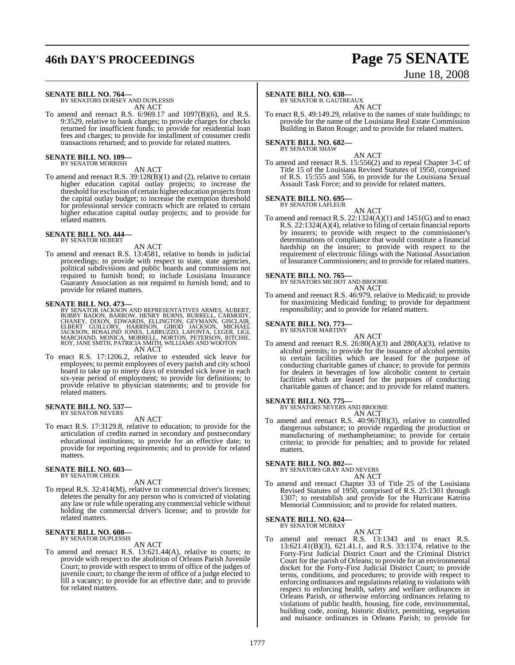## **46th DAY'S PROCEEDINGS Page 75 SENATE**

# June 18, 2008

**SENATE BILL NO. 764—** BY SENATORS DORSEY AND DUPLESSIS

AN ACT

To amend and reenact R.S. 6:969.17 and 1097(B)(6), and R.S. 9:3529, relative to bank charges; to provide charges for checks returned for insufficient funds; to provide for residential loan fees and charges; to provide for installment of consumer credit transactions returned; and to provide for related matters.

#### **SENATE BILL NO. 109—** BY SENATOR MORRISH

### AN ACT

To amend and reenact R.S. 39:128(B)(1) and (2), relative to certain higher education capital outlay projects; to increase the threshold for exclusion of certain higher education projects from the capital outlay budget; to increase the exemption threshold for professional service contracts which are related to certain higher education capital outlay projects; and to provide for related matters.

### **SENATE BILL NO. 444—** BY SENATOR HEBERT

AN ACT

To amend and reenact R.S. 13:4581, relative to bonds in judicial proceedings; to provide with respect to state, state agencies, political subdivisions and public boards and commissions not required to furnish bond; to include Louisiana Insurance Guaranty Association as not required to furnish bond; and to provide for related matters.

**SENATE BILL NO. 473—**<br>BY SENATOR JACKSON AND REPRESENTATIVES ARMES, AUBERT,<br>BOBBY BADON, BARROW, HENRY BURNS, BURRELL, CARMODY,<br>CHANEY, DIXON, BEWARDS, ELLINGTON, GEYMANN, GISCLAIR,<br>ELBERT GUILLORY, HARRISON, GIROD JACKSO AN ACT

To enact R.S. 17:1206.2, relative to extended sick leave for employees; to permit employees of every parish and city school board to take up to ninety days of extended sick leave in each six-year period of employment; to provide for definitions; to provide relative to physician statements; and to provide for related matters.

## **SENATE BILL NO. 537—** BY SENATOR NEVERS

### AN ACT

To enact R.S. 17:3129.8, relative to education; to provide for the articulation of credits earned in secondary and postsecondary educational institutions; to provide for an effective date; to provide for reporting requirements; and to provide for related matters.

#### **SENATE BILL NO. 603—** BY SENATOR CHEEK

AN ACT To repeal R.S. 32:414(M), relative to commercial driver's licenses; deletes the penalty for any person who is convicted of violating any law or rule while operating any commercial vehicle without holding the commercial driver's license; and to provide for related matters.

#### **SENATE BILL NO. 608—** BY SENATOR DUPLESSIS

AN ACT

To amend and reenact R.S. 13:621.44(A), relative to courts; to provide with respect to the abolition of Orleans Parish Juvenile Court; to provide with respect to terms of office of the judges of juvenile court; to change the term of office of a judge elected to fill a vacancy; to provide for an effective date; and to provide for related matters.

### **SENATE BILL NO. 638—**

BY SENATOR B. GAUTREAUX AN ACT

To enact R.S. 49:149.29, relative to the names of state buildings; to provide for the name of the Louisiana Real Estate Commission Building in Baton Rouge; and to provide for related matters.

### **SENATE BILL NO. 682—** BY SENATOR SHAW

AN ACT

To amend and reenact R.S. 15:556(2) and to repeal Chapter 3-C of Title 15 of the Louisiana Revised Statutes of 1950, comprised of R.S. 15:555 and 556, to provide for the Louisiana Sexual Assault Task Force; and to provide for related matters.

#### **SENATE BILL NO. 695—** BY SENATOR LAFLEUR

AN ACT To amend and reenact R.S. 22:1324(A)(1) and 1451(G) and to enact R.S. 22:1324(A)(4), relative to filing of certain financial reports by insurers; to provide with respect to the commissioner's determinations of compliance that would constitute a financial hardship on the insurer; to provide with respect to the requirement of electronic filings with the National Association of Insurance Commissioners; and to provide for related matters.

## **SENATE BILL NO. 765—** BY SENATORS MICHOT AND BROOME

AN ACT

To amend and reenact R.S. 46:979, relative to Medicaid; to provide for maximizing Medicaid funding; to provide for department responsibility; and to provide for related matters.

## **SENATE BILL NO. 773—** BY SENATOR MARTINY

- AN ACT
- To amend and reenact R.S.  $26:80(A)(3)$  and  $280(A)(3)$ , relative to alcohol permits; to provide for the issuance of alcohol permits to certain facilities which are leased for the purpose of conducting charitable games of chance; to provide for permits for dealers in beverages of low alcoholic content to certain facilities which are leased for the purposes of conducting charitable games of chance; and to provide for related matters.

**SENATE BILL NO. 775—** BY SENATORS NEVERS AND BROOME AN ACT

To amend and reenact R.S. 40:967(B)(3), relative to controlled dangerous substance; to provide regarding the production or manufacturing of methamphetamine; to provide for certain criteria; to provide for penalties; and to provide for related matters.

### **SENATE BILL NO. 802—** BY SENATORS GRAY AND NEVERS

AN ACT

To amend and reenact Chapter 33 of Title 25 of the Louisiana Revised Statutes of 1950, comprised of R.S. 25:1301 through 1307; to reestablish and provide for the Hurricane Katrina Memorial Commission; and to provide for related matters.

### **SENATE BILL NO. 624—** BY SENATOR MURRAY

AN ACT

To amend and reenact R.S. 13:1343 and to enact R.S. 13:621.41(B)(3), 621.41.1, and R.S. 33:1374, relative to the Forty-First Judicial District Court and the Criminal District Court for the parish of Orleans; to provide for an environmental docket for the Forty-First Judicial District Court; to provide terms, conditions, and procedures; to provide with respect to enforcing ordinances and regulations relating to violations with respect to enforcing health, safety and welfare ordinances in Orleans Parish, or otherwise enforcing ordinances relating to violations of public health, housing, fire code, environmental, building code, zoning, historic district, permitting, vegetation and nuisance ordinances in Orleans Parish; to provide for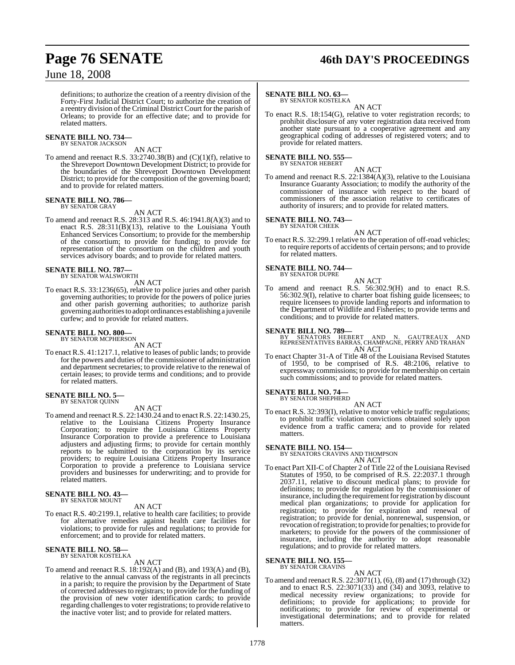## **Page 76 SENATE 46th DAY'S PROCEEDINGS**

### June 18, 2008

definitions; to authorize the creation of a reentry division of the Forty-First Judicial District Court; to authorize the creation of a reentry division ofthe Criminal District Court for the parish of Orleans; to provide for an effective date; and to provide for related matters.

### **SENATE BILL NO. 734—** BY SENATOR JACKSON

AN ACT

To amend and reenact R.S. 33:2740.38(B) and (C)(1)(f), relative to the Shreveport Downtown Development District; to provide for the boundaries of the Shreveport Downtown Development District; to provide for the composition of the governing board; and to provide for related matters.

#### **SENATE BILL NO. 786—** BY SENATOR GRAY

AN ACT

To amend and reenact R.S. 28:313 and R.S. 46:1941.8(A)(3) and to enact R.S. 28:311(B)(13), relative to the Louisiana Youth Enhanced Services Consortium; to provide for the membership of the consortium; to provide for funding; to provide for representation of the consortium on the children and youth services advisory boards; and to provide for related matters.

### **SENATE BILL NO. 787—**

BY SENATOR WALSWORTH AN ACT

To enact R.S. 33:1236(65), relative to police juries and other parish governing authorities; to provide for the powers of police juries and other parish governing authorities; to authorize parish governing authorities to adopt ordinances establishing a juvenile curfew; and to provide for related matters.

### **SENATE BILL NO. 800—** BY SENATOR MCPHERSON

AN ACT

To enact R.S. 41:1217.1, relative to leases of public lands; to provide for the powers and duties of the commissioner of administration and department secretaries; to provide relative to the renewal of certain leases; to provide terms and conditions; and to provide for related matters.

### **SENATE BILL NO. 5—** BY SENATOR QUINN

AN ACT

To amend and reenact R.S. 22:1430.24 and to enact R.S. 22:1430.25, relative to the Louisiana Citizens Property Insurance Corporation; to require the Louisiana Citizens Property Insurance Corporation to provide a preference to Louisiana adjusters and adjusting firms; to provide for certain monthly reports to be submitted to the corporation by its service providers; to require Louisiana Citizens Property Insurance Corporation to provide a preference to Louisiana service providers and businesses for underwriting; and to provide for related matters.

### **SENATE BILL NO. 43—** BY SENATOR MOUNT

AN ACT

To enact R.S. 40:2199.1, relative to health care facilities; to provide for alternative remedies against health care facilities for violations; to provide for rules and regulations; to provide for enforcement; and to provide for related matters.

#### **SENATE BILL NO. 58** BY SENATOR KOSTELKA

AN ACT

To amend and reenact R.S. 18:192(A) and (B), and 193(A) and (B), relative to the annual canvass of the registrants in all precincts in a parish; to require the provision by the Department of State of corrected addressesto registrars; to provide for the funding of the provision of new voter identification cards; to provide regarding challengesto voter registrations; to provide relative to the inactive voter list; and to provide for related matters.

### **SENATE BILL NO. 63—**

BY SENATOR KOSTELKA AN ACT

To enact R.S. 18:154(G), relative to voter registration records; to prohibit disclosure of any voter registration data received from another state pursuant to a cooperative agreement and any geographical coding of addresses of registered voters; and to provide for related matters.

**SENATE BILL NO. 555—** BY SENATOR HEBERT

AN ACT

To amend and reenact R.S. 22:1384(A)(3), relative to the Louisiana Insurance Guaranty Association; to modify the authority of the commissioner of insurance with respect to the board of commissioners of the association relative to certificates of authority of insurers; and to provide for related matters.

## **SENATE BILL NO. 743—** BY SENATOR CHEEK

AN ACT To enact R.S. 32:299.1 relative to the operation of off-road vehicles; to require reports of accidents of certain persons; and to provide for related matters.

#### **SENATE BILL NO. 744—** BY SENATOR DUPRE

AN ACT

To amend and reenact R.S. 56:302.9(H) and to enact R.S. 56:302.9(I), relative to charter boat fishing guide licensees; to require licensees to provide landing reports and information to the Department of Wildlife and Fisheries; to provide terms and conditions; and to provide for related matters.

**SENATE BILL NO. 789—**<br>BY SENATORS HEBERT AND N. GAUTREAUX AND<br>REPRESENTATIVES BARRAS, CHAMPAGNE, PERRY AND TRAHAN AN ACT

To enact Chapter 31-A of Title 48 of the Louisiana Revised Statutes of 1950, to be comprised of R.S. 48:2106, relative to expressway commissions; to provide for membership on certain such commissions; and to provide for related matters.

### **SENATE BILL NO. 74—** BY SENATOR SHEPHERD

AN ACT

To enact R.S. 32:393(I), relative to motor vehicle traffic regulations; to prohibit traffic violation convictions obtained solely upon evidence from a traffic camera; and to provide for related matters.

**SENATE BILL NO. 154—** BY SENATORS CRAVINS AND THOMPSON

- AN ACT
- To enact Part XII-C of Chapter 2 of Title 22 of the Louisiana Revised Statutes of 1950, to be comprised of R.S. 22:2037.1 through 2037.11, relative to discount medical plans; to provide for definitions; to provide for regulation by the commissioner of insurance, including the requirement for registration by discount medical plan organizations; to provide for application for registration; to provide for expiration and renewal of registration; to provide for denial, nonrenewal, suspension, or revocation ofregistration; to provide for penalties; to provide for marketers; to provide for the powers of the commissioner of insurance, including the authority to adopt reasonable regulations; and to provide for related matters.

#### **SENATE BILL NO. 155—** BY SENATOR CRAVINS

AN ACT To amend and reenact R.S. 22:3071(1), (6), (8) and (17) through (32) and to enact R.S. 22:3071(33) and (34) and 3093, relative to medical necessity review organizations; to provide for definitions; to provide for applications; to provide for notifications; to provide for review of experimental or investigational determinations; and to provide for related matters.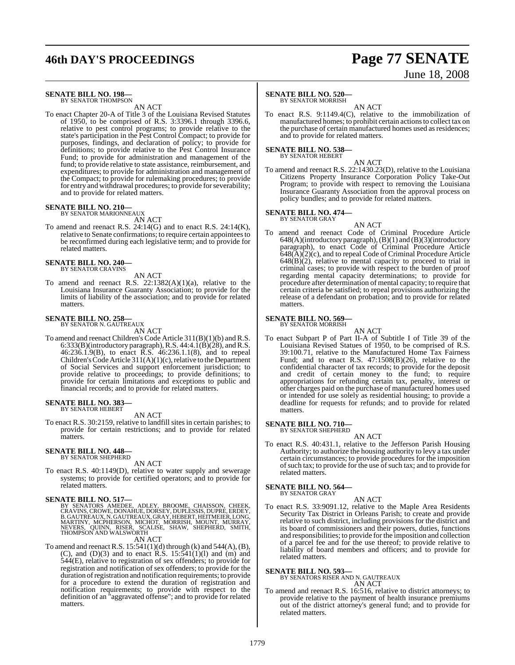## **46th DAY'S PROCEEDINGS Page 77 SENATE**

### **SENATE BILL NO. 198—**

BY SENATOR THOMPSON AN ACT

To enact Chapter 20-A of Title 3 of the Louisiana Revised Statutes of 1950, to be comprised of R.S. 3:3396.1 through 3396.6, relative to pest control programs; to provide relative to the state's participation in the Pest Control Compact; to provide for purposes, findings, and declaration of policy; to provide for definitions; to provide relative to the Pest Control Insurance Fund; to provide for administration and management of the fund; to provide relative to state assistance, reimbursement, and expenditures; to provide for administration and management of the Compact; to provide for rulemaking procedures; to provide for entry and withdrawal procedures; to provide for severability; and to provide for related matters.

## **SENATE BILL NO. 210—** BY SENATOR MARIONNEAUX

AN ACT

To amend and reenact R.S. 24:14(G) and to enact R.S. 24:14(K), relative to Senate confirmations; to require certain appointees to be reconfirmed during each legislative term; and to provide for related matters.

#### **SENATE BILL NO. 240—** BY SENATOR CRAVINS

AN ACT

To amend and reenact R.S.  $22:1382(A)(1)(a)$ , relative to the Louisiana Insurance Guaranty Association; to provide for the limits of liability of the association; and to provide for related matters.

### **SENATE BILL NO. 258—** BY SENATOR N. GAUTREAUX

AN ACT

To amend and reenact Children's Code Article 311(B)(1)(b) and R.S. 6:333(B)(introductory paragraph), R.S.  $44:4.1(B)(28)$ , and R.S. 46:236.1.9(B), to enact R.S. 46:236.1.1(8), and to repeal Children's Code Article 311(A)(1)(c), relative to the Department of Social Services and support enforcement jurisdiction; to provide relative to proceedings; to provide definitions; to provide for certain limitations and exceptions to public and financial records; and to provide for related matters.

### **SENATE BILL NO. 383—** BY SENATOR HEBERT

AN ACT

To enact R.S. 30:2159, relative to landfill sites in certain parishes; to provide for certain restrictions; and to provide for related matters.

### **SENATE BILL NO. 448—** BY SENATOR SHEPHERD

AN ACT

To enact R.S. 40:1149(D), relative to water supply and sewerage systems; to provide for certified operators; and to provide for related matters.

**SENATE BILL NO. 517—**<br>BY SENATORS AMEDEE, ADLEY, BROOME, CHAISSON, CHEEK,<br>CRAVINS, CROWE, DONAHUE, DORSEY, DUPLESSIS, DUPRE, ERDEY,<br>B. GAUTREAUX, N. GAUTREAUX, GRAY, HEBERT, HEITMEIER, LONG, MARTINY, MCPHERSON, MICHOT, MORRISH, MOUNT, MURRAY,<br>NEVERS, QUINN, RISER, SCALISE, SHAW, SHEPHERD, SMITH,<br>THOMPSON AND WALSWORTH

AN ACT

To amend and reenact R.S.  $15:541(1)(d)$  through (k) and  $544(A)$ , (B),  $(C)$ , and  $(D)(3)$  and to enact R.S. 15:541(1)(1) and  $(m)$  and 544(E), relative to registration of sex offenders; to provide for registration and notification of sex offenders; to provide for the duration of registration and notification requirements; to provide for a procedure to extend the duration of registration and notification requirements; to provide with respect to the definition of an "aggravated offense"; and to provide for related matters.

# June 18, 2008

### **SENATE BILL NO. 520—**

BY SENATOR MORRISH

AN ACT To enact R.S. 9:1149.4(C), relative to the immobilization of manufactured homes; to prohibit certain actionsto collect tax on the purchase of certain manufactured homes used as residences; and to provide for related matters.

### **SENATE BILL NO. 538—**

BY SENATOR HEBERT

AN ACT To amend and reenact R.S. 22:1430.23(D), relative to the Louisiana Citizens Property Insurance Corporation Policy Take-Out Program; to provide with respect to removing the Louisiana Insurance Guaranty Association from the approval process on policy bundles; and to provide for related matters.

#### **SENATE BILL NO. 474—** BY SENATOR GRAY

AN ACT

To amend and reenact Code of Criminal Procedure Article 648(A)(introductory paragraph),(B)(1) and (B)(3)(introductory paragraph), to enact Code of Criminal Procedure Article  $648(A)(2)(c)$ , and to repeal Code of Criminal Procedure Article  $648(B)(2)$ , relative to mental capacity to proceed to trial in criminal cases; to provide with respect to the burden of proof regarding mental capacity determinations; to provide for procedure after determination of mental capacity; to require that certain criteria be satisfied; to repeal provisions authorizing the release of a defendant on probation; and to provide for related matters.

### **SENATE BILL NO. 569—**

BY SENATOR MORRISH

AN ACT To enact Subpart P of Part II-A of Subtitle I of Title 39 of the Louisiana Revised Statues of 1950, to be comprised of R.S. 39:100.71, relative to the Manufactured Home Tax Fairness Fund; and to enact R.S. 47:1508(B)(26), relative to the confidential character of tax records; to provide for the deposit and credit of certain money to the fund; to require appropriations for refunding certain tax, penalty, interest or other charges paid on the purchase of manufactured homes used or intended for use solely as residential housing; to provide a deadline for requests for refunds; and to provide for related matters.

### **SENATE BILL NO. 710—** BY SENATOR SHEPHERD

AN ACT To enact R.S. 40:431.1, relative to the Jefferson Parish Housing Authority; to authorize the housing authority to levy a tax under certain circumstances; to provide procedures for the imposition of such tax; to provide for the use of such tax; and to provide for related matters.

**SENATE BILL NO. 564—** BY SENATOR GRAY

AN ACT

To enact R.S. 33:9091.12, relative to the Maple Area Residents Security Tax District in Orleans Parish; to create and provide relative to such district, including provisions for the district and its board of commissioners and their powers, duties, functions and responsibilities; to provide for the imposition and collection of a parcel fee and for the use thereof; to provide relative to liability of board members and officers; and to provide for related matters.

**SENATE BILL NO. 593—**

BY SENATORS RISER AND N. GAUTREAUX AN ACT

To amend and reenact R.S. 16:516, relative to district attorneys; to provide relative to the payment of health insurance premiums out of the district attorney's general fund; and to provide for related matters.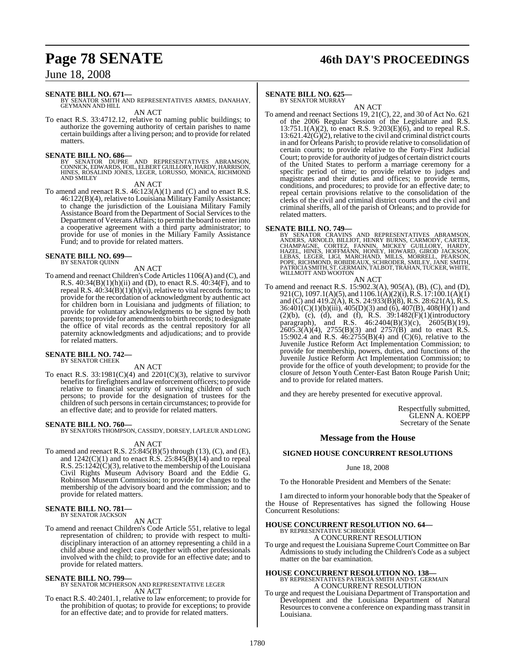## **Page 78 SENATE 46th DAY'S PROCEEDINGS**

### June 18, 2008

### **SENATE BILL NO. 671—**

BY SENATOR SMITH AND REPRESENTATIVES ARMES, DANAHAY, GEYMANN AND HILL AN ACT

To enact R.S. 33:4712.12, relative to naming public buildings; to authorize the governing authority of certain parishes to name certain buildings after a living person; and to provide for related matters.

**SENATE BILL NO. 686—**<br>BY SENATOR DUPRE AND REPRESENTATIVES ABRAMSON,<br>CONNICK, EDWARDS, FOIL, ELBERT GUILLORY, HARDY, HARRISON, HINES, RÓSALIND JONES, LEGER, LORUSSO, MONICA, RICHMOND<br>AND SMILEY

### AN ACT

To amend and reenact R.S. 46:123(A)(1) and (C) and to enact R.S. 46:122(B)(4), relative to Louisiana Military Family Assistance; to change the jurisdiction of the Louisiana Military Family Assistance Board from the Department of Social Services to the Department of Veterans Affairs; to permit the board to enter into a cooperative agreement with a third party administrator; to provide for use of monies in the Miliary Family Assistance Fund; and to provide for related matters.

### **SENATE BILL NO. 699—** BY SENATOR QUINN

AN ACT

To amend and reenact Children's Code Articles 1106(A) and (C), and R.S. 40:34(B)(1)(h)(ii) and (D), to enact R.S. 40:34(F), and to repeal R.S.  $40:34(B)(1)(h)(vi)$ , relative to vital records forms; to provide for the recordation of acknowledgment by authentic act for children born in Louisiana and judgments of filiation; to provide for voluntary acknowledgments to be signed by both parents; to provide for amendments to birth records; to designate the office of vital records as the central repository for all paternity acknowledgments and adjudications; and to provide for related matters.

#### **SENATE BILL NO. 742—** BY SENATOR CHEEK

AN ACT

To enact R.S.  $33:1981(C)(4)$  and  $2201(C)(3)$ , relative to survivor benefits for firefighters and law enforcement officers; to provide relative to financial security of surviving children of such persons; to provide for the designation of trustees for the children of such persons in certain circumstances; to provide for an effective date; and to provide for related matters.

### **SENATE BILL NO. 760—**

BY SENATORS THOMPSON, CASSIDY, DORSEY, LAFLEUR AND LONG

### AN ACT

To amend and reenact R.S. 25:845(B)(5) through (13), (C), and (E), and  $1242(C)(1)$  and to enact R.S.  $25:845(B)(14)$  and to repeal R.S.  $25:1242(\dot{C})(3)$ , relative to the membership of the Louisiana Civil Rights Museum Advisory Board and the Eddie G. Robinson Museum Commission; to provide for changes to the membership of the advisory board and the commission; and to provide for related matters.

## **SENATE BILL NO. 781—** BY SENATOR JACKSON

### AN ACT

To amend and reenact Children's Code Article 551, relative to legal representation of children; to provide with respect to multidisciplinary interaction of an attorney representing a child in a child abuse and neglect case, together with other professionals involved with the child; to provide for an effective date; and to provide for related matters.

### **SENATE BILL NO. 799—**

### BY SENATOR MCPHERSON AND REPRESENTATIVE LEGER AN ACT

To enact R.S. 40:2401.1, relative to law enforcement; to provide for the prohibition of quotas; to provide for exceptions; to provide for an effective date; and to provide for related matters.

#### **SENATE BILL NO. 625—** BY SENATOR MURRAY

AN ACT

To amend and reenact Sections 19, 21(C), 22, and 30 of Act No. 621 of the 2006 Regular Session of the Legislature and R.S.  $13:751.1(A)(2)$ , to enact R.S. 9:203(E)(6), and to repeal R.S.  $13:621.42(\hat{G})(2)$ , relative to the civil and criminal district courts in and for Orleans Parish; to provide relative to consolidation of certain courts; to provide relative to the Forty-First Judicial Court; to provide for authority of judges of certain district courts of the United States to perform a marriage ceremony for a specific period of time; to provide relative to judges and magistrates and their duties and offices; to provide terms, conditions, and procedures; to provide for an effective date; to repeal certain provisions relative to the consolidation of the clerks of the civil and criminal district courts and the civil and criminal sheriffs, all of the parish of Orleans; and to provide for related matters.

**SENATE BILL NO. 749—**<br>BY SENATOR CRAVINS AND REPRESENTATIVES ABRAMSON, ANDERS, ARNOLD, BILLIOT, HENRY BURNS, CARMODY, CARTER,<br>CHAMPAGNE, CORTEZ, FANNIN, MICKEY GUILLORY, HARDY,<br>HAZEL, HINES, HOFFMANN, HONEY, HOWARD, GIROD

### AN ACT

To amend and reenact R.S. 15:902.3(A), 905(A), (B), (C), and (D), 921(C), 1097.1(A)(5), and 1106.1(A)(2)(i), R.S. 17:100.1(A)(1) and  $(C)$  and 419.2(A), R.S. 24:933(B)(8), R.S. 28:621(A), R.S. 36:401(C)(1)(b)(iii), 405(D)(3) and (6), 407(B), 408(H)(1) and  $(2)(b)$ ,  $(c)$ ,  $(d)$ , and  $(f)$ , R.S. 39:1482 $(F)(1)(introducing$ paragraph), and R.S. 46:2404(B)(3)(c), 2605(B)(19),  $2605.3(\text{A})(4)$ ,  $2755(\text{B})(3)$  and  $2757(\text{B})$  and to enact R.S. 15:902.4 and R.S. 46:2755(B)(4) and (C)(6), relative to the Juvenile Justice Reform Act Implementation Commission; to provide for membership, powers, duties, and functions of the Juvenile Justice Reform Act Implementation Commission; to provide for the office of youth development; to provide for the closure of Jetson Youth Center-East Baton Rouge Parish Unit; and to provide for related matters.

and they are hereby presented for executive approval.

Respectfully submitted, GLENN A. KOEPP Secretary of the Senate

### **Message from the House**

### **SIGNED HOUSE CONCURRENT RESOLUTIONS**

### June 18, 2008

To the Honorable President and Members of the Senate:

I am directed to inform your honorable body that the Speaker of the House of Representatives has signed the following House Concurrent Resolutions:

## **HOUSE CONCURRENT RESOLUTION NO. 64—** BY REPRESENTATIVE SCHRODER

A CONCURRENT RESOLUTION To urge and request the Louisiana Supreme Court Committee on Bar Admissions to study including the Children's Code as a subject matter on the bar examination.

### **HOUSE CONCURRENT RESOLUTION NO. 138—** BY REPRESENTATIVES PATRICIA SMITH AND ST. GERMAIN A CONCURRENT RESOLUTION

To urge and request the Louisiana Department of Transportation and Development and the Louisiana Department of Natural Resources to convene a conference on expanding mass transit in Louisiana.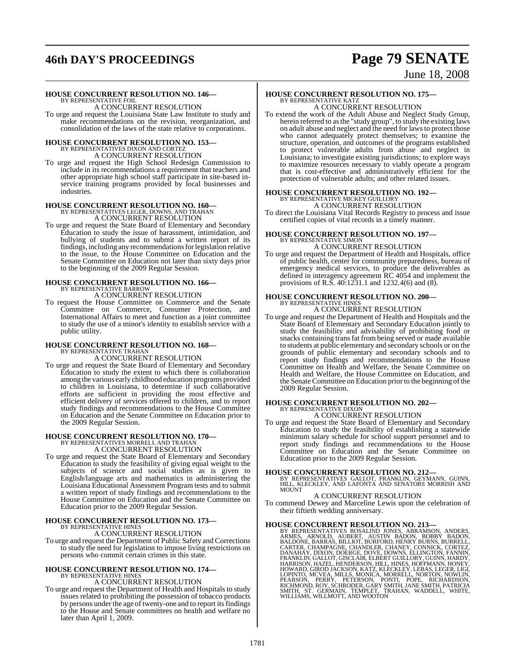## **46th DAY'S PROCEEDINGS Page 79 SENATE**

### June 18, 2008

### **HOUSE CONCURRENT RESOLUTION NO. 146—**

BY REPRESENTATIVE FOIL A CONCURRENT RESOLUTION

To urge and request the Louisiana State Law Institute to study and make recommendations on the revision, reorganization, and consolidation of the laws of the state relative to corporations.

### **HOUSE CONCURRENT RESOLUTION NO. 153—** BY REPRESENTATIVES DIXON AND CORTEZ A CONCURRENT RESOLUTION

To urge and request the High School Redesign Commission to include in its recommendations a requirement that teachers and other appropriate high school staff participate in site-based inservice training programs provided by local businesses and industries.

### **HOUSE CONCURRENT RESOLUTION NO. 160—** BY REPRESENTATIVES LEGER, DOWNS, AND TRAHAN A CONCURRENT RESOLUTION

To urge and request the State Board of Elementary and Secondary Education to study the issue of harassment, intimidation, and bullying of students and to submit a written report of its findings, including any recommendationsforlegislation relative to the issue, to the House Committee on Education and the Senate Committee on Education not later than sixty days prior to the beginning of the 2009 Regular Session.

### **HOUSE CONCURRENT RESOLUTION NO. 166—** BY REPRESENTATIVE BARROW A CONCURRENT RESOLUTION

To request the House Committee on Commerce and the Senate Committee on Commerce, Consumer Protection, and International Affairs to meet and function as a joint committee to study the use of a minor's identity to establish service with a public utility.

### **HOUSE CONCURRENT RESOLUTION NO. 168—** BY REPRESENTATIVE TRAHAN

A CONCURRENT RESOLUTION

To urge and request the State Board of Elementary and Secondary Education to study the extent to which there is collaboration among the various early childhood education programs provided to children in Louisiana, to determine if such collaborative efforts are sufficient in providing the most effective and efficient delivery of services offered to children, and to report study findings and recommendations to the House Committee on Education and the Senate Committee on Education prior to the 2009 Regular Session.

## **HOUSE CONCURRENT RESOLUTION NO. 170—** BY REPRESENTATIVES MORRELL AND TRAHAN

A CONCURRENT RESOLUTION

To urge and request the State Board of Elementary and Secondary Education to study the feasibility of giving equal weight to the subjects of science and social studies as is given to English/language arts and mathematics in administering the Louisiana Educational Assessment Program tests and to submit a written report of study findings and recommendations to the House Committee on Education and the Senate Committee on Education prior to the 2009 Regular Session.

### **HOUSE CONCURRENT RESOLUTION NO. 173—** BY REPRESENTATIVE HINES

A CONCURRENT RESOLUTION

To urge and request the Department of Public Safety and Corrections to study the need for legislation to impose living restrictions on persons who commit certain crimes in this state.

### **HOUSE CONCURRENT RESOLUTION NO. 174—** BY REPRESENTATIVE HINES

### A CONCURRENT RESOLUTION

To urge and request the Department of Health and Hospitals to study issues related to prohibiting the possession of tobacco products by persons under the age of twenty-one and to report its findings to the House and Senate committees on health and welfare no later than April 1, 2009.

### **HOUSE CONCURRENT RESOLUTION NO. 175—** BY REPRESENTATIVE KATZ

A CONCURRENT RESOLUTION

To extend the work of the Adult Abuse and Neglect Study Group, herein referred to asthe "study group", to study the existing laws on adult abuse and neglect and the need for lawsto protect those who cannot adequately protect themselves; to examine the structure, operation, and outcomes of the programs established to protect vulnerable adults from abuse and neglect in Louisiana; to investigate existing jurisdictions; to explore ways to maximize resources necessary to viably operate a program that is cost-effective and administratively efficient for the protection of vulnerable adults; and other related issues.

### **HOUSE CONCURRENT RESOLUTION NO. 192—** BY REPRESENTATIVE MICKEY GUILLORY A CONCURRENT RESOLUTION

To direct the Louisiana Vital Records Registry to process and issue certified copies of vital records in a timely manner.

### **HOUSE CONCURRENT RESOLUTION NO. 197—** BY REPRESENTATIVE SIMON A CONCURRENT RESOLUTION

To urge and request the Department of Health and Hospitals, office of public health, center for community preparedness, bureau of emergency medical services, to produce the deliverables as defined in interagency agreement RC 4054 and implement the provisions of R.S. 40:1231.1 and 1232.4(6) and (8).

## **HOUSE CONCURRENT RESOLUTION NO. 200—** BY REPRESENTATIVE HINES

A CONCURRENT RESOLUTION

To urge and request the Department of Health and Hospitals and the State Board of Elementary and Secondary Education jointly to study the feasibility and advisability of prohibiting food or snacks containing trans fat from being served or made available to students at public elementary and secondary schools or on the grounds of public elementary and secondary schools and to report study findings and recommendations to the House Committee on Health and Welfare, the Senate Committee on Health and Welfare, the House Committee on Education, and the Senate Committee on Education prior to the beginning of the 2009 Regular Session.

### **HOUSE CONCURRENT RESOLUTION NO. 202—** BY REPRESENTATIVE DIXON

### A CONCURRENT RESOLUTION

To urge and request the State Board of Elementary and Secondary Education to study the feasibility of establishing a statewide minimum salary schedule for school support personnel and to report study findings and recommendations to the House Committee on Education and the Senate Committee on Education prior to the 2009 Regular Session.

**HOUSE CONCURRENT RESOLUTION NO. 212—**<br>BY REPRESENTATIVES GALLOT, FRANKLIN, GEYMANN, GUINN,<br>HILL, KLECKLEY, AND LAFONTA AND SENATORS MORRISH AND<br>MOUNT

### A CONCURRENT RESOLUTION

To commend Dewey and Marceline Lewis upon the celebration of their fiftieth wedding anniversary.

HOUSE CONCURRENT RESOLUTION NO. 213-<br>BY REPRESENTATIVES ROSALIND JONES, ARMSON, ANDERS,<br>ARMES, ARNOLD, AUBERT, AUSTIN BADON, BOBBY BADON,<br>BALDONE, BARRAS, BILLIOT, BURFORD, HENRY BURNS, BURRELL,<br>CARTER, CHAMPAGNE, CHANDLER